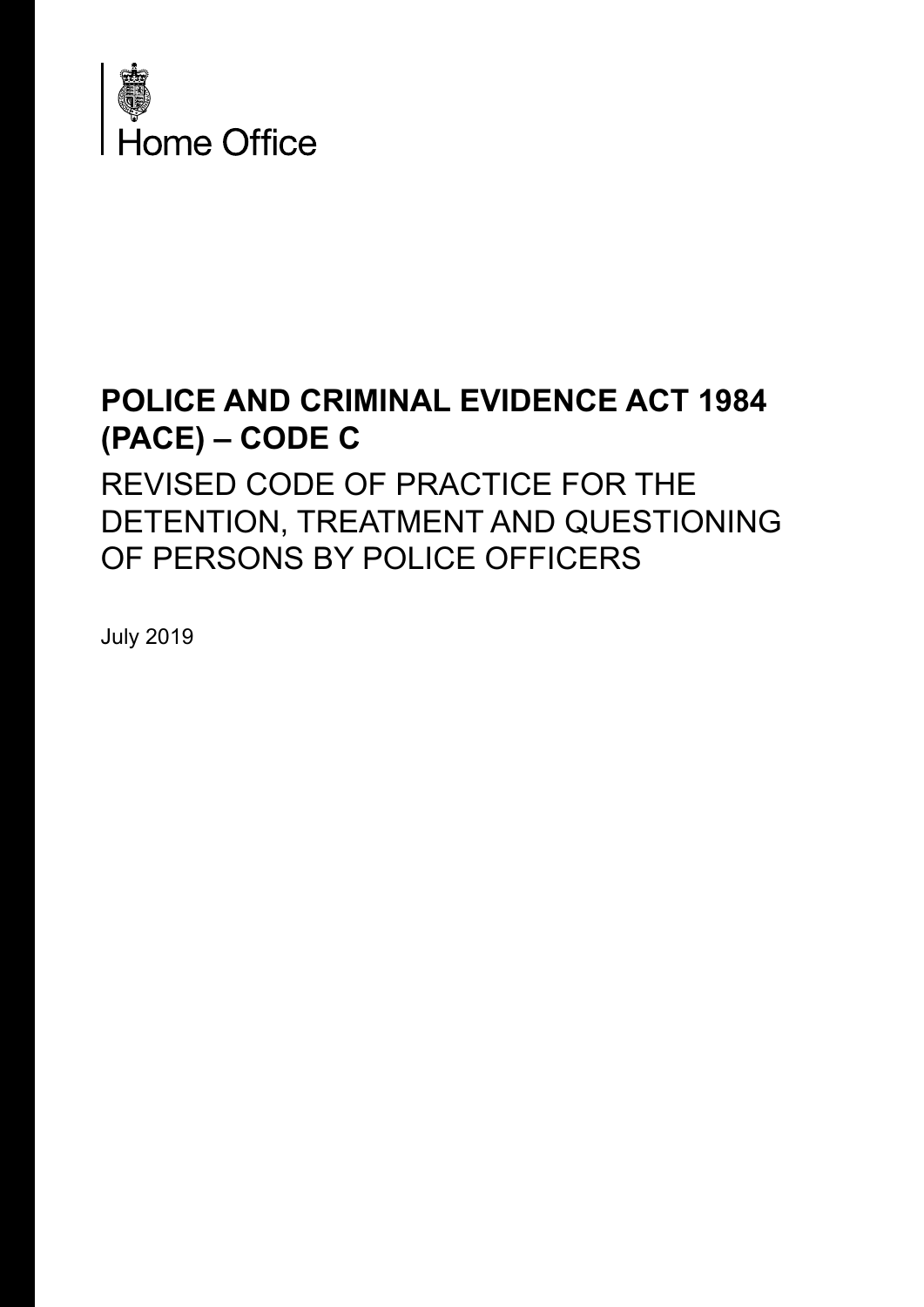

## **POLICE AND CRIMINAL EVIDENCE ACT 1984 (PACE) – CODE C** REVISED CODE OF PRACTICE FOR THE

DETENTION, TREATMENT AND QUESTIONING OF PERSONS BY POLICE OFFICERS

July 2019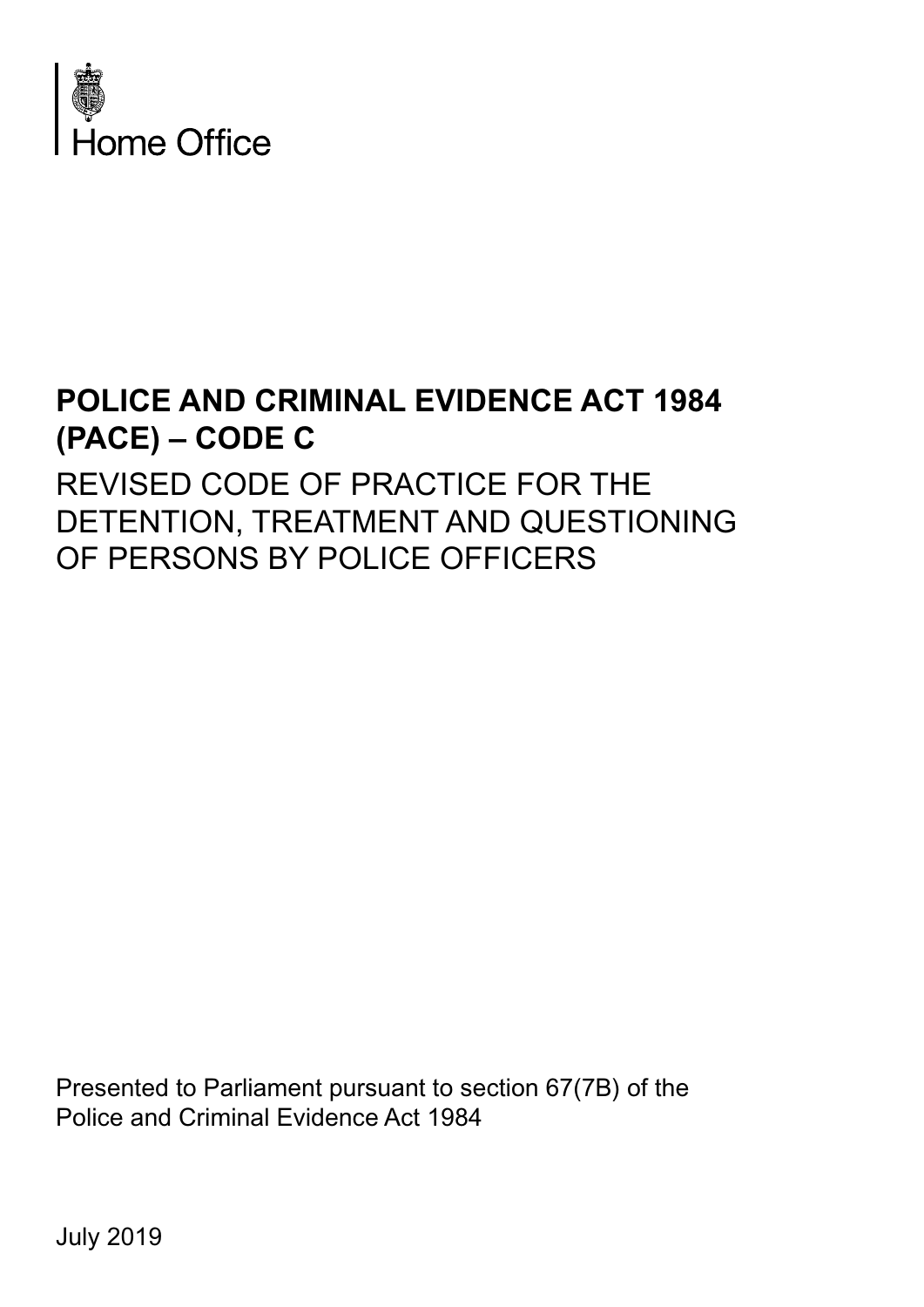

# **POLICE AND CRIMINAL EVIDENCE ACT 1984 (PACE) – CODE C**

REVISED CODE OF PRACTICE FOR THE DETENTION, TREATMENT AND QUESTIONING OF PERSONS BY POLICE OFFICERS

Presented to Parliament pursuant to section 67(7B) of the Police and Criminal Evidence Act 1984

July 2019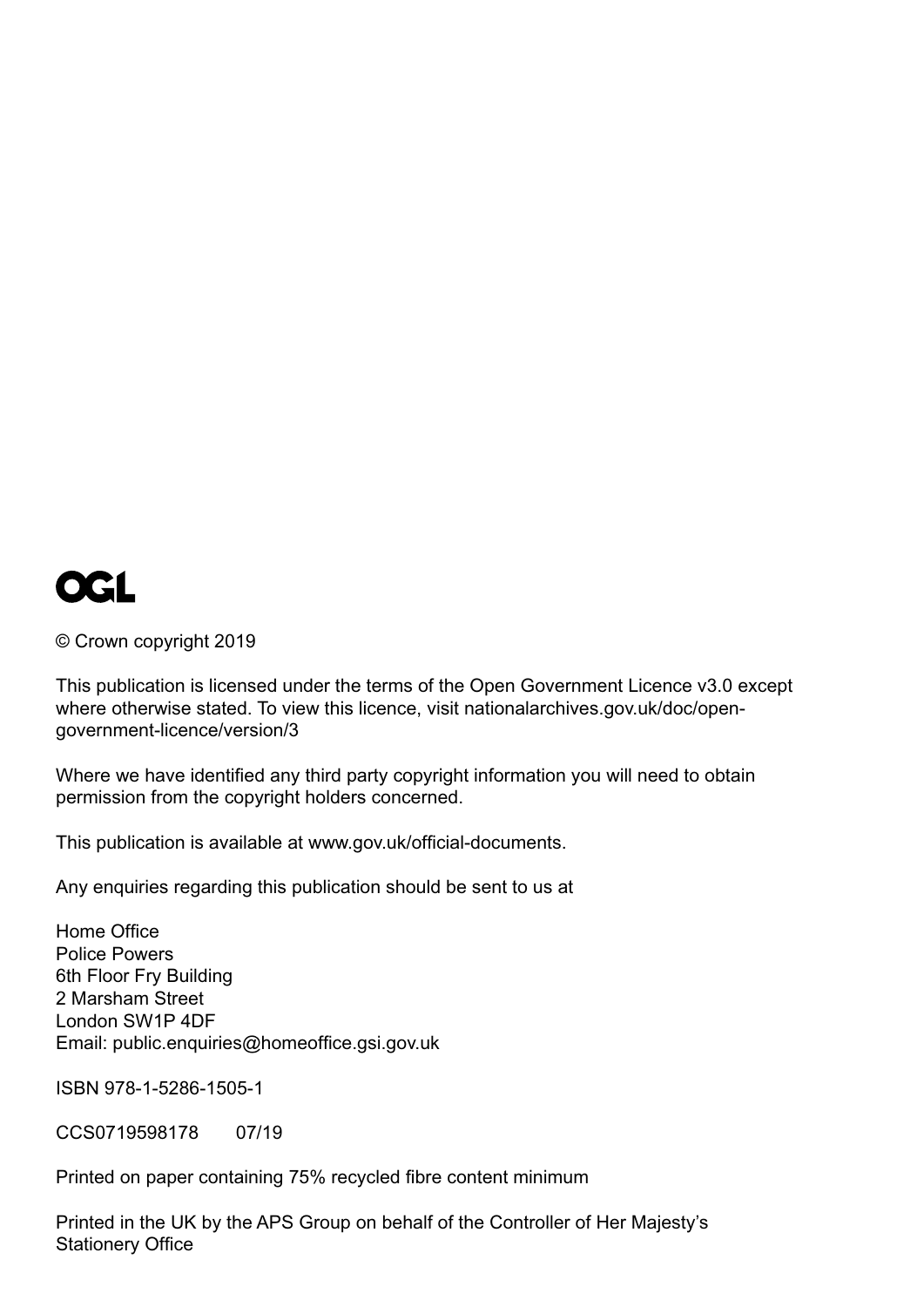

© Crown copyright 2019

This publication is licensed under the terms of the Open Government Licence v3.0 except where otherwise stated. To view this licence, visit [nationalarchives.gov.uk/doc/open](http://www.nationalarchives.gov.uk/doc/open-government-licence/version/3)[government-licence/version/3](http://www.nationalarchives.gov.uk/doc/open-government-licence/version/3)

Where we have identified any third party copyright information you will need to obtain permission from the copyright holders concerned.

This publication is available at [www.gov.uk/official-documents.](http://www.gov.uk/official-documents)

Any enquiries regarding this publication should be sent to us at

Home Office Police Powers 6th Floor Fry Building 2 Marsham Street London SW1P 4DF Email: [public.enquiries@homeoffice.gsi.gov.uk](mailto:public.enquiries%40homeoffice.gsi.gov.uk?subject=)

ISBN 978-1-5286-1505-1

CCS0719598178 07/19

Printed on paper containing 75% recycled fibre content minimum

Printed in the UK by the APS Group on behalf of the Controller of Her Majesty's Stationery Office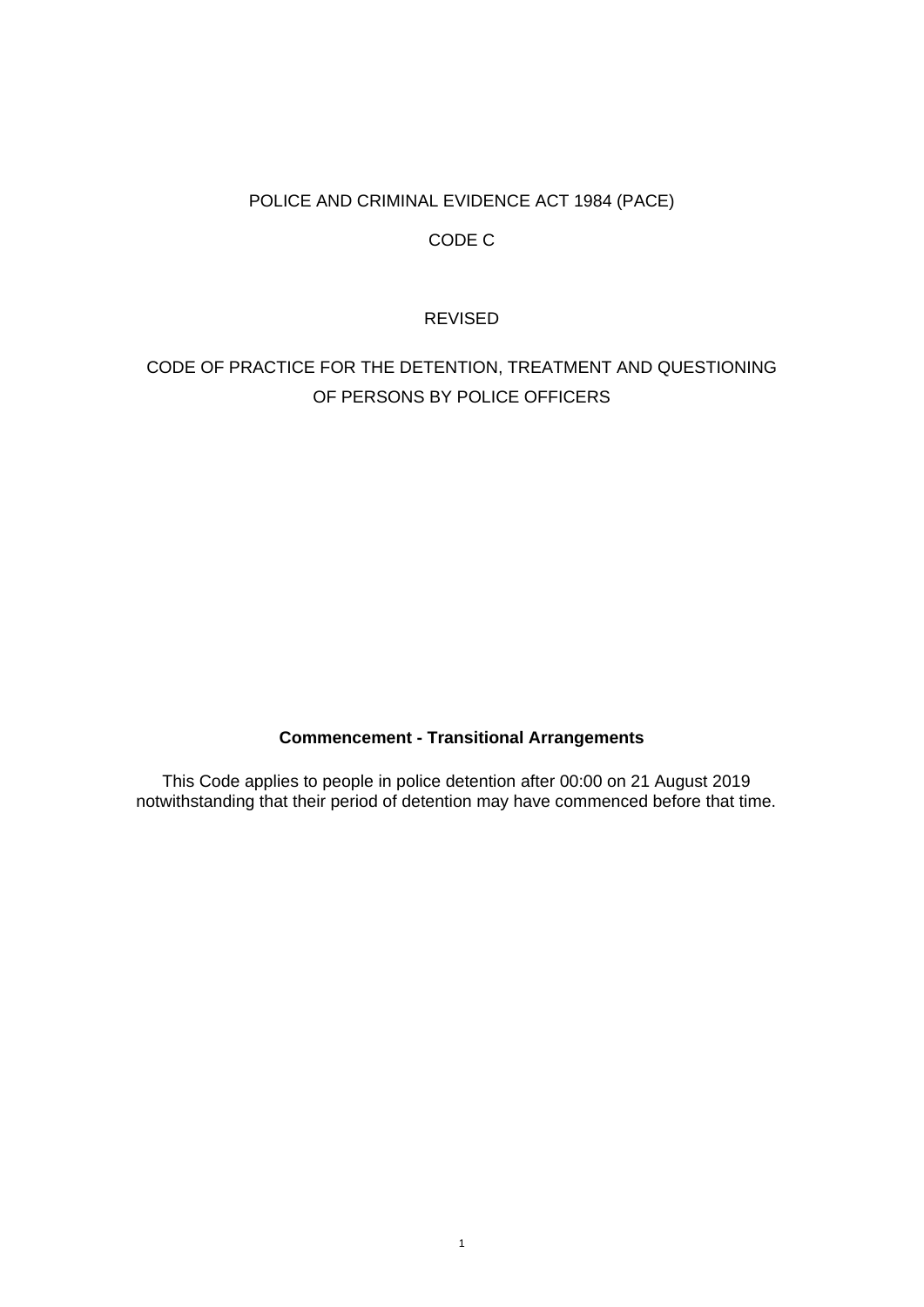### POLICE AND CRIMINAL EVIDENCE ACT 1984 (PACE)

#### CODE C

#### REVISED

### CODE OF PRACTICE FOR THE DETENTION, TREATMENT AND QUESTIONING OF PERSONS BY POLICE OFFICERS

#### **Commencement - Transitional Arrangements**

This Code applies to people in police detention after 00:00 on 21 August 2019 notwithstanding that their period of detention may have commenced before that time.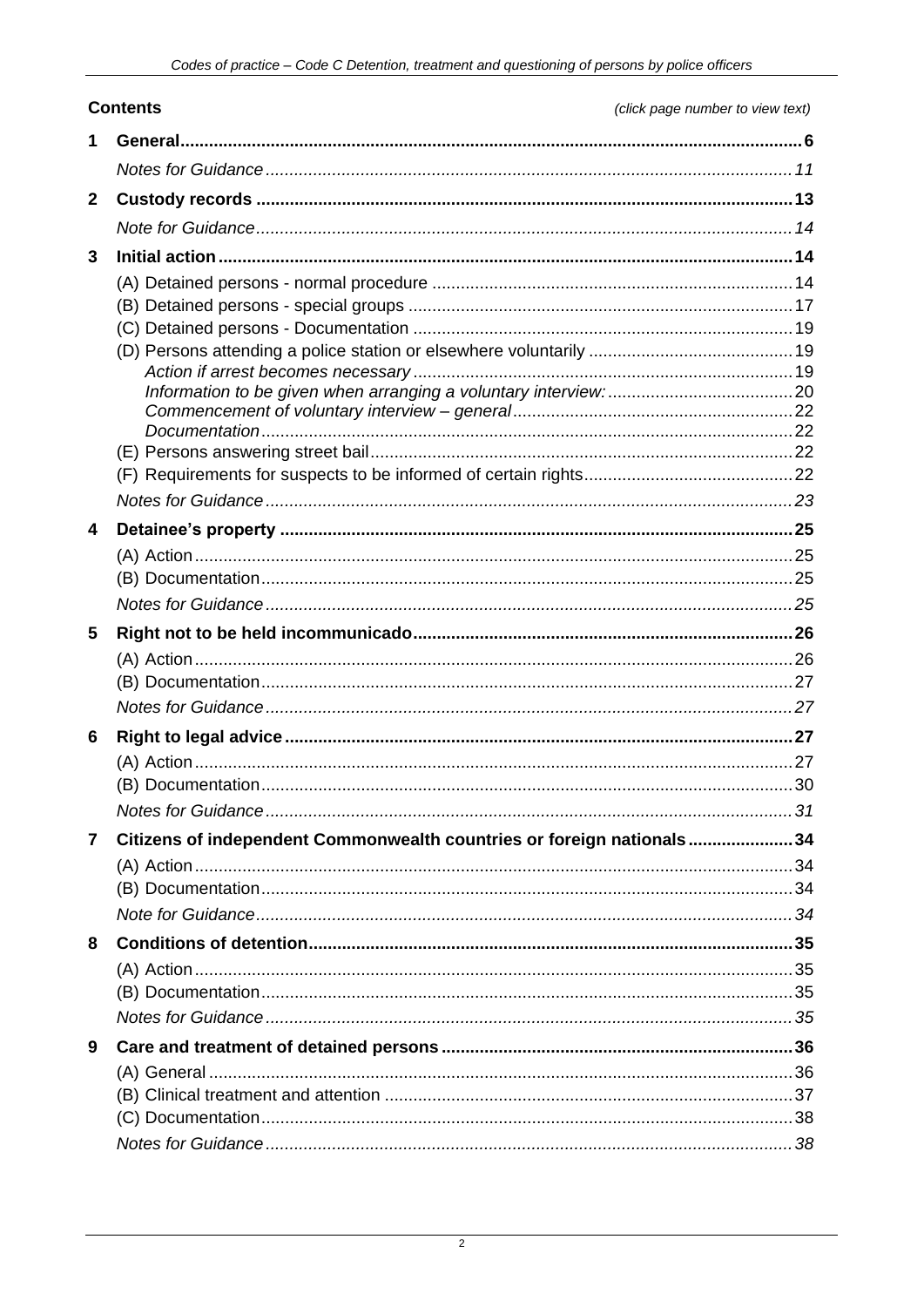| <b>Contents</b> |                                                                       | (click page number to view text) |
|-----------------|-----------------------------------------------------------------------|----------------------------------|
| 1               |                                                                       |                                  |
|                 |                                                                       |                                  |
| $\mathbf{2}$    |                                                                       |                                  |
|                 |                                                                       |                                  |
| 3               |                                                                       |                                  |
|                 |                                                                       |                                  |
|                 |                                                                       |                                  |
|                 |                                                                       |                                  |
|                 |                                                                       |                                  |
|                 |                                                                       |                                  |
|                 |                                                                       |                                  |
|                 |                                                                       |                                  |
|                 |                                                                       |                                  |
|                 |                                                                       |                                  |
|                 |                                                                       |                                  |
| 4               |                                                                       |                                  |
|                 |                                                                       |                                  |
|                 |                                                                       |                                  |
|                 |                                                                       |                                  |
|                 |                                                                       |                                  |
| 5               |                                                                       |                                  |
|                 |                                                                       |                                  |
|                 |                                                                       |                                  |
|                 |                                                                       |                                  |
| 6               |                                                                       |                                  |
|                 |                                                                       |                                  |
|                 |                                                                       |                                  |
|                 |                                                                       |                                  |
| $\overline{7}$  | Citizens of independent Commonwealth countries or foreign nationals34 |                                  |
|                 |                                                                       |                                  |
|                 |                                                                       |                                  |
|                 |                                                                       |                                  |
| 8               |                                                                       |                                  |
|                 |                                                                       |                                  |
|                 |                                                                       |                                  |
|                 |                                                                       |                                  |
| 9               |                                                                       |                                  |
|                 |                                                                       |                                  |
|                 |                                                                       |                                  |
|                 |                                                                       |                                  |
|                 |                                                                       |                                  |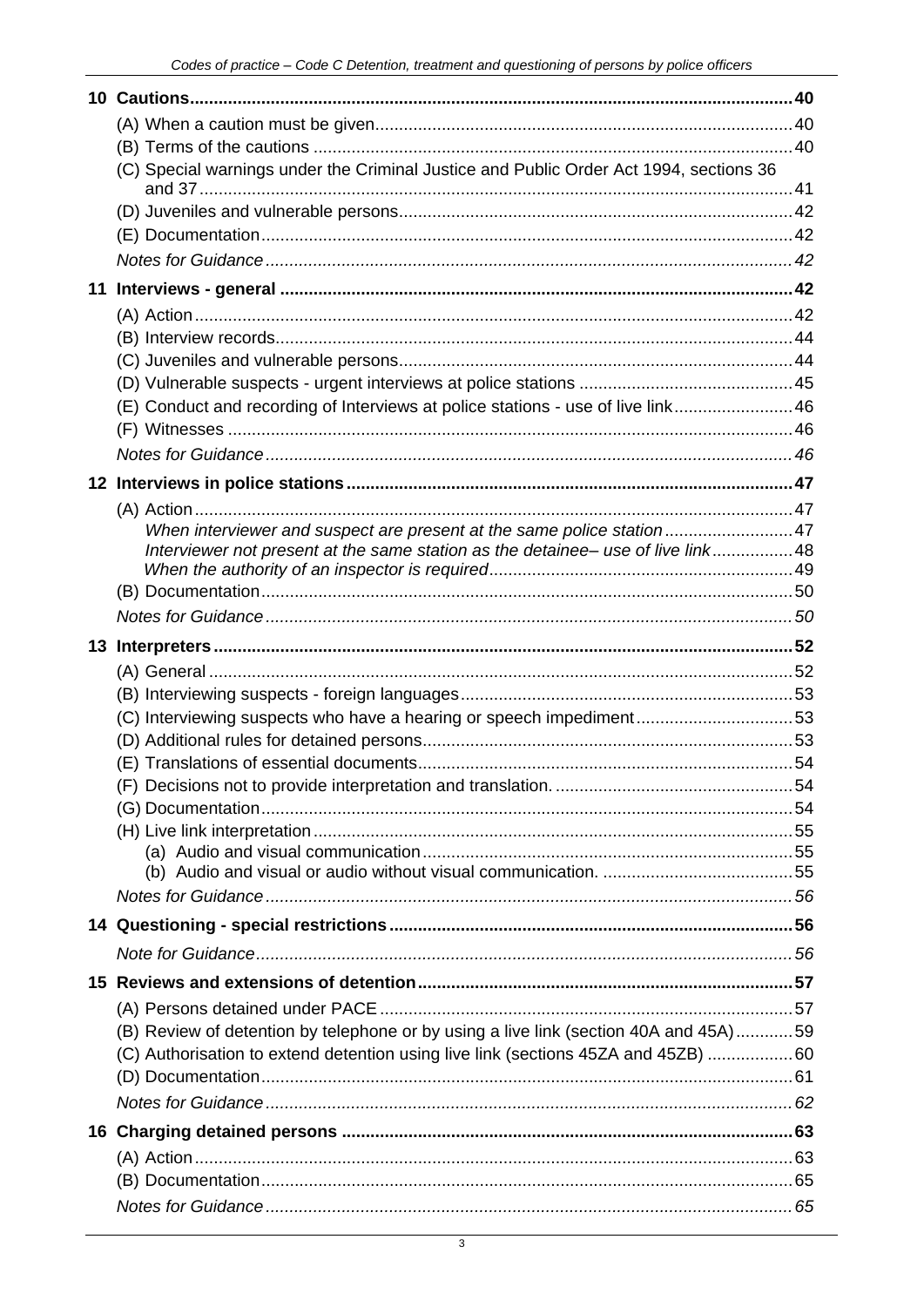| (C) Special warnings under the Criminal Justice and Public Order Act 1994, sections 36 |  |
|----------------------------------------------------------------------------------------|--|
|                                                                                        |  |
|                                                                                        |  |
|                                                                                        |  |
|                                                                                        |  |
|                                                                                        |  |
|                                                                                        |  |
|                                                                                        |  |
|                                                                                        |  |
| (E) Conduct and recording of Interviews at police stations - use of live link 46       |  |
|                                                                                        |  |
|                                                                                        |  |
|                                                                                        |  |
|                                                                                        |  |
| When interviewer and suspect are present at the same police station47                  |  |
| Interviewer not present at the same station as the detainee- use of live link 48       |  |
|                                                                                        |  |
|                                                                                        |  |
|                                                                                        |  |
|                                                                                        |  |
|                                                                                        |  |
|                                                                                        |  |
| (C) Interviewing suspects who have a hearing or speech impediment53                    |  |
|                                                                                        |  |
|                                                                                        |  |
|                                                                                        |  |
|                                                                                        |  |
|                                                                                        |  |
|                                                                                        |  |
|                                                                                        |  |
|                                                                                        |  |
|                                                                                        |  |
|                                                                                        |  |
|                                                                                        |  |
| (B) Review of detention by telephone or by using a live link (section 40A and 45A)59   |  |
| (C) Authorisation to extend detention using live link (sections 45ZA and 45ZB) 60      |  |
|                                                                                        |  |
|                                                                                        |  |
|                                                                                        |  |
|                                                                                        |  |
|                                                                                        |  |
|                                                                                        |  |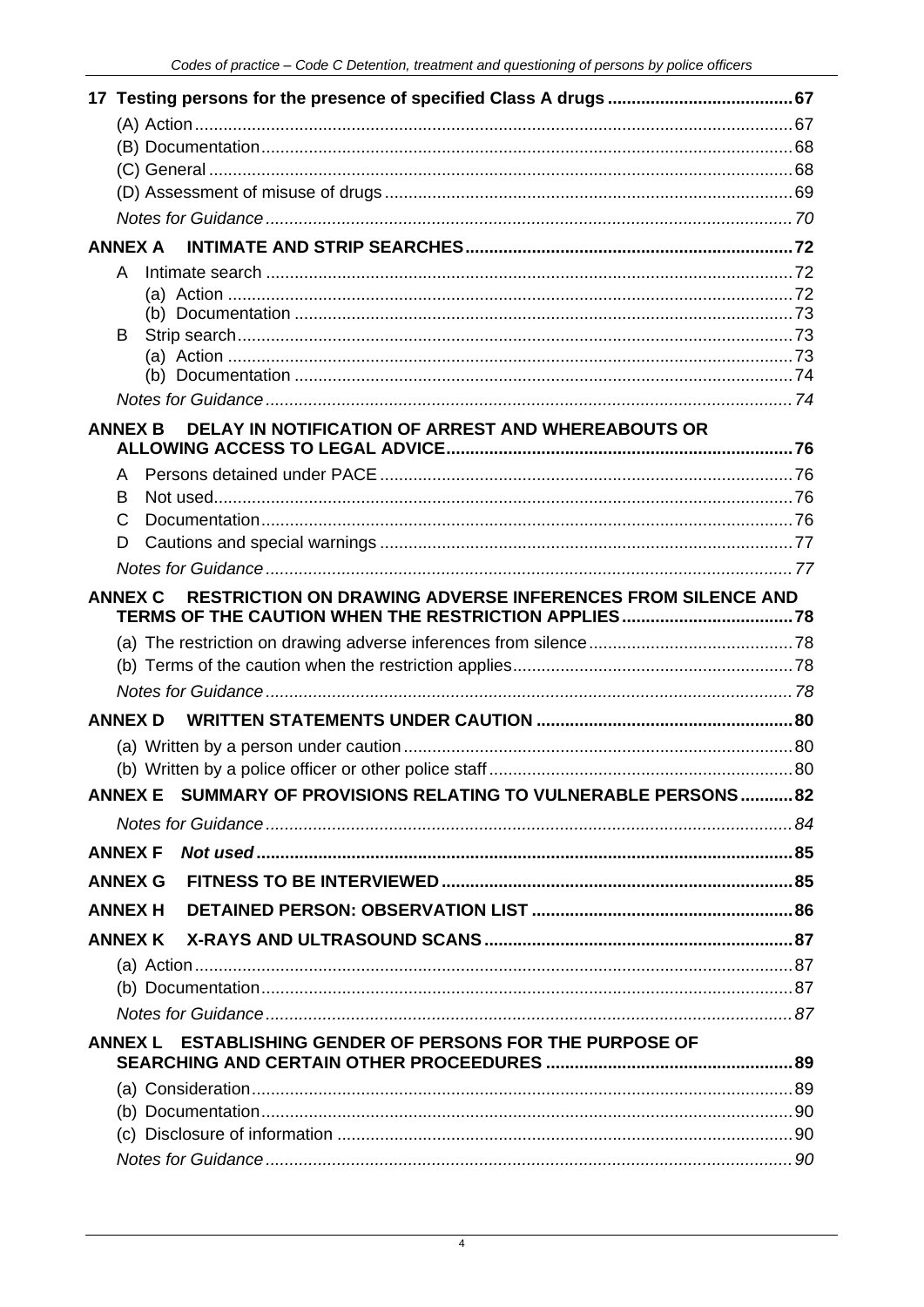| ANNEX A        |                                                                    |  |
|----------------|--------------------------------------------------------------------|--|
| A              |                                                                    |  |
|                |                                                                    |  |
| B              |                                                                    |  |
|                |                                                                    |  |
|                |                                                                    |  |
|                |                                                                    |  |
|                | ANNEX B DELAY IN NOTIFICATION OF ARREST AND WHEREABOUTS OR         |  |
| A              |                                                                    |  |
| В              |                                                                    |  |
| C              |                                                                    |  |
| D              |                                                                    |  |
|                |                                                                    |  |
|                | ANNEX C RESTRICTION ON DRAWING ADVERSE INFERENCES FROM SILENCE AND |  |
|                |                                                                    |  |
|                |                                                                    |  |
|                |                                                                    |  |
| <b>ANNEX D</b> |                                                                    |  |
|                |                                                                    |  |
|                |                                                                    |  |
| <b>ANNEX E</b> | SUMMARY OF PROVISIONS RELATING TO VULNERABLE PERSONS 82            |  |
|                |                                                                    |  |
| <b>ANNEX F</b> |                                                                    |  |
| <b>ANNEX G</b> |                                                                    |  |
| <b>ANNEX H</b> |                                                                    |  |
| <b>ANNEX K</b> |                                                                    |  |
|                |                                                                    |  |
|                |                                                                    |  |
|                |                                                                    |  |
|                | ANNEX L ESTABLISHING GENDER OF PERSONS FOR THE PURPOSE OF          |  |
|                |                                                                    |  |
|                |                                                                    |  |
|                |                                                                    |  |
|                |                                                                    |  |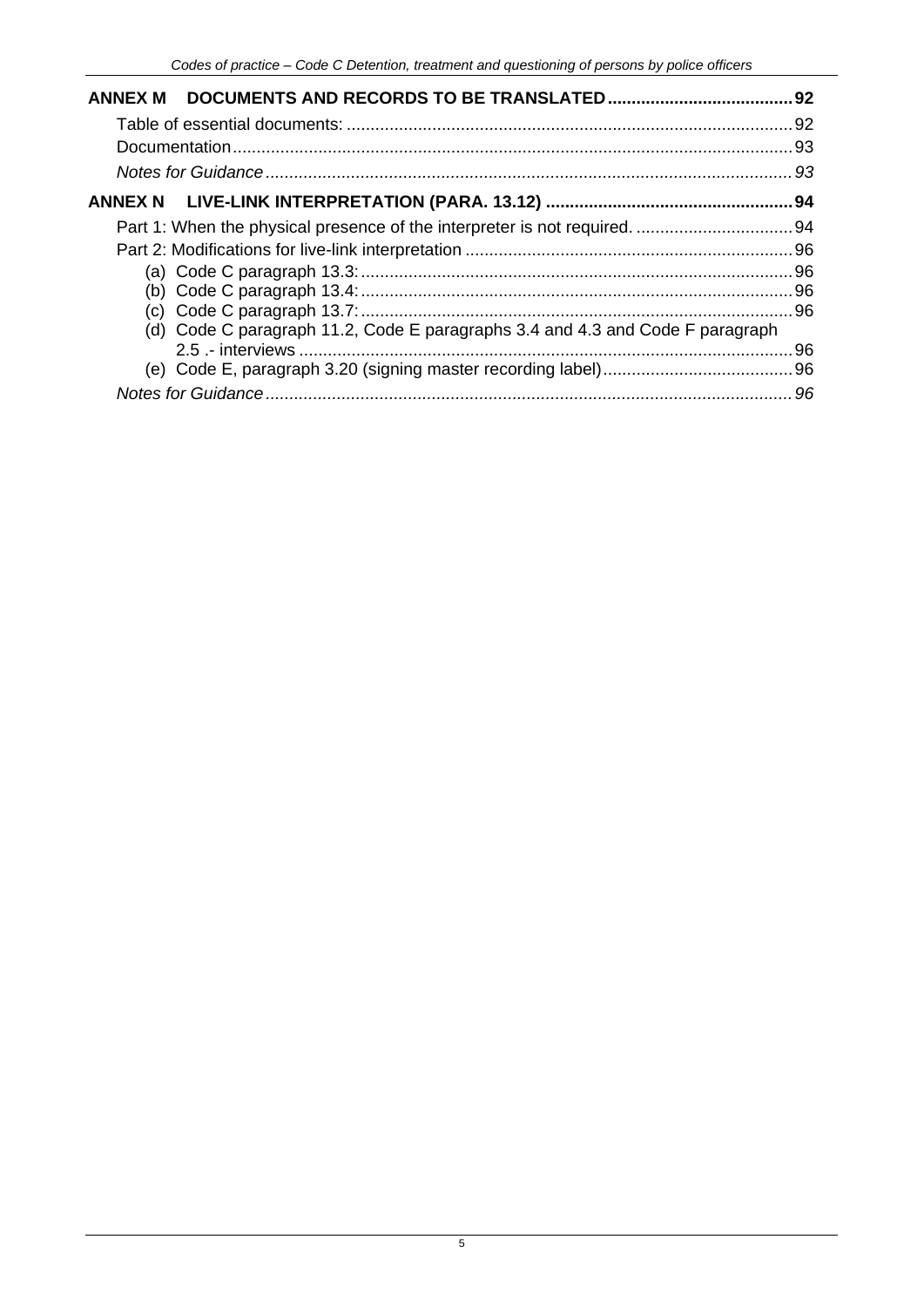|                                                                               | -93 |
|-------------------------------------------------------------------------------|-----|
|                                                                               |     |
|                                                                               |     |
|                                                                               |     |
|                                                                               |     |
|                                                                               |     |
|                                                                               |     |
|                                                                               |     |
| (d) Code C paragraph 11.2, Code E paragraphs 3.4 and 4.3 and Code F paragraph |     |
|                                                                               | .96 |
|                                                                               |     |
|                                                                               |     |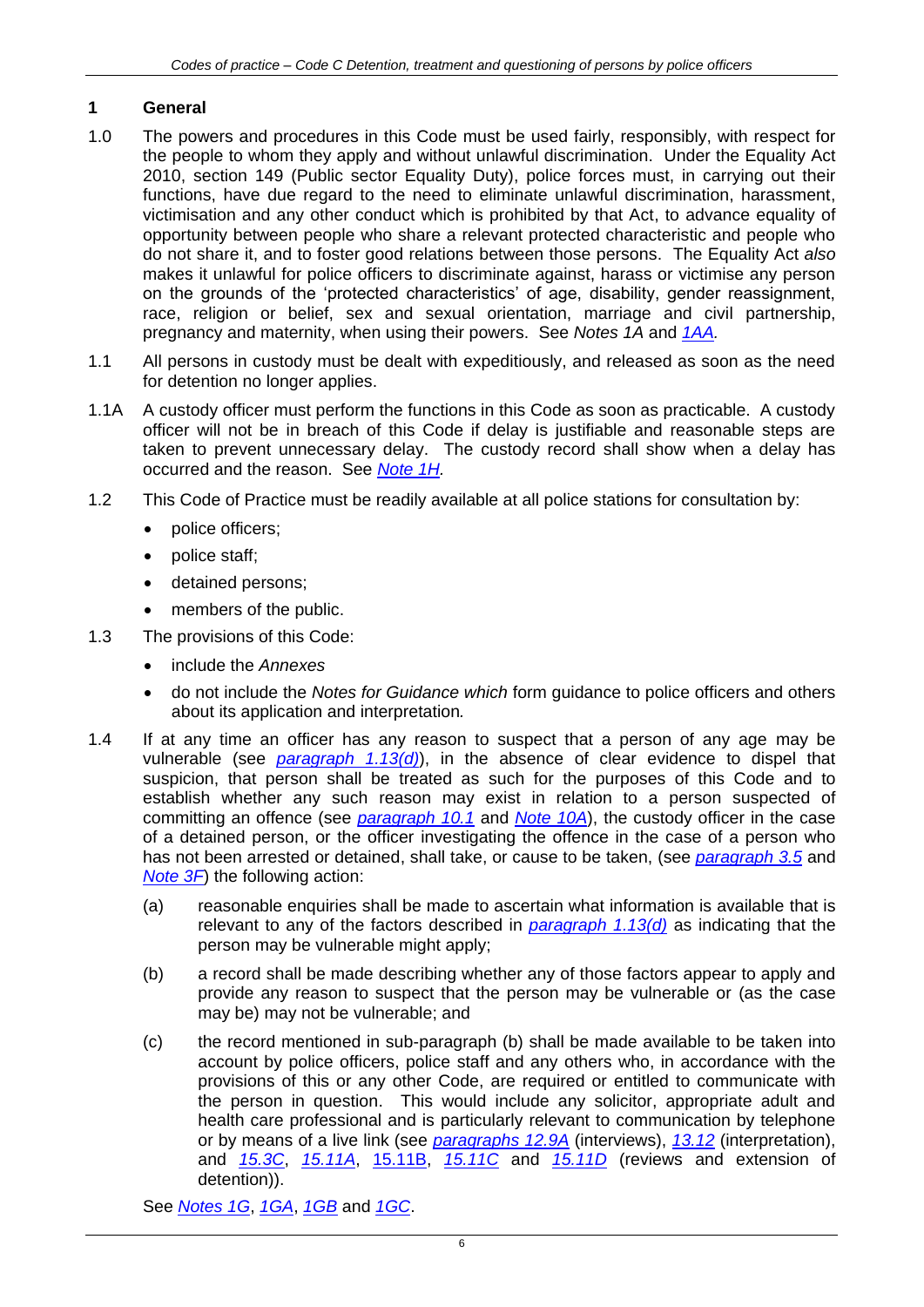#### <span id="page-9-0"></span>**1 General**

- 1.0 The powers and procedures in this Code must be used fairly, responsibly, with respect for the people to whom they apply and without unlawful discrimination. Under the Equality Act 2010, section 149 (Public sector Equality Duty), police forces must, in carrying out their functions, have due regard to the need to eliminate unlawful discrimination, harassment, victimisation and any other conduct which is prohibited by that Act, to advance equality of opportunity between people who share a relevant protected characteristic and people who do not share it, and to foster good relations between those persons. The Equality Act *also*  makes it unlawful for police officers to discriminate against, harass or victimise any person on the grounds of the 'protected characteristics' of age, disability, gender reassignment, race, religion or belief, sex and sexual orientation, marriage and civil partnership, pregnancy and maternity, when using their powers. See *Notes 1A* and *[1AA.](#page-14-1)*
- 1.1 All persons in custody must be dealt with expeditiously, and released as soon as the need for detention no longer applies.
- <span id="page-9-3"></span>1.1A A custody officer must perform the functions in this Code as soon as practicable. A custody officer will not be in breach of this Code if delay is justifiable and reasonable steps are taken to prevent unnecessary delay. The custody record shall show when a delay has occurred and the reason. See *[Note 1H.](#page-15-0)*
- 1.2 This Code of Practice must be readily available at all police stations for consultation by:
	- police officers;
	- police staff:
	- detained persons;
	- members of the public.
- 1.3 The provisions of this Code:
	- include the *Annexes*
	- do not include the *Notes for Guidance which* form guidance to police officers and others about its application and interpretation*.*
- <span id="page-9-2"></span><span id="page-9-1"></span>1.4 If at any time an officer has any reason to suspect that a person of any age may be vulnerable (see *[paragraph 1.13\(d\)](#page-12-0)*), in the absence of clear evidence to dispel that suspicion, that person shall be treated as such for the purposes of this Code and to establish whether any such reason may exist in relation to a person suspected of committing an offence (see *[paragraph 10.1](#page-43-3)* and *[Note 10A](#page-45-5)*), the custody officer in the case of a detained person, or the officer investigating the offence in the case of a person who has not been arrested or detained, shall take, or cause to be taken, (see *[paragraph 3.5](#page-19-0)* and *[Note 3F](#page-27-0)*) the following action:
	- (a) reasonable enquiries shall be made to ascertain what information is available that is relevant to any of the factors described in *[paragraph 1.13\(d\)](#page-12-0)* as indicating that the person may be vulnerable might apply;
	- (b) a record shall be made describing whether any of those factors appear to apply and provide any reason to suspect that the person may be vulnerable or (as the case may be) may not be vulnerable; and
	- (c) the record mentioned in sub-paragraph (b) shall be made available to be taken into account by police officers, police staff and any others who, in accordance with the provisions of this or any other Code, are required or entitled to communicate with the person in question. This would include any solicitor, appropriate adult and health care professional and is particularly relevant to communication by telephone or by means of a live link (see *[paragraphs 12.9A](#page-51-1)* (interviews), *[13.12](#page-58-3)* (interpretation), and *[15.3C](#page-61-0)*, *[15.11A](#page-63-1)*, [15.11B,](#page-63-2) *[15.11C](#page-63-3)* and *[15.11D](#page-64-1)* (reviews and extension of detention)).

See *[Notes](#page-14-2) 1G*, *[1GA](#page-15-1)*, *[1GB](#page-15-2)* and *[1GC](#page-15-3)*.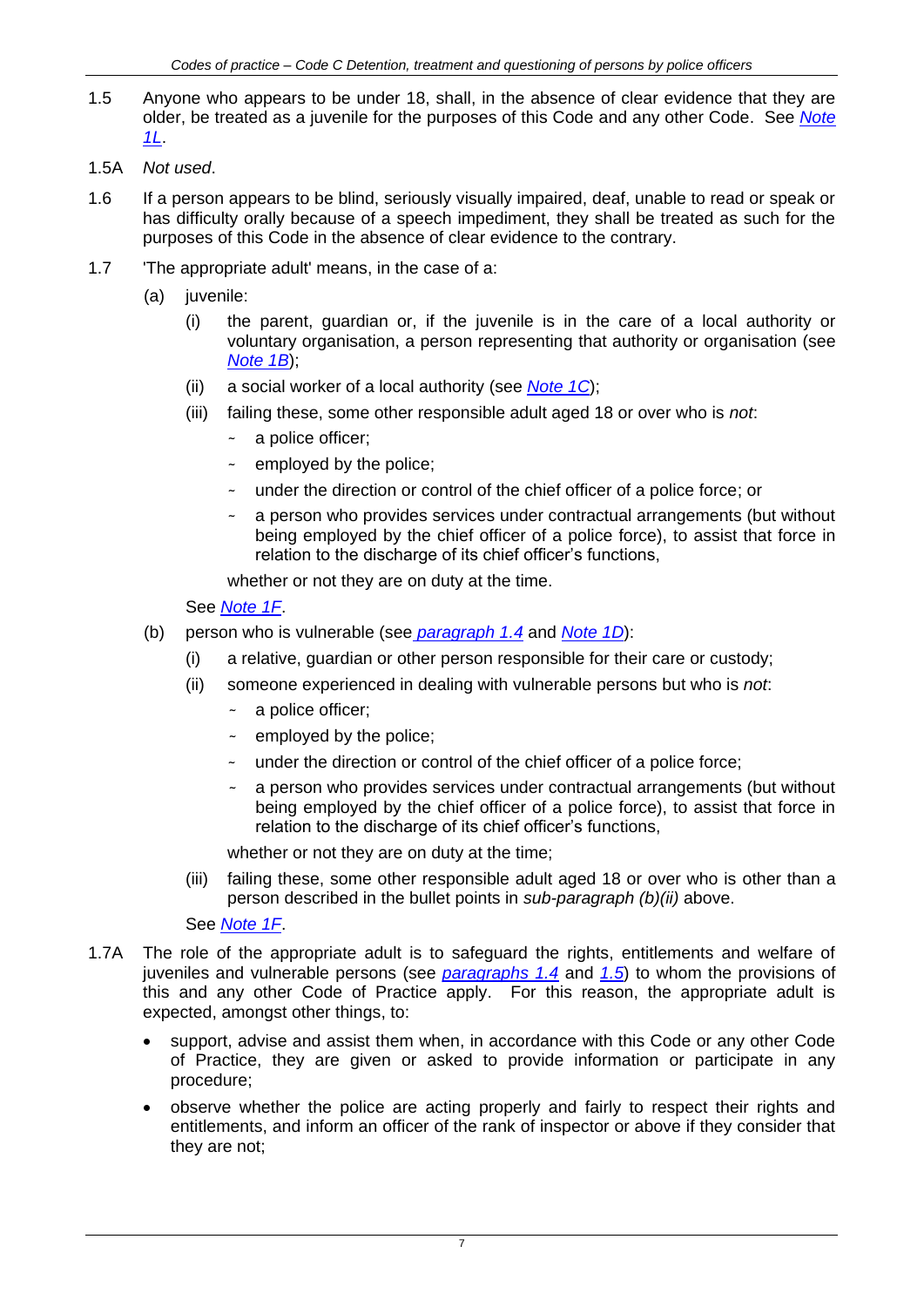- <span id="page-10-0"></span>1.5 Anyone who appears to be under 18, shall, in the absence of clear evidence that they are older, be treated as a juvenile for the purposes of this Code and any other Code. See *[Note](#page-15-4)  [1L](#page-15-4)*.
- 1.5A *Not used*.
- 1.6 If a person appears to be blind, seriously visually impaired, deaf, unable to read or speak or has difficulty orally because of a speech impediment, they shall be treated as such for the purposes of this Code in the absence of clear evidence to the contrary.
- 1.7 'The appropriate adult' means, in the case of a:
	- (a) juvenile:
		- (i) the parent, guardian or, if the juvenile is in the care of a local authority or voluntary organisation, a person representing that authority or organisation (see *[Note 1B](#page-14-3)*);
		- (ii) a social worker of a local authority (see *[Note 1C](#page-14-4)*);
		- (iii) failing these, some other responsible adult aged 18 or over who is *not*:
			- ~ a police officer;
			- ~ employed by the police;
			- under the direction or control of the chief officer of a police force; or
			- a person who provides services under contractual arrangements (but without being employed by the chief officer of a police force), to assist that force in relation to the discharge of its chief officer's functions,

whether or not they are on duty at the time.

See *[Note 1F](#page-14-5)*.

- (b) person who is vulnerable (see *[paragraph 1.4](#page-9-1)* and *[Note 1D](#page-14-6)*):
	- (i) a relative, guardian or other person responsible for their care or custody;
	- (ii) someone experienced in dealing with vulnerable persons but who is *not*:
		- ~ a police officer;
		- employed by the police;
		- under the direction or control of the chief officer of a police force;
		- a person who provides services under contractual arrangements (but without being employed by the chief officer of a police force), to assist that force in relation to the discharge of its chief officer's functions,

whether or not they are on duty at the time;

(iii) failing these, some other responsible adult aged 18 or over who is other than a person described in the bullet points in *sub-paragraph (b)(ii)* above.

See *[Note 1F](#page-14-5)*.

- <span id="page-10-1"></span>1.7A The role of the appropriate adult is to safeguard the rights, entitlements and welfare of juveniles and vulnerable persons (see *[paragraphs 1.4](#page-9-1)* and *[1.5](#page-10-0)*) to whom the provisions of this and any other Code of Practice apply. For this reason, the appropriate adult is expected, amongst other things, to:
	- support, advise and assist them when, in accordance with this Code or any other Code of Practice, they are given or asked to provide information or participate in any procedure;
	- observe whether the police are acting properly and fairly to respect their rights and entitlements, and inform an officer of the rank of inspector or above if they consider that they are not;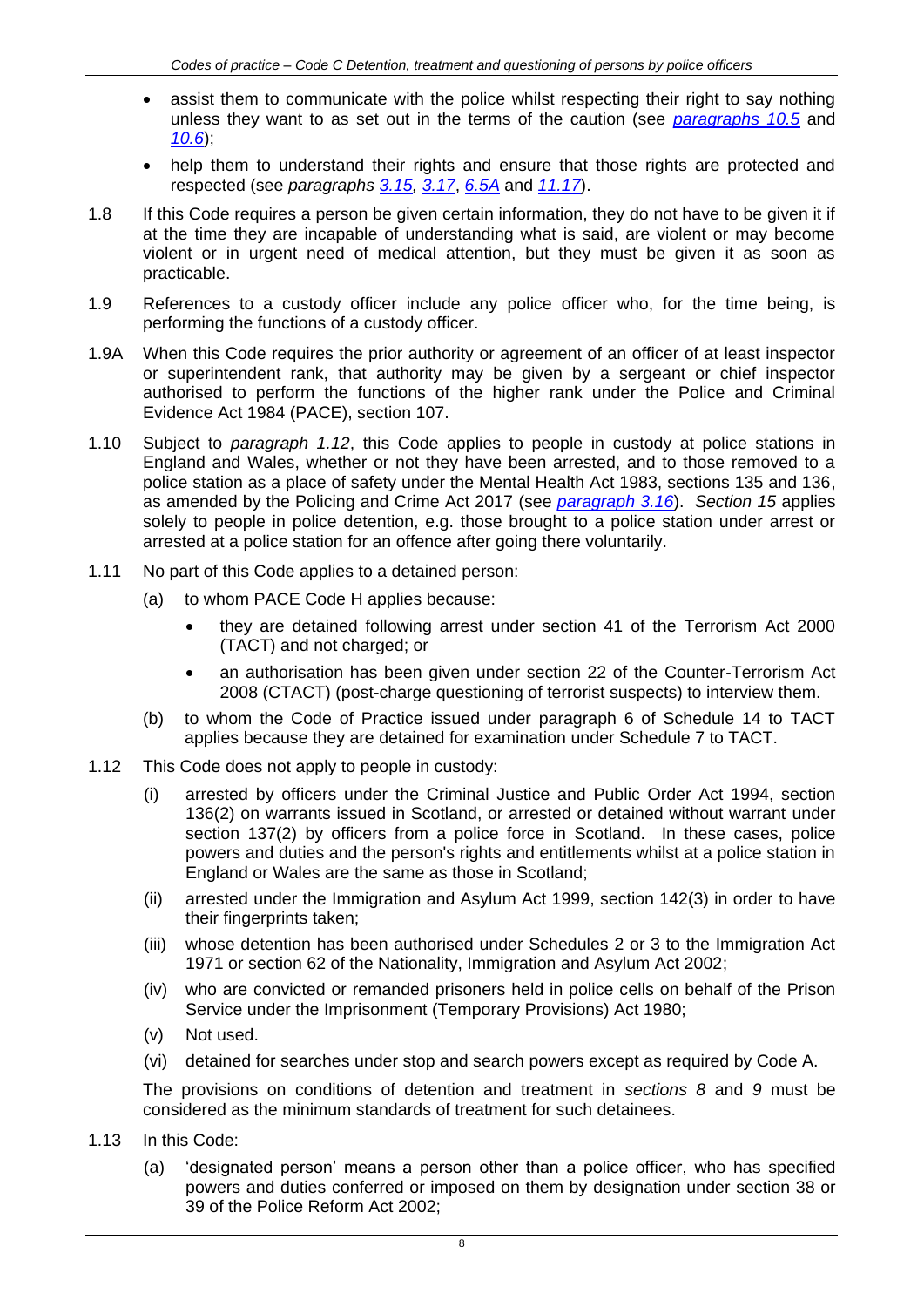- assist them to communicate with the police whilst respecting their right to say nothing unless they want to as set out in the terms of the caution (see *[paragraphs 10.5](#page-43-4)* and *[10.6](#page-44-1)*);
- help them to understand their rights and ensure that those rights are protected and respected (see *paragraphs [3.15,](#page-21-0) [3.17](#page-22-3)*, *[6.5A](#page-31-0)* and *[11.17](#page-48-1)*).
- <span id="page-11-1"></span>1.8 If this Code requires a person be given certain information, they do not have to be given it if at the time they are incapable of understanding what is said, are violent or may become violent or in urgent need of medical attention, but they must be given it as soon as practicable.
- 1.9 References to a custody officer include any police officer who, for the time being, is performing the functions of a custody officer.
- 1.9A When this Code requires the prior authority or agreement of an officer of at least inspector or superintendent rank, that authority may be given by a sergeant or chief inspector authorised to perform the functions of the higher rank under the Police and Criminal Evidence Act 1984 (PACE), section 107.
- 1.10 Subject to *paragraph 1.12*, this Code applies to people in custody at police stations in England and Wales, whether or not they have been arrested, and to those removed to a police station as a place of safety under the Mental Health Act 1983, sections 135 and 136, as amended by the Policing and Crime Act 2017 (see *[paragraph 3.16](#page-21-1)*). *Section 15* applies solely to people in police detention, e.g. those brought to a police station under arrest or arrested at a police station for an offence after going there voluntarily.
- 1.11 No part of this Code applies to a detained person:
	- (a) to whom PACE Code H applies because:
		- they are detained following arrest under section 41 of the Terrorism Act 2000 (TACT) and not charged; or
		- an authorisation has been given under section 22 of the Counter-Terrorism Act 2008 (CTACT) (post-charge questioning of terrorist suspects) to interview them.
	- (b) to whom the Code of Practice issued under paragraph 6 of Schedule 14 to TACT applies because they are detained for examination under Schedule 7 to TACT.
- 1.12 This Code does not apply to people in custody:
	- (i) arrested by officers under the Criminal Justice and Public Order Act 1994, section 136(2) on warrants issued in Scotland, or arrested or detained without warrant under section 137(2) by officers from a police force in Scotland. In these cases, police powers and duties and the person's rights and entitlements whilst at a police station in England or Wales are the same as those in Scotland;
	- (ii) arrested under the Immigration and Asylum Act 1999, section 142(3) in order to have their fingerprints taken;
	- (iii) whose detention has been authorised under Schedules 2 or 3 to the Immigration Act 1971 or section 62 of the Nationality, Immigration and Asylum Act 2002;
	- (iv) who are convicted or remanded prisoners held in police cells on behalf of the Prison Service under the Imprisonment (Temporary Provisions) Act 1980;
	- (v) Not used.
	- (vi) detained for searches under stop and search powers except as required by Code A.

The provisions on conditions of detention and treatment in *sections 8* and *9* must be considered as the minimum standards of treatment for such detainees.

- <span id="page-11-0"></span>1.13 In this Code:
	- (a) 'designated person' means a person other than a police officer, who has specified powers and duties conferred or imposed on them by designation under section 38 or 39 of the Police Reform Act 2002;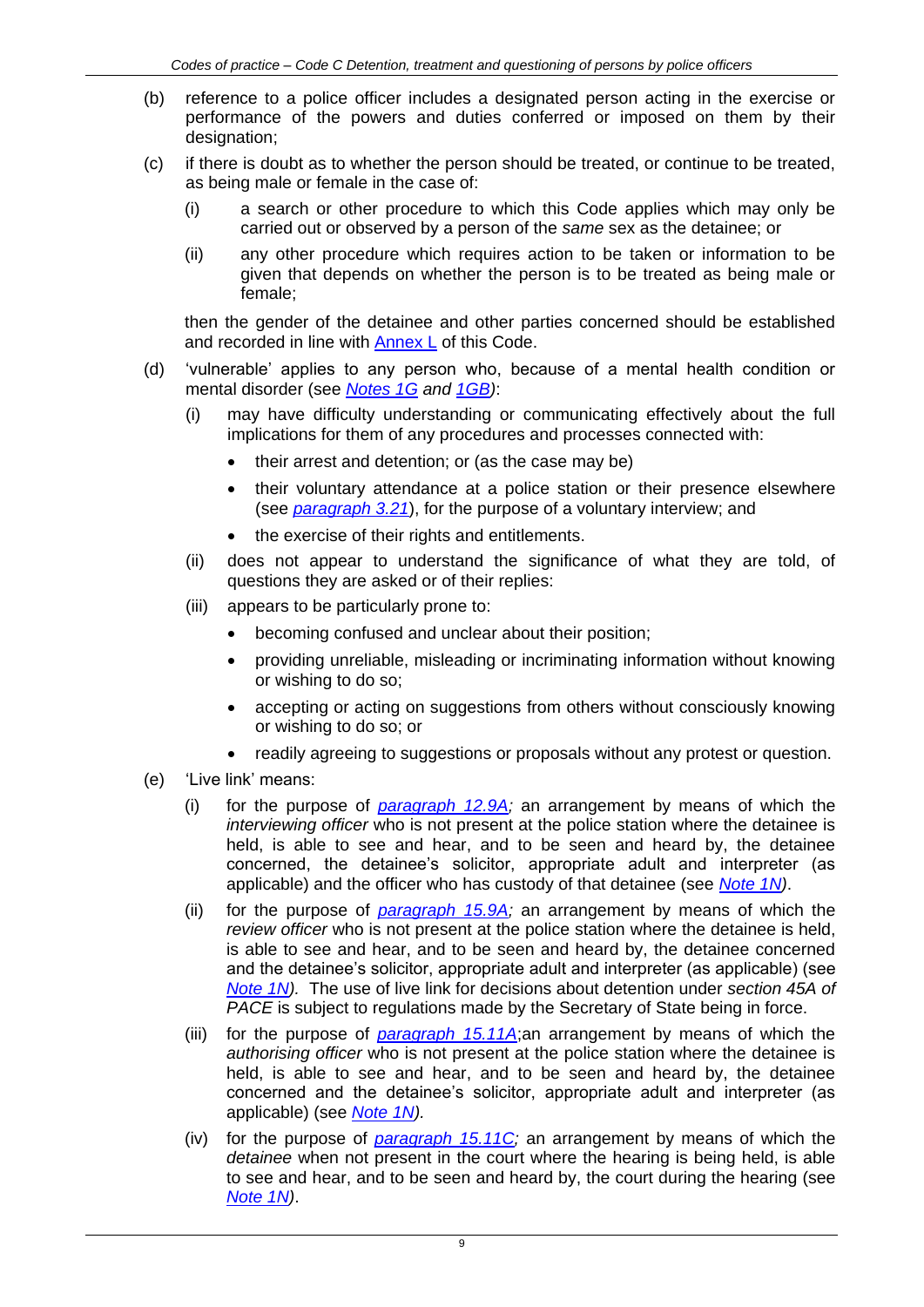- (b) reference to a police officer includes a designated person acting in the exercise or performance of the powers and duties conferred or imposed on them by their designation;
- (c) if there is doubt as to whether the person should be treated, or continue to be treated, as being male or female in the case of:
	- (i) a search or other procedure to which this Code applies which may only be carried out or observed by a person of the *same* sex as the detainee; or
	- (ii) any other procedure which requires action to be taken or information to be given that depends on whether the person is to be treated as being male or female;

then the gender of the detainee and other parties concerned should be established and recorded in line with [Annex L](#page-92-0) of this Code.

- <span id="page-12-0"></span>(d) 'vulnerable' applies to any person who, because of a mental health condition or mental disorder (see *[Notes 1G](#page-14-2) and [1GB\)](#page-15-2)*:
	- (i) may have difficulty understanding or communicating effectively about the full implications for them of any procedures and processes connected with:
		- their arrest and detention; or (as the case may be)
		- their voluntary attendance at a police station or their presence elsewhere (see *[paragraph 3.21](#page-22-4)*), for the purpose of a voluntary interview; and
		- the exercise of their rights and entitlements.
	- (ii) does not appear to understand the significance of what they are told, of questions they are asked or of their replies:
	- (iii) appears to be particularly prone to:
		- becoming confused and unclear about their position;
		- providing unreliable, misleading or incriminating information without knowing or wishing to do so;
		- accepting or acting on suggestions from others without consciously knowing or wishing to do so; or
		- readily agreeing to suggestions or proposals without any protest or question.
- (e) 'Live link' means:
	- (i) for the purpose of *[paragraph 12.9A;](#page-51-1)* an arrangement by means of which the *interviewing officer* who is not present at the police station where the detainee is held, is able to see and hear, and to be seen and heard by, the detainee concerned, the detainee's solicitor, appropriate adult and interpreter (as applicable) and the officer who has custody of that detainee (see *[Note 1N\)](#page-15-5)*.
	- (ii) for the purpose of *[paragraph 15.9A;](#page-62-1)* an arrangement by means of which the *review officer* who is not present at the police station where the detainee is held, is able to see and hear, and to be seen and heard by, the detainee concerned and the detainee's solicitor, appropriate adult and interpreter (as applicable) (see *[Note 1N\)](#page-15-5).* The use of live link for decisions about detention under *section 45A of PACE* is subject to regulations made by the Secretary of State being in force.
	- (iii) for the purpose of *[paragraph 15.11A](#page-63-1)*;an arrangement by means of which the *authorising officer* who is not present at the police station where the detainee is held, is able to see and hear, and to be seen and heard by, the detainee concerned and the detainee's solicitor, appropriate adult and interpreter (as applicable) (see *[Note 1N\)](#page-15-5).*
	- (iv) for the purpose of *[paragraph 15.11C;](#page-63-3)* an arrangement by means of which the *detainee* when not present in the court where the hearing is being held, is able to see and hear, and to be seen and heard by, the court during the hearing (see *[Note 1N\)](#page-15-5)*.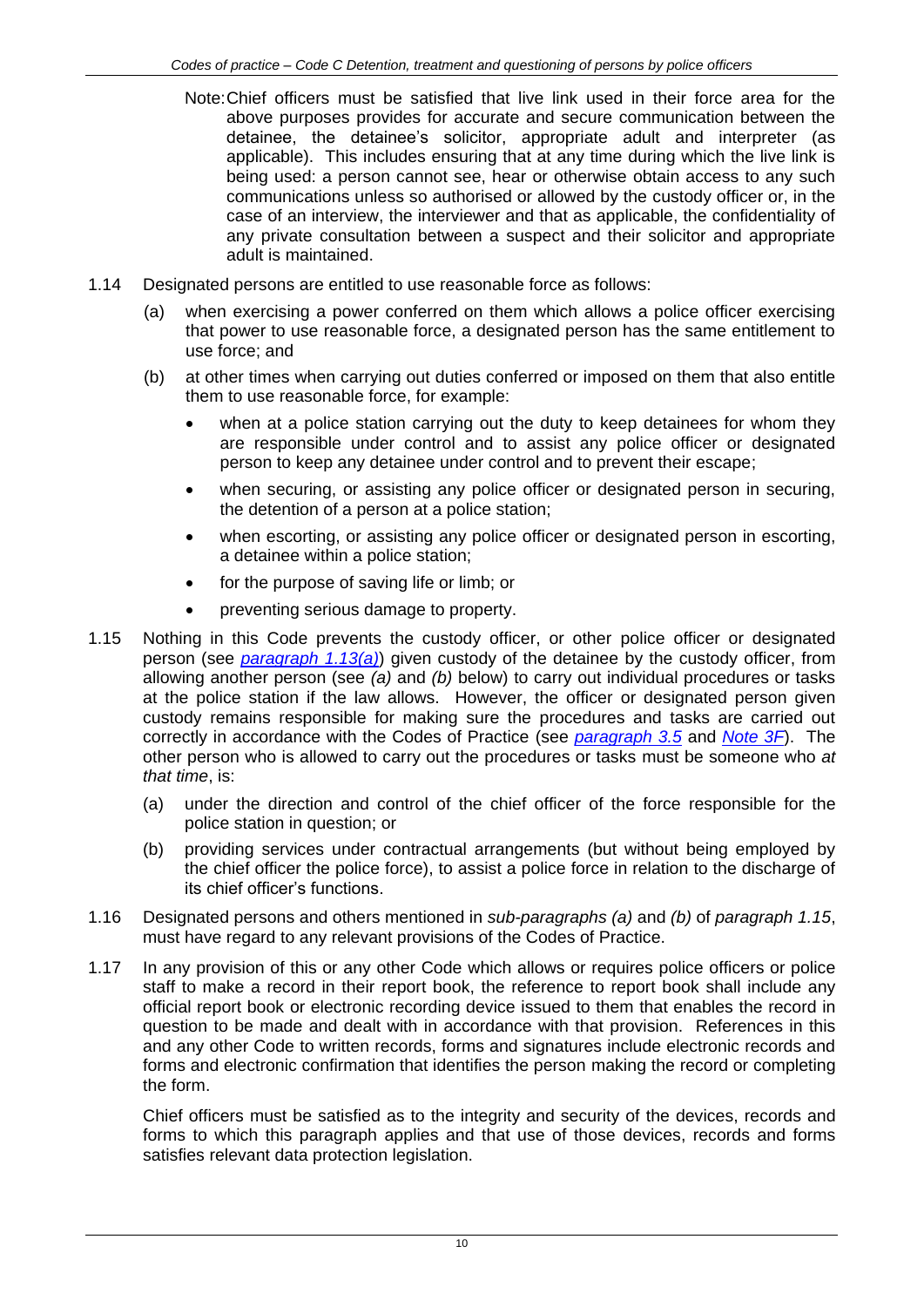- Note:Chief officers must be satisfied that live link used in their force area for the above purposes provides for accurate and secure communication between the detainee, the detainee's solicitor, appropriate adult and interpreter (as applicable). This includes ensuring that at any time during which the live link is being used: a person cannot see, hear or otherwise obtain access to any such communications unless so authorised or allowed by the custody officer or, in the case of an interview, the interviewer and that as applicable, the confidentiality of any private consultation between a suspect and their solicitor and appropriate adult is maintained.
- 1.14 Designated persons are entitled to use reasonable force as follows:
	- (a) when exercising a power conferred on them which allows a police officer exercising that power to use reasonable force, a designated person has the same entitlement to use force; and
	- (b) at other times when carrying out duties conferred or imposed on them that also entitle them to use reasonable force, for example:
		- when at a police station carrying out the duty to keep detainees for whom they are responsible under control and to assist any police officer or designated person to keep any detainee under control and to prevent their escape;
		- when securing, or assisting any police officer or designated person in securing, the detention of a person at a police station;
		- when escorting, or assisting any police officer or designated person in escorting, a detainee within a police station;
		- for the purpose of saving life or limb; or
		- preventing serious damage to property.
- 1.15 Nothing in this Code prevents the custody officer, or other police officer or designated person (see *[paragraph 1.13\(a\)](#page-11-0)*) given custody of the detainee by the custody officer, from allowing another person (see *(a)* and *(b)* below) to carry out individual procedures or tasks at the police station if the law allows. However, the officer or designated person given custody remains responsible for making sure the procedures and tasks are carried out correctly in accordance with the Codes of Practice (see *[paragraph 3.5](#page-19-0)* and *[Note 3F](#page-27-0)*). The other person who is allowed to carry out the procedures or tasks must be someone who *at that time*, is:
	- (a) under the direction and control of the chief officer of the force responsible for the police station in question; or
	- (b) providing services under contractual arrangements (but without being employed by the chief officer the police force), to assist a police force in relation to the discharge of its chief officer's functions.
- 1.16 Designated persons and others mentioned in *sub-paragraphs (a)* and *(b)* of *paragraph 1.15*, must have regard to any relevant provisions of the Codes of Practice.
- 1.17 In any provision of this or any other Code which allows or requires police officers or police staff to make a record in their report book, the reference to report book shall include any official report book or electronic recording device issued to them that enables the record in question to be made and dealt with in accordance with that provision. References in this and any other Code to written records, forms and signatures include electronic records and forms and electronic confirmation that identifies the person making the record or completing the form.

Chief officers must be satisfied as to the integrity and security of the devices, records and forms to which this paragraph applies and that use of those devices, records and forms satisfies relevant data protection legislation.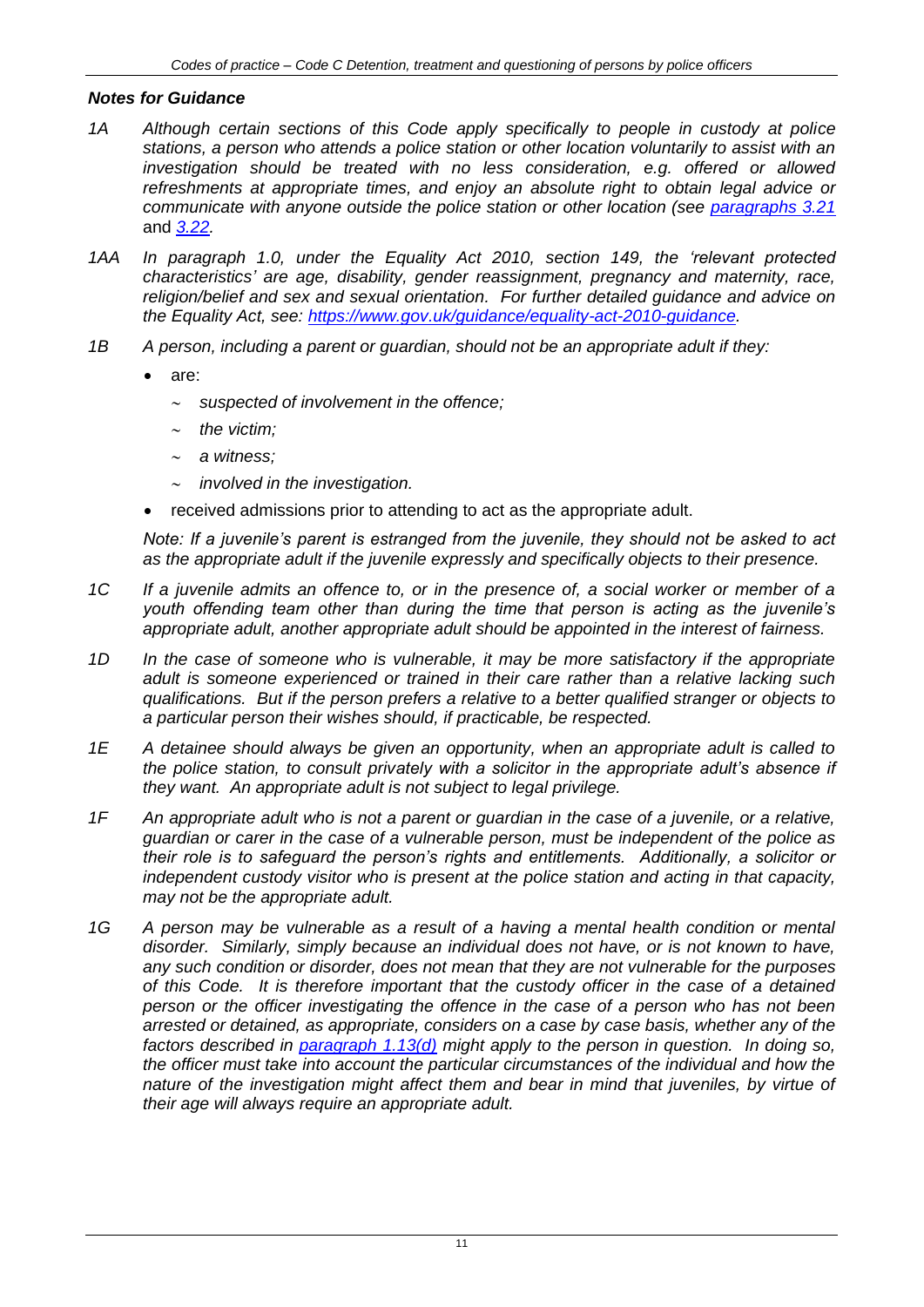#### <span id="page-14-0"></span>*Notes for Guidance*

- <span id="page-14-7"></span>*1A Although certain sections of this Code apply specifically to people in custody at police stations, a person who attends a police station or other location voluntarily to assist with an investigation should be treated with no less consideration, e.g. offered or allowed refreshments at appropriate times, and enjoy an absolute right to obtain legal advice or communicate with anyone outside the police station or other location (see [paragraphs 3.21](#page-22-4)* and *[3.22.](#page-25-4)*
- <span id="page-14-1"></span>*1AA In paragraph 1.0, under the Equality Act 2010, section 149, the 'relevant protected characteristics' are age, disability, gender reassignment, pregnancy and maternity, race, religion/belief and sex and sexual orientation. For further detailed guidance and advice on the Equality Act, see: [https://www.gov.uk/guidance/equality-act-2010-guidance.](https://www.gov.uk/guidance/equality-act-2010-guidance)*
- <span id="page-14-3"></span>*1B A person, including a parent or guardian, should not be an appropriate adult if they:*
	- are:
		- *suspected of involvement in the offence;*
		- *the victim;*
		- *a witness;*
		- *involved in the investigation.*
	- received admissions prior to attending to act as the appropriate adult.

*Note: If a juvenile's parent is estranged from the juvenile, they should not be asked to act as the appropriate adult if the juvenile expressly and specifically objects to their presence.*

- <span id="page-14-4"></span>*1C If a juvenile admits an offence to, or in the presence of, a social worker or member of a youth offending team other than during the time that person is acting as the juvenile's appropriate adult, another appropriate adult should be appointed in the interest of fairness.*
- <span id="page-14-6"></span>*1D In the case of someone who is vulnerable, it may be more satisfactory if the appropriate adult is someone experienced or trained in their care rather than a relative lacking such qualifications. But if the person prefers a relative to a better qualified stranger or objects to a particular person their wishes should, if practicable, be respected.*
- *1E A detainee should always be given an opportunity, when an appropriate adult is called to the police station, to consult privately with a solicitor in the appropriate adult's absence if they want. An appropriate adult is not subject to legal privilege.*
- <span id="page-14-5"></span>*1F An appropriate adult who is not a parent or guardian in the case of a juvenile, or a relative, guardian or carer in the case of a vulnerable person, must be independent of the police as their role is to safeguard the person's rights and entitlements. Additionally, a solicitor or independent custody visitor who is present at the police station and acting in that capacity, may not be the appropriate adult.*
- <span id="page-14-2"></span>*1G A person may be vulnerable as a result of a having a mental health condition or mental disorder. Similarly, simply because an individual does not have, or is not known to have, any such condition or disorder, does not mean that they are not vulnerable for the purposes of this Code. It is therefore important that the custody officer in the case of a detained person or the officer investigating the offence in the case of a person who has not been arrested or detained, as appropriate, considers on a case by case basis, whether any of the factors described in [paragraph 1.13\(d\)](#page-12-0) might apply to the person in question. In doing so, the officer must take into account the particular circumstances of the individual and how the nature of the investigation might affect them and bear in mind that juveniles, by virtue of their age will always require an appropriate adult.*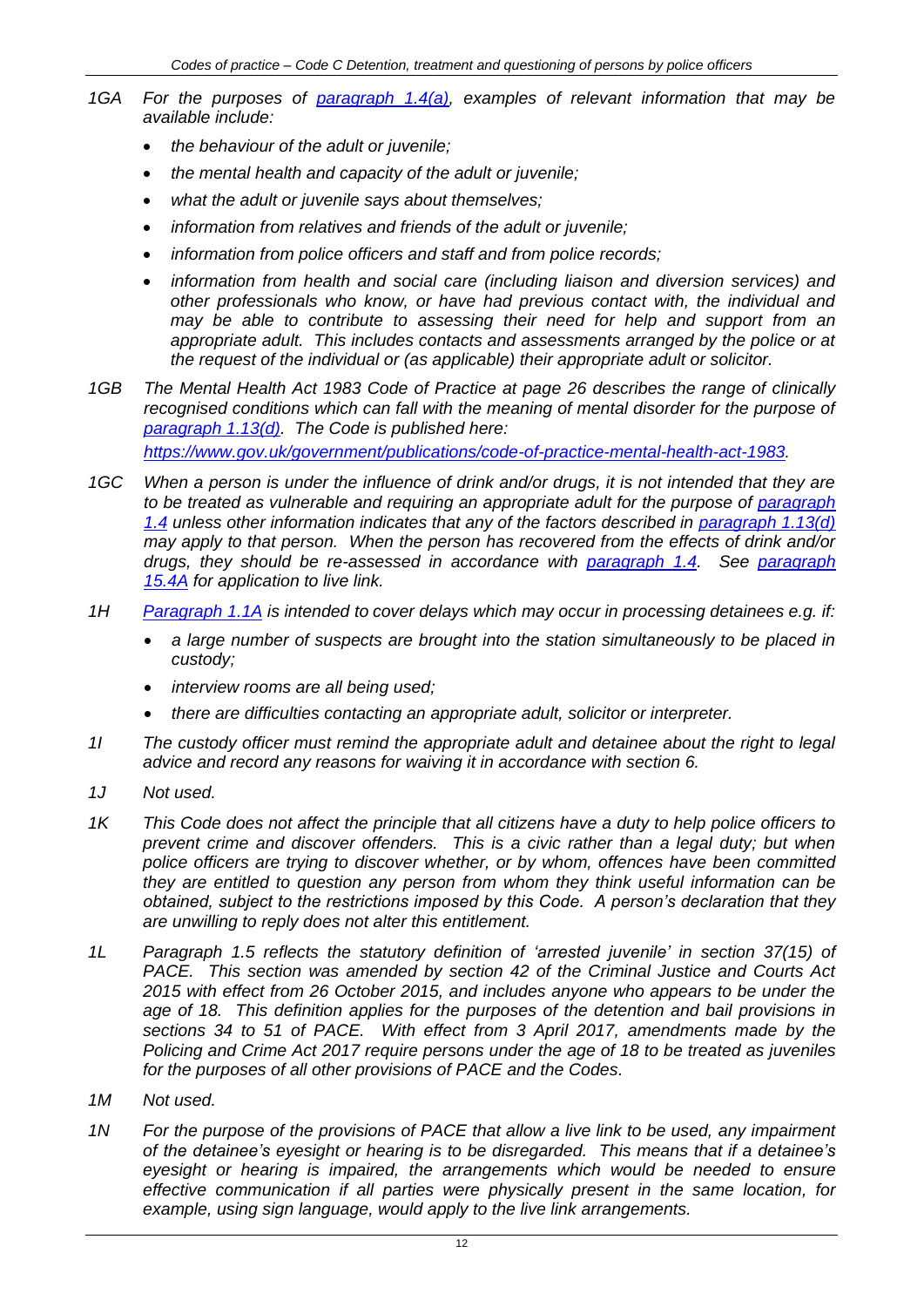- <span id="page-15-1"></span>*1GA For the purposes of [paragraph 1.4\(a\),](#page-9-2) examples of relevant information that may be available include:*
	- *the behaviour of the adult or juvenile;*
	- *the mental health and capacity of the adult or juvenile;*
	- *what the adult or juvenile says about themselves;*
	- *information from relatives and friends of the adult or juvenile;*
	- *information from police officers and staff and from police records;*
	- *information from health and social care (including liaison and diversion services) and other professionals who know, or have had previous contact with, the individual and may be able to contribute to assessing their need for help and support from an appropriate adult. This includes contacts and assessments arranged by the police or at the request of the individual or (as applicable) their appropriate adult or solicitor.*
- <span id="page-15-2"></span>*1GB The Mental Health Act 1983 Code of Practice at page 26 describes the range of clinically recognised conditions which can fall with the meaning of mental disorder for the purpose of [paragraph 1.13\(d\).](#page-12-0) The Code is published here:*

*[https://www.gov.uk/government/publications/code-of-practice-mental-health-act-1983.](https://www.gov.uk/government/publications/code-of-practice-mental-health-act-1983)*

- <span id="page-15-3"></span>*1GC When a person is under the influence of drink and/or drugs, it is not intended that they are to be treated as vulnerable and requiring an appropriate adult for the purpose of [paragraph](#page-9-1)  [1.4](#page-9-1) unless other information indicates that any of the factors described in [paragraph 1.13\(d\)](#page-12-0) may apply to that person. When the person has recovered from the effects of drink and/or drugs, they should be re-assessed in accordance with [paragraph 1.4.](#page-9-1) See [paragraph](#page-61-1)  [15.4A](#page-61-1) for application to live link.*
- <span id="page-15-0"></span>*1H [Paragraph 1.1A](#page-9-3) is intended to cover delays which may occur in processing detainees e.g. if:*
	- *a large number of suspects are brought into the station simultaneously to be placed in custody;*
	- *interview rooms are all being used;*
	- *there are difficulties contacting an appropriate adult, solicitor or interpreter.*
- *1I The custody officer must remind the appropriate adult and detainee about the right to legal advice and record any reasons for waiving it in accordance with section 6.*
- *1J Not used.*
- <span id="page-15-6"></span>*1K This Code does not affect the principle that all citizens have a duty to help police officers to prevent crime and discover offenders. This is a civic rather than a legal duty; but when police officers are trying to discover whether, or by whom, offences have been committed they are entitled to question any person from whom they think useful information can be obtained, subject to the restrictions imposed by this Code. A person's declaration that they are unwilling to reply does not alter this entitlement.*
- <span id="page-15-4"></span>*1L Paragraph 1.5 reflects the statutory definition of 'arrested juvenile' in section 37(15) of PACE. This section was amended by section 42 of the Criminal Justice and Courts Act 2015 with effect from 26 October 2015, and includes anyone who appears to be under the age of 18. This definition applies for the purposes of the detention and bail provisions in sections 34 to 51 of PACE. With effect from 3 April 2017, amendments made by the Policing and Crime Act 2017 require persons under the age of 18 to be treated as juveniles for the purposes of all other provisions of PACE and the Codes.*
- *1M Not used.*
- <span id="page-15-5"></span>*1N For the purpose of the provisions of PACE that allow a live link to be used, any impairment of the detainee's eyesight or hearing is to be disregarded. This means that if a detainee's* eyesight or hearing is impaired, the arrangements which would be needed to ensure *effective communication if all parties were physically present in the same location, for example, using sign language, would apply to the live link arrangements.*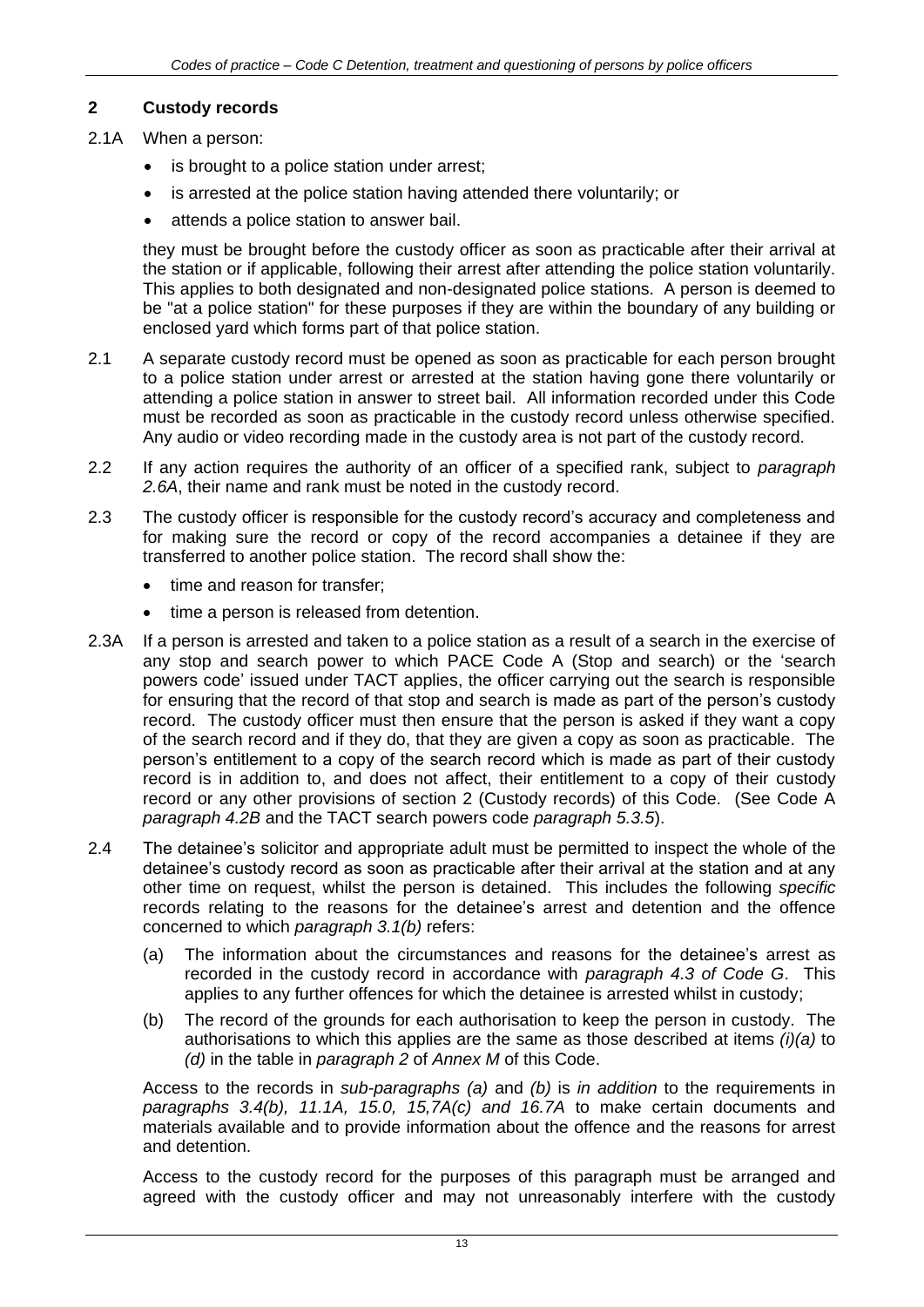#### <span id="page-16-0"></span>**2 Custody records**

- 2.1A When a person:
	- is brought to a police station under arrest;
	- is arrested at the police station having attended there voluntarily; or
	- attends a police station to answer bail.

they must be brought before the custody officer as soon as practicable after their arrival at the station or if applicable, following their arrest after attending the police station voluntarily. This applies to both designated and non-designated police stations. A person is deemed to be "at a police station" for these purposes if they are within the boundary of any building or enclosed yard which forms part of that police station.

- 2.1 A separate custody record must be opened as soon as practicable for each person brought to a police station under arrest or arrested at the station having gone there voluntarily or attending a police station in answer to street bail. All information recorded under this Code must be recorded as soon as practicable in the custody record unless otherwise specified. Any audio or video recording made in the custody area is not part of the custody record.
- 2.2 If any action requires the authority of an officer of a specified rank, subject to *paragraph 2.6A*, their name and rank must be noted in the custody record.
- 2.3 The custody officer is responsible for the custody record's accuracy and completeness and for making sure the record or copy of the record accompanies a detainee if they are transferred to another police station. The record shall show the:
	- time and reason for transfer;
	- time a person is released from detention.
- 2.3A If a person is arrested and taken to a police station as a result of a search in the exercise of any stop and search power to which PACE Code A (Stop and search) or the 'search powers code' issued under TACT applies, the officer carrying out the search is responsible for ensuring that the record of that stop and search is made as part of the person's custody record. The custody officer must then ensure that the person is asked if they want a copy of the search record and if they do, that they are given a copy as soon as practicable. The person's entitlement to a copy of the search record which is made as part of their custody record is in addition to, and does not affect, their entitlement to a copy of their custody record or any other provisions of section 2 (Custody records) of this Code. (See Code A *paragraph 4.2B* and the TACT search powers code *paragraph 5.3.5*).
- 2.4 The detainee's solicitor and appropriate adult must be permitted to inspect the whole of the detainee's custody record as soon as practicable after their arrival at the station and at any other time on request, whilst the person is detained. This includes the following *specific* records relating to the reasons for the detainee's arrest and detention and the offence concerned to which *paragraph 3.1(b)* refers:
	- (a) The information about the circumstances and reasons for the detainee's arrest as recorded in the custody record in accordance with *paragraph 4.3 of Code G*. This applies to any further offences for which the detainee is arrested whilst in custody;
	- (b) The record of the grounds for each authorisation to keep the person in custody. The authorisations to which this applies are the same as those described at items *(i)(a)* to *(d)* in the table in *paragraph 2* of *Annex M* of this Code.

Access to the records in *sub-paragraphs (a)* and *(b)* is *in addition* to the requirements in *paragraphs 3.4(b), 11.1A, 15.0, 15,7A(c) and 16.7A* to make certain documents and materials available and to provide information about the offence and the reasons for arrest and detention.

Access to the custody record for the purposes of this paragraph must be arranged and agreed with the custody officer and may not unreasonably interfere with the custody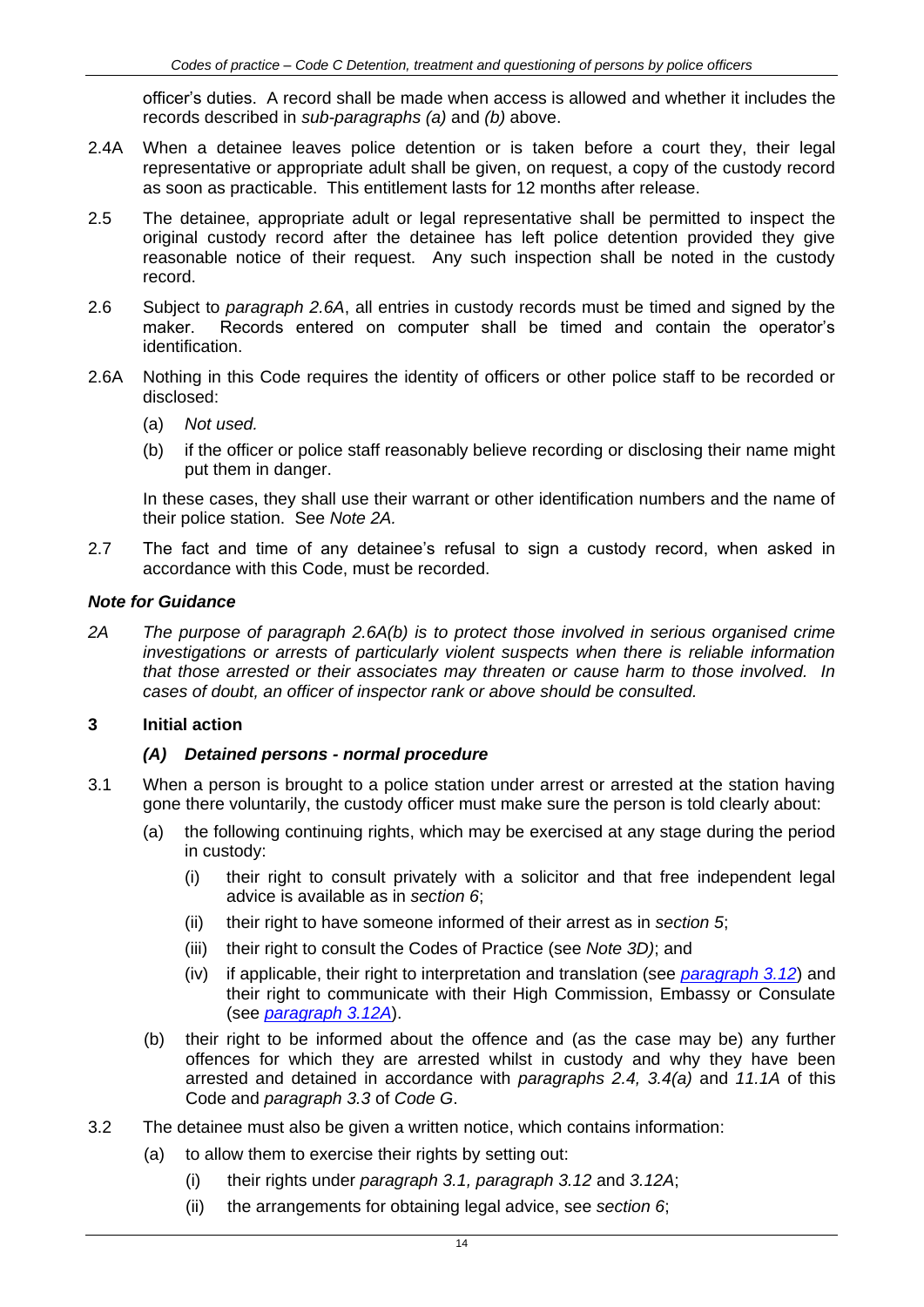officer's duties. A record shall be made when access is allowed and whether it includes the records described in *sub-paragraphs (a)* and *(b)* above.

- 2.4A When a detainee leaves police detention or is taken before a court they, their legal representative or appropriate adult shall be given, on request, a copy of the custody record as soon as practicable. This entitlement lasts for 12 months after release.
- 2.5 The detainee, appropriate adult or legal representative shall be permitted to inspect the original custody record after the detainee has left police detention provided they give reasonable notice of their request. Any such inspection shall be noted in the custody record.
- 2.6 Subject to *paragraph 2.6A*, all entries in custody records must be timed and signed by the maker. Records entered on computer shall be timed and contain the operator's identification.
- 2.6A Nothing in this Code requires the identity of officers or other police staff to be recorded or disclosed:
	- (a) *Not used.*
	- (b) if the officer or police staff reasonably believe recording or disclosing their name might put them in danger.

In these cases, they shall use their warrant or other identification numbers and the name of their police station. See *Note 2A.*

2.7 The fact and time of any detainee's refusal to sign a custody record, when asked in accordance with this Code, must be recorded.

#### <span id="page-17-0"></span>*Note for Guidance*

*2A The purpose of paragraph 2.6A(b) is to protect those involved in serious organised crime investigations or arrests of particularly violent suspects when there is reliable information that those arrested or their associates may threaten or cause harm to those involved. In cases of doubt, an officer of inspector rank or above should be consulted.*

#### <span id="page-17-2"></span><span id="page-17-1"></span>**3 Initial action**

#### *(A) Detained persons - normal procedure*

- 3.1 When a person is brought to a police station under arrest or arrested at the station having gone there voluntarily, the custody officer must make sure the person is told clearly about:
	- (a) the following continuing rights, which may be exercised at any stage during the period in custody:
		- (i) their right to consult privately with a solicitor and that free independent legal advice is available as in *section 6*;
		- (ii) their right to have someone informed of their arrest as in *section 5*;
		- (iii) their right to consult the Codes of Practice (see *Note 3D)*; and
		- (iv) if applicable, their right to interpretation and translation (see *[paragraph 3.12](#page-20-1)*) and their right to communicate with their High Commission, Embassy or Consulate (see *[paragraph 3.12A](#page-21-2)*).
	- (b) their right to be informed about the offence and (as the case may be) any further offences for which they are arrested whilst in custody and why they have been arrested and detained in accordance with *paragraphs 2.4, 3.4(a)* and *11.1A* of this Code and *paragraph 3.3* of *Code G*.
- 3.2 The detainee must also be given a written notice, which contains information:
	- (a) to allow them to exercise their rights by setting out:
		- (i) their rights under *paragraph 3.1, paragraph 3.12* and *3.12A*;
		- (ii) the arrangements for obtaining legal advice, see *section 6*;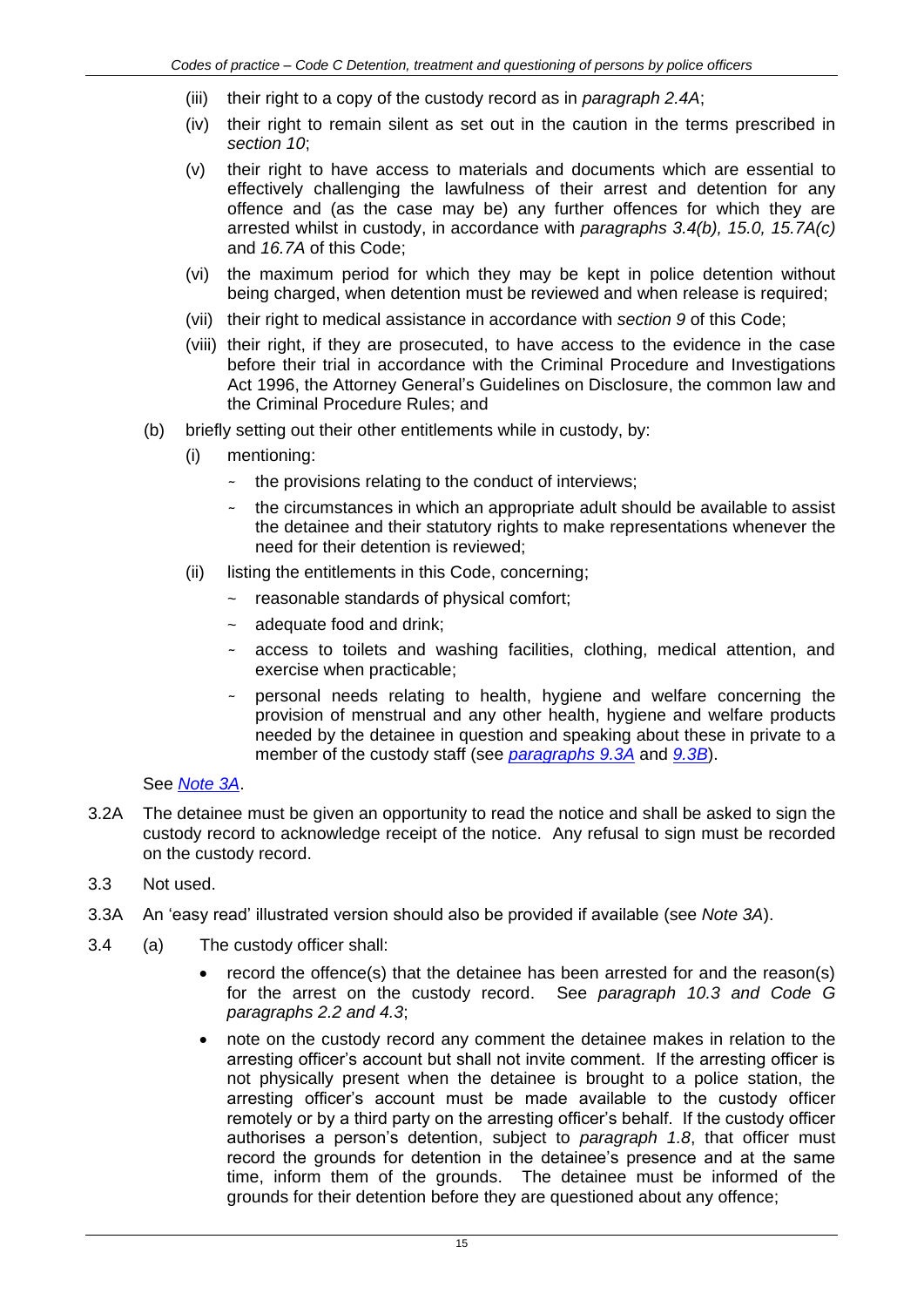- (iii) their right to a copy of the custody record as in *paragraph 2.4A*;
- (iv) their right to remain silent as set out in the caution in the terms prescribed in *section 10*;
- (v) their right to have access to materials and documents which are essential to effectively challenging the lawfulness of their arrest and detention for any offence and (as the case may be) any further offences for which they are arrested whilst in custody, in accordance with *paragraphs 3.4(b), 15.0, 15.7A(c)* and *16.7A* of this Code;
- (vi) the maximum period for which they may be kept in police detention without being charged, when detention must be reviewed and when release is required;
- (vii) their right to medical assistance in accordance with *section 9* of this Code;
- (viii) their right, if they are prosecuted, to have access to the evidence in the case before their trial in accordance with the Criminal Procedure and Investigations Act 1996, the Attorney General's Guidelines on Disclosure, the common law and the Criminal Procedure Rules; and
- (b) briefly setting out their other entitlements while in custody, by:
	- (i) mentioning:
		- ~ the provisions relating to the conduct of interviews;
		- the circumstances in which an appropriate adult should be available to assist the detainee and their statutory rights to make representations whenever the need for their detention is reviewed;
	- (ii) listing the entitlements in this Code, concerning;
		- ~ reasonable standards of physical comfort;
		- ~ adequate food and drink;
		- access to toilets and washing facilities, clothing, medical attention, and exercise when practicable;
		- personal needs relating to health, hygiene and welfare concerning the provision of menstrual and any other health, hygiene and welfare products needed by the detainee in question and speaking about these in private to a member of the custody staff (see *[paragraphs 9.3A](#page-39-2)* and *[9.3B](#page-39-3)*).

#### See *[Note 3A](#page-26-1)*.

- 3.2A The detainee must be given an opportunity to read the notice and shall be asked to sign the custody record to acknowledge receipt of the notice. Any refusal to sign must be recorded on the custody record.
- 3.3 Not used.
- 3.3A An 'easy read' illustrated version should also be provided if available (see *Note 3A*).
- 3.4 (a) The custody officer shall:
	- record the offence(s) that the detainee has been arrested for and the reason(s) for the arrest on the custody record. See *paragraph 10.3 and Code G paragraphs 2.2 and 4.3*;
	- note on the custody record any comment the detainee makes in relation to the arresting officer's account but shall not invite comment. If the arresting officer is not physically present when the detainee is brought to a police station, the arresting officer's account must be made available to the custody officer remotely or by a third party on the arresting officer's behalf. If the custody officer authorises a person's detention, subject to *paragraph 1.8*, that officer must record the grounds for detention in the detainee's presence and at the same time, inform them of the grounds. The detainee must be informed of the grounds for their detention before they are questioned about any offence;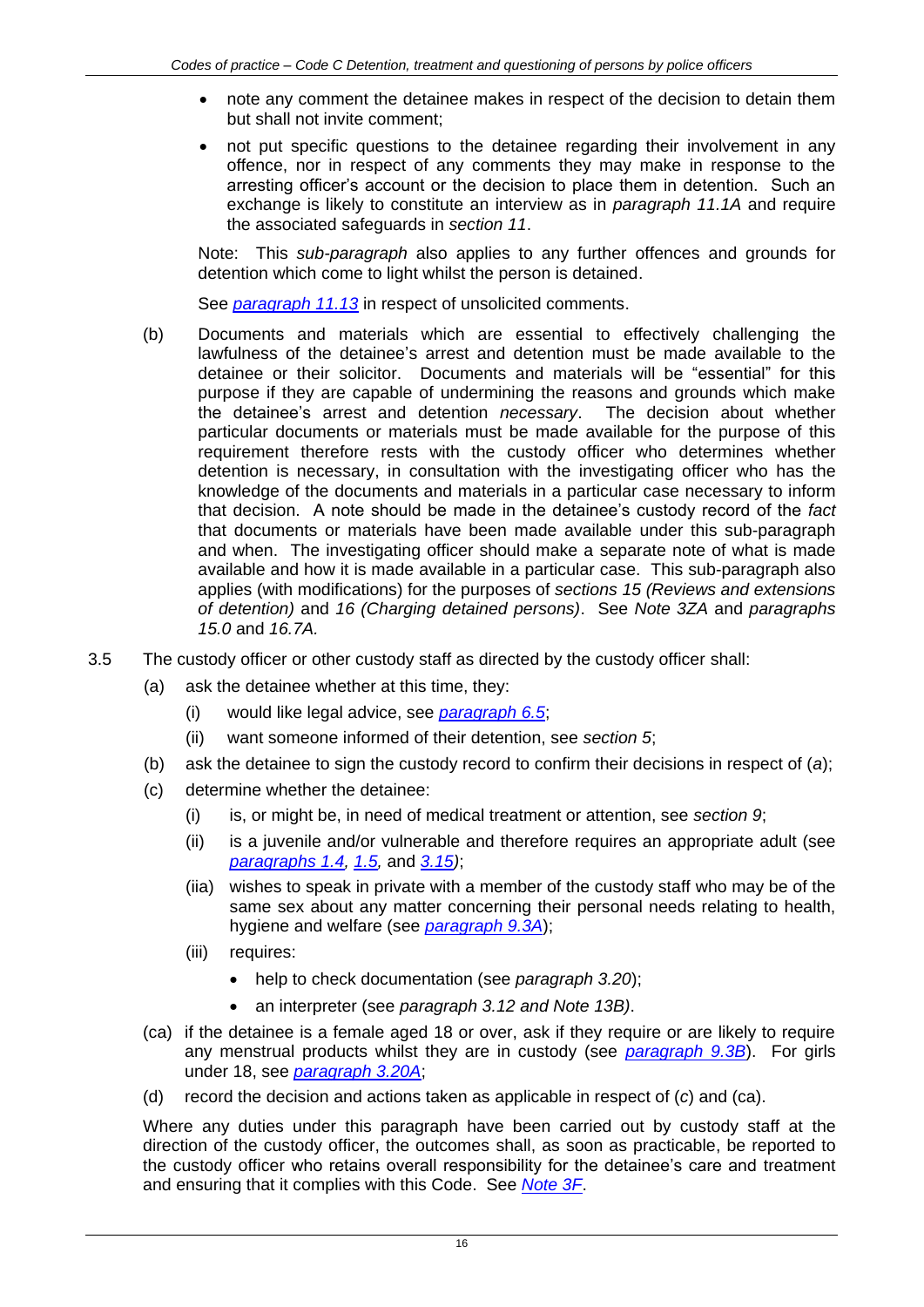- note any comment the detainee makes in respect of the decision to detain them but shall not invite comment;
- not put specific questions to the detainee regarding their involvement in any offence, nor in respect of any comments they may make in response to the arresting officer's account or the decision to place them in detention. Such an exchange is likely to constitute an interview as in *paragraph 11.1A* and require the associated safeguards in *section 11*.

Note: This *sub-paragraph* also applies to any further offences and grounds for detention which come to light whilst the person is detained.

See *[paragraph 11.13](#page-47-2)* in respect of unsolicited comments.

- <span id="page-19-2"></span>(b) Documents and materials which are essential to effectively challenging the lawfulness of the detainee's arrest and detention must be made available to the detainee or their solicitor. Documents and materials will be "essential" for this purpose if they are capable of undermining the reasons and grounds which make the detainee's arrest and detention *necessary*. The decision about whether particular documents or materials must be made available for the purpose of this requirement therefore rests with the custody officer who determines whether detention is necessary, in consultation with the investigating officer who has the knowledge of the documents and materials in a particular case necessary to inform that decision. A note should be made in the detainee's custody record of the *fact* that documents or materials have been made available under this sub-paragraph and when. The investigating officer should make a separate note of what is made available and how it is made available in a particular case. This sub-paragraph also applies (with modifications) for the purposes of *sections 15 (Reviews and extensions of detention)* and *16 (Charging detained persons)*. See *Note 3ZA* and *paragraphs 15.0* and *16.7A.*
- <span id="page-19-1"></span><span id="page-19-0"></span>3.5 The custody officer or other custody staff as directed by the custody officer shall:
	- (a) ask the detainee whether at this time, they:
		- (i) would like legal advice, see *[paragraph 6.5](#page-30-4)*;
		- (ii) want someone informed of their detention, see *section 5*;
	- (b) ask the detainee to sign the custody record to confirm their decisions in respect of (*a*);
	- (c) determine whether the detainee:
		- (i) is, or might be, in need of medical treatment or attention, see *section 9*;
		- (ii) is a juvenile and/or vulnerable and therefore requires an appropriate adult (see *[paragraphs 1.4,](#page-9-1) [1.5,](#page-10-0)* and *[3.15\)](#page-21-0)*;
		- (iia) wishes to speak in private with a member of the custody staff who may be of the same sex about any matter concerning their personal needs relating to health, hygiene and welfare (see *[paragraph 9.3A](#page-39-2)*);
		- (iii) requires:
			- help to check documentation (see *paragraph 3.20*);
			- an interpreter (see *paragraph 3.12 and Note 13B)*.
	- (ca) if the detainee is a female aged 18 or over, ask if they require or are likely to require any menstrual products whilst they are in custody (see *[paragraph 9.3B](#page-39-3)*). For girls under 18, see *[paragraph 3.20A](#page-22-5)*;
	- (d) record the decision and actions taken as applicable in respect of (*c*) and (ca).

Where any duties under this paragraph have been carried out by custody staff at the direction of the custody officer, the outcomes shall, as soon as practicable, be reported to the custody officer who retains overall responsibility for the detainee's care and treatment and ensuring that it complies with this Code. See *[Note 3F](#page-27-0)*.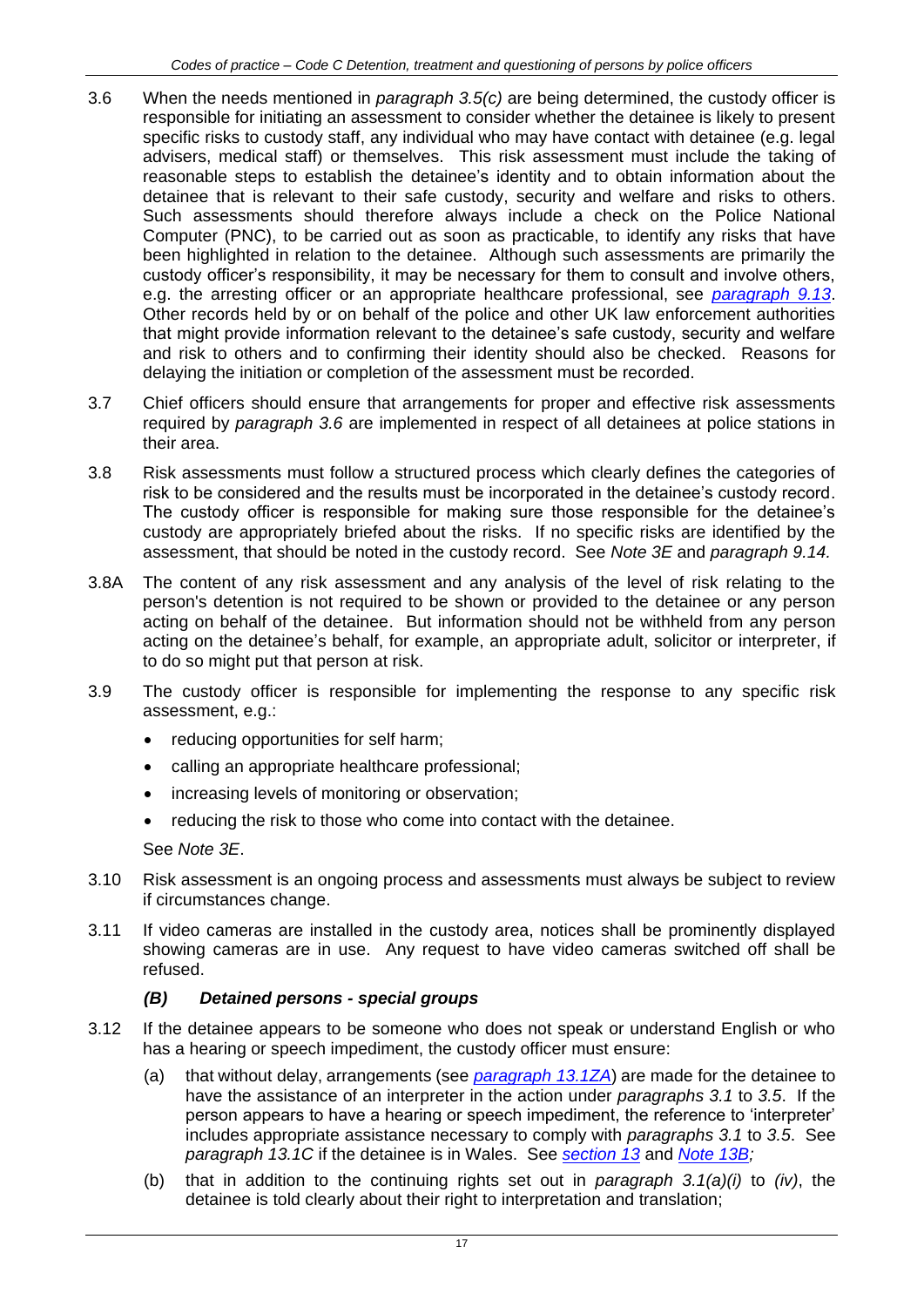- 3.6 When the needs mentioned in *paragraph 3.5(c)* are being determined, the custody officer is responsible for initiating an assessment to consider whether the detainee is likely to present specific risks to custody staff, any individual who may have contact with detainee (e.g. legal advisers, medical staff) or themselves. This risk assessment must include the taking of reasonable steps to establish the detainee's identity and to obtain information about the detainee that is relevant to their safe custody, security and welfare and risks to others. Such assessments should therefore always include a check on the Police National Computer (PNC), to be carried out as soon as practicable, to identify any risks that have been highlighted in relation to the detainee. Although such assessments are primarily the custody officer's responsibility, it may be necessary for them to consult and involve others, e.g. the arresting officer or an appropriate healthcare professional, see *[paragraph 9.13](#page-39-4)*. Other records held by or on behalf of the police and other UK law enforcement authorities that might provide information relevant to the detainee's safe custody, security and welfare and risk to others and to confirming their identity should also be checked. Reasons for delaying the initiation or completion of the assessment must be recorded.
- 3.7 Chief officers should ensure that arrangements for proper and effective risk assessments required by *paragraph 3.6* are implemented in respect of all detainees at police stations in their area.
- 3.8 Risk assessments must follow a structured process which clearly defines the categories of risk to be considered and the results must be incorporated in the detainee's custody record. The custody officer is responsible for making sure those responsible for the detainee's custody are appropriately briefed about the risks. If no specific risks are identified by the assessment, that should be noted in the custody record. See *Note 3E* and *paragraph 9.14.*
- 3.8A The content of any risk assessment and any analysis of the level of risk relating to the person's detention is not required to be shown or provided to the detainee or any person acting on behalf of the detainee. But information should not be withheld from any person acting on the detainee's behalf, for example, an appropriate adult, solicitor or interpreter, if to do so might put that person at risk.
- 3.9 The custody officer is responsible for implementing the response to any specific risk assessment, e.g.:
	- reducing opportunities for self harm;
	- calling an appropriate healthcare professional;
	- increasing levels of monitoring or observation;
	- reducing the risk to those who come into contact with the detainee.

See *Note 3E*.

- 3.10 Risk assessment is an ongoing process and assessments must always be subject to review if circumstances change.
- 3.11 If video cameras are installed in the custody area, notices shall be prominently displayed showing cameras are in use. Any request to have video cameras switched off shall be refused.

#### *(B) Detained persons - special groups*

- <span id="page-20-1"></span><span id="page-20-0"></span>3.12 If the detainee appears to be someone who does not speak or understand English or who has a hearing or speech impediment, the custody officer must ensure:
	- (a) that without delay, arrangements (see *[paragraph 13.1ZA](#page-55-2)*) are made for the detainee to have the assistance of an interpreter in the action under *paragraphs 3.1* to *3.5*. If the person appears to have a hearing or speech impediment, the reference to 'interpreter' includes appropriate assistance necessary to comply with *paragraphs 3.1* to *3.5*. See *paragraph 13.1C* if the detainee is in Wales. See *[section 13](#page-55-3)* and *[Note 13B;](#page-59-3)*
	- (b) that in addition to the continuing rights set out in *paragraph 3.1(a)(i)* to *(iv)*, the detainee is told clearly about their right to interpretation and translation;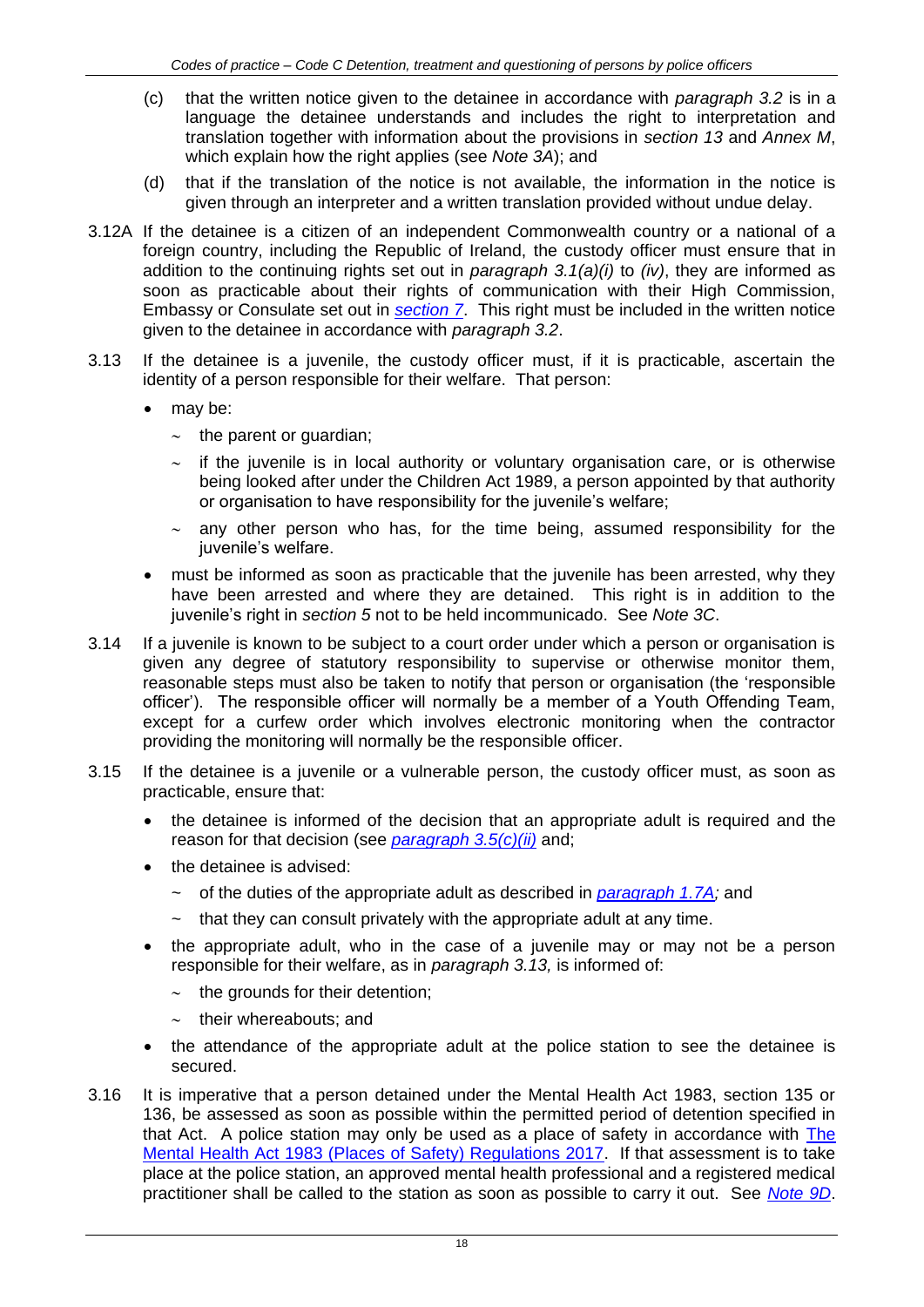- (c) that the written notice given to the detainee in accordance with *paragraph 3.2* is in a language the detainee understands and includes the right to interpretation and translation together with information about the provisions in *section 13* and *Annex M*, which explain how the right applies (see *Note 3A*); and
- (d) that if the translation of the notice is not available, the information in the notice is given through an interpreter and a written translation provided without undue delay.
- <span id="page-21-2"></span>3.12A If the detainee is a citizen of an independent Commonwealth country or a national of a foreign country, including the Republic of Ireland, the custody officer must ensure that in addition to the continuing rights set out in *paragraph 3.1(a)(i)* to *(iv)*, they are informed as soon as practicable about their rights of communication with their High Commission, Embassy or Consulate set out in *[section 7](#page-37-0)*. This right must be included in the written notice given to the detainee in accordance with *paragraph 3.2*.
- 3.13 If the detainee is a juvenile, the custody officer must, if it is practicable, ascertain the identity of a person responsible for their welfare. That person:
	- may be:
		- $\sim$  the parent or quardian;
		- $\sim$  if the juvenile is in local authority or voluntary organisation care, or is otherwise being looked after under the Children Act 1989, a person appointed by that authority or organisation to have responsibility for the juvenile's welfare;
		- $\sim$  any other person who has, for the time being, assumed responsibility for the juvenile's welfare.
	- must be informed as soon as practicable that the juvenile has been arrested, why they have been arrested and where they are detained. This right is in addition to the juvenile's right in *section 5* not to be held incommunicado. See *Note 3C*.
- 3.14 If a juvenile is known to be subject to a court order under which a person or organisation is given any degree of statutory responsibility to supervise or otherwise monitor them, reasonable steps must also be taken to notify that person or organisation (the 'responsible officer'). The responsible officer will normally be a member of a Youth Offending Team, except for a curfew order which involves electronic monitoring when the contractor providing the monitoring will normally be the responsible officer.
- <span id="page-21-0"></span>3.15 If the detainee is a juvenile or a vulnerable person, the custody officer must, as soon as practicable, ensure that:
	- the detainee is informed of the decision that an appropriate adult is required and the reason for that decision (see *[paragraph 3.5\(c\)\(ii\)](#page-19-1)* and;
	- the detainee is advised:
		- ~ of the duties of the appropriate adult as described in *[paragraph 1.7A;](#page-10-1)* and
		- $\sim$  that they can consult privately with the appropriate adult at any time.
	- the appropriate adult, who in the case of a juvenile may or may not be a person responsible for their welfare, as in *paragraph 3.13,* is informed of:
		- $\sim$  the grounds for their detention;
		- $\sim$  their whereabouts; and
	- the attendance of the appropriate adult at the police station to see the detainee is secured.
- <span id="page-21-1"></span>3.16 It is imperative that a person detained under the Mental Health Act 1983, section 135 or 136, be assessed as soon as possible within the permitted period of detention specified in that Act. A police station may only be used as a place of safety in accordance with [The](http://www.legislation.gov.uk/uksi/2017/1036/contents/made)  [Mental Health Act 1983 \(Places of Safety\) Regulations 2017.](http://www.legislation.gov.uk/uksi/2017/1036/contents/made) If that assessment is to take place at the police station, an approved mental health professional and a registered medical practitioner shall be called to the station as soon as possible to carry it out. See *[Note 9D](#page-42-0)*.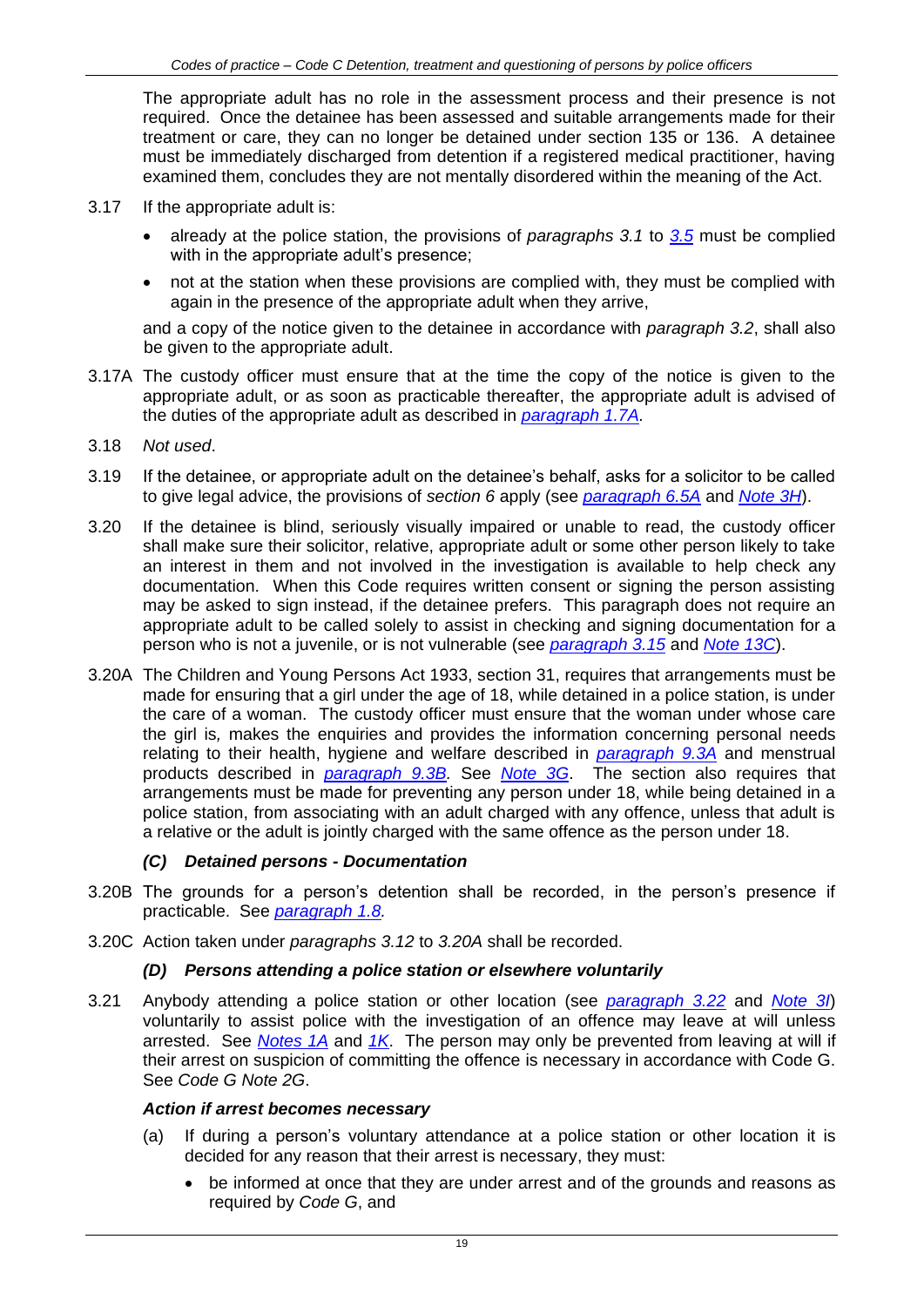The appropriate adult has no role in the assessment process and their presence is not required. Once the detainee has been assessed and suitable arrangements made for their treatment or care, they can no longer be detained under section 135 or 136. A detainee must be immediately discharged from detention if a registered medical practitioner, having examined them, concludes they are not mentally disordered within the meaning of the Act.

- <span id="page-22-3"></span>3.17 If the appropriate adult is:
	- already at the police station, the provisions of *paragraphs 3.1* to *[3.5](#page-19-0)* must be complied with in the appropriate adult's presence;
	- not at the station when these provisions are complied with, they must be complied with again in the presence of the appropriate adult when they arrive,

and a copy of the notice given to the detainee in accordance with *paragraph 3.2*, shall also be given to the appropriate adult.

- 3.17A The custody officer must ensure that at the time the copy of the notice is given to the appropriate adult, or as soon as practicable thereafter, the appropriate adult is advised of the duties of the appropriate adult as described in *[paragraph 1.7A.](#page-10-1)*
- 3.18 *Not used*.
- <span id="page-22-7"></span>3.19 If the detainee, or appropriate adult on the detainee's behalf, asks for a solicitor to be called to give legal advice, the provisions of *section 6* apply (see *[paragraph 6.5A](#page-31-0)* and *[Note 3H](#page-27-1)*).
- <span id="page-22-6"></span>3.20 If the detainee is blind, seriously visually impaired or unable to read, the custody officer shall make sure their solicitor, relative, appropriate adult or some other person likely to take an interest in them and not involved in the investigation is available to help check any documentation. When this Code requires written consent or signing the person assisting may be asked to sign instead, if the detainee prefers. This paragraph does not require an appropriate adult to be called solely to assist in checking and signing documentation for a person who is not a juvenile, or is not vulnerable (see *[paragraph 3.15](#page-21-0)* and *[Note 13C](#page-59-4)*).
- <span id="page-22-5"></span>3.20A The Children and Young Persons Act 1933, section 31, requires that arrangements must be made for ensuring that a girl under the age of 18, while detained in a police station, is under the care of a woman. The custody officer must ensure that the woman under whose care the girl is*,* makes the enquiries and provides the information concerning personal needs relating to their health, hygiene and welfare described in *[paragraph 9.3A](#page-39-2)* and menstrual products described in *paragraph 9.3B*. See *[Note 3G](#page-27-2)*. The section also requires that arrangements must be made for preventing any person under 18, while being detained in a police station, from associating with an adult charged with any offence, unless that adult is a relative or the adult is jointly charged with the same offence as the person under 18.

#### *(C) Detained persons - Documentation*

- <span id="page-22-0"></span>3.20B The grounds for a person's detention shall be recorded, in the person's presence if practicable. See *[paragraph 1.8.](#page-11-1)*
- <span id="page-22-1"></span>3.20C Action taken under *paragraphs 3.12* to *3.20A* shall be recorded.

#### *(D) Persons attending a police station or elsewhere voluntarily*

<span id="page-22-4"></span>3.21 Anybody attending a police station or other location (see *[paragraph 3.22](#page-25-4)* and *[Note 3I](#page-27-3)*) voluntarily to assist police with the investigation of an offence may leave at will unless arrested. See *[Notes 1A](#page-14-7)* and *[1K](#page-15-6)*. The person may only be prevented from leaving at will if their arrest on suspicion of committing the offence is necessary in accordance with Code G. See *Code G Note 2G*.

#### <span id="page-22-2"></span>*Action if arrest becomes necessary*

- (a) If during a person's voluntary attendance at a police station or other location it is decided for any reason that their arrest is necessary, they must:
	- be informed at once that they are under arrest and of the grounds and reasons as required by *Code G*, and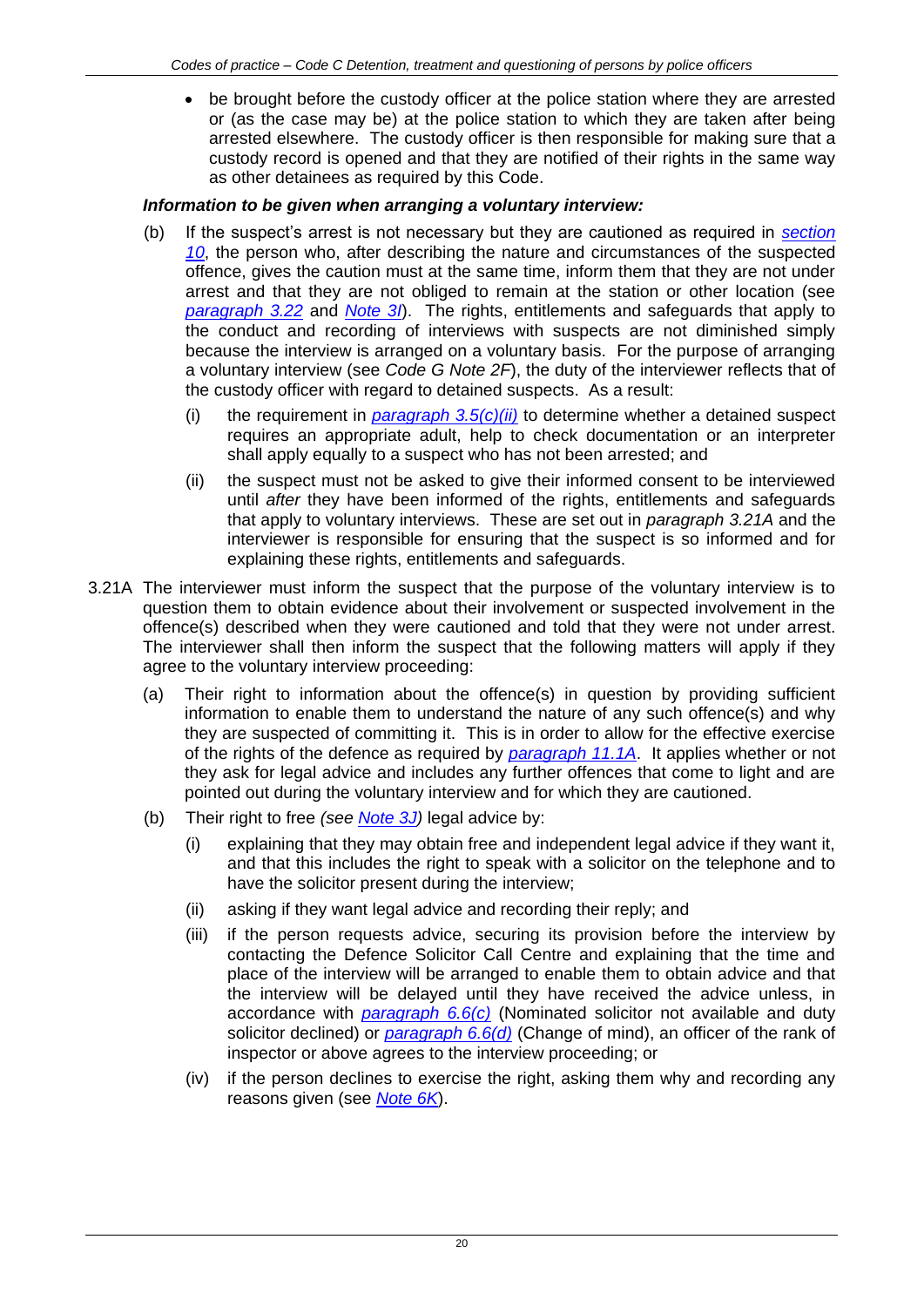• be brought before the custody officer at the police station where they are arrested or (as the case may be) at the police station to which they are taken after being arrested elsewhere. The custody officer is then responsible for making sure that a custody record is opened and that they are notified of their rights in the same way as other detainees as required by this Code.

#### <span id="page-23-0"></span>*Information to be given when arranging a voluntary interview:*

- (b) If the suspect's arrest is not necessary but they are cautioned as required in *[section](#page-43-5)  [10](#page-43-5)*, the person who, after describing the nature and circumstances of the suspected offence, gives the caution must at the same time, inform them that they are not under arrest and that they are not obliged to remain at the station or other location (see *[paragraph 3.22](#page-25-4)* and *[Note 3I](#page-27-3)*). The rights, entitlements and safeguards that apply to the conduct and recording of interviews with suspects are not diminished simply because the interview is arranged on a voluntary basis. For the purpose of arranging a voluntary interview (see *Code G Note 2F*), the duty of the interviewer reflects that of the custody officer with regard to detained suspects. As a result:
	- (i) the requirement in *[paragraph 3.5\(c\)\(ii\)](#page-19-1)* to determine whether a detained suspect requires an appropriate adult, help to check documentation or an interpreter shall apply equally to a suspect who has not been arrested; and
	- (ii) the suspect must not be asked to give their informed consent to be interviewed until *after* they have been informed of the rights, entitlements and safeguards that apply to voluntary interviews. These are set out in *paragraph 3.21A* and the interviewer is responsible for ensuring that the suspect is so informed and for explaining these rights, entitlements and safeguards.
- <span id="page-23-1"></span>3.21A The interviewer must inform the suspect that the purpose of the voluntary interview is to question them to obtain evidence about their involvement or suspected involvement in the offence(s) described when they were cautioned and told that they were not under arrest. The interviewer shall then inform the suspect that the following matters will apply if they agree to the voluntary interview proceeding:
	- (a) Their right to information about the offence(s) in question by providing sufficient information to enable them to understand the nature of any such offence(s) and why they are suspected of committing it. This is in order to allow for the effective exercise of the rights of the defence as required by *[paragraph 11.1A](#page-45-6)*. It applies whether or not they ask for legal advice and includes any further offences that come to light and are pointed out during the voluntary interview and for which they are cautioned.
	- (b) Their right to free *(see [Note 3J\)](#page-27-4)* legal advice by:
		- (i) explaining that they may obtain free and independent legal advice if they want it, and that this includes the right to speak with a solicitor on the telephone and to have the solicitor present during the interview;
		- (ii) asking if they want legal advice and recording their reply; and
		- (iii) if the person requests advice, securing its provision before the interview by contacting the Defence Solicitor Call Centre and explaining that the time and place of the interview will be arranged to enable them to obtain advice and that the interview will be delayed until they have received the advice unless, in accordance with *[paragraph 6.6\(c\)](#page-31-1)* (Nominated solicitor not available and duty solicitor declined) or *[paragraph 6.6\(d\)](#page-31-2)* (Change of mind), an officer of the rank of inspector or above agrees to the interview proceeding; or
		- (iv) if the person declines to exercise the right, asking them why and recording any reasons given (see *[Note 6K](#page-36-0)*).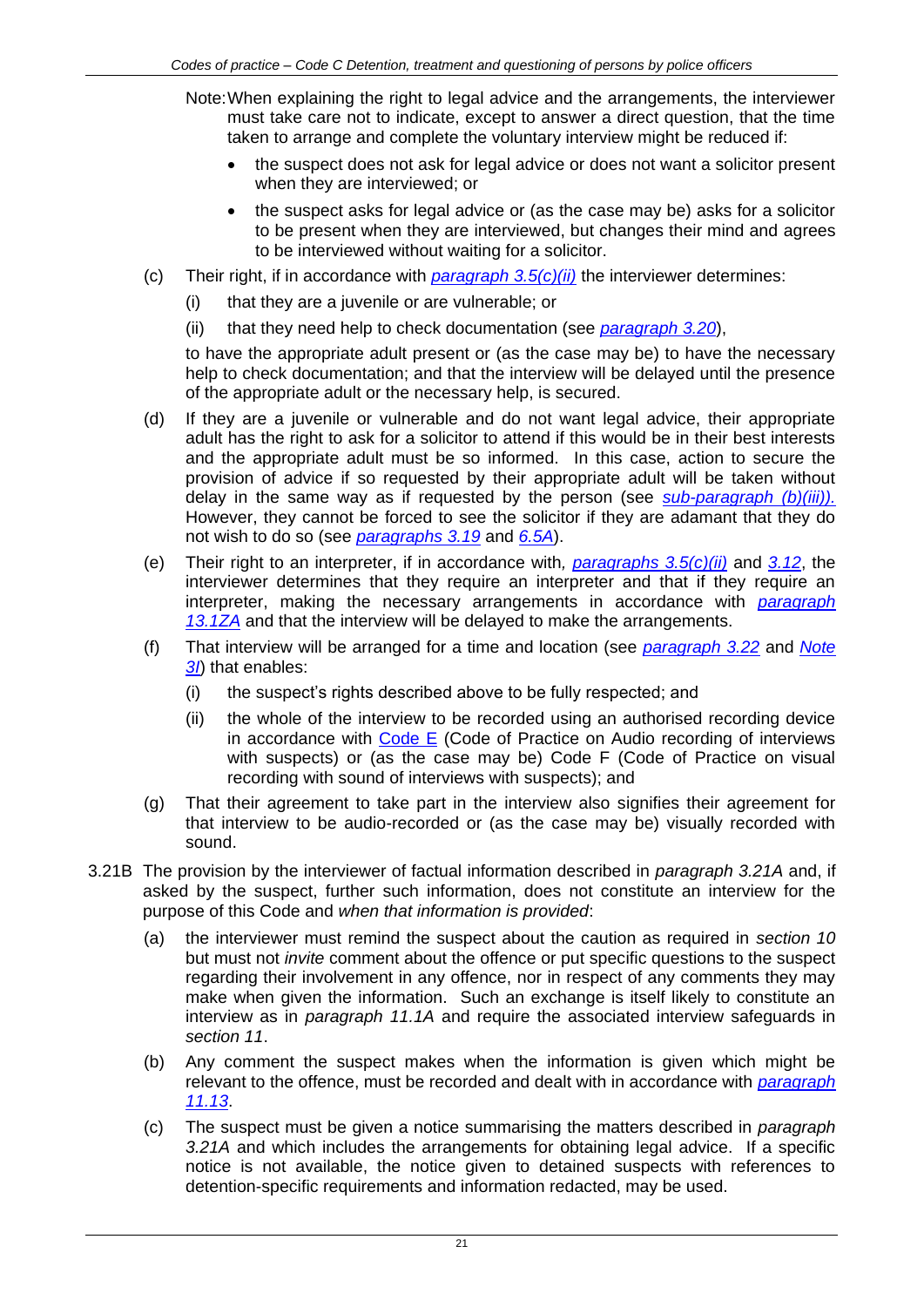Note:When explaining the right to legal advice and the arrangements, the interviewer must take care not to indicate, except to answer a direct question, that the time taken to arrange and complete the voluntary interview might be reduced if:

- the suspect does not ask for legal advice or does not want a solicitor present when they are interviewed; or
- the suspect asks for legal advice or (as the case may be) asks for a solicitor to be present when they are interviewed, but changes their mind and agrees to be interviewed without waiting for a solicitor.
- (c) Their right, if in accordance with *[paragraph 3.5\(c\)\(ii\)](#page-19-1)* the interviewer determines:
	- (i) that they are a juvenile or are vulnerable; or
	- (ii) that they need help to check documentation (see *[paragraph 3.20](#page-22-6)*),

to have the appropriate adult present or (as the case may be) to have the necessary help to check documentation; and that the interview will be delayed until the presence of the appropriate adult or the necessary help, is secured.

- (d) If they are a juvenile or vulnerable and do not want legal advice, their appropriate adult has the right to ask for a solicitor to attend if this would be in their best interests and the appropriate adult must be so informed. In this case, action to secure the provision of advice if so requested by their appropriate adult will be taken without delay in the same way as if requested by the person (see *[sub-paragraph \(b\)\(iii\)\).](#page-23-1)* However, they cannot be forced to see the solicitor if they are adamant that they do not wish to do so (see *[paragraphs 3.19](#page-22-7)* and *[6.5A](#page-31-0)*).
- (e) Their right to an interpreter, if in accordance with*, [paragraphs 3.5\(c\)\(ii\)](#page-19-1)* and *[3.12](#page-20-1)*, the interviewer determines that they require an interpreter and that if they require an interpreter, making the necessary arrangements in accordance with *[paragraph](#page-55-2)  [13.1ZA](#page-55-2)* and that the interview will be delayed to make the arrangements.
- (f) That interview will be arranged for a time and location (see *[paragraph 3.22](#page-25-4)* and *[Note](#page-27-3)  [3I](#page-27-3)*) that enables:
	- (i) the suspect's rights described above to be fully respected; and
	- (ii) the whole of the interview to be recorded using an authorised recording device in accordance with [Code E](https://www.gov.uk/guidance/police-and-criminal-evidence-act-1984-pace-codes-of-practice) (Code of Practice on Audio recording of interviews with suspects) or (as the case may be) Code F (Code of Practice on visual recording with sound of interviews with suspects); and
- (g) That their agreement to take part in the interview also signifies their agreement for that interview to be audio-recorded or (as the case may be) visually recorded with sound.
- 3.21B The provision by the interviewer of factual information described in *paragraph 3.21A* and, if asked by the suspect, further such information, does not constitute an interview for the purpose of this Code and *when that information is provided*:
	- (a) the interviewer must remind the suspect about the caution as required in *section 10*  but must not *invite* comment about the offence or put specific questions to the suspect regarding their involvement in any offence, nor in respect of any comments they may make when given the information. Such an exchange is itself likely to constitute an interview as in *paragraph 11.1A* and require the associated interview safeguards in *section 11*.
	- (b) Any comment the suspect makes when the information is given which might be relevant to the offence, must be recorded and dealt with in accordance with *[paragraph](#page-47-2)  [11.13](#page-47-2)*.
	- (c) The suspect must be given a notice summarising the matters described in *paragraph 3.21A* and which includes the arrangements for obtaining legal advice. If a specific notice is not available, the notice given to detained suspects with references to detention-specific requirements and information redacted, may be used.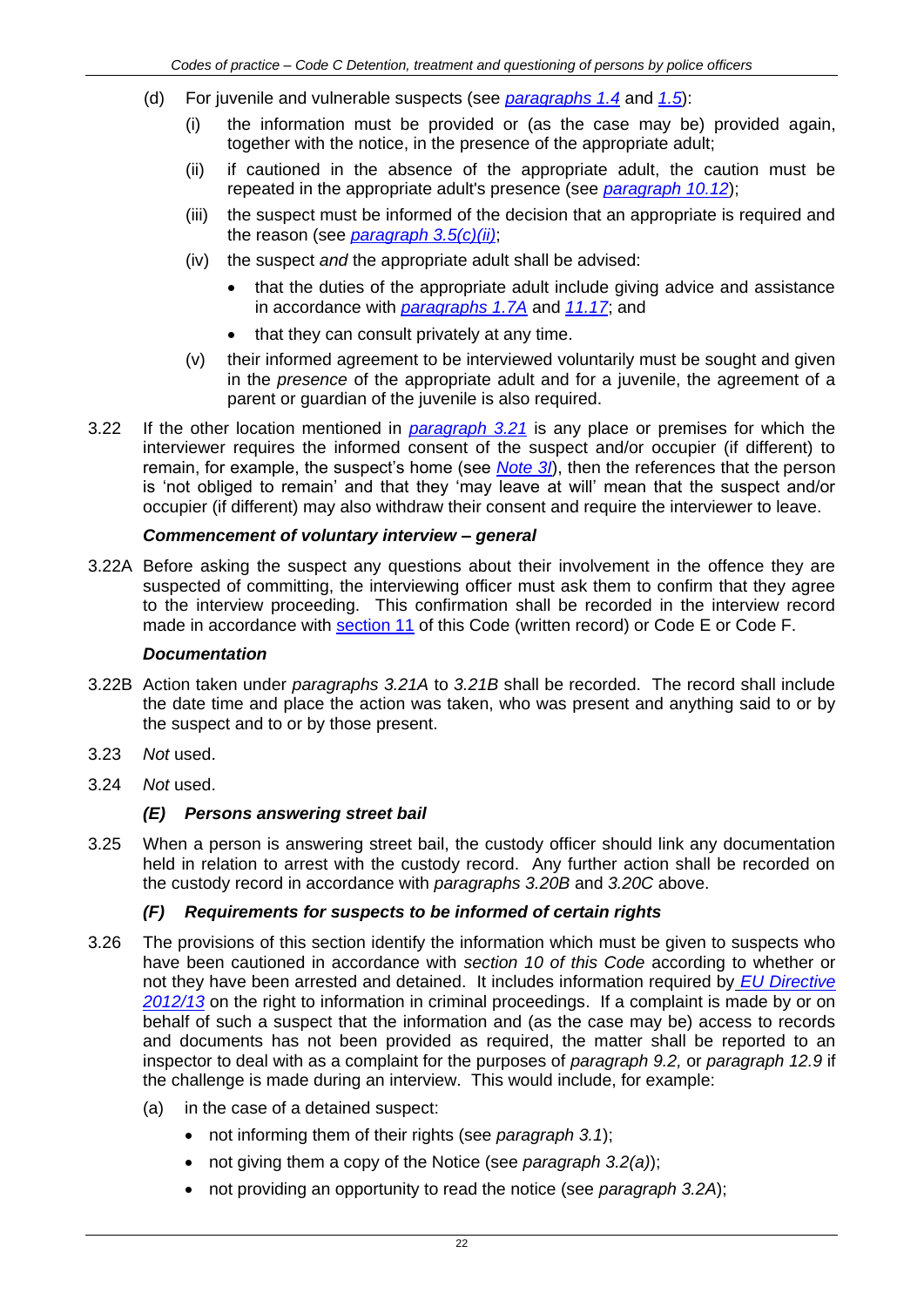- (d) For juvenile and vulnerable suspects (see *[paragraphs 1.4](#page-9-1)* and *[1.5](#page-10-0)*):
	- (i) the information must be provided or (as the case may be) provided again, together with the notice, in the presence of the appropriate adult;
	- (ii) if cautioned in the absence of the appropriate adult, the caution must be repeated in the appropriate adult's presence (see *[paragraph 10.12](#page-45-7)*);
	- (iii) the suspect must be informed of the decision that an appropriate is required and the reason (see *[paragraph 3.5\(c\)\(ii\)](#page-19-1)*;
	- (iv) the suspect *and* the appropriate adult shall be advised:
		- that the duties of the appropriate adult include giving advice and assistance in accordance with *[paragraphs 1.7A](#page-10-1)* and *[11.17](#page-48-1)*; and
		- that they can consult privately at any time.
	- (v) their informed agreement to be interviewed voluntarily must be sought and given in the *presence* of the appropriate adult and for a juvenile, the agreement of a parent or guardian of the juvenile is also required.
- <span id="page-25-4"></span>3.22 If the other location mentioned in *[paragraph 3.21](#page-22-4)* is any place or premises for which the interviewer requires the informed consent of the suspect and/or occupier (if different) to remain, for example, the suspect's home (see *[Note 3I](#page-27-3)*), then the references that the person is 'not obliged to remain' and that they 'may leave at will' mean that the suspect and/or occupier (if different) may also withdraw their consent and require the interviewer to leave.

#### *Commencement of voluntary interview – general*

<span id="page-25-0"></span>3.22A Before asking the suspect any questions about their involvement in the offence they are suspected of committing, the interviewing officer must ask them to confirm that they agree to the interview proceeding. This confirmation shall be recorded in the interview record made in accordance with [section 11](#page-47-3) of this Code (written record) or Code E or Code F.

#### *Documentation*

- <span id="page-25-1"></span>3.22B Action taken under *paragraphs 3.21A* to *3.21B* shall be recorded. The record shall include the date time and place the action was taken, who was present and anything said to or by the suspect and to or by those present.
- 3.23 *Not* used.
- <span id="page-25-2"></span>3.24 *Not* used.

#### *(E) Persons answering street bail*

3.25 When a person is answering street bail, the custody officer should link any documentation held in relation to arrest with the custody record. Any further action shall be recorded on the custody record in accordance with *paragraphs 3.20B* and *3.20C* above.

#### *(F) Requirements for suspects to be informed of certain rights*

- <span id="page-25-3"></span>3.26 The provisions of this section identify the information which must be given to suspects who have been cautioned in accordance with *section 10 of this Code* according to whether or not they have been arrested and detained. It includes information required by *[EU Directive](http://eur-lex.europa.eu/LexUriServ/LexUriServ.do?uri=OJ:L:2012:142:0001:0010:en:PDF)  [2012/13](http://eur-lex.europa.eu/LexUriServ/LexUriServ.do?uri=OJ:L:2012:142:0001:0010:en:PDF)* on the right to information in criminal proceedings. If a complaint is made by or on behalf of such a suspect that the information and (as the case may be) access to records and documents has not been provided as required, the matter shall be reported to an inspector to deal with as a complaint for the purposes of *paragraph 9.2,* or *paragraph 12.9* if the challenge is made during an interview. This would include, for example:
	- (a) in the case of a detained suspect:
		- not informing them of their rights (see *paragraph 3.1*);
		- not giving them a copy of the Notice (see *paragraph 3.2(a)*);
		- not providing an opportunity to read the notice (see *paragraph 3.2A*);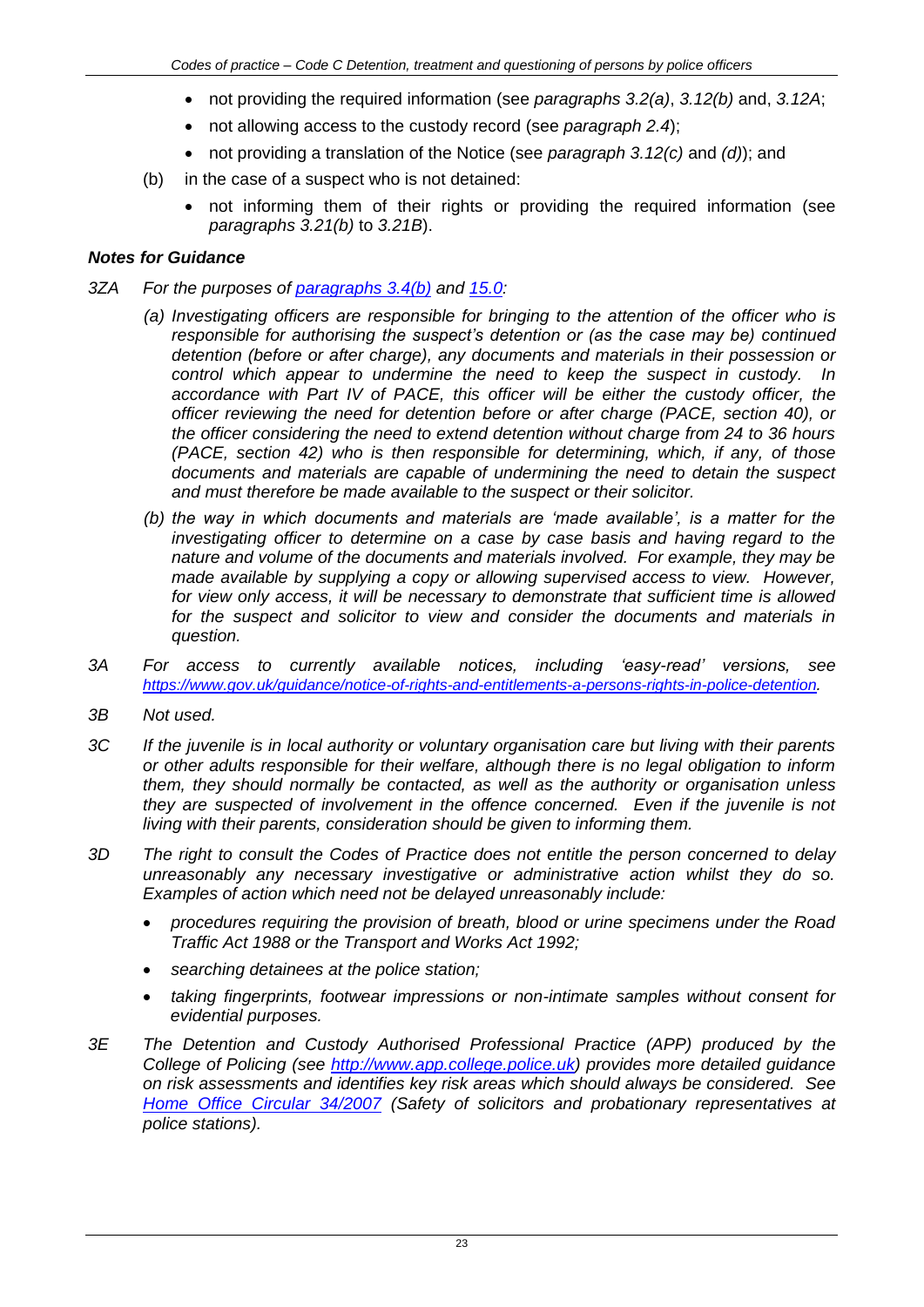- not providing the required information (see *paragraphs 3.2(a)*, *3.12(b)* and, *3.12A*;
- not allowing access to the custody record (see *paragraph 2.4*);
- not providing a translation of the Notice (see *paragraph 3.12(c)* and *(d)*); and
- (b) in the case of a suspect who is not detained:
	- not informing them of their rights or providing the required information (see *paragraphs 3.21(b)* to *3.21B*).

#### <span id="page-26-0"></span>*Notes for Guidance*

- *3ZA For the purposes of [paragraphs](#page-19-2) 3.4(b) and [15.0:](#page-60-2)*
	- *(a) Investigating officers are responsible for bringing to the attention of the officer who is responsible for authorising the suspect's detention or (as the case may be) continued detention (before or after charge), any documents and materials in their possession or control which appear to undermine the need to keep the suspect in custody. In accordance with Part IV of PACE, this officer will be either the custody officer, the officer reviewing the need for detention before or after charge (PACE, section 40), or the officer considering the need to extend detention without charge from 24 to 36 hours (PACE, section 42) who is then responsible for determining, which, if any, of those documents and materials are capable of undermining the need to detain the suspect and must therefore be made available to the suspect or their solicitor.*
	- *(b) the way in which documents and materials are 'made available', is a matter for the investigating officer to determine on a case by case basis and having regard to the nature and volume of the documents and materials involved. For example, they may be made available by supplying a copy or allowing supervised access to view. However, for view only access, it will be necessary to demonstrate that sufficient time is allowed for the suspect and solicitor to view and consider the documents and materials in question.*
- <span id="page-26-1"></span>*3A For access to currently available notices, including 'easy-read' versions, see <https://www.gov.uk/guidance/notice-of-rights-and-entitlements-a-persons-rights-in-police-detention>.*
- *3B Not used.*
- *3C If the juvenile is in local authority or voluntary organisation care but living with their parents or other adults responsible for their welfare, although there is no legal obligation to inform them, they should normally be contacted, as well as the authority or organisation unless they are suspected of involvement in the offence concerned. Even if the juvenile is not living with their parents, consideration should be given to informing them.*
- *3D The right to consult the Codes of Practice does not entitle the person concerned to delay unreasonably any necessary investigative or administrative action whilst they do so. Examples of action which need not be delayed unreasonably include:*
	- *procedures requiring the provision of breath, blood or urine specimens under the Road Traffic Act 1988 or the Transport and Works Act 1992;*
	- *searching detainees at the police station;*
	- *taking fingerprints, footwear impressions or non-intimate samples without consent for evidential purposes.*
- *3E The Detention and Custody Authorised Professional Practice (APP) produced by the College of Policing (see [http://www.app.college.police.uk\)](http://www.app.college.police.uk/) provides more detailed guidance on risk assessments and identifies key risk areas which should always be considered. See [Home Office Circular 34/2007](http://webarchive.nationalarchives.gov.uk/20130315044536/http:/www.homeoffice.gov.uk/about-us/corporate-publications-strategy/home-office-circulars/circulars-2007/034-2007/) (Safety of solicitors and probationary representatives at police stations).*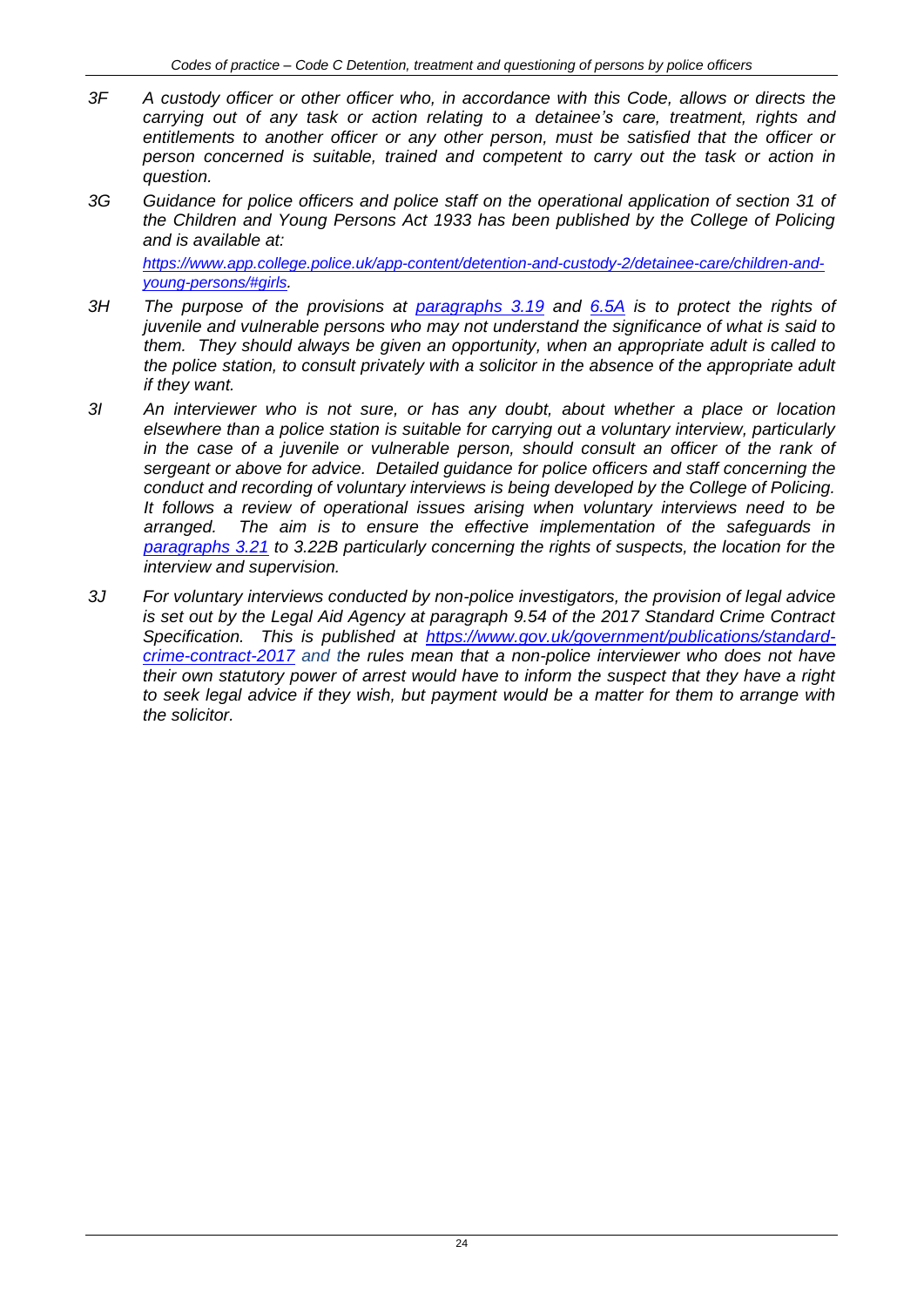- <span id="page-27-0"></span>*3F A custody officer or other officer who, in accordance with this Code, allows or directs the carrying out of any task or action relating to a detainee's care, treatment, rights and entitlements to another officer or any other person, must be satisfied that the officer or person concerned is suitable, trained and competent to carry out the task or action in question.*
- <span id="page-27-2"></span>*3G Guidance for police officers and police staff on the operational application of section 31 of the Children and Young Persons Act 1933 has been published by the College of Policing and is available at:*

*[https://www.app.college.police.uk/app-content/detention-and-custody-2/detainee-care/children-and](https://www.app.college.police.uk/app-content/detention-and-custody-2/detainee-care/children-and-young-persons/#girls)[young-persons/#girls](https://www.app.college.police.uk/app-content/detention-and-custody-2/detainee-care/children-and-young-persons/#girls).*

- <span id="page-27-1"></span>*3H The purpose of the provisions at [paragraphs 3.19](#page-22-7) and [6.5A](#page-31-0) is to protect the rights of juvenile and vulnerable persons who may not understand the significance of what is said to them. They should always be given an opportunity, when an appropriate adult is called to the police station, to consult privately with a solicitor in the absence of the appropriate adult if they want.*
- <span id="page-27-3"></span>*3I An interviewer who is not sure, or has any doubt, about whether a place or location elsewhere than a police station is suitable for carrying out a voluntary interview, particularly*  in the case of a juvenile or vulnerable person, should consult an officer of the rank of *sergeant or above for advice. Detailed guidance for police officers and staff concerning the conduct and recording of voluntary interviews is being developed by the College of Policing. It follows a review of operational issues arising when voluntary interviews need to be arranged. The aim is to ensure the effective implementation of the safeguards in [paragraphs 3.21](#page-22-4) to 3.22B particularly concerning the rights of suspects, the location for the interview and supervision.*
- <span id="page-27-4"></span>*3J For voluntary interviews conducted by non-police investigators, the provision of legal advice is set out by the Legal Aid Agency at paragraph 9.54 of the 2017 Standard Crime Contract Specification. This is published at [https://www.gov.uk/government/publications/standard](https://www.gov.uk/government/publications/standard-crime-contract-2017)[crime-contract-2017](https://www.gov.uk/government/publications/standard-crime-contract-2017) and the rules mean that a non-police interviewer who does not have their own statutory power of arrest would have to inform the suspect that they have a right to seek legal advice if they wish, but payment would be a matter for them to arrange with the solicitor.*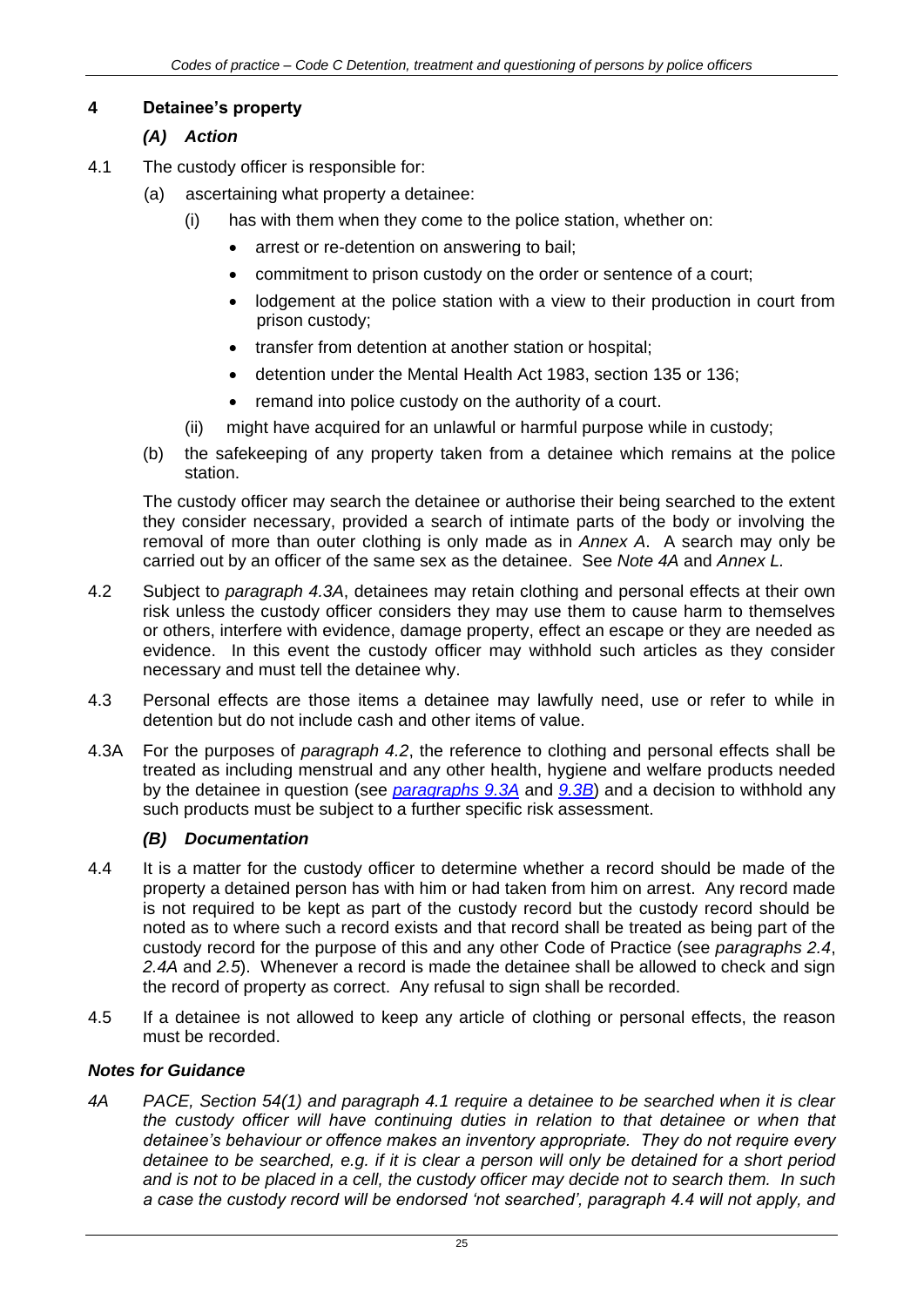#### <span id="page-28-1"></span><span id="page-28-0"></span>**4 Detainee's property**

#### *(A) Action*

- 4.1 The custody officer is responsible for:
	- (a) ascertaining what property a detainee:
		- (i) has with them when they come to the police station, whether on:
			- arrest or re-detention on answering to bail;
			- commitment to prison custody on the order or sentence of a court;
			- lodgement at the police station with a view to their production in court from prison custody;
			- transfer from detention at another station or hospital;
			- detention under the Mental Health Act 1983, section 135 or 136;
			- remand into police custody on the authority of a court.
		- (ii) might have acquired for an unlawful or harmful purpose while in custody;
	- (b) the safekeeping of any property taken from a detainee which remains at the police station.

The custody officer may search the detainee or authorise their being searched to the extent they consider necessary, provided a search of intimate parts of the body or involving the removal of more than outer clothing is only made as in *Annex A*. A search may only be carried out by an officer of the same sex as the detainee. See *Note 4A* and *Annex L.*

- 4.2 Subject to *paragraph 4.3A*, detainees may retain clothing and personal effects at their own risk unless the custody officer considers they may use them to cause harm to themselves or others, interfere with evidence, damage property, effect an escape or they are needed as evidence. In this event the custody officer may withhold such articles as they consider necessary and must tell the detainee why.
- 4.3 Personal effects are those items a detainee may lawfully need, use or refer to while in detention but do not include cash and other items of value.
- 4.3A For the purposes of *paragraph 4.2*, the reference to clothing and personal effects shall be treated as including menstrual and any other health, hygiene and welfare products needed by the detainee in question (see *[paragraphs 9.3A](#page-39-2)* and *[9.3B](#page-39-3)*) and a decision to withhold any such products must be subject to a further specific risk assessment.

#### *(B) Documentation*

- <span id="page-28-2"></span>4.4 It is a matter for the custody officer to determine whether a record should be made of the property a detained person has with him or had taken from him on arrest. Any record made is not required to be kept as part of the custody record but the custody record should be noted as to where such a record exists and that record shall be treated as being part of the custody record for the purpose of this and any other Code of Practice (see *paragraphs 2.4*, *2.4A* and *2.5*). Whenever a record is made the detainee shall be allowed to check and sign the record of property as correct. Any refusal to sign shall be recorded.
- 4.5 If a detainee is not allowed to keep any article of clothing or personal effects, the reason must be recorded.

#### <span id="page-28-3"></span>*Notes for Guidance*

*4A PACE, Section 54(1) and paragraph 4.1 require a detainee to be searched when it is clear the custody officer will have continuing duties in relation to that detainee or when that detainee's behaviour or offence makes an inventory appropriate. They do not require every detainee to be searched, e.g. if it is clear a person will only be detained for a short period and is not to be placed in a cell, the custody officer may decide not to search them. In such a case the custody record will be endorsed 'not searched', paragraph 4.4 will not apply, and*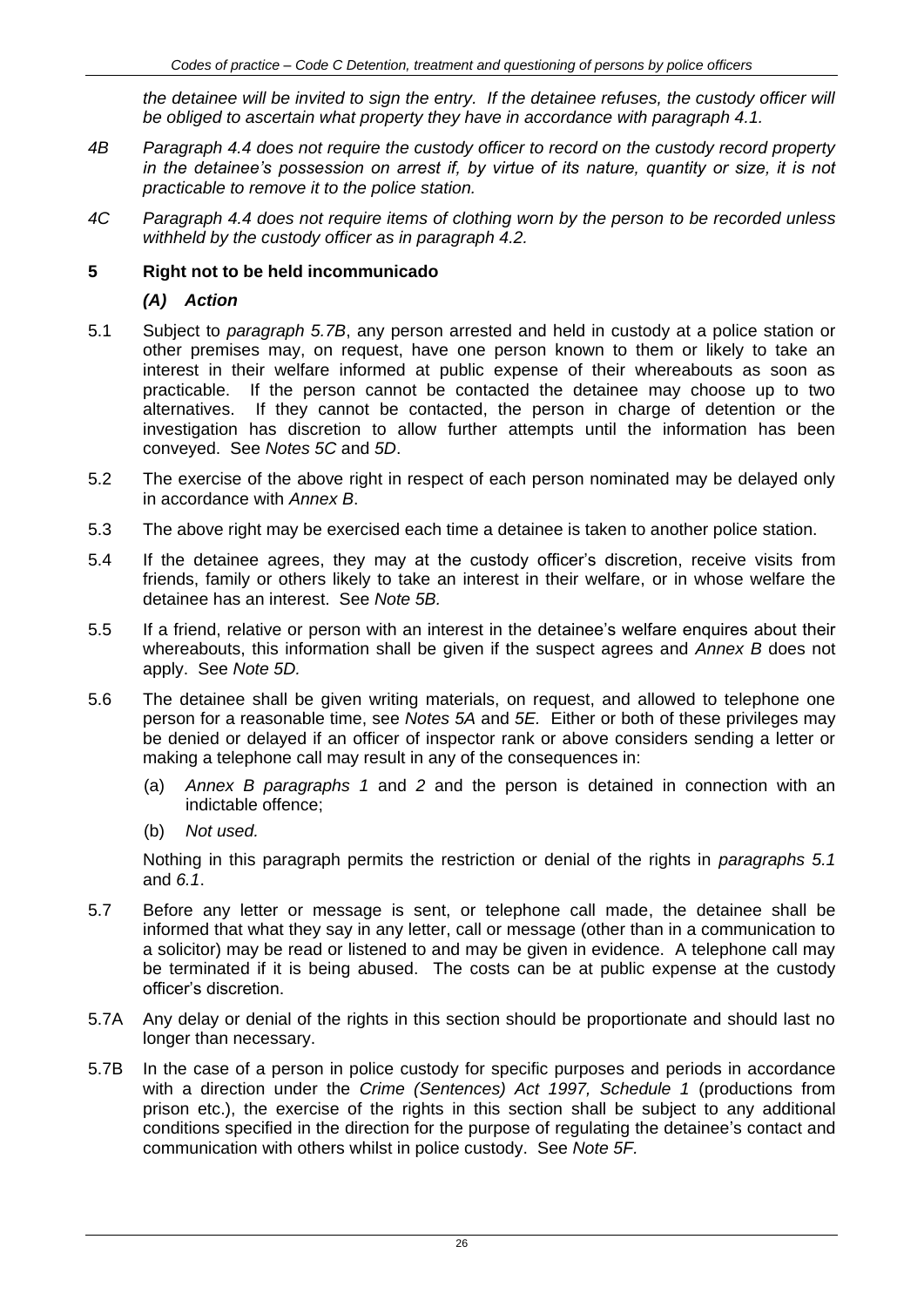*the detainee will be invited to sign the entry. If the detainee refuses, the custody officer will be obliged to ascertain what property they have in accordance with paragraph 4.1.*

- *4B Paragraph 4.4 does not require the custody officer to record on the custody record property in the detainee's possession on arrest if, by virtue of its nature, quantity or size, it is not practicable to remove it to the police station.*
- *4C Paragraph 4.4 does not require items of clothing worn by the person to be recorded unless withheld by the custody officer as in paragraph 4.2.*

#### <span id="page-29-1"></span><span id="page-29-0"></span>**5 Right not to be held incommunicado**

#### *(A) Action*

- 5.1 Subject to *paragraph 5.7B*, any person arrested and held in custody at a police station or other premises may, on request, have one person known to them or likely to take an interest in their welfare informed at public expense of their whereabouts as soon as practicable. If the person cannot be contacted the detainee may choose up to two alternatives. If they cannot be contacted, the person in charge of detention or the investigation has discretion to allow further attempts until the information has been conveyed. See *Notes 5C* and *5D*.
- 5.2 The exercise of the above right in respect of each person nominated may be delayed only in accordance with *Annex B*.
- 5.3 The above right may be exercised each time a detainee is taken to another police station.
- 5.4 If the detainee agrees, they may at the custody officer's discretion, receive visits from friends, family or others likely to take an interest in their welfare, or in whose welfare the detainee has an interest. See *Note 5B.*
- 5.5 If a friend, relative or person with an interest in the detainee's welfare enquires about their whereabouts, this information shall be given if the suspect agrees and *Annex B* does not apply. See *Note 5D.*
- 5.6 The detainee shall be given writing materials, on request, and allowed to telephone one person for a reasonable time, see *Notes 5A* and *5E.* Either or both of these privileges may be denied or delayed if an officer of inspector rank or above considers sending a letter or making a telephone call may result in any of the consequences in:
	- (a) *Annex B paragraphs 1* and *2* and the person is detained in connection with an indictable offence;
	- (b) *Not used.*

Nothing in this paragraph permits the restriction or denial of the rights in *paragraphs 5.1* and *6.1*.

- 5.7 Before any letter or message is sent, or telephone call made, the detainee shall be informed that what they say in any letter, call or message (other than in a communication to a solicitor) may be read or listened to and may be given in evidence. A telephone call may be terminated if it is being abused. The costs can be at public expense at the custody officer's discretion.
- 5.7A Any delay or denial of the rights in this section should be proportionate and should last no longer than necessary.
- 5.7B In the case of a person in police custody for specific purposes and periods in accordance with a direction under the *Crime (Sentences) Act 1997, Schedule 1* (productions from prison etc.), the exercise of the rights in this section shall be subject to any additional conditions specified in the direction for the purpose of regulating the detainee's contact and communication with others whilst in police custody. See *Note 5F.*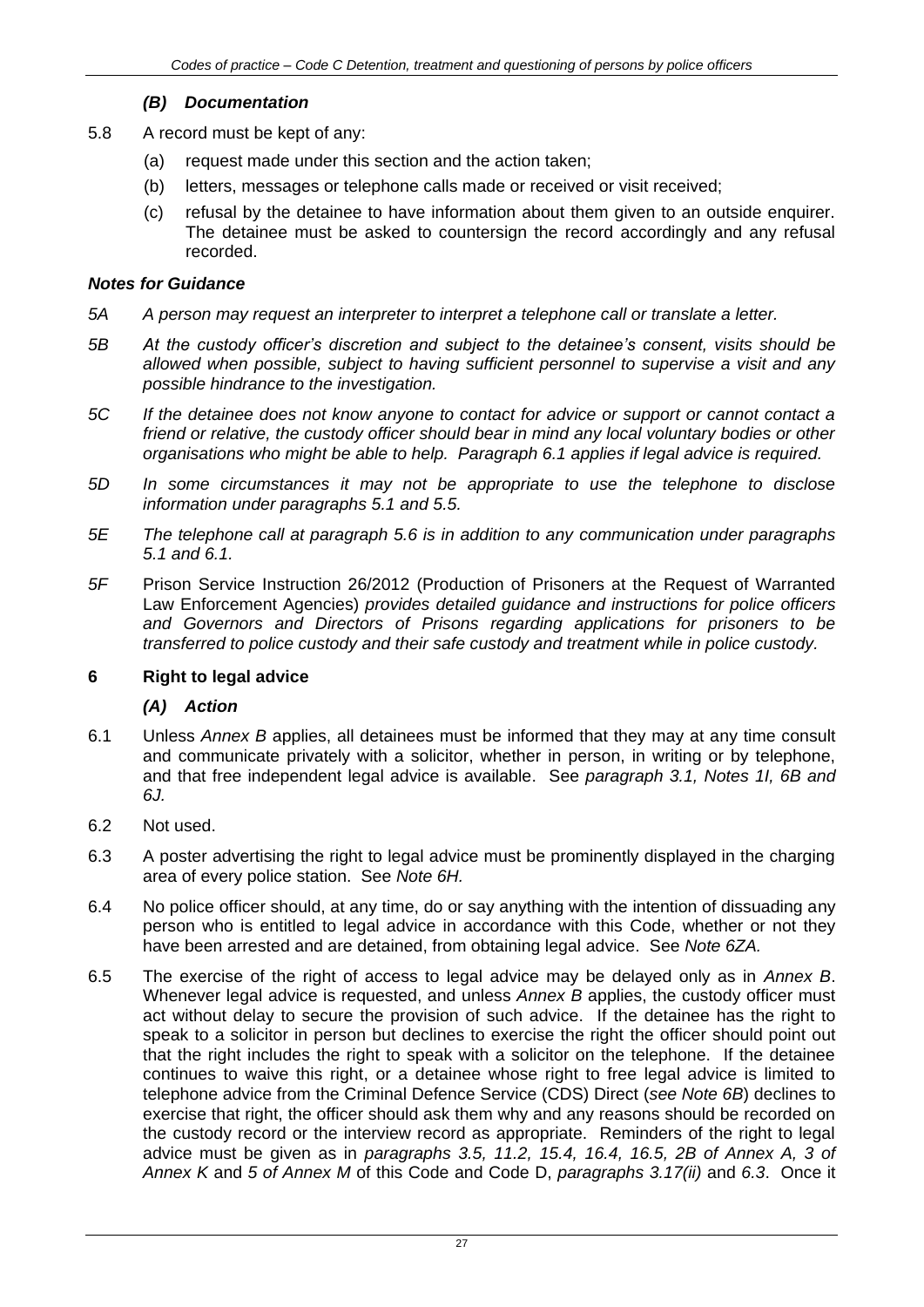#### *(B) Documentation*

- <span id="page-30-0"></span>5.8 A record must be kept of any:
	- (a) request made under this section and the action taken;
	- (b) letters, messages or telephone calls made or received or visit received;
	- (c) refusal by the detainee to have information about them given to an outside enquirer. The detainee must be asked to countersign the record accordingly and any refusal recorded.

#### <span id="page-30-1"></span>*Notes for Guidance*

- *5A A person may request an interpreter to interpret a telephone call or translate a letter.*
- *5B At the custody officer's discretion and subject to the detainee's consent, visits should be allowed when possible, subject to having sufficient personnel to supervise a visit and any possible hindrance to the investigation.*
- *5C If the detainee does not know anyone to contact for advice or support or cannot contact a friend or relative, the custody officer should bear in mind any local voluntary bodies or other organisations who might be able to help. Paragraph 6.1 applies if legal advice is required.*
- *5D In some circumstances it may not be appropriate to use the telephone to disclose information under paragraphs 5.1 and 5.5.*
- *5E The telephone call at paragraph 5.6 is in addition to any communication under paragraphs 5.1 and 6.1.*
- *5F* Prison Service Instruction 26/2012 (Production of Prisoners at the Request of Warranted Law Enforcement Agencies) *provides detailed guidance and instructions for police officers and Governors and Directors of Prisons regarding applications for prisoners to be transferred to police custody and their safe custody and treatment while in police custody.*

#### <span id="page-30-3"></span><span id="page-30-2"></span>**6 Right to legal advice**

#### *(A) Action*

- 6.1 Unless *Annex B* applies, all detainees must be informed that they may at any time consult and communicate privately with a solicitor, whether in person, in writing or by telephone, and that free independent legal advice is available. See *paragraph 3.1, Notes 1I, 6B and 6J.*
- 6.2 Not used.
- 6.3 A poster advertising the right to legal advice must be prominently displayed in the charging area of every police station. See *Note 6H.*
- 6.4 No police officer should, at any time, do or say anything with the intention of dissuading any person who is entitled to legal advice in accordance with this Code, whether or not they have been arrested and are detained, from obtaining legal advice. See *Note 6ZA.*
- <span id="page-30-4"></span>6.5 The exercise of the right of access to legal advice may be delayed only as in *Annex B*. Whenever legal advice is requested, and unless *Annex B* applies, the custody officer must act without delay to secure the provision of such advice. If the detainee has the right to speak to a solicitor in person but declines to exercise the right the officer should point out that the right includes the right to speak with a solicitor on the telephone. If the detainee continues to waive this right, or a detainee whose right to free legal advice is limited to telephone advice from the Criminal Defence Service (CDS) Direct (*see Note 6B*) declines to exercise that right, the officer should ask them why and any reasons should be recorded on the custody record or the interview record as appropriate. Reminders of the right to legal advice must be given as in *paragraphs 3.5, 11.2, 15.4, 16.4, 16.5, 2B of Annex A, 3 of Annex K* and *5 of Annex M* of this Code and Code D, *paragraphs 3.17(ii)* and *6.3*. Once it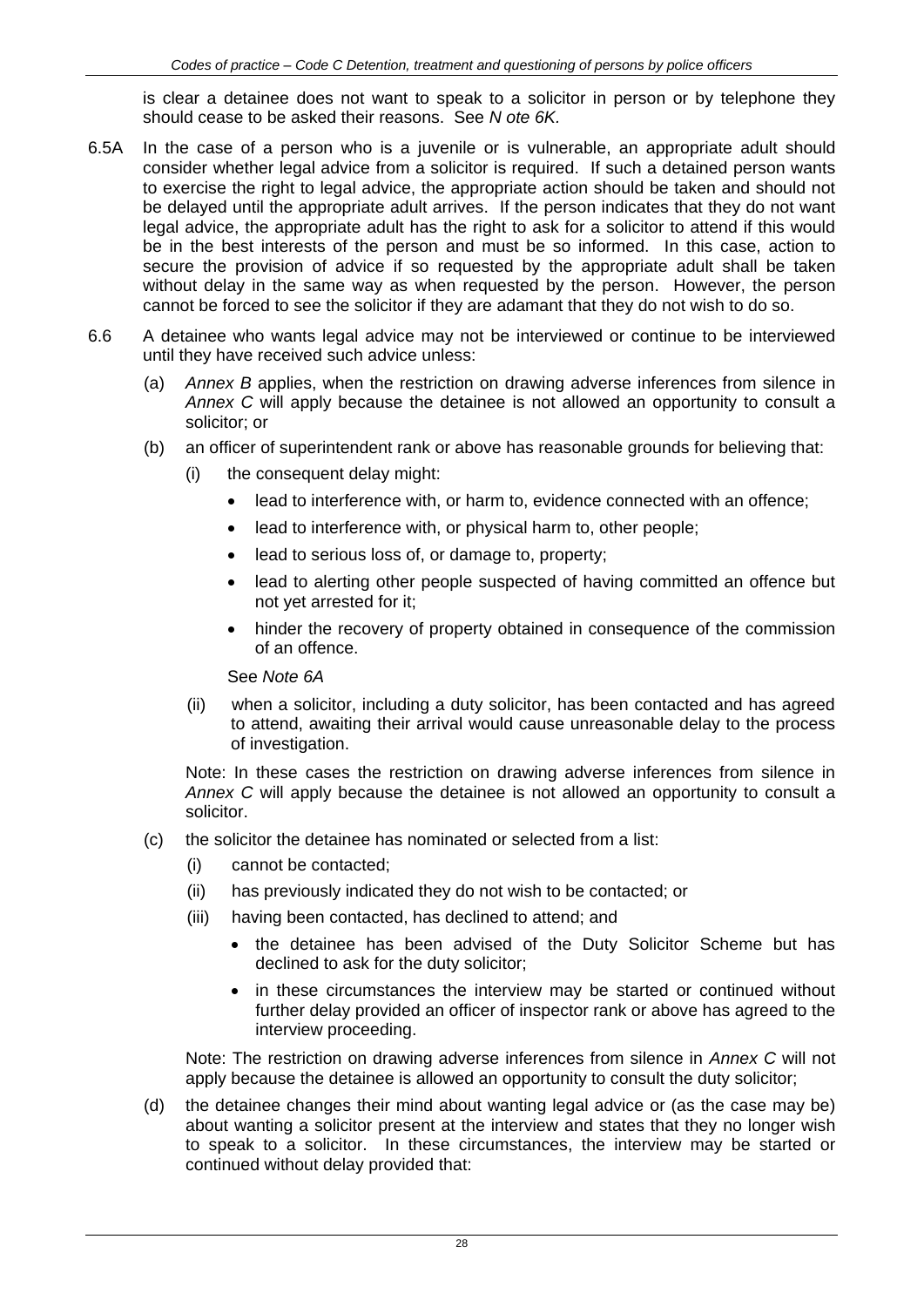is clear a detainee does not want to speak to a solicitor in person or by telephone they should cease to be asked their reasons. See *N ote 6K.*

- <span id="page-31-0"></span>6.5A In the case of a person who is a juvenile or is vulnerable, an appropriate adult should consider whether legal advice from a solicitor is required. If such a detained person wants to exercise the right to legal advice, the appropriate action should be taken and should not be delayed until the appropriate adult arrives. If the person indicates that they do not want legal advice, the appropriate adult has the right to ask for a solicitor to attend if this would be in the best interests of the person and must be so informed. In this case, action to secure the provision of advice if so requested by the appropriate adult shall be taken without delay in the same way as when requested by the person. However, the person cannot be forced to see the solicitor if they are adamant that they do not wish to do so.
- 6.6 A detainee who wants legal advice may not be interviewed or continue to be interviewed until they have received such advice unless:
	- (a) *Annex B* applies, when the restriction on drawing adverse inferences from silence in *Annex C* will apply because the detainee is not allowed an opportunity to consult a solicitor; or
	- (b) an officer of superintendent rank or above has reasonable grounds for believing that:
		- (i) the consequent delay might:
			- lead to interference with, or harm to, evidence connected with an offence;
			- lead to interference with, or physical harm to, other people;
			- lead to serious loss of, or damage to, property;
			- lead to alerting other people suspected of having committed an offence but not yet arrested for it;
			- hinder the recovery of property obtained in consequence of the commission of an offence.

See *Note 6A*

(ii) when a solicitor, including a duty solicitor, has been contacted and has agreed to attend, awaiting their arrival would cause unreasonable delay to the process of investigation.

Note: In these cases the restriction on drawing adverse inferences from silence in *Annex C* will apply because the detainee is not allowed an opportunity to consult a solicitor.

- <span id="page-31-1"></span>(c) the solicitor the detainee has nominated or selected from a list:
	- (i) cannot be contacted;
	- (ii) has previously indicated they do not wish to be contacted; or
	- (iii) having been contacted, has declined to attend; and
		- the detainee has been advised of the Duty Solicitor Scheme but has declined to ask for the duty solicitor;
		- in these circumstances the interview may be started or continued without further delay provided an officer of inspector rank or above has agreed to the interview proceeding.

Note: The restriction on drawing adverse inferences from silence in *Annex C* will not apply because the detainee is allowed an opportunity to consult the duty solicitor;

<span id="page-31-2"></span>(d) the detainee changes their mind about wanting legal advice or (as the case may be) about wanting a solicitor present at the interview and states that they no longer wish to speak to a solicitor. In these circumstances, the interview may be started or continued without delay provided that: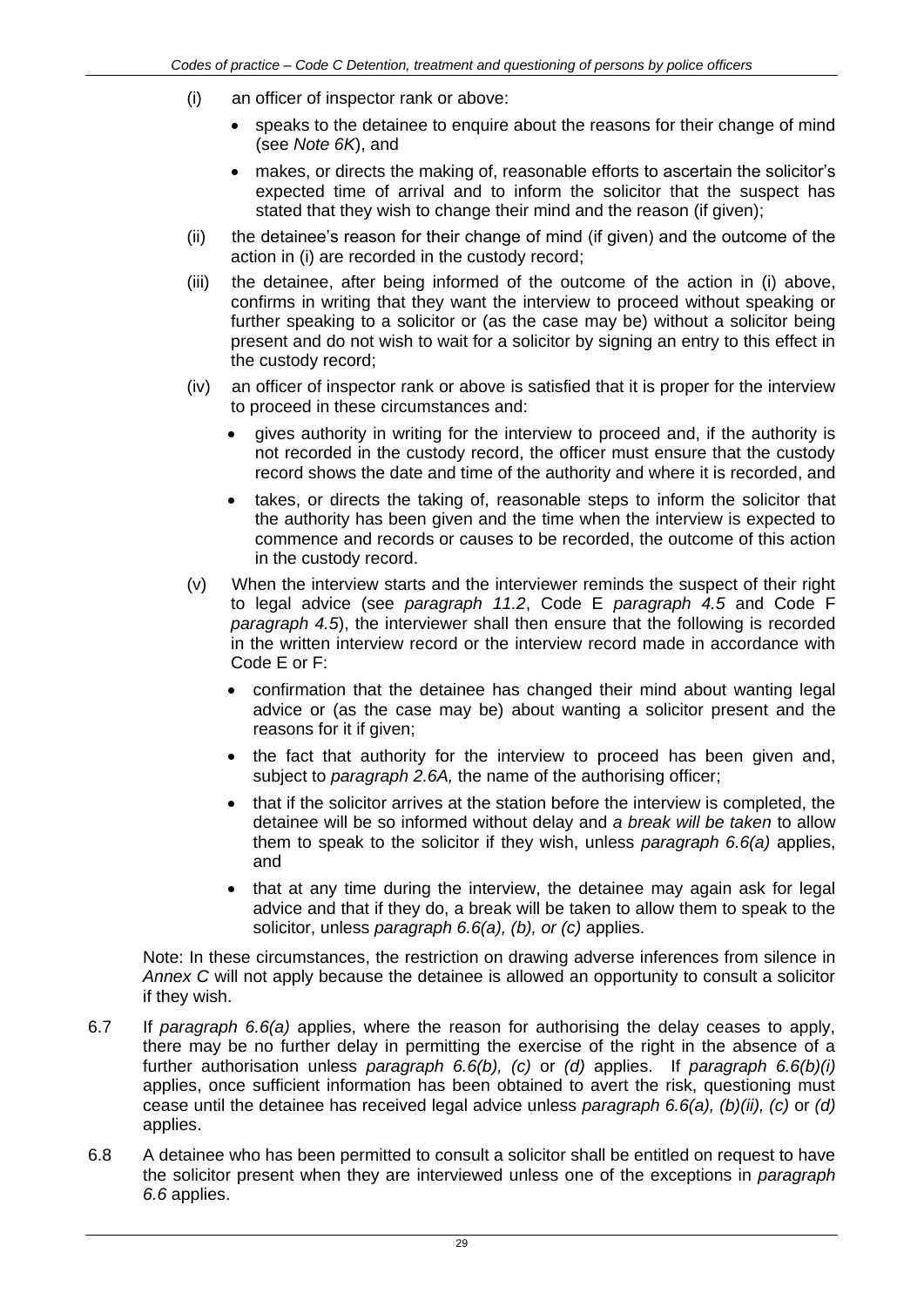- (i) an officer of inspector rank or above:
	- speaks to the detainee to enquire about the reasons for their change of mind (see *Note 6K*), and
	- makes, or directs the making of, reasonable efforts to ascertain the solicitor's expected time of arrival and to inform the solicitor that the suspect has stated that they wish to change their mind and the reason (if given);
- (ii) the detainee's reason for their change of mind (if given) and the outcome of the action in (i) are recorded in the custody record;
- (iii) the detainee, after being informed of the outcome of the action in (i) above, confirms in writing that they want the interview to proceed without speaking or further speaking to a solicitor or (as the case may be) without a solicitor being present and do not wish to wait for a solicitor by signing an entry to this effect in the custody record;
- (iv) an officer of inspector rank or above is satisfied that it is proper for the interview to proceed in these circumstances and:
	- gives authority in writing for the interview to proceed and, if the authority is not recorded in the custody record, the officer must ensure that the custody record shows the date and time of the authority and where it is recorded, and
	- takes, or directs the taking of, reasonable steps to inform the solicitor that the authority has been given and the time when the interview is expected to commence and records or causes to be recorded, the outcome of this action in the custody record.
- (v) When the interview starts and the interviewer reminds the suspect of their right to legal advice (see *paragraph 11.2*, Code E *paragraph 4.5* and Code F *paragraph 4.5*), the interviewer shall then ensure that the following is recorded in the written interview record or the interview record made in accordance with Code E or F:
	- confirmation that the detainee has changed their mind about wanting legal advice or (as the case may be) about wanting a solicitor present and the reasons for it if given;
	- the fact that authority for the interview to proceed has been given and, subject to *paragraph 2.6A,* the name of the authorising officer;
	- that if the solicitor arrives at the station before the interview is completed, the detainee will be so informed without delay and *a break will be taken* to allow them to speak to the solicitor if they wish, unless *paragraph 6.6(a)* applies, and
	- that at any time during the interview, the detainee may again ask for legal advice and that if they do, a break will be taken to allow them to speak to the solicitor, unless *paragraph 6.6(a), (b), or (c)* applies.

Note: In these circumstances, the restriction on drawing adverse inferences from silence in *Annex C* will not apply because the detainee is allowed an opportunity to consult a solicitor if they wish.

- 6.7 If *paragraph 6.6(a)* applies, where the reason for authorising the delay ceases to apply, there may be no further delay in permitting the exercise of the right in the absence of a further authorisation unless *paragraph 6.6(b), (c)* or *(d)* applies. If *paragraph 6.6(b)(i)* applies, once sufficient information has been obtained to avert the risk, questioning must cease until the detainee has received legal advice unless *paragraph 6.6(a), (b)(ii), (c)* or *(d)* applies.
- 6.8 A detainee who has been permitted to consult a solicitor shall be entitled on request to have the solicitor present when they are interviewed unless one of the exceptions in *paragraph 6.6* applies.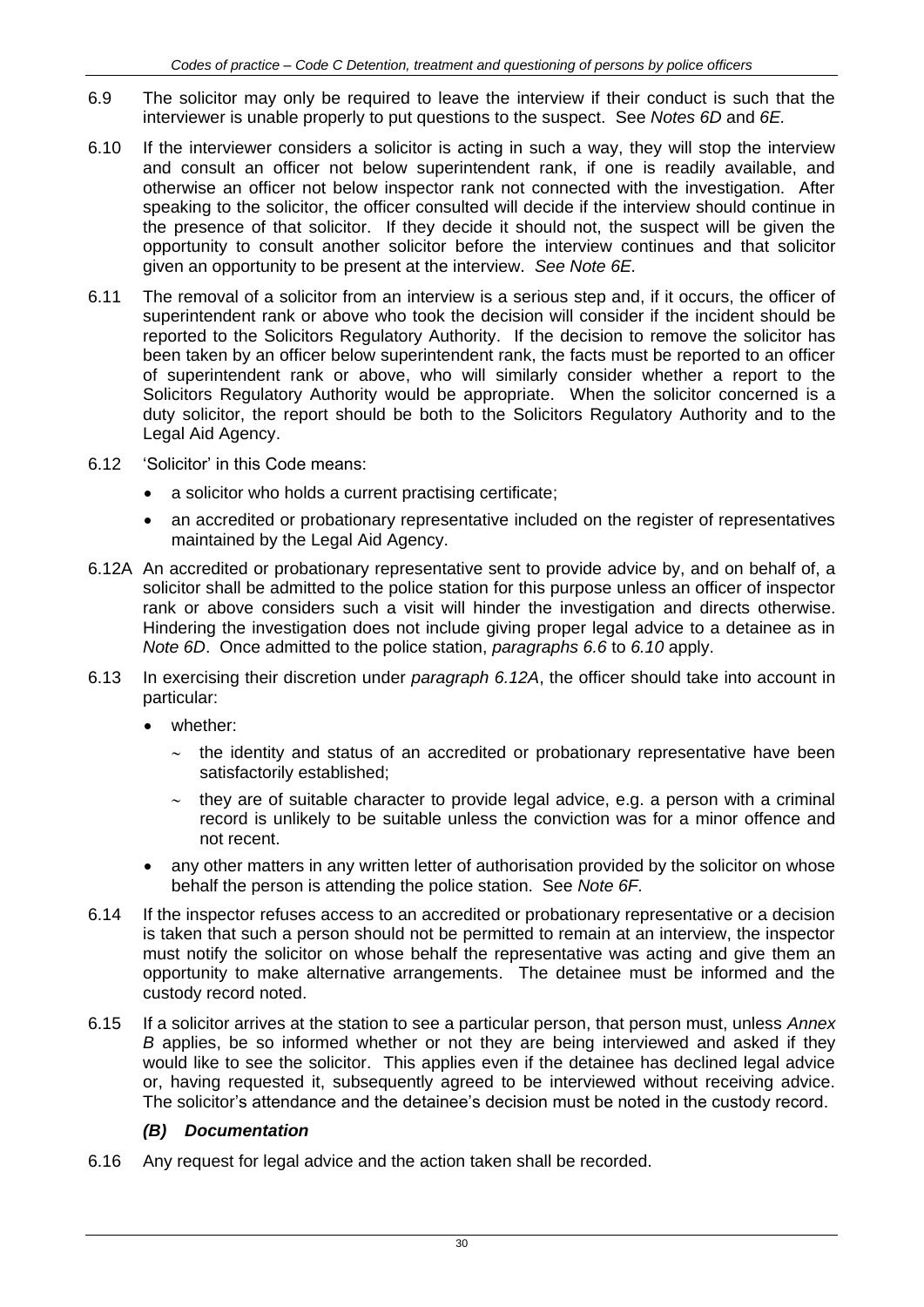- 6.9 The solicitor may only be required to leave the interview if their conduct is such that the interviewer is unable properly to put questions to the suspect. See *Notes 6D* and *6E.*
- 6.10 If the interviewer considers a solicitor is acting in such a way, they will stop the interview and consult an officer not below superintendent rank, if one is readily available, and otherwise an officer not below inspector rank not connected with the investigation. After speaking to the solicitor, the officer consulted will decide if the interview should continue in the presence of that solicitor. If they decide it should not, the suspect will be given the opportunity to consult another solicitor before the interview continues and that solicitor given an opportunity to be present at the interview. *See Note 6E.*
- 6.11 The removal of a solicitor from an interview is a serious step and, if it occurs, the officer of superintendent rank or above who took the decision will consider if the incident should be reported to the Solicitors Regulatory Authority. If the decision to remove the solicitor has been taken by an officer below superintendent rank, the facts must be reported to an officer of superintendent rank or above, who will similarly consider whether a report to the Solicitors Regulatory Authority would be appropriate. When the solicitor concerned is a duty solicitor, the report should be both to the Solicitors Regulatory Authority and to the Legal Aid Agency.
- 6.12 'Solicitor' in this Code means:
	- a solicitor who holds a current practising certificate;
	- an accredited or probationary representative included on the register of representatives maintained by the Legal Aid Agency.
- 6.12A An accredited or probationary representative sent to provide advice by, and on behalf of, a solicitor shall be admitted to the police station for this purpose unless an officer of inspector rank or above considers such a visit will hinder the investigation and directs otherwise. Hindering the investigation does not include giving proper legal advice to a detainee as in *Note 6D*. Once admitted to the police station, *paragraphs 6.6* to *6.10* apply.
- 6.13 In exercising their discretion under *paragraph 6.12A*, the officer should take into account in particular:
	- whether:
		- $\sim$  the identity and status of an accredited or probationary representative have been satisfactorily established;
		- they are of suitable character to provide legal advice, e.g. a person with a criminal record is unlikely to be suitable unless the conviction was for a minor offence and not recent.
	- any other matters in any written letter of authorisation provided by the solicitor on whose behalf the person is attending the police station. See *Note 6F.*
- 6.14 If the inspector refuses access to an accredited or probationary representative or a decision is taken that such a person should not be permitted to remain at an interview, the inspector must notify the solicitor on whose behalf the representative was acting and give them an opportunity to make alternative arrangements. The detainee must be informed and the custody record noted.
- 6.15 If a solicitor arrives at the station to see a particular person, that person must, unless *Annex B* applies, be so informed whether or not they are being interviewed and asked if they would like to see the solicitor. This applies even if the detainee has declined legal advice or, having requested it, subsequently agreed to be interviewed without receiving advice. The solicitor's attendance and the detainee's decision must be noted in the custody record.

#### *(B) Documentation*

<span id="page-33-0"></span>6.16 Any request for legal advice and the action taken shall be recorded.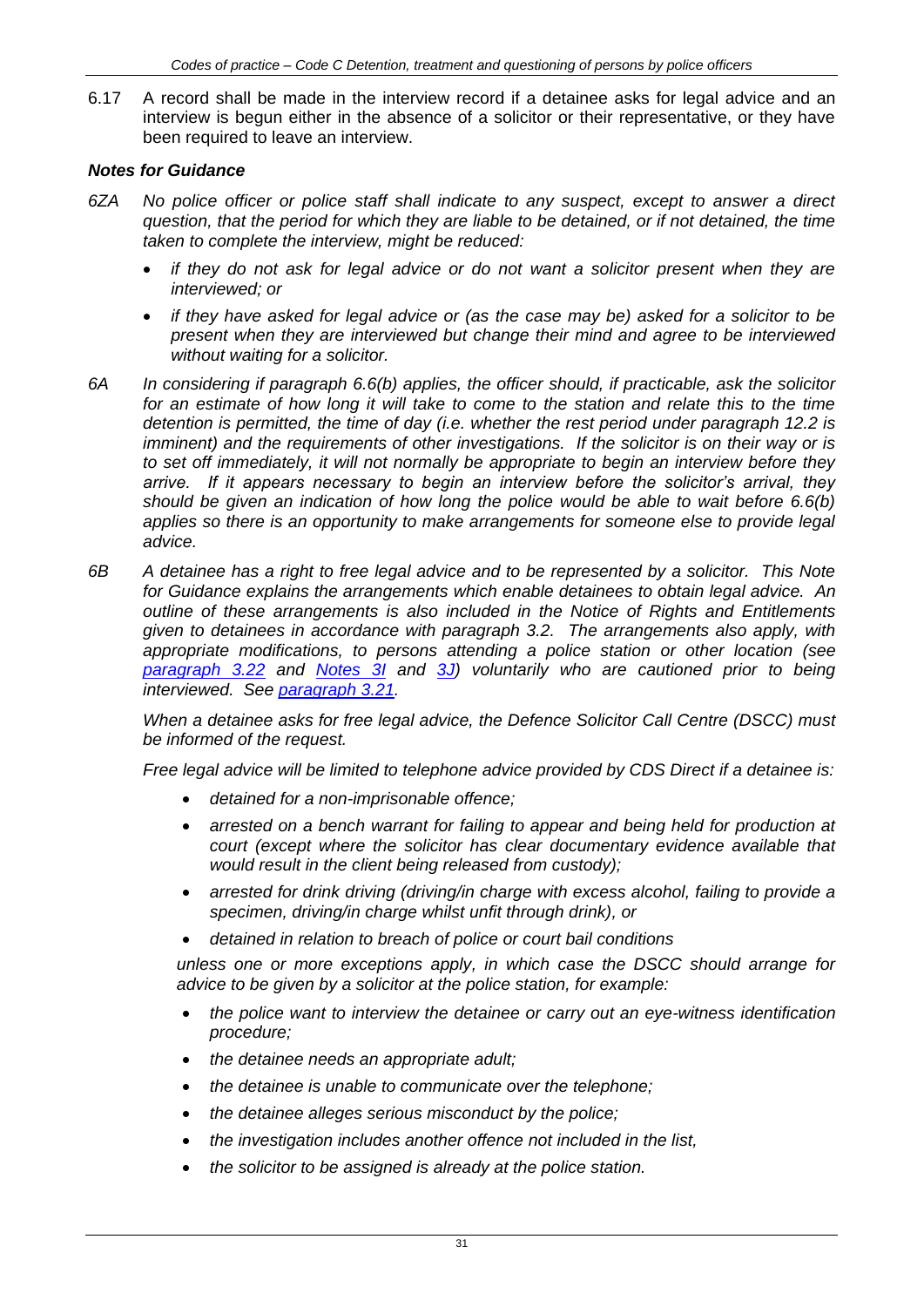6.17 A record shall be made in the interview record if a detainee asks for legal advice and an interview is begun either in the absence of a solicitor or their representative, or they have been required to leave an interview.

#### <span id="page-34-0"></span>*Notes for Guidance*

- *6ZA No police officer or police staff shall indicate to any suspect, except to answer a direct question, that the period for which they are liable to be detained, or if not detained, the time taken to complete the interview, might be reduced:*
	- *if they do not ask for legal advice or do not want a solicitor present when they are interviewed; or*
	- *if they have asked for legal advice or (as the case may be) asked for a solicitor to be present when they are interviewed but change their mind and agree to be interviewed without waiting for a solicitor.*
- *6A In considering if paragraph 6.6(b) applies, the officer should, if practicable, ask the solicitor*  for an estimate of how long it will take to come to the station and relate this to the time *detention is permitted, the time of day (i.e. whether the rest period under paragraph 12.2 is imminent) and the requirements of other investigations. If the solicitor is on their way or is to set off immediately, it will not normally be appropriate to begin an interview before they arrive. If it appears necessary to begin an interview before the solicitor's arrival, they should be given an indication of how long the police would be able to wait before 6.6(b) applies so there is an opportunity to make arrangements for someone else to provide legal advice.*
- *6B A detainee has a right to free legal advice and to be represented by a solicitor. This Note for Guidance explains the arrangements which enable detainees to obtain legal advice. An outline of these arrangements is also included in the Notice of Rights and Entitlements given to detainees in accordance with paragraph 3.2. The arrangements also apply, with appropriate modifications, to persons attending a police station or other location (see [paragraph 3.22](#page-25-4) and [Notes 3I](#page-27-3) and [3J\)](#page-27-4) voluntarily who are cautioned prior to being interviewed. See [paragraph 3.21.](#page-22-4)*

*When a detainee asks for free legal advice, the Defence Solicitor Call Centre (DSCC) must be informed of the request.*

*Free legal advice will be limited to telephone advice provided by CDS Direct if a detainee is:*

- *detained for a non-imprisonable offence;*
- *arrested on a bench warrant for failing to appear and being held for production at court (except where the solicitor has clear documentary evidence available that would result in the client being released from custody);*
- *arrested for drink driving (driving/in charge with excess alcohol, failing to provide a specimen, driving/in charge whilst unfit through drink), or*
- *detained in relation to breach of police or court bail conditions*

*unless one or more exceptions apply, in which case the DSCC should arrange for advice to be given by a solicitor at the police station, for example:*

- *the police want to interview the detainee or carry out an eye-witness identification procedure;*
- *the detainee needs an appropriate adult;*
- *the detainee is unable to communicate over the telephone;*
- *the detainee alleges serious misconduct by the police;*
- *the investigation includes another offence not included in the list,*
- *the solicitor to be assigned is already at the police station.*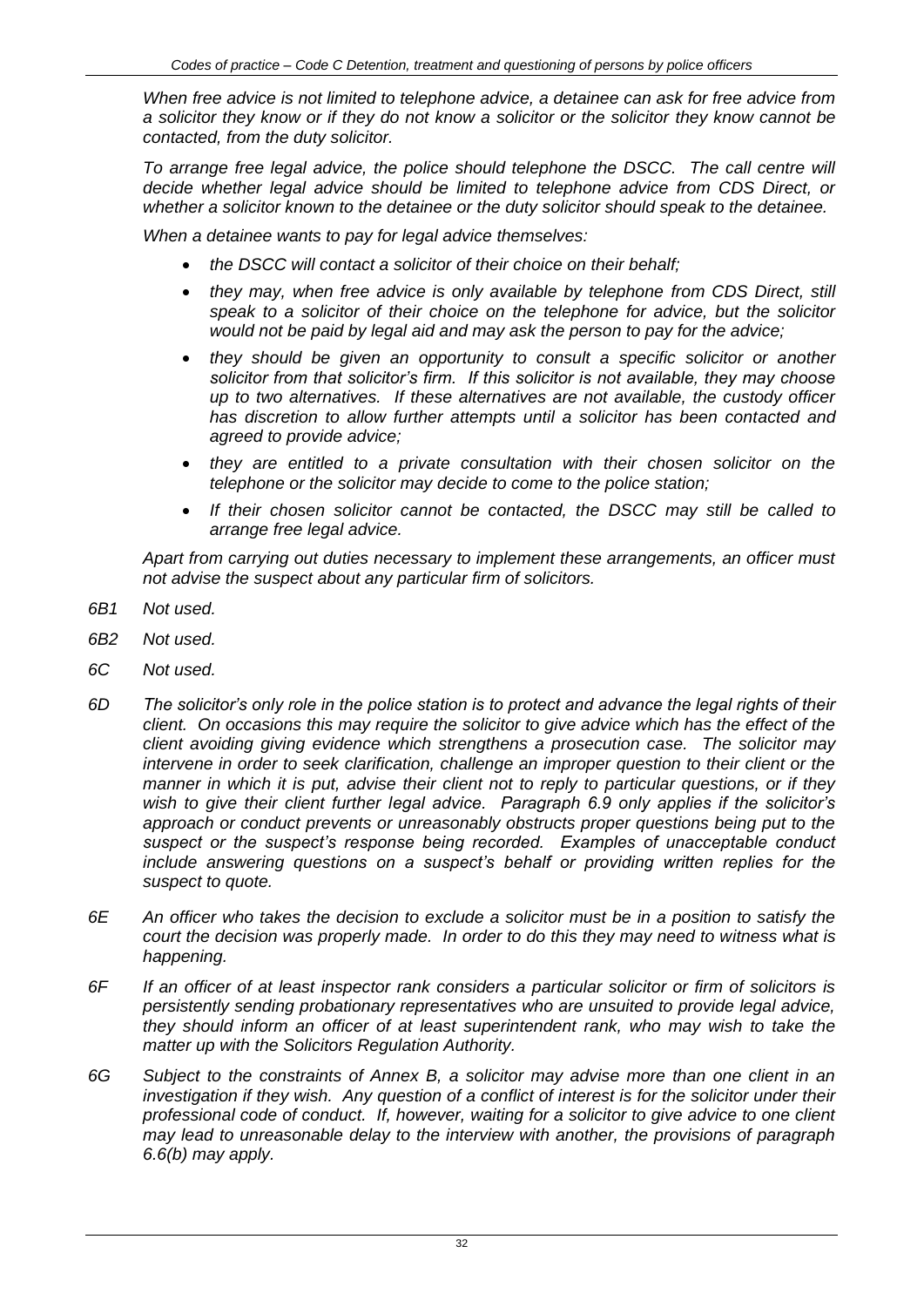*When free advice is not limited to telephone advice, a detainee can ask for free advice from a solicitor they know or if they do not know a solicitor or the solicitor they know cannot be contacted, from the duty solicitor.*

*To arrange free legal advice, the police should telephone the DSCC. The call centre will decide whether legal advice should be limited to telephone advice from CDS Direct, or whether a solicitor known to the detainee or the duty solicitor should speak to the detainee.*

*When a detainee wants to pay for legal advice themselves:*

- *the DSCC will contact a solicitor of their choice on their behalf;*
- *they may, when free advice is only available by telephone from CDS Direct, still speak to a solicitor of their choice on the telephone for advice, but the solicitor would not be paid by legal aid and may ask the person to pay for the advice;*
- *they should be given an opportunity to consult a specific solicitor or another solicitor from that solicitor's firm. If this solicitor is not available, they may choose up to two alternatives. If these alternatives are not available, the custody officer has discretion to allow further attempts until a solicitor has been contacted and agreed to provide advice;*
- *they are entitled to a private consultation with their chosen solicitor on the telephone or the solicitor may decide to come to the police station;*
- *If their chosen solicitor cannot be contacted, the DSCC may still be called to arrange free legal advice.*

*Apart from carrying out duties necessary to implement these arrangements, an officer must not advise the suspect about any particular firm of solicitors.*

- *6B1 Not used.*
- *6B2 Not used.*
- *6C Not used.*
- *6D The solicitor's only role in the police station is to protect and advance the legal rights of their client. On occasions this may require the solicitor to give advice which has the effect of the client avoiding giving evidence which strengthens a prosecution case. The solicitor may intervene in order to seek clarification, challenge an improper question to their client or the manner in which it is put, advise their client not to reply to particular questions, or if they wish to give their client further legal advice. Paragraph 6.9 only applies if the solicitor's approach or conduct prevents or unreasonably obstructs proper questions being put to the suspect or the suspect's response being recorded. Examples of unacceptable conduct include answering questions on a suspect's behalf or providing written replies for the suspect to quote.*
- *6E An officer who takes the decision to exclude a solicitor must be in a position to satisfy the court the decision was properly made. In order to do this they may need to witness what is happening.*
- *6F If an officer of at least inspector rank considers a particular solicitor or firm of solicitors is persistently sending probationary representatives who are unsuited to provide legal advice, they should inform an officer of at least superintendent rank, who may wish to take the matter up with the Solicitors Regulation Authority.*
- *6G Subject to the constraints of Annex B, a solicitor may advise more than one client in an investigation if they wish. Any question of a conflict of interest is for the solicitor under their professional code of conduct. If, however, waiting for a solicitor to give advice to one client may lead to unreasonable delay to the interview with another, the provisions of paragraph 6.6(b) may apply.*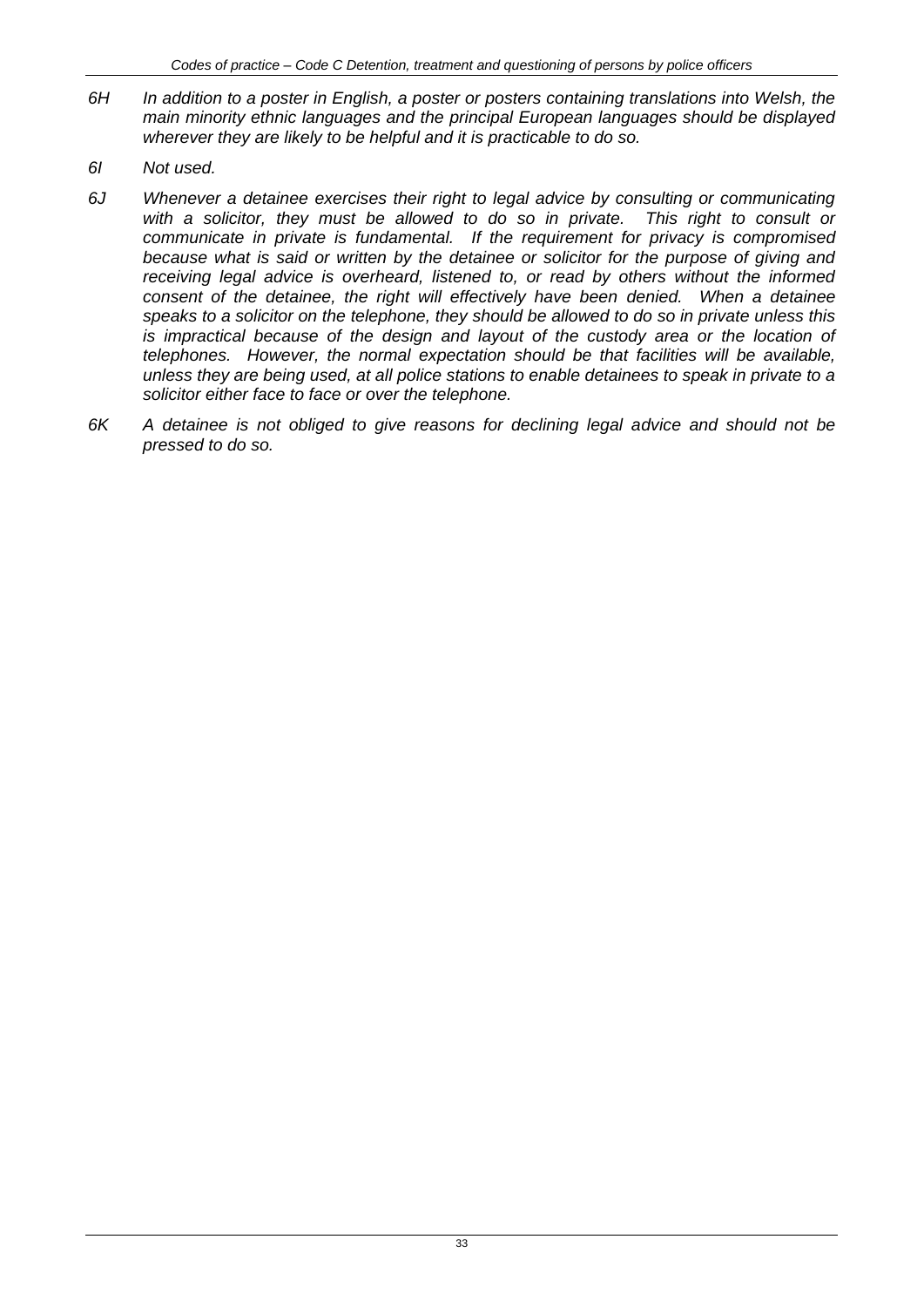- *6H In addition to a poster in English, a poster or posters containing translations into Welsh, the main minority ethnic languages and the principal European languages should be displayed wherever they are likely to be helpful and it is practicable to do so.*
- *6I Not used.*
- *6J Whenever a detainee exercises their right to legal advice by consulting or communicating*  with a solicitor, they must be allowed to do so in private. This right to consult or *communicate in private is fundamental. If the requirement for privacy is compromised because what is said or written by the detainee or solicitor for the purpose of giving and receiving legal advice is overheard, listened to, or read by others without the informed consent of the detainee, the right will effectively have been denied. When a detainee speaks to a solicitor on the telephone, they should be allowed to do so in private unless this*  is impractical because of the design and layout of the custody area or the location of *telephones. However, the normal expectation should be that facilities will be available, unless they are being used, at all police stations to enable detainees to speak in private to a solicitor either face to face or over the telephone.*
- *6K A detainee is not obliged to give reasons for declining legal advice and should not be pressed to do so.*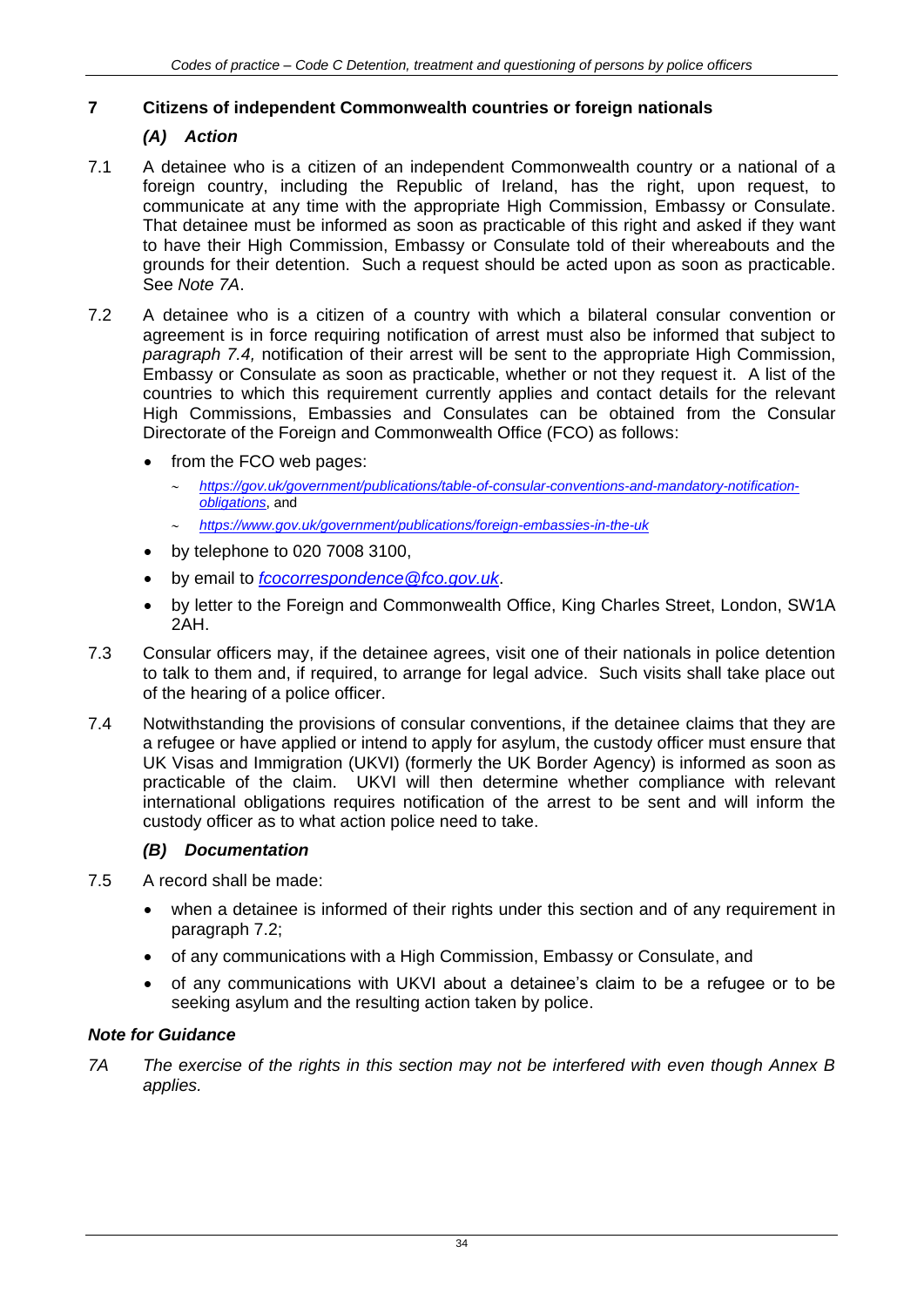### **7 Citizens of independent Commonwealth countries or foreign nationals**

### *(A) Action*

- 7.1 A detainee who is a citizen of an independent Commonwealth country or a national of a foreign country, including the Republic of Ireland, has the right, upon request, to communicate at any time with the appropriate High Commission, Embassy or Consulate. That detainee must be informed as soon as practicable of this right and asked if they want to have their High Commission, Embassy or Consulate told of their whereabouts and the grounds for their detention. Such a request should be acted upon as soon as practicable. See *Note 7A*.
- 7.2 A detainee who is a citizen of a country with which a bilateral consular convention or agreement is in force requiring notification of arrest must also be informed that subject to *paragraph 7.4,* notification of their arrest will be sent to the appropriate High Commission, Embassy or Consulate as soon as practicable, whether or not they request it. A list of the countries to which this requirement currently applies and contact details for the relevant High Commissions, Embassies and Consulates can be obtained from the Consular Directorate of the Foreign and Commonwealth Office (FCO) as follows:
	- from the FCO web pages:
		- *[https://gov.uk/government/publications/table-of-consular-conventions-and-mandatory-notification](https://gov.uk/government/publications/table-of-consular-conventions-and-mandatory-notification-obligations)[obligations](https://gov.uk/government/publications/table-of-consular-conventions-and-mandatory-notification-obligations)*, and
		- *<https://www.gov.uk/government/publications/foreign-embassies-in-the-uk>*
	- by telephone to 020 7008 3100,
	- by email to *[fcocorrespondence@fco.gov.uk](mailto:fcocorrespondence@fco.gov.uk)*.
	- by letter to the Foreign and Commonwealth Office, King Charles Street, London, SW1A 2AH.
- 7.3 Consular officers may, if the detainee agrees, visit one of their nationals in police detention to talk to them and, if required, to arrange for legal advice. Such visits shall take place out of the hearing of a police officer.
- 7.4 Notwithstanding the provisions of consular conventions, if the detainee claims that they are a refugee or have applied or intend to apply for asylum, the custody officer must ensure that UK Visas and Immigration (UKVI) (formerly the UK Border Agency) is informed as soon as practicable of the claim. UKVI will then determine whether compliance with relevant international obligations requires notification of the arrest to be sent and will inform the custody officer as to what action police need to take.

#### *(B) Documentation*

- 7.5 A record shall be made:
	- when a detainee is informed of their rights under this section and of any requirement in paragraph 7.2;
	- of any communications with a High Commission, Embassy or Consulate, and
	- of any communications with UKVI about a detainee's claim to be a refugee or to be seeking asylum and the resulting action taken by police.

#### *Note for Guidance*

*7A The exercise of the rights in this section may not be interfered with even though Annex B applies.*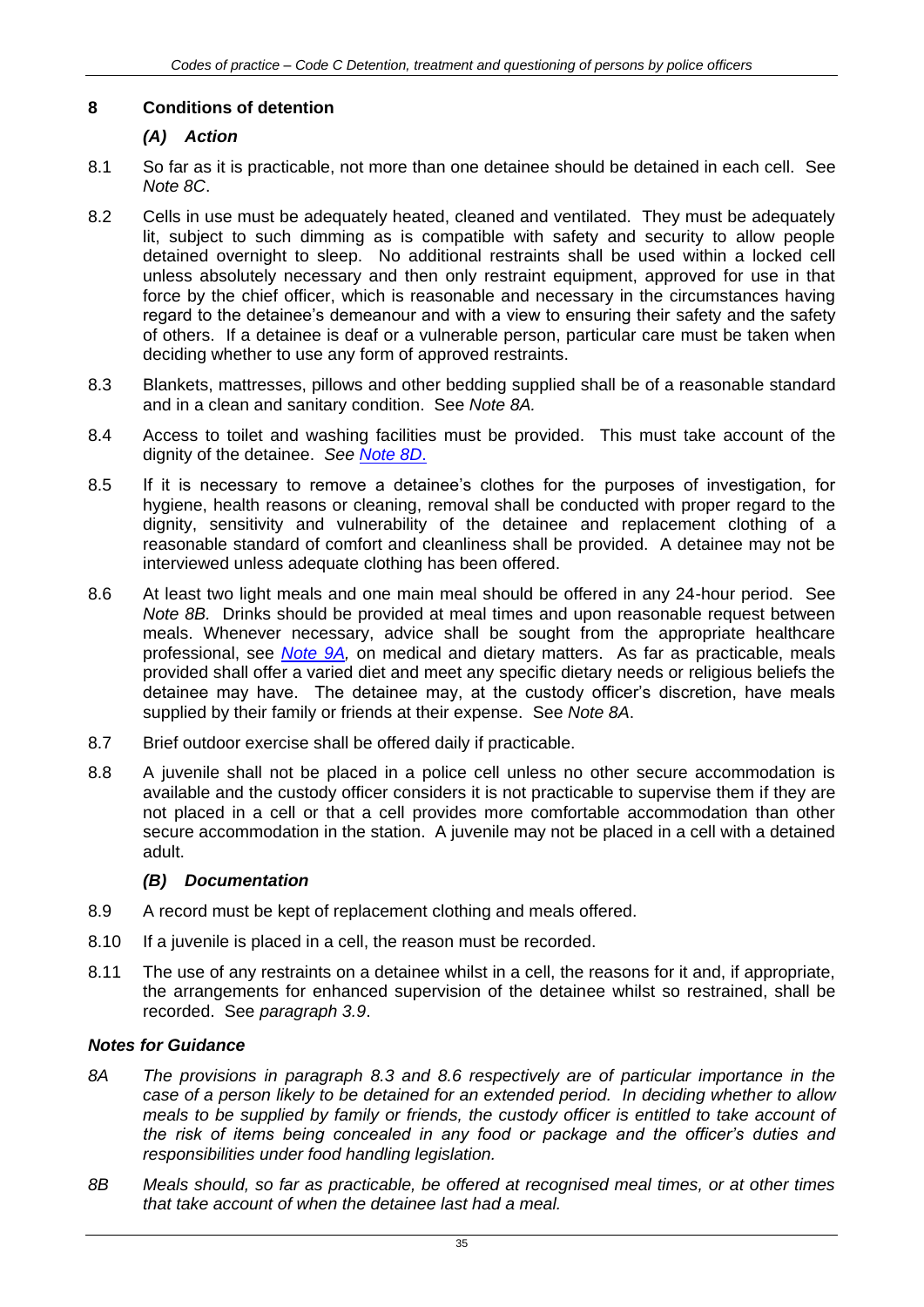#### **8 Conditions of detention**

#### *(A) Action*

- 8.1 So far as it is practicable, not more than one detainee should be detained in each cell. See *Note 8C*.
- 8.2 Cells in use must be adequately heated, cleaned and ventilated. They must be adequately lit, subject to such dimming as is compatible with safety and security to allow people detained overnight to sleep. No additional restraints shall be used within a locked cell unless absolutely necessary and then only restraint equipment, approved for use in that force by the chief officer, which is reasonable and necessary in the circumstances having regard to the detainee's demeanour and with a view to ensuring their safety and the safety of others. If a detainee is deaf or a vulnerable person, particular care must be taken when deciding whether to use any form of approved restraints.
- 8.3 Blankets, mattresses, pillows and other bedding supplied shall be of a reasonable standard and in a clean and sanitary condition. See *Note 8A.*
- 8.4 Access to toilet and washing facilities must be provided. This must take account of the dignity of the detainee. *See [Note 8D](#page-39-0)*.
- 8.5 If it is necessary to remove a detainee's clothes for the purposes of investigation, for hygiene, health reasons or cleaning, removal shall be conducted with proper regard to the dignity, sensitivity and vulnerability of the detainee and replacement clothing of a reasonable standard of comfort and cleanliness shall be provided. A detainee may not be interviewed unless adequate clothing has been offered.
- 8.6 At least two light meals and one main meal should be offered in any 24-hour period. See *Note 8B.* Drinks should be provided at meal times and upon reasonable request between meals. Whenever necessary, advice shall be sought from the appropriate healthcare professional, see *[Note 9A,](#page-41-0)* on medical and dietary matters. As far as practicable, meals provided shall offer a varied diet and meet any specific dietary needs or religious beliefs the detainee may have. The detainee may, at the custody officer's discretion, have meals supplied by their family or friends at their expense. See *Note 8A*.
- 8.7 Brief outdoor exercise shall be offered daily if practicable.
- 8.8 A juvenile shall not be placed in a police cell unless no other secure accommodation is available and the custody officer considers it is not practicable to supervise them if they are not placed in a cell or that a cell provides more comfortable accommodation than other secure accommodation in the station. A juvenile may not be placed in a cell with a detained adult.

#### *(B) Documentation*

- 8.9 A record must be kept of replacement clothing and meals offered.
- 8.10 If a juvenile is placed in a cell, the reason must be recorded.
- 8.11 The use of any restraints on a detainee whilst in a cell, the reasons for it and, if appropriate, the arrangements for enhanced supervision of the detainee whilst so restrained, shall be recorded. See *paragraph 3.9*.

#### *Notes for Guidance*

- *8A The provisions in paragraph 8.3 and 8.6 respectively are of particular importance in the case of a person likely to be detained for an extended period. In deciding whether to allow meals to be supplied by family or friends, the custody officer is entitled to take account of the risk of items being concealed in any food or package and the officer's duties and responsibilities under food handling legislation.*
- *8B Meals should, so far as practicable, be offered at recognised meal times, or at other times that take account of when the detainee last had a meal.*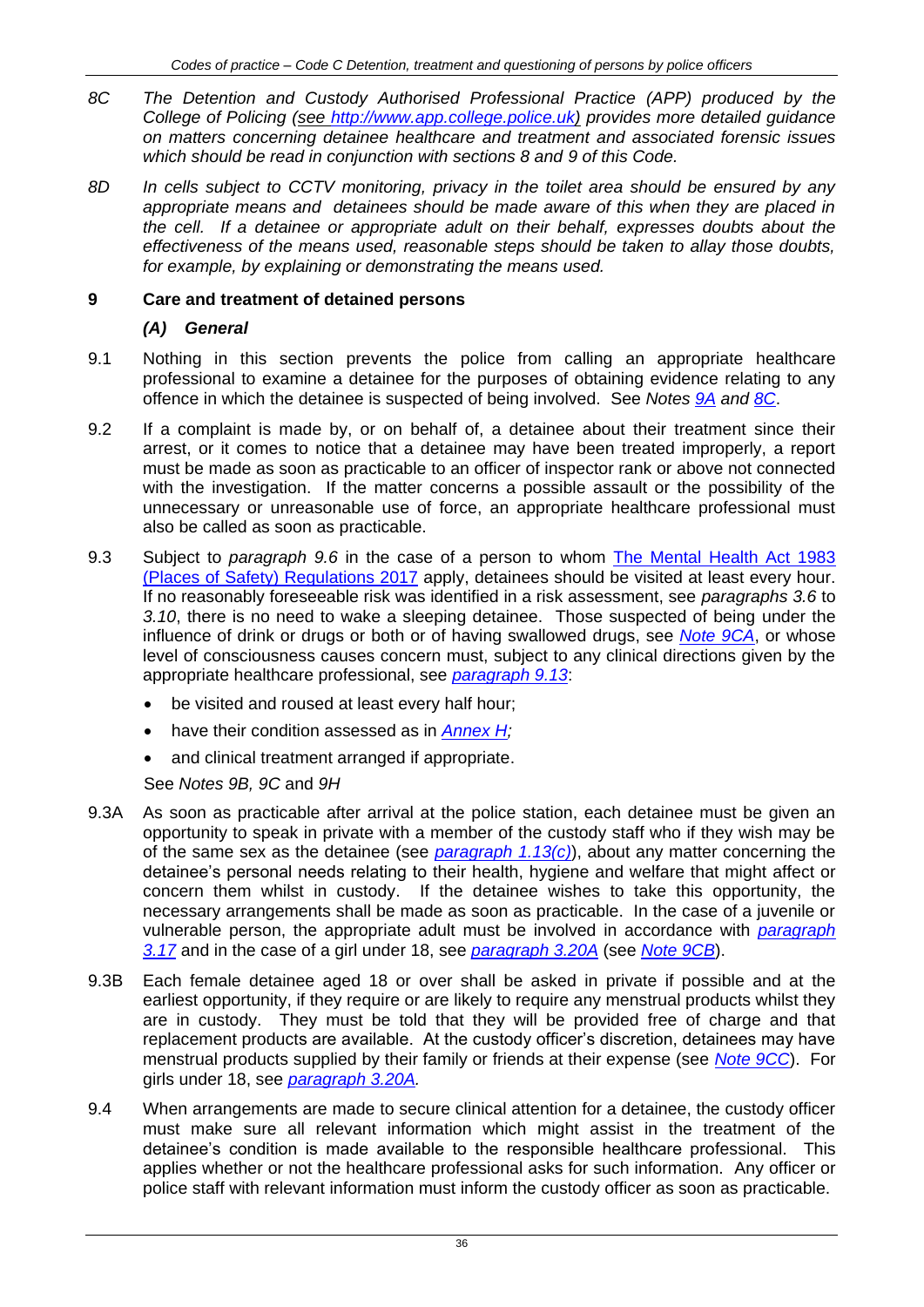- <span id="page-39-0"></span>*8C The Detention and Custody Authorised Professional Practice (APP) produced by the College of Policing (see [http://www.app.college.police.uk\)](http://www.app.college.police.uk/) provides more detailed guidance on matters concerning detainee healthcare and treatment and associated forensic issues which should be read in conjunction with sections 8 and 9 of this Code.*
- *8D In cells subject to CCTV monitoring, privacy in the toilet area should be ensured by any appropriate means and detainees should be made aware of this when they are placed in the cell. If a detainee or appropriate adult on their behalf, expresses doubts about the effectiveness of the means used, reasonable steps should be taken to allay those doubts, for example, by explaining or demonstrating the means used.*

## **9 Care and treatment of detained persons**

### *(A) General*

- 9.1 Nothing in this section prevents the police from calling an appropriate healthcare professional to examine a detainee for the purposes of obtaining evidence relating to any offence in which the detainee is suspected of being involved. See *Notes [9A](#page-41-0) and [8C](#page-39-0)*.
- 9.2 If a complaint is made by, or on behalf of, a detainee about their treatment since their arrest, or it comes to notice that a detainee may have been treated improperly, a report must be made as soon as practicable to an officer of inspector rank or above not connected with the investigation. If the matter concerns a possible assault or the possibility of the unnecessary or unreasonable use of force, an appropriate healthcare professional must also be called as soon as practicable.
- <span id="page-39-1"></span>9.3 Subject to *paragraph 9.6* in the case of a person to whom [The Mental Health Act 1983](http://www.legislation.gov.uk/uksi/2017/1036/contents/made)  [\(Places of Safety\) Regulations 2017](http://www.legislation.gov.uk/uksi/2017/1036/contents/made) apply, detainees should be visited at least every hour. If no reasonably foreseeable risk was identified in a risk assessment, see *paragraphs 3.6* to *3.10*, there is no need to wake a sleeping detainee. Those suspected of being under the influence of drink or drugs or both or of having swallowed drugs, see *[Note 9CA](#page-42-0)*, or whose level of consciousness causes concern must, subject to any clinical directions given by the appropriate healthcare professional, see *[paragraph 9.13](#page-41-1)*:
	- be visited and roused at least every half hour;
	- have their condition assessed as in *[Annex H;](#page-89-0)*
	- and clinical treatment arranged if appropriate.

See *Notes 9B, 9C* and *9H*

- <span id="page-39-2"></span>9.3A As soon as practicable after arrival at the police station, each detainee must be given an opportunity to speak in private with a member of the custody staff who if they wish may be of the same sex as the detainee (see *[paragraph](#page-11-0) 1.13(c)*), about any matter concerning the detainee's personal needs relating to their health, hygiene and welfare that might affect or concern them whilst in custody. If the detainee wishes to take this opportunity, the necessary arrangements shall be made as soon as practicable. In the case of a juvenile or vulnerable person, the appropriate adult must be involved in accordance with *[paragraph](#page-22-0)  [3.17](#page-22-0)* and in the case of a girl under 18, see *[paragraph 3.20A](#page-22-1)* (see *[Note 9CB](#page-42-1)*).
- <span id="page-39-3"></span>9.3B Each female detainee aged 18 or over shall be asked in private if possible and at the earliest opportunity, if they require or are likely to require any menstrual products whilst they are in custody. They must be told that they will be provided free of charge and that replacement products are available. At the custody officer's discretion, detainees may have menstrual products supplied by their family or friends at their expense (see *[Note 9CC](#page-42-2)*). For girls under 18, see *[paragraph 3.20A.](#page-22-1)*
- 9.4 When arrangements are made to secure clinical attention for a detainee, the custody officer must make sure all relevant information which might assist in the treatment of the detainee's condition is made available to the responsible healthcare professional. This applies whether or not the healthcare professional asks for such information. Any officer or police staff with relevant information must inform the custody officer as soon as practicable.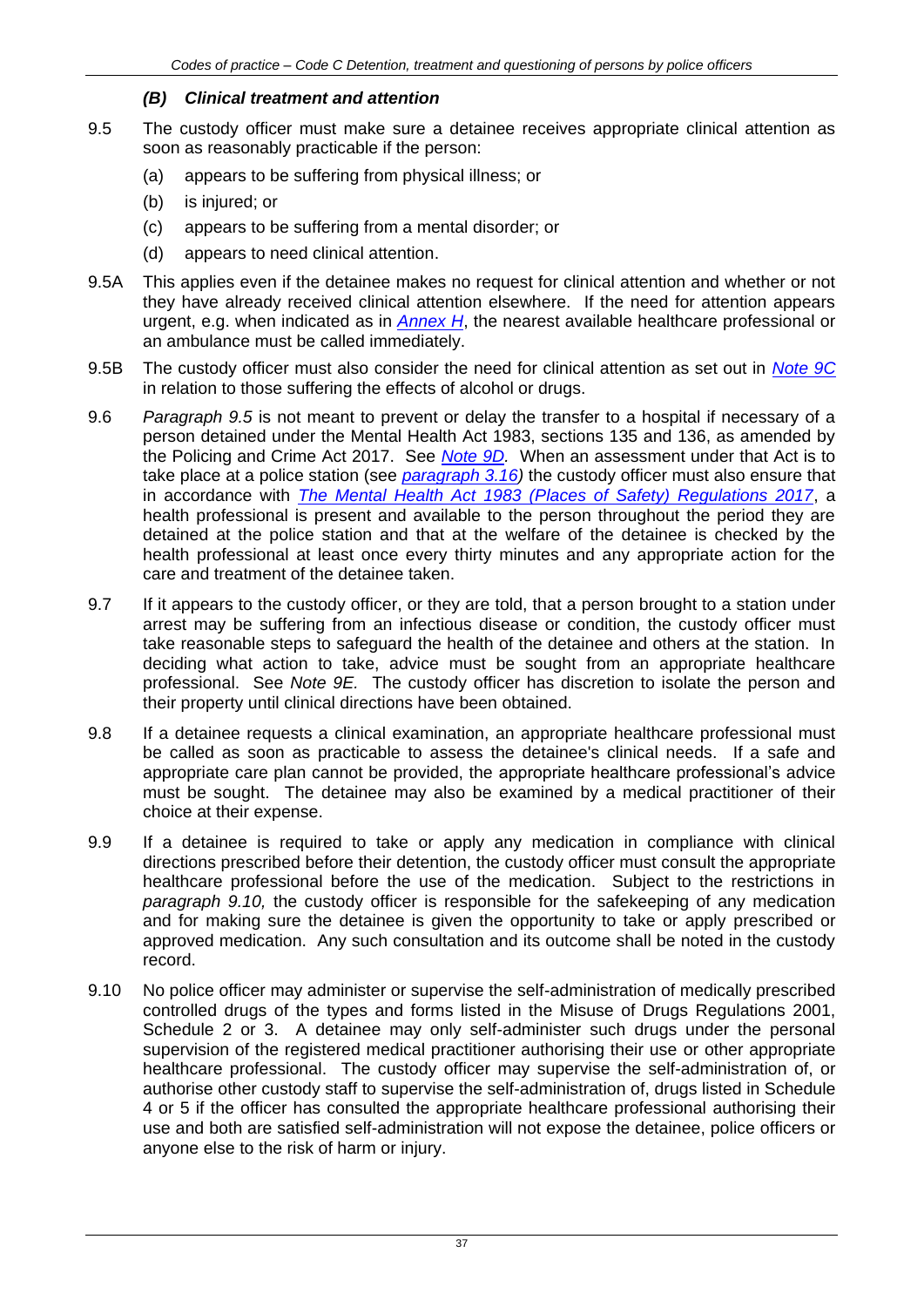### *(B) Clinical treatment and attention*

- 9.5 The custody officer must make sure a detainee receives appropriate clinical attention as soon as reasonably practicable if the person:
	- (a) appears to be suffering from physical illness; or
	- (b) is injured; or
	- (c) appears to be suffering from a mental disorder; or
	- (d) appears to need clinical attention.
- 9.5A This applies even if the detainee makes no request for clinical attention and whether or not they have already received clinical attention elsewhere. If the need for attention appears urgent, e.g. when indicated as in *[Annex H](#page-89-0)*, the nearest available healthcare professional or an ambulance must be called immediately.
- 9.5B The custody officer must also consider the need for clinical attention as set out in *[Note 9C](#page-42-3)* in relation to those suffering the effects of alcohol or drugs.
- 9.6 *Paragraph 9.5* is not meant to prevent or delay the transfer to a hospital if necessary of a person detained under the Mental Health Act 1983, sections 135 and 136, as amended by the Policing and Crime Act 2017. See *[Note 9D.](#page-42-4)* When an assessment under that Act is to take place at a police station (see *[paragraph](#page-21-0) 3.16)* the custody officer must also ensure that in accordance with *[The Mental Health Act 1983 \(Places of Safety\) Regulations 2017](http://www.legislation.gov.uk/uksi/2017/1036/contents/made)*, a health professional is present and available to the person throughout the period they are detained at the police station and that at the welfare of the detainee is checked by the health professional at least once every thirty minutes and any appropriate action for the care and treatment of the detainee taken.
- 9.7 If it appears to the custody officer, or they are told, that a person brought to a station under arrest may be suffering from an infectious disease or condition, the custody officer must take reasonable steps to safeguard the health of the detainee and others at the station. In deciding what action to take, advice must be sought from an appropriate healthcare professional. See *Note 9E.* The custody officer has discretion to isolate the person and their property until clinical directions have been obtained.
- 9.8 If a detainee requests a clinical examination, an appropriate healthcare professional must be called as soon as practicable to assess the detainee's clinical needs. If a safe and appropriate care plan cannot be provided, the appropriate healthcare professional's advice must be sought. The detainee may also be examined by a medical practitioner of their choice at their expense.
- 9.9 If a detainee is required to take or apply any medication in compliance with clinical directions prescribed before their detention, the custody officer must consult the appropriate healthcare professional before the use of the medication. Subject to the restrictions in *paragraph 9.10,* the custody officer is responsible for the safekeeping of any medication and for making sure the detainee is given the opportunity to take or apply prescribed or approved medication. Any such consultation and its outcome shall be noted in the custody record.
- 9.10 No police officer may administer or supervise the self-administration of medically prescribed controlled drugs of the types and forms listed in the Misuse of Drugs Regulations 2001, Schedule 2 or 3. A detainee may only self-administer such drugs under the personal supervision of the registered medical practitioner authorising their use or other appropriate healthcare professional. The custody officer may supervise the self-administration of, or authorise other custody staff to supervise the self-administration of, drugs listed in Schedule 4 or 5 if the officer has consulted the appropriate healthcare professional authorising their use and both are satisfied self-administration will not expose the detainee, police officers or anyone else to the risk of harm or injury.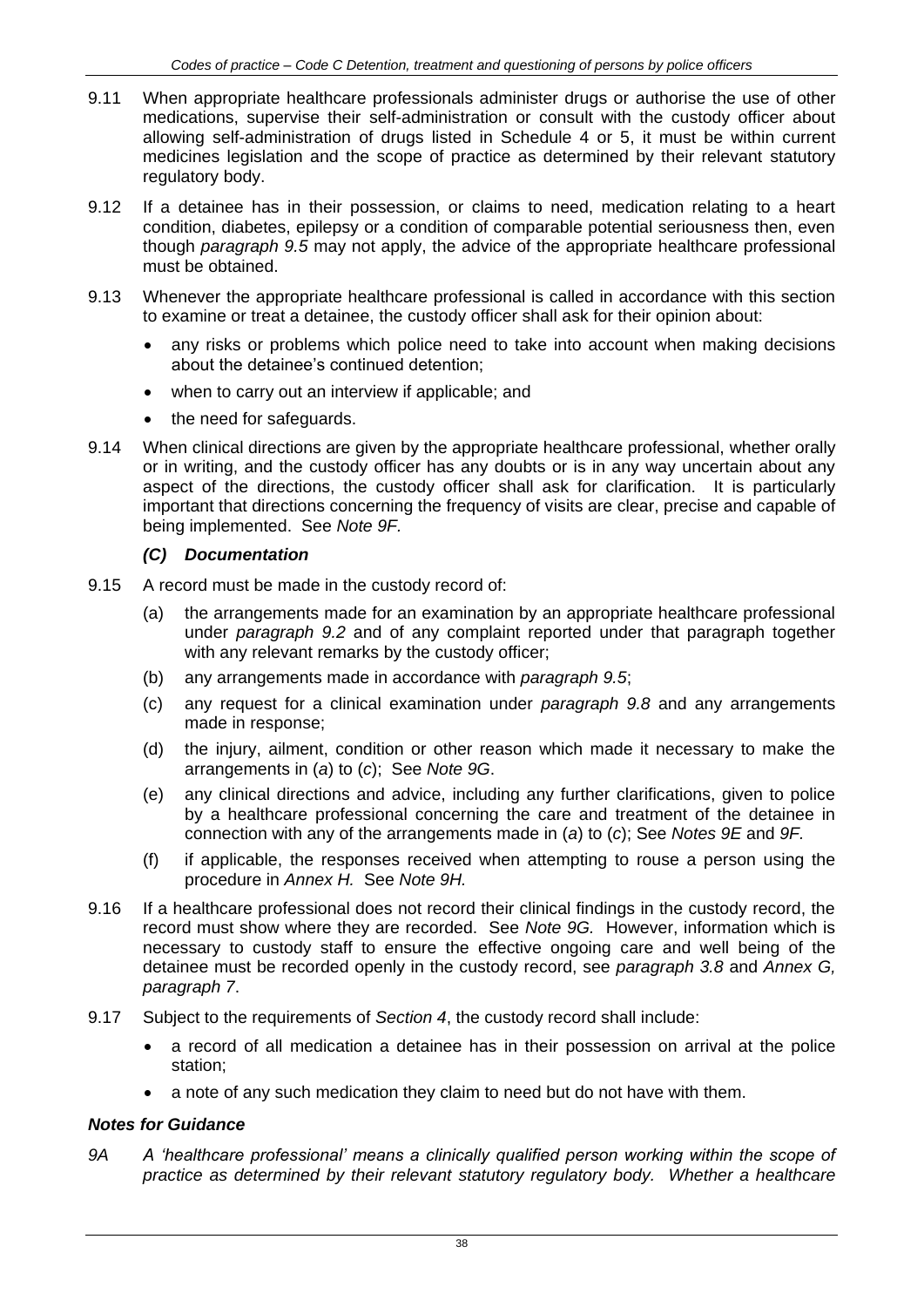- 9.11 When appropriate healthcare professionals administer drugs or authorise the use of other medications, supervise their self-administration or consult with the custody officer about allowing self-administration of drugs listed in Schedule 4 or 5, it must be within current medicines legislation and the scope of practice as determined by their relevant statutory regulatory body.
- 9.12 If a detainee has in their possession, or claims to need, medication relating to a heart condition, diabetes, epilepsy or a condition of comparable potential seriousness then, even though *paragraph 9.5* may not apply, the advice of the appropriate healthcare professional must be obtained.
- <span id="page-41-1"></span>9.13 Whenever the appropriate healthcare professional is called in accordance with this section to examine or treat a detainee, the custody officer shall ask for their opinion about:
	- any risks or problems which police need to take into account when making decisions about the detainee's continued detention;
	- when to carry out an interview if applicable; and
	- the need for safeguards.
- 9.14 When clinical directions are given by the appropriate healthcare professional, whether orally or in writing, and the custody officer has any doubts or is in any way uncertain about any aspect of the directions, the custody officer shall ask for clarification. It is particularly important that directions concerning the frequency of visits are clear, precise and capable of being implemented. See *Note 9F.*

### *(C) Documentation*

- 9.15 A record must be made in the custody record of:
	- (a) the arrangements made for an examination by an appropriate healthcare professional under *paragraph 9.2* and of any complaint reported under that paragraph together with any relevant remarks by the custody officer;
	- (b) any arrangements made in accordance with *paragraph 9.5*;
	- (c) any request for a clinical examination under *paragraph 9.8* and any arrangements made in response;
	- (d) the injury, ailment, condition or other reason which made it necessary to make the arrangements in (*a*) to (*c*); See *Note 9G*.
	- (e) any clinical directions and advice, including any further clarifications, given to police by a healthcare professional concerning the care and treatment of the detainee in connection with any of the arrangements made in (*a*) to (*c*); See *Notes 9E* and *9F.*
	- (f) if applicable, the responses received when attempting to rouse a person using the procedure in *Annex H.* See *Note 9H.*
- 9.16 If a healthcare professional does not record their clinical findings in the custody record, the record must show where they are recorded. See *Note 9G.* However, information which is necessary to custody staff to ensure the effective ongoing care and well being of the detainee must be recorded openly in the custody record, see *paragraph 3.8* and *Annex G, paragraph 7*.
- 9.17 Subject to the requirements of *Section 4*, the custody record shall include:
	- a record of all medication a detainee has in their possession on arrival at the police station;
	- a note of any such medication they claim to need but do not have with them.

#### *Notes for Guidance*

<span id="page-41-0"></span>*9A A 'healthcare professional' means a clinically qualified person working within the scope of practice as determined by their relevant statutory regulatory body. Whether a healthcare*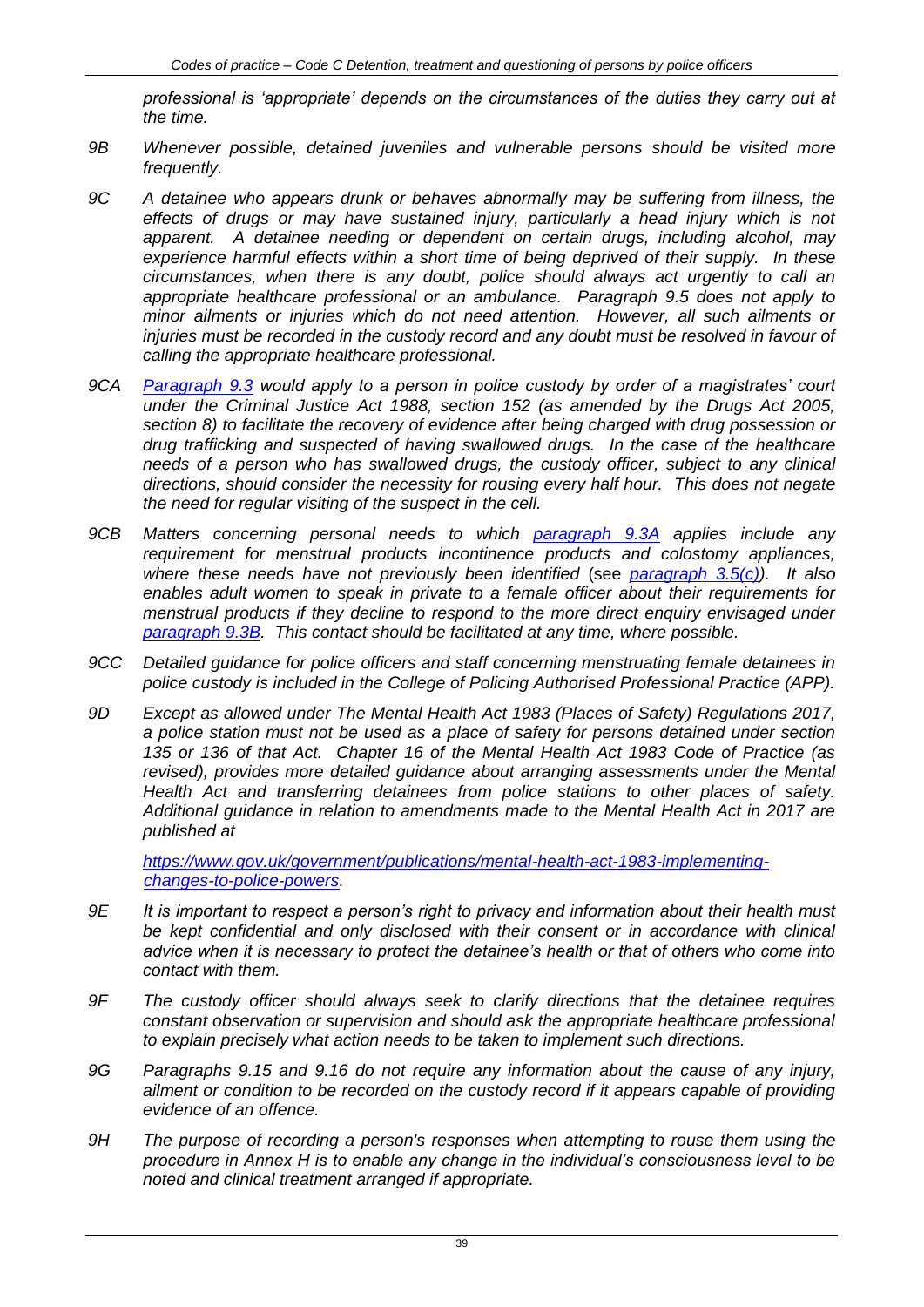*professional is 'appropriate' depends on the circumstances of the duties they carry out at the time.*

- *9B Whenever possible, detained juveniles and vulnerable persons should be visited more frequently.*
- <span id="page-42-3"></span>*9C A detainee who appears drunk or behaves abnormally may be suffering from illness, the effects of drugs or may have sustained injury, particularly a head injury which is not apparent. A detainee needing or dependent on certain drugs, including alcohol, may experience harmful effects within a short time of being deprived of their supply. In these circumstances, when there is any doubt, police should always act urgently to call an appropriate healthcare professional or an ambulance. Paragraph 9.5 does not apply to minor ailments or injuries which do not need attention. However, all such ailments or injuries must be recorded in the custody record and any doubt must be resolved in favour of calling the appropriate healthcare professional.*
- <span id="page-42-0"></span>*9CA [Paragraph 9.3](#page-39-1) would apply to a person in police custody by order of a magistrates' court under the Criminal Justice Act 1988, section 152 (as amended by the Drugs Act 2005, section 8) to facilitate the recovery of evidence after being charged with drug possession or drug trafficking and suspected of having swallowed drugs. In the case of the healthcare needs of a person who has swallowed drugs, the custody officer, subject to any clinical directions, should consider the necessity for rousing every half hour. This does not negate the need for regular visiting of the suspect in the cell.*
- <span id="page-42-1"></span>*9CB Matters concerning personal needs to which [paragraph 9.3A](#page-39-2) applies include any requirement for menstrual products incontinence products and colostomy appliances, where these needs have not previously been identified* (see *[paragraph 3.5\(c\)\)](#page-19-0). It also enables adult women to speak in private to a female officer about their requirements for menstrual products if they decline to respond to the more direct enquiry envisaged under [paragraph 9.3B.](#page-39-3) This contact should be facilitated at any time, where possible.*
- <span id="page-42-2"></span>*9CC Detailed guidance for police officers and staff concerning menstruating female detainees in police custody is included in the College of Policing Authorised Professional Practice (APP).*
- <span id="page-42-4"></span>*9D Except as allowed under The Mental Health Act 1983 (Places of Safety) Regulations 2017, a police station must not be used as a place of safety for persons detained under section 135 or 136 of that Act. Chapter 16 of the Mental Health Act 1983 Code of Practice (as revised), provides more detailed guidance about arranging assessments under the Mental Health Act and transferring detainees from police stations to other places of safety. Additional guidance in relation to amendments made to the Mental Health Act in 2017 are published at*

*[https://www.gov.uk/government/publications/mental-health-act-1983-implementing](https://www.gov.uk/government/publications/mental-health-act-1983-implementing-changes-to-police-powers)[changes-to-police-powers.](https://www.gov.uk/government/publications/mental-health-act-1983-implementing-changes-to-police-powers)*

- *9E It is important to respect a person's right to privacy and information about their health must be kept confidential and only disclosed with their consent or in accordance with clinical advice when it is necessary to protect the detainee's health or that of others who come into contact with them.*
- *9F The custody officer should always seek to clarify directions that the detainee requires constant observation or supervision and should ask the appropriate healthcare professional to explain precisely what action needs to be taken to implement such directions.*
- *9G Paragraphs 9.15 and 9.16 do not require any information about the cause of any injury, ailment or condition to be recorded on the custody record if it appears capable of providing evidence of an offence.*
- *9H The purpose of recording a person's responses when attempting to rouse them using the procedure in Annex H is to enable any change in the individual's consciousness level to be noted and clinical treatment arranged if appropriate.*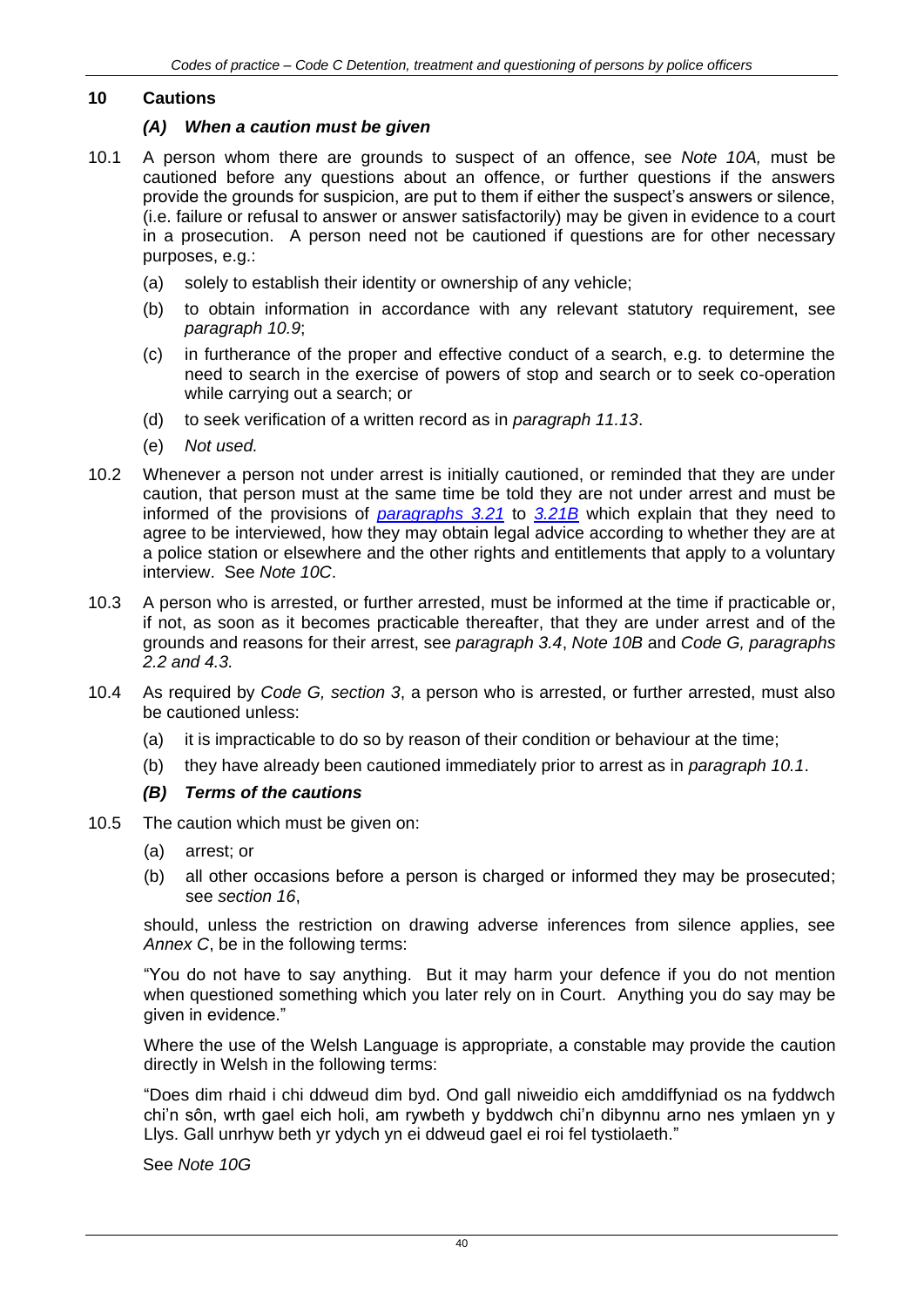#### **10 Cautions**

### *(A) When a caution must be given*

- 10.1 A person whom there are grounds to suspect of an offence, see *Note 10A,* must be cautioned before any questions about an offence, or further questions if the answers provide the grounds for suspicion, are put to them if either the suspect's answers or silence, (i.e. failure or refusal to answer or answer satisfactorily) may be given in evidence to a court in a prosecution. A person need not be cautioned if questions are for other necessary purposes, e.g.:
	- (a) solely to establish their identity or ownership of any vehicle;
	- (b) to obtain information in accordance with any relevant statutory requirement, see *paragraph 10.9*;
	- (c) in furtherance of the proper and effective conduct of a search, e.g. to determine the need to search in the exercise of powers of stop and search or to seek co-operation while carrying out a search; or
	- (d) to seek verification of a written record as in *paragraph 11.13*.
	- (e) *Not used.*
- 10.2 Whenever a person not under arrest is initially cautioned, or reminded that they are under caution, that person must at the same time be told they are not under arrest and must be informed of the provisions of *[paragraphs 3.21](#page-22-2)* to *3.21B* which explain that they need to agree to be interviewed, how they may obtain legal advice according to whether they are at a police station or elsewhere and the other rights and entitlements that apply to a voluntary interview. See *Note 10C*.
- 10.3 A person who is arrested, or further arrested, must be informed at the time if practicable or, if not, as soon as it becomes practicable thereafter, that they are under arrest and of the grounds and reasons for their arrest, see *paragraph 3.4*, *Note 10B* and *Code G, paragraphs 2.2 and 4.3.*
- 10.4 As required by *Code G, section 3*, a person who is arrested, or further arrested, must also be cautioned unless:
	- (a) it is impracticable to do so by reason of their condition or behaviour at the time;
	- (b) they have already been cautioned immediately prior to arrest as in *paragraph 10.1*.

## *(B) Terms of the cautions*

- 10.5 The caution which must be given on:
	- (a) arrest; or
	- (b) all other occasions before a person is charged or informed they may be prosecuted; see *section 16*,

should, unless the restriction on drawing adverse inferences from silence applies, see *Annex C*, be in the following terms:

"You do not have to say anything. But it may harm your defence if you do not mention when questioned something which you later rely on in Court. Anything you do say may be given in evidence."

Where the use of the Welsh Language is appropriate, a constable may provide the caution directly in Welsh in the following terms:

"Does dim rhaid i chi ddweud dim byd. Ond gall niweidio eich amddiffyniad os na fyddwch chi'n sôn, wrth gael eich holi, am rywbeth y byddwch chi'n dibynnu arno nes ymlaen yn y Llys. Gall unrhyw beth yr ydych yn ei ddweud gael ei roi fel tystiolaeth."

See *Note 10G*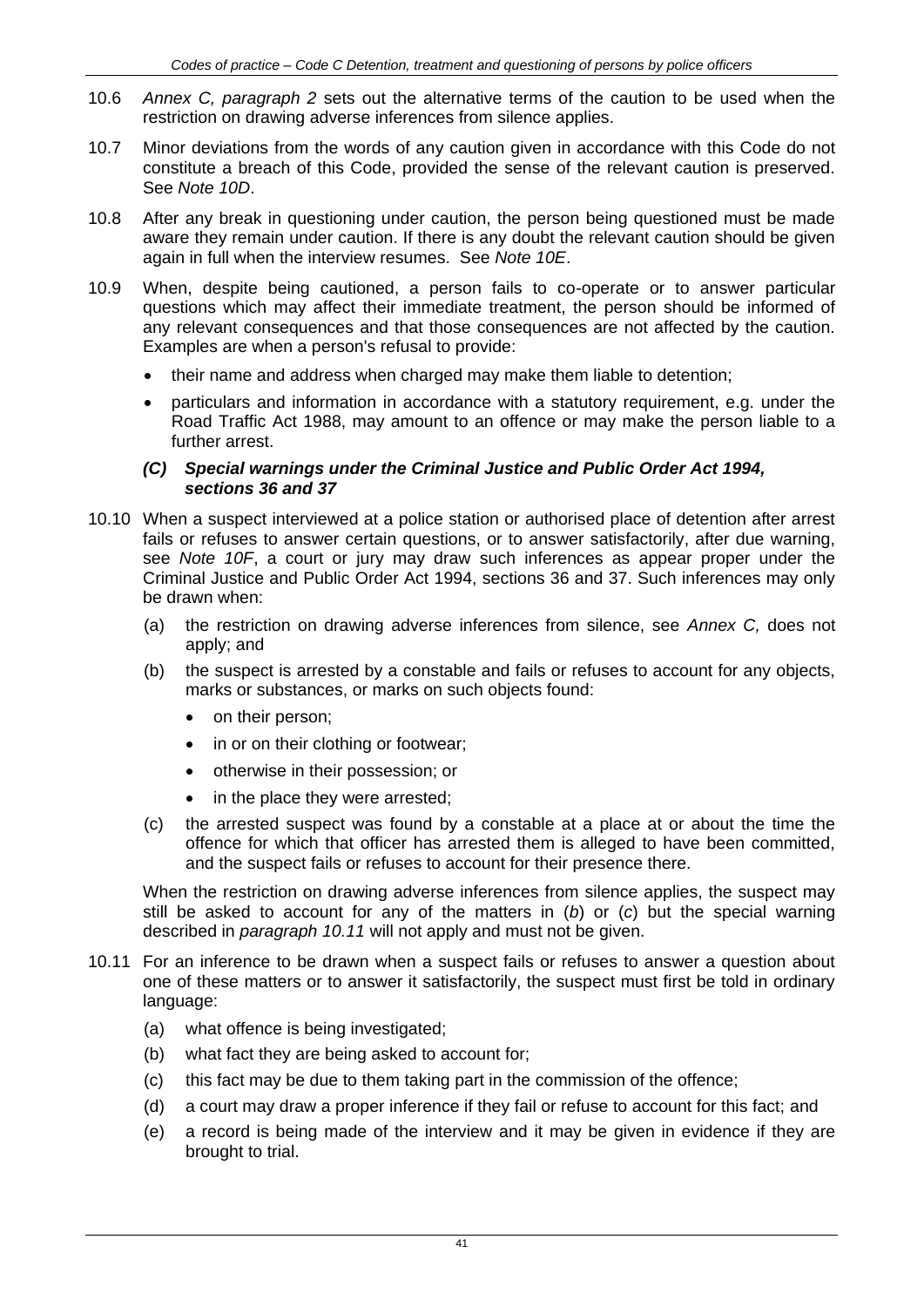- 10.6 *Annex C, paragraph 2* sets out the alternative terms of the caution to be used when the restriction on drawing adverse inferences from silence applies.
- 10.7 Minor deviations from the words of any caution given in accordance with this Code do not constitute a breach of this Code, provided the sense of the relevant caution is preserved. See *Note 10D*.
- 10.8 After any break in questioning under caution, the person being questioned must be made aware they remain under caution. If there is any doubt the relevant caution should be given again in full when the interview resumes. See *Note 10E*.
- <span id="page-44-0"></span>10.9 When, despite being cautioned, a person fails to co-operate or to answer particular questions which may affect their immediate treatment, the person should be informed of any relevant consequences and that those consequences are not affected by the caution. Examples are when a person's refusal to provide:
	- their name and address when charged may make them liable to detention;
	- particulars and information in accordance with a statutory requirement, e.g. under the Road Traffic Act 1988, may amount to an offence or may make the person liable to a further arrest.

### *(C) Special warnings under the Criminal Justice and Public Order Act 1994, sections 36 and 37*

- 10.10 When a suspect interviewed at a police station or authorised place of detention after arrest fails or refuses to answer certain questions, or to answer satisfactorily, after due warning, see *Note 10F*, a court or jury may draw such inferences as appear proper under the Criminal Justice and Public Order Act 1994, sections 36 and 37. Such inferences may only be drawn when:
	- (a) the restriction on drawing adverse inferences from silence, see *Annex C,* does not apply; and
	- (b) the suspect is arrested by a constable and fails or refuses to account for any objects, marks or substances, or marks on such objects found:
		- on their person;
		- in or on their clothing or footwear;
		- otherwise in their possession; or
		- in the place they were arrested;
	- (c) the arrested suspect was found by a constable at a place at or about the time the offence for which that officer has arrested them is alleged to have been committed, and the suspect fails or refuses to account for their presence there.

When the restriction on drawing adverse inferences from silence applies, the suspect may still be asked to account for any of the matters in (*b*) or (*c*) but the special warning described in *paragraph 10.11* will not apply and must not be given.

- 10.11 For an inference to be drawn when a suspect fails or refuses to answer a question about one of these matters or to answer it satisfactorily, the suspect must first be told in ordinary language:
	- (a) what offence is being investigated;
	- (b) what fact they are being asked to account for;
	- (c) this fact may be due to them taking part in the commission of the offence;
	- (d) a court may draw a proper inference if they fail or refuse to account for this fact; and
	- (e) a record is being made of the interview and it may be given in evidence if they are brought to trial.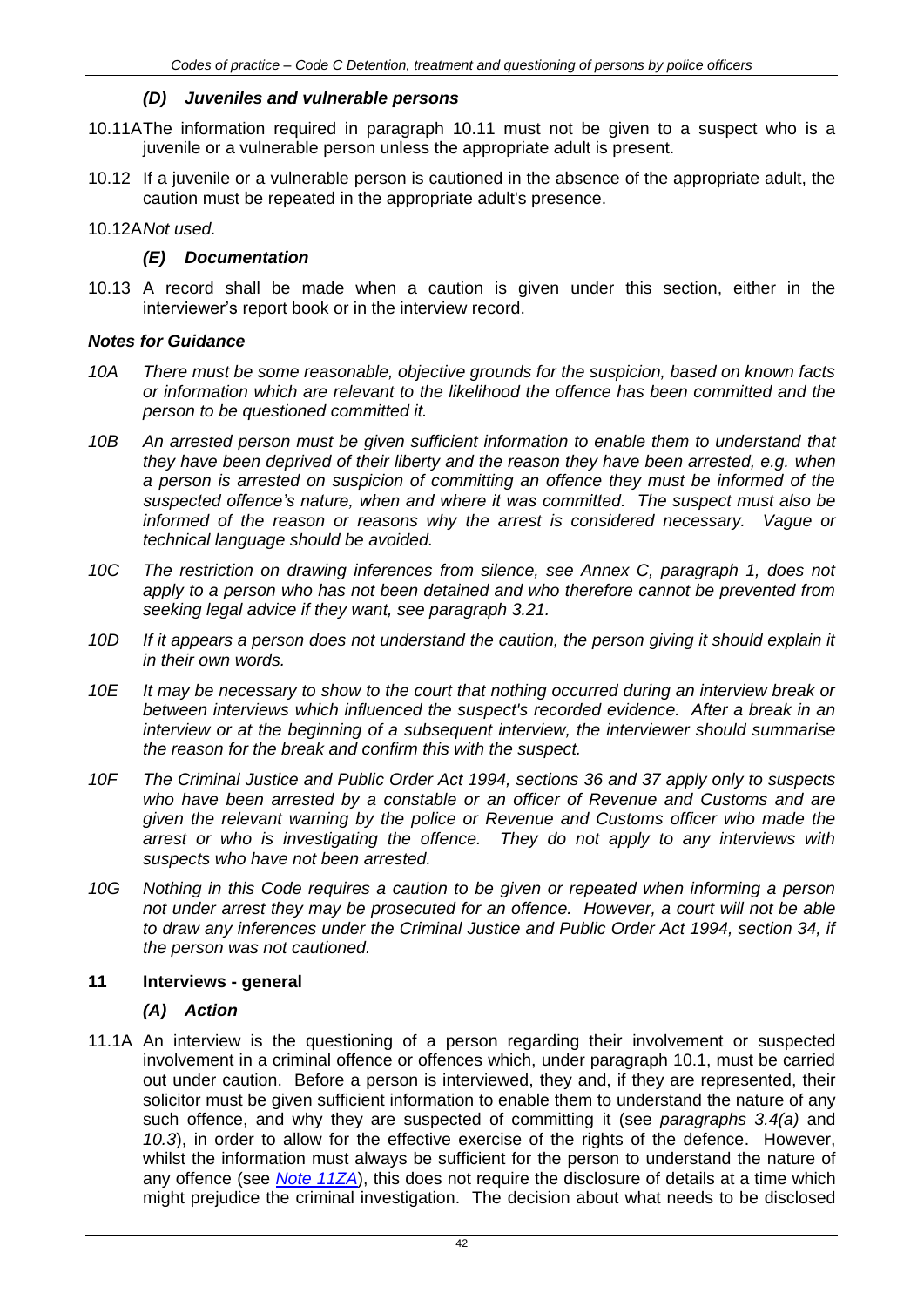#### *(D) Juveniles and vulnerable persons*

- 10.11AThe information required in paragraph 10.11 must not be given to a suspect who is a juvenile or a vulnerable person unless the appropriate adult is present.
- 10.12 If a juvenile or a vulnerable person is cautioned in the absence of the appropriate adult, the caution must be repeated in the appropriate adult's presence.
- 10.12A*Not used.*

#### *(E) Documentation*

10.13 A record shall be made when a caution is given under this section, either in the interviewer's report book or in the interview record.

#### *Notes for Guidance*

- *10A There must be some reasonable, objective grounds for the suspicion, based on known facts or information which are relevant to the likelihood the offence has been committed and the person to be questioned committed it.*
- *10B An arrested person must be given sufficient information to enable them to understand that they have been deprived of their liberty and the reason they have been arrested, e.g. when a person is arrested on suspicion of committing an offence they must be informed of the suspected offence's nature, when and where it was committed. The suspect must also be informed of the reason or reasons why the arrest is considered necessary. Vague or technical language should be avoided.*
- *10C The restriction on drawing inferences from silence, see Annex C, paragraph 1, does not apply to a person who has not been detained and who therefore cannot be prevented from seeking legal advice if they want, see paragraph 3.21.*
- *10D If it appears a person does not understand the caution, the person giving it should explain it in their own words.*
- *10E It may be necessary to show to the court that nothing occurred during an interview break or between interviews which influenced the suspect's recorded evidence. After a break in an interview or at the beginning of a subsequent interview, the interviewer should summarise the reason for the break and confirm this with the suspect.*
- *10F The Criminal Justice and Public Order Act 1994, sections 36 and 37 apply only to suspects who have been arrested by a constable or an officer of Revenue and Customs and are given the relevant warning by the police or Revenue and Customs officer who made the arrest or who is investigating the offence. They do not apply to any interviews with suspects who have not been arrested.*
- *10G Nothing in this Code requires a caution to be given or repeated when informing a person not under arrest they may be prosecuted for an offence. However, a court will not be able to draw any inferences under the Criminal Justice and Public Order Act 1994, section 34, if the person was not cautioned.*

#### **11 Interviews - general**

#### *(A) Action*

11.1A An interview is the questioning of a person regarding their involvement or suspected involvement in a criminal offence or offences which, under paragraph 10.1, must be carried out under caution. Before a person is interviewed, they and, if they are represented, their solicitor must be given sufficient information to enable them to understand the nature of any such offence, and why they are suspected of committing it (see *paragraphs 3.4(a)* and *10.3*), in order to allow for the effective exercise of the rights of the defence. However, whilst the information must always be sufficient for the person to understand the nature of any offence (see *[Note 11ZA](#page-49-0)*), this does not require the disclosure of details at a time which might prejudice the criminal investigation. The decision about what needs to be disclosed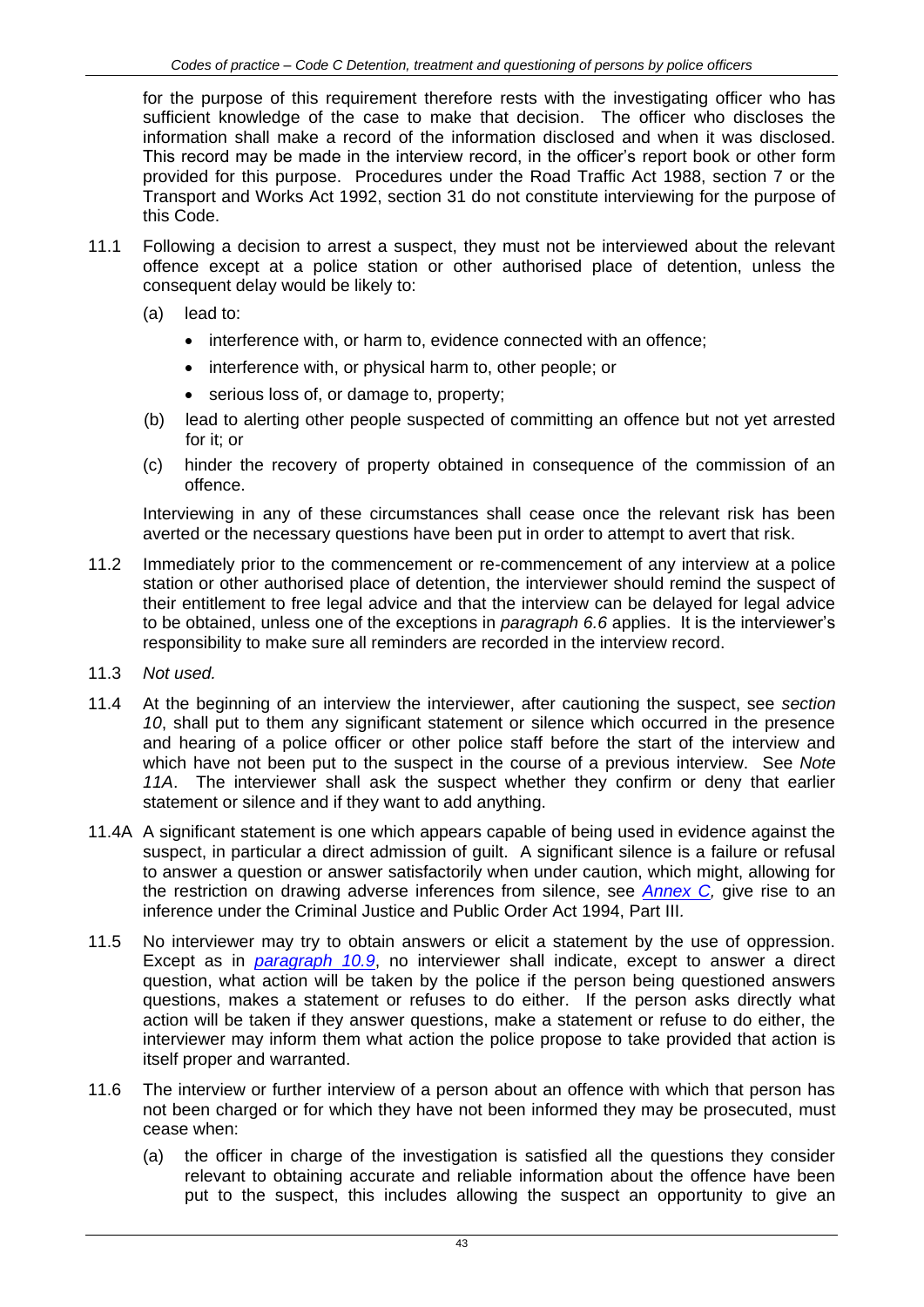for the purpose of this requirement therefore rests with the investigating officer who has sufficient knowledge of the case to make that decision. The officer who discloses the information shall make a record of the information disclosed and when it was disclosed. This record may be made in the interview record, in the officer's report book or other form provided for this purpose. Procedures under the Road Traffic Act 1988, section 7 or the Transport and Works Act 1992, section 31 do not constitute interviewing for the purpose of this Code.

- <span id="page-46-0"></span>11.1 Following a decision to arrest a suspect, they must not be interviewed about the relevant offence except at a police station or other authorised place of detention, unless the consequent delay would be likely to:
	- (a) lead to:
		- interference with, or harm to, evidence connected with an offence:
		- interference with, or physical harm to, other people; or
		- serious loss of, or damage to, property;
	- (b) lead to alerting other people suspected of committing an offence but not yet arrested for it; or
	- (c) hinder the recovery of property obtained in consequence of the commission of an offence.

Interviewing in any of these circumstances shall cease once the relevant risk has been averted or the necessary questions have been put in order to attempt to avert that risk.

- 11.2 Immediately prior to the commencement or re-commencement of any interview at a police station or other authorised place of detention, the interviewer should remind the suspect of their entitlement to free legal advice and that the interview can be delayed for legal advice to be obtained, unless one of the exceptions in *paragraph 6.6* applies. It is the interviewer's responsibility to make sure all reminders are recorded in the interview record.
- 11.3 *Not used.*
- <span id="page-46-1"></span>11.4 At the beginning of an interview the interviewer, after cautioning the suspect, see *section 10*, shall put to them any significant statement or silence which occurred in the presence and hearing of a police officer or other police staff before the start of the interview and which have not been put to the suspect in the course of a previous interview. See *Note 11A*. The interviewer shall ask the suspect whether they confirm or deny that earlier statement or silence and if they want to add anything.
- 11.4A A significant statement is one which appears capable of being used in evidence against the suspect, in particular a direct admission of guilt. A significant silence is a failure or refusal to answer a question or answer satisfactorily when under caution, which might, allowing for the restriction on drawing adverse inferences from silence, see *[Annex C,](#page-81-0)* give rise to an inference under the Criminal Justice and Public Order Act 1994, Part III*.*
- 11.5 No interviewer may try to obtain answers or elicit a statement by the use of oppression. Except as in *[paragraph 10.9](#page-44-0)*, no interviewer shall indicate, except to answer a direct question, what action will be taken by the police if the person being questioned answers questions, makes a statement or refuses to do either. If the person asks directly what action will be taken if they answer questions, make a statement or refuse to do either, the interviewer may inform them what action the police propose to take provided that action is itself proper and warranted.
- 11.6 The interview or further interview of a person about an offence with which that person has not been charged or for which they have not been informed they may be prosecuted, must cease when:
	- (a) the officer in charge of the investigation is satisfied all the questions they consider relevant to obtaining accurate and reliable information about the offence have been put to the suspect, this includes allowing the suspect an opportunity to give an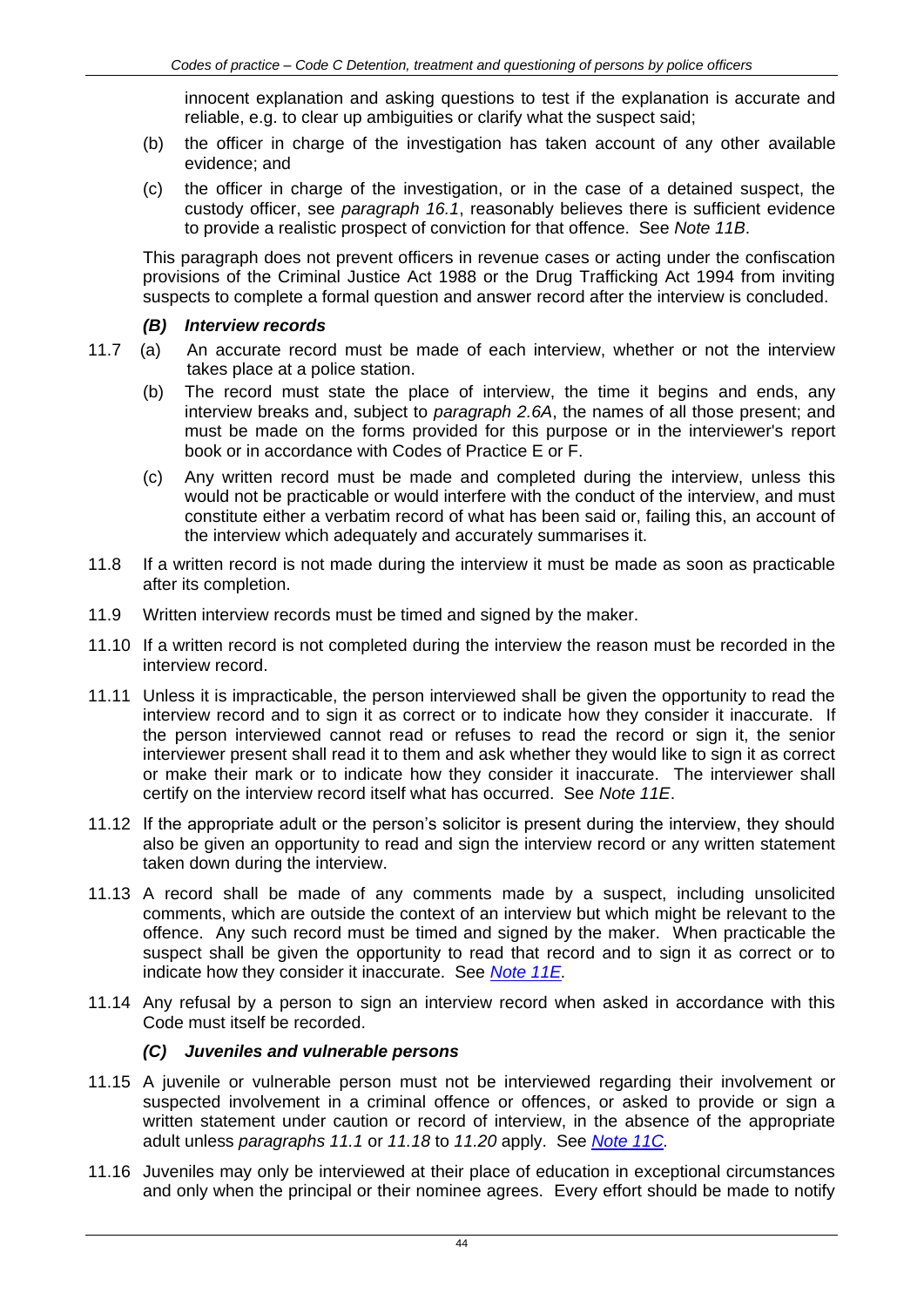innocent explanation and asking questions to test if the explanation is accurate and reliable, e.g. to clear up ambiguities or clarify what the suspect said;

- (b) the officer in charge of the investigation has taken account of any other available evidence; and
- (c) the officer in charge of the investigation, or in the case of a detained suspect, the custody officer, see *paragraph 16.1*, reasonably believes there is sufficient evidence to provide a realistic prospect of conviction for that offence. See *Note 11B*.

This paragraph does not prevent officers in revenue cases or acting under the confiscation provisions of the Criminal Justice Act 1988 or the Drug Trafficking Act 1994 from inviting suspects to complete a formal question and answer record after the interview is concluded.

#### *(B) Interview records*

- 11.7 (a) An accurate record must be made of each interview, whether or not the interview takes place at a police station.
	- (b) The record must state the place of interview, the time it begins and ends, any interview breaks and, subject to *paragraph 2.6A*, the names of all those present; and must be made on the forms provided for this purpose or in the interviewer's report book or in accordance with Codes of Practice E or F.
	- (c) Any written record must be made and completed during the interview, unless this would not be practicable or would interfere with the conduct of the interview, and must constitute either a verbatim record of what has been said or, failing this, an account of the interview which adequately and accurately summarises it.
- 11.8 If a written record is not made during the interview it must be made as soon as practicable after its completion.
- 11.9 Written interview records must be timed and signed by the maker.
- 11.10 If a written record is not completed during the interview the reason must be recorded in the interview record.
- <span id="page-47-0"></span>11.11 Unless it is impracticable, the person interviewed shall be given the opportunity to read the interview record and to sign it as correct or to indicate how they consider it inaccurate. If the person interviewed cannot read or refuses to read the record or sign it, the senior interviewer present shall read it to them and ask whether they would like to sign it as correct or make their mark or to indicate how they consider it inaccurate. The interviewer shall certify on the interview record itself what has occurred. See *Note 11E*.
- 11.12 If the appropriate adult or the person's solicitor is present during the interview, they should also be given an opportunity to read and sign the interview record or any written statement taken down during the interview.
- <span id="page-47-1"></span>11.13 A record shall be made of any comments made by a suspect, including unsolicited comments, which are outside the context of an interview but which might be relevant to the offence. Any such record must be timed and signed by the maker. When practicable the suspect shall be given the opportunity to read that record and to sign it as correct or to indicate how they consider it inaccurate. See *[Note 11E.](#page-49-1)*
- 11.14 Any refusal by a person to sign an interview record when asked in accordance with this Code must itself be recorded.

## *(C) Juveniles and vulnerable persons*

- 11.15 A juvenile or vulnerable person must not be interviewed regarding their involvement or suspected involvement in a criminal offence or offences, or asked to provide or sign a written statement under caution or record of interview, in the absence of the appropriate adult unless *paragraphs 11.1* or *11.18* to *11.20* apply. See *[Note 11C.](#page-49-2)*
- 11.16 Juveniles may only be interviewed at their place of education in exceptional circumstances and only when the principal or their nominee agrees. Every effort should be made to notify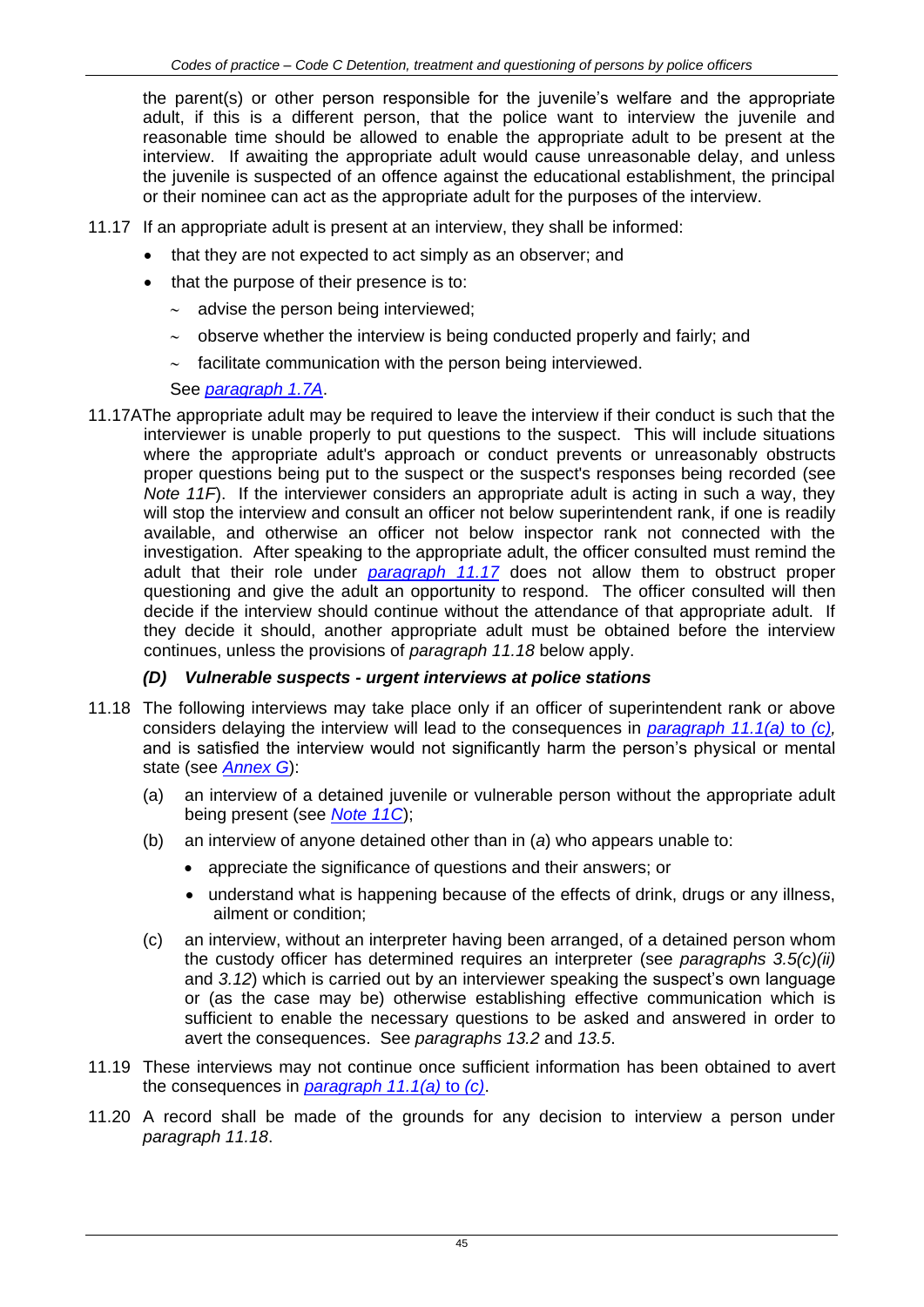the parent(s) or other person responsible for the juvenile's welfare and the appropriate adult, if this is a different person, that the police want to interview the juvenile and reasonable time should be allowed to enable the appropriate adult to be present at the interview. If awaiting the appropriate adult would cause unreasonable delay, and unless the juvenile is suspected of an offence against the educational establishment, the principal or their nominee can act as the appropriate adult for the purposes of the interview.

- <span id="page-48-0"></span>11.17 If an appropriate adult is present at an interview, they shall be informed:
	- that they are not expected to act simply as an observer; and
	- that the purpose of their presence is to:
		- $\sim$  advise the person being interviewed;
		- $\sim$  observe whether the interview is being conducted properly and fairly; and
		- $\sim$  facilitate communication with the person being interviewed.

## See *[paragraph 1.7A](#page-10-0)*.

11.17AThe appropriate adult may be required to leave the interview if their conduct is such that the interviewer is unable properly to put questions to the suspect. This will include situations where the appropriate adult's approach or conduct prevents or unreasonably obstructs proper questions being put to the suspect or the suspect's responses being recorded (see *Note 11F*). If the interviewer considers an appropriate adult is acting in such a way, they will stop the interview and consult an officer not below superintendent rank, if one is readily available, and otherwise an officer not below inspector rank not connected with the investigation. After speaking to the appropriate adult, the officer consulted must remind the adult that their role under *[paragraph 11.17](#page-48-0)* does not allow them to obstruct proper questioning and give the adult an opportunity to respond. The officer consulted will then decide if the interview should continue without the attendance of that appropriate adult. If they decide it should, another appropriate adult must be obtained before the interview continues, unless the provisions of *paragraph 11.18* below apply.

## *(D) Vulnerable suspects - urgent interviews at police stations*

- <span id="page-48-1"></span>11.18 The following interviews may take place only if an officer of superintendent rank or above considers delaying the interview will lead to the consequences in *[paragraph 11.1\(a\)](#page-46-0)* to *(c),* and is satisfied the interview would not significantly harm the person's physical or mental state (see *[Annex G](#page-88-0)*):
	- (a) an interview of a detained juvenile or vulnerable person without the appropriate adult being present (see *[Note 11C](#page-49-2)*);
	- (b) an interview of anyone detained other than in (*a*) who appears unable to:
		- appreciate the significance of questions and their answers; or
		- understand what is happening because of the effects of drink, drugs or any illness, ailment or condition;
	- (c) an interview, without an interpreter having been arranged, of a detained person whom the custody officer has determined requires an interpreter (see *paragraphs 3.5(c)(ii)*  and *3.12*) which is carried out by an interviewer speaking the suspect's own language or (as the case may be) otherwise establishing effective communication which is sufficient to enable the necessary questions to be asked and answered in order to avert the consequences. See *paragraphs 13.2* and *13.5*.
- <span id="page-48-2"></span>11.19 These interviews may not continue once sufficient information has been obtained to avert the consequences in *[paragraph 11.1\(a\)](#page-46-0)* to *(c)*.
- 11.20 A record shall be made of the grounds for any decision to interview a person under *paragraph 11.18*.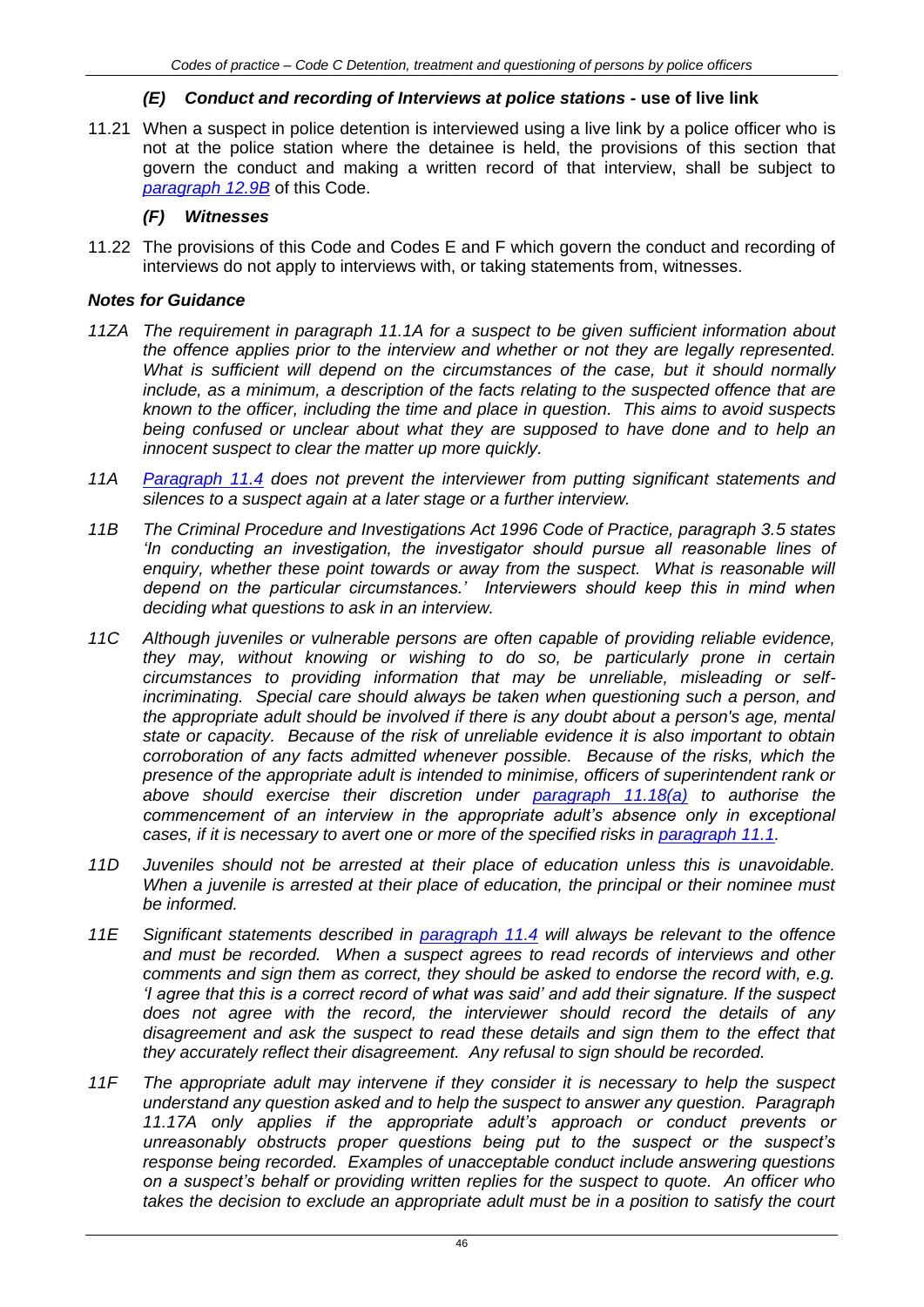## *(E) Conduct and recording of Interviews at police stations -* **use of live link**

11.21 When a suspect in police detention is interviewed using a live link by a police officer who is not at the police station where the detainee is held, the provisions of this section that govern the conduct and making a written record of that interview, shall be subject to *[paragraph 12.9B](#page-52-0)* of this Code.

## *(F) Witnesses*

11.22 The provisions of this Code and Codes E and F which govern the conduct and recording of interviews do not apply to interviews with, or taking statements from, witnesses.

## *Notes for Guidance*

- <span id="page-49-0"></span>*11ZA The requirement in paragraph 11.1A for a suspect to be given sufficient information about the offence applies prior to the interview and whether or not they are legally represented. What is sufficient will depend on the circumstances of the case, but it should normally include, as a minimum, a description of the facts relating to the suspected offence that are known to the officer, including the time and place in question. This aims to avoid suspects being confused or unclear about what they are supposed to have done and to help an innocent suspect to clear the matter up more quickly.*
- *11A [Paragraph 11.4](#page-46-1) does not prevent the interviewer from putting significant statements and silences to a suspect again at a later stage or a further interview.*
- *11B The Criminal Procedure and Investigations Act 1996 Code of Practice, paragraph 3.5 states 'In conducting an investigation, the investigator should pursue all reasonable lines of*  enquiry, whether these point towards or away from the suspect. What is reasonable will *depend on the particular circumstances.' Interviewers should keep this in mind when deciding what questions to ask in an interview.*
- <span id="page-49-2"></span>*11C Although juveniles or vulnerable persons are often capable of providing reliable evidence, they may, without knowing or wishing to do so, be particularly prone in certain circumstances to providing information that may be unreliable, misleading or selfincriminating. Special care should always be taken when questioning such a person, and the appropriate adult should be involved if there is any doubt about a person's age, mental state or capacity. Because of the risk of unreliable evidence it is also important to obtain corroboration of any facts admitted whenever possible. Because of the risks, which the presence of the appropriate adult is intended to minimise, officers of superintendent rank or above should exercise their discretion under [paragraph 11.18\(a\)](#page-48-1) to authorise the commencement of an interview in the appropriate adult's absence only in exceptional cases, if it is necessary to avert one or more of the specified risks in [paragraph 11.1.](#page-46-0)*
- *11D Juveniles should not be arrested at their place of education unless this is unavoidable. When a juvenile is arrested at their place of education, the principal or their nominee must be informed.*
- <span id="page-49-1"></span>*11E Significant statements described in [paragraph 11.4](#page-46-1) will always be relevant to the offence and must be recorded. When a suspect agrees to read records of interviews and other comments and sign them as correct, they should be asked to endorse the record with, e.g. 'I agree that this is a correct record of what was said' and add their signature. If the suspect does not agree with the record, the interviewer should record the details of any disagreement and ask the suspect to read these details and sign them to the effect that they accurately reflect their disagreement. Any refusal to sign should be recorded.*
- *11F The appropriate adult may intervene if they consider it is necessary to help the suspect understand any question asked and to help the suspect to answer any question. Paragraph*  11.17A only applies if the appropriate adult's approach or conduct prevents or *unreasonably obstructs proper questions being put to the suspect or the suspect's response being recorded. Examples of unacceptable conduct include answering questions on a suspect's behalf or providing written replies for the suspect to quote. An officer who*  takes the decision to exclude an appropriate adult must be in a position to satisfy the court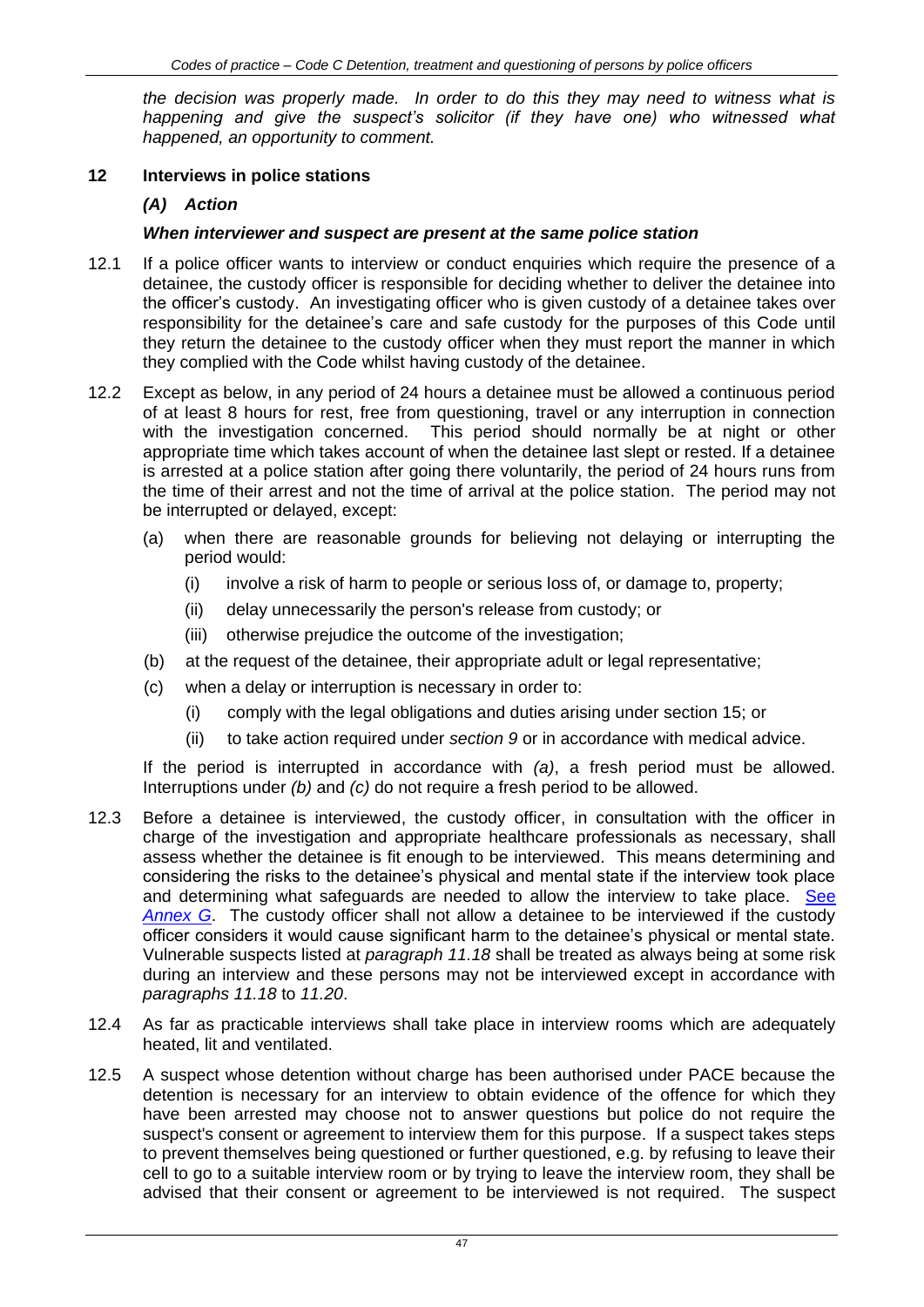*the decision was properly made. In order to do this they may need to witness what is happening and give the suspect's solicitor (if they have one) who witnessed what happened, an opportunity to comment.*

### **12 Interviews in police stations**

### *(A) Action*

### *When interviewer and suspect are present at the same police station*

- 12.1 If a police officer wants to interview or conduct enquiries which require the presence of a detainee, the custody officer is responsible for deciding whether to deliver the detainee into the officer's custody. An investigating officer who is given custody of a detainee takes over responsibility for the detainee's care and safe custody for the purposes of this Code until they return the detainee to the custody officer when they must report the manner in which they complied with the Code whilst having custody of the detainee.
- <span id="page-50-2"></span>12.2 Except as below, in any period of 24 hours a detainee must be allowed a continuous period of at least 8 hours for rest, free from questioning, travel or any interruption in connection with the investigation concerned. This period should normally be at night or other appropriate time which takes account of when the detainee last slept or rested. If a detainee is arrested at a police station after going there voluntarily, the period of 24 hours runs from the time of their arrest and not the time of arrival at the police station. The period may not be interrupted or delayed, except:
	- (a) when there are reasonable grounds for believing not delaying or interrupting the period would:
		- (i) involve a risk of harm to people or serious loss of, or damage to, property;
		- (ii) delay unnecessarily the person's release from custody; or
		- (iii) otherwise prejudice the outcome of the investigation;
	- (b) at the request of the detainee, their appropriate adult or legal representative;
	- (c) when a delay or interruption is necessary in order to:
		- (i) comply with the legal obligations and duties arising under section 15; or
		- (ii) to take action required under *section 9* or in accordance with medical advice.

If the period is interrupted in accordance with *(a)*, a fresh period must be allowed. Interruptions under *(b)* and *(c)* do not require a fresh period to be allowed.

- <span id="page-50-0"></span>12.3 Before a detainee is interviewed, the custody officer, in consultation with the officer in charge of the investigation and appropriate healthcare professionals as necessary, shall assess whether the detainee is fit enough to be interviewed. This means determining and considering the risks to the detainee's physical and mental state if the interview took place and determining what safeguards are needed to allow the interview to take place. [See](#page-88-0)  *[Annex G](#page-88-0)*. The custody officer shall not allow a detainee to be interviewed if the custody officer considers it would cause significant harm to the detainee's physical or mental state. Vulnerable suspects listed at *paragraph 11.18* shall be treated as always being at some risk during an interview and these persons may not be interviewed except in accordance with *paragraphs 11.18* to *11.20*.
- 12.4 As far as practicable interviews shall take place in interview rooms which are adequately heated, lit and ventilated.
- <span id="page-50-1"></span>12.5 A suspect whose detention without charge has been authorised under PACE because the detention is necessary for an interview to obtain evidence of the offence for which they have been arrested may choose not to answer questions but police do not require the suspect's consent or agreement to interview them for this purpose. If a suspect takes steps to prevent themselves being questioned or further questioned, e.g. by refusing to leave their cell to go to a suitable interview room or by trying to leave the interview room, they shall be advised that their consent or agreement to be interviewed is not required. The suspect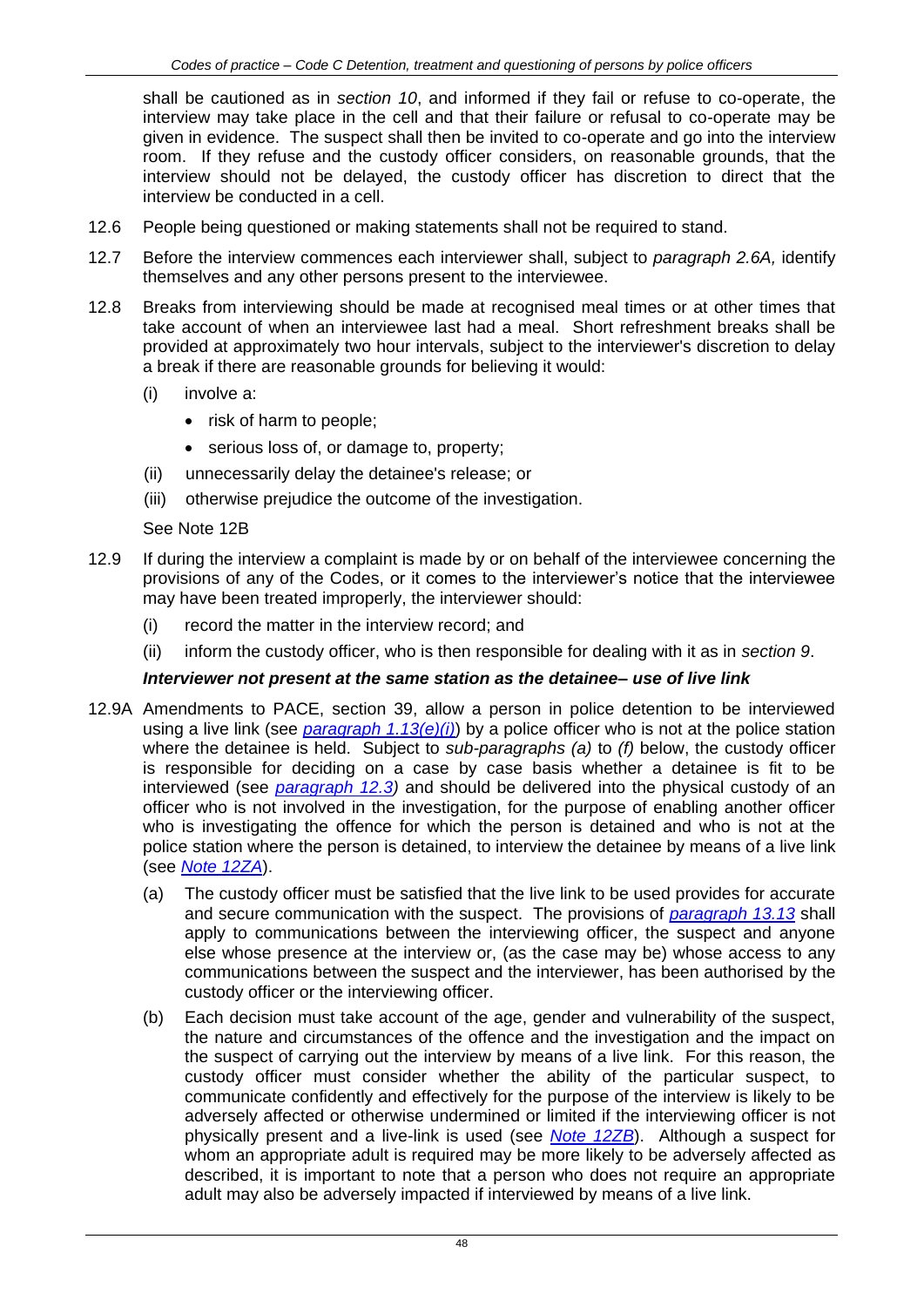shall be cautioned as in *section 10*, and informed if they fail or refuse to co-operate, the interview may take place in the cell and that their failure or refusal to co-operate may be given in evidence. The suspect shall then be invited to co-operate and go into the interview room. If they refuse and the custody officer considers, on reasonable grounds, that the interview should not be delayed, the custody officer has discretion to direct that the interview be conducted in a cell.

- 12.6 People being questioned or making statements shall not be required to stand.
- 12.7 Before the interview commences each interviewer shall, subject to *paragraph 2.6A,* identify themselves and any other persons present to the interviewee.
- <span id="page-51-1"></span>12.8 Breaks from interviewing should be made at recognised meal times or at other times that take account of when an interviewee last had a meal. Short refreshment breaks shall be provided at approximately two hour intervals, subject to the interviewer's discretion to delay a break if there are reasonable grounds for believing it would:
	- (i) involve a:
		- risk of harm to people;
		- serious loss of, or damage to, property;
	- (ii) unnecessarily delay the detainee's release; or
	- (iii) otherwise prejudice the outcome of the investigation.

#### See Note 12B

- 12.9 If during the interview a complaint is made by or on behalf of the interviewee concerning the provisions of any of the Codes, or it comes to the interviewer's notice that the interviewee may have been treated improperly, the interviewer should:
	- (i) record the matter in the interview record; and
	- (ii) inform the custody officer, who is then responsible for dealing with it as in *section 9*.

#### *Interviewer not present at the same station as the detainee– use of live link*

- <span id="page-51-0"></span>12.9A Amendments to PACE, section 39, allow a person in police detention to be interviewed using a live link (see *[paragraph 1.13\(e\)\(i\)](#page-12-0)*) by a police officer who is not at the police station where the detainee is held. Subject to *sub-paragraphs (a)* to *(f)* below, the custody officer is responsible for deciding on a case by case basis whether a detainee is fit to be interviewed (see *[paragraph 12.3\)](#page-50-0)* and should be delivered into the physical custody of an officer who is not involved in the investigation, for the purpose of enabling another officer who is investigating the offence for which the person is detained and who is not at the police station where the person is detained, to interview the detainee by means of a live link (see *[Note 12ZA](#page-53-0)*).
	- (a) The custody officer must be satisfied that the live link to be used provides for accurate and secure communication with the suspect. The provisions of *[paragraph 13.13](#page-59-0)* shall apply to communications between the interviewing officer, the suspect and anyone else whose presence at the interview or, (as the case may be) whose access to any communications between the suspect and the interviewer, has been authorised by the custody officer or the interviewing officer.
	- (b) Each decision must take account of the age, gender and vulnerability of the suspect, the nature and circumstances of the offence and the investigation and the impact on the suspect of carrying out the interview by means of a live link. For this reason, the custody officer must consider whether the ability of the particular suspect, to communicate confidently and effectively for the purpose of the interview is likely to be adversely affected or otherwise undermined or limited if the interviewing officer is not physically present and a live-link is used (see *[Note 12ZB](#page-53-1)*). Although a suspect for whom an appropriate adult is required may be more likely to be adversely affected as described, it is important to note that a person who does not require an appropriate adult may also be adversely impacted if interviewed by means of a live link.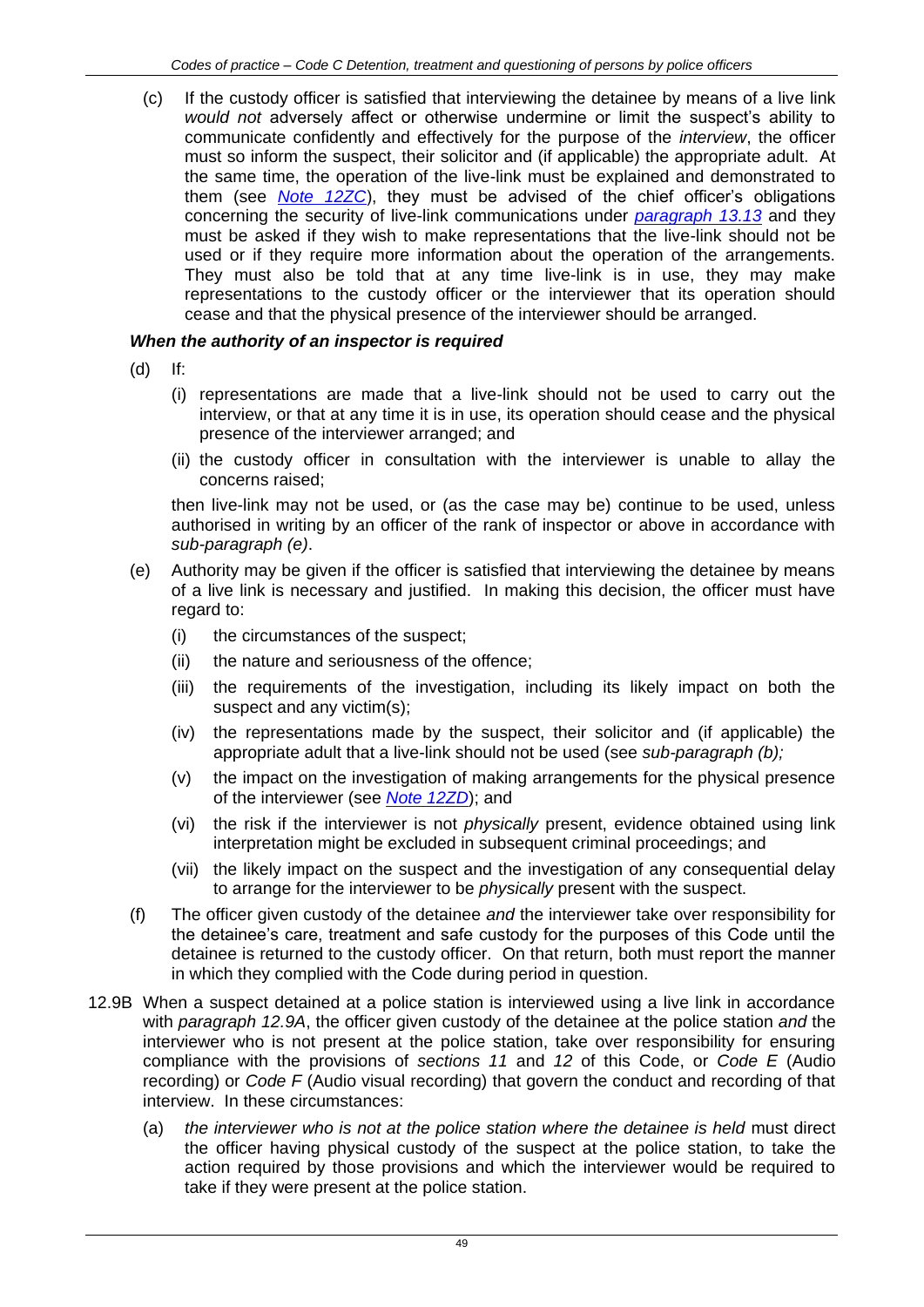(c) If the custody officer is satisfied that interviewing the detainee by means of a live link *would not* adversely affect or otherwise undermine or limit the suspect's ability to communicate confidently and effectively for the purpose of the *interview*, the officer must so inform the suspect, their solicitor and (if applicable) the appropriate adult. At the same time, the operation of the live-link must be explained and demonstrated to them (see *[Note 12ZC](#page-53-2)*), they must be advised of the chief officer's obligations concerning the security of live-link communications under *[paragraph 13.13](#page-59-0)* and they must be asked if they wish to make representations that the live-link should not be used or if they require more information about the operation of the arrangements. They must also be told that at any time live-link is in use, they may make representations to the custody officer or the interviewer that its operation should cease and that the physical presence of the interviewer should be arranged.

## *When the authority of an inspector is required*

- (d) If:
	- (i) representations are made that a live-link should not be used to carry out the interview, or that at any time it is in use, its operation should cease and the physical presence of the interviewer arranged; and
	- (ii) the custody officer in consultation with the interviewer is unable to allay the concerns raised;

then live-link may not be used, or (as the case may be) continue to be used, unless authorised in writing by an officer of the rank of inspector or above in accordance with *sub-paragraph (e)*.

- (e) Authority may be given if the officer is satisfied that interviewing the detainee by means of a live link is necessary and justified. In making this decision, the officer must have regard to:
	- (i) the circumstances of the suspect;
	- (ii) the nature and seriousness of the offence;
	- (iii) the requirements of the investigation, including its likely impact on both the suspect and any victim(s);
	- (iv) the representations made by the suspect, their solicitor and (if applicable) the appropriate adult that a live-link should not be used (see *sub-paragraph (b);*
	- (v) the impact on the investigation of making arrangements for the physical presence of the interviewer (see *[Note 12ZD](#page-53-3)*); and
	- (vi) the risk if the interviewer is not *physically* present, evidence obtained using link interpretation might be excluded in subsequent criminal proceedings; and
	- (vii) the likely impact on the suspect and the investigation of any consequential delay to arrange for the interviewer to be *physically* present with the suspect.
- (f) The officer given custody of the detainee *and* the interviewer take over responsibility for the detainee's care, treatment and safe custody for the purposes of this Code until the detainee is returned to the custody officer. On that return, both must report the manner in which they complied with the Code during period in question.
- <span id="page-52-0"></span>12.9B When a suspect detained at a police station is interviewed using a live link in accordance with *paragraph 12.9A*, the officer given custody of the detainee at the police station *and* the interviewer who is not present at the police station, take over responsibility for ensuring compliance with the provisions of *sections 11* and *12* of this Code, or *Code E* (Audio recording) or *Code F* (Audio visual recording) that govern the conduct and recording of that interview. In these circumstances:
	- (a) *the interviewer who is not at the police station where the detainee is held* must direct the officer having physical custody of the suspect at the police station, to take the action required by those provisions and which the interviewer would be required to take if they were present at the police station.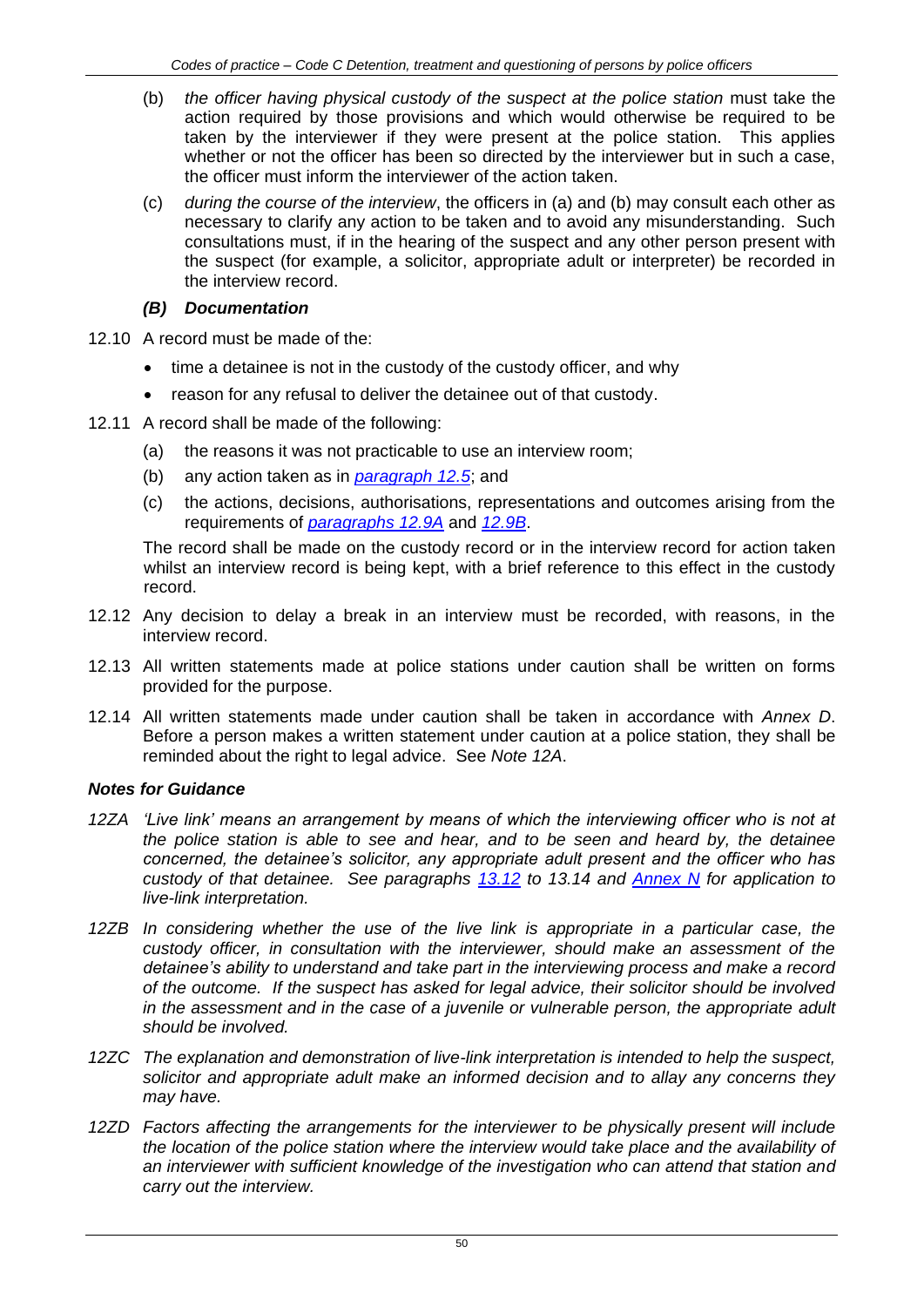- (b) *the officer having physical custody of the suspect at the police station* must take the action required by those provisions and which would otherwise be required to be taken by the interviewer if they were present at the police station. This applies whether or not the officer has been so directed by the interviewer but in such a case, the officer must inform the interviewer of the action taken.
- (c) *during the course of the interview*, the officers in (a) and (b) may consult each other as necessary to clarify any action to be taken and to avoid any misunderstanding. Such consultations must, if in the hearing of the suspect and any other person present with the suspect (for example, a solicitor, appropriate adult or interpreter) be recorded in the interview record.

## *(B) Documentation*

- 12.10 A record must be made of the:
	- time a detainee is not in the custody of the custody officer, and why
	- reason for any refusal to deliver the detainee out of that custody.
- 12.11 A record shall be made of the following:
	- (a) the reasons it was not practicable to use an interview room;
	- (b) any action taken as in *[paragraph 12.5](#page-50-1)*; and
	- (c) the actions, decisions, authorisations, representations and outcomes arising from the requirements of *[paragraphs 12.9A](#page-51-0)* and *[12.9B](#page-52-0)*.

The record shall be made on the custody record or in the interview record for action taken whilst an interview record is being kept, with a brief reference to this effect in the custody record.

- 12.12 Any decision to delay a break in an interview must be recorded, with reasons, in the interview record.
- 12.13 All written statements made at police stations under caution shall be written on forms provided for the purpose.
- 12.14 All written statements made under caution shall be taken in accordance with *Annex D*. Before a person makes a written statement under caution at a police station, they shall be reminded about the right to legal advice. See *Note 12A*.

#### *Notes for Guidance*

- <span id="page-53-0"></span>*12ZA 'Live link' means an arrangement by means of which the interviewing officer who is not at the police station is able to see and hear, and to be seen and heard by, the detainee concerned, the detainee's solicitor, any appropriate adult present and the officer who has custody of that detainee. See paragraphs [13.12](#page-58-0) to 13.14 and [Annex N](#page-97-0) for application to live-link interpretation.*
- <span id="page-53-1"></span>*12ZB In considering whether the use of the live link is appropriate in a particular case, the custody officer, in consultation with the interviewer, should make an assessment of the detainee's ability to understand and take part in the interviewing process and make a record of the outcome. If the suspect has asked for legal advice, their solicitor should be involved in the assessment and in the case of a juvenile or vulnerable person, the appropriate adult should be involved.*
- <span id="page-53-2"></span>*12ZC The explanation and demonstration of live-link interpretation is intended to help the suspect, solicitor and appropriate adult make an informed decision and to allay any concerns they may have.*
- <span id="page-53-3"></span>*12ZD Factors affecting the arrangements for the interviewer to be physically present will include the location of the police station where the interview would take place and the availability of an interviewer with sufficient knowledge of the investigation who can attend that station and carry out the interview.*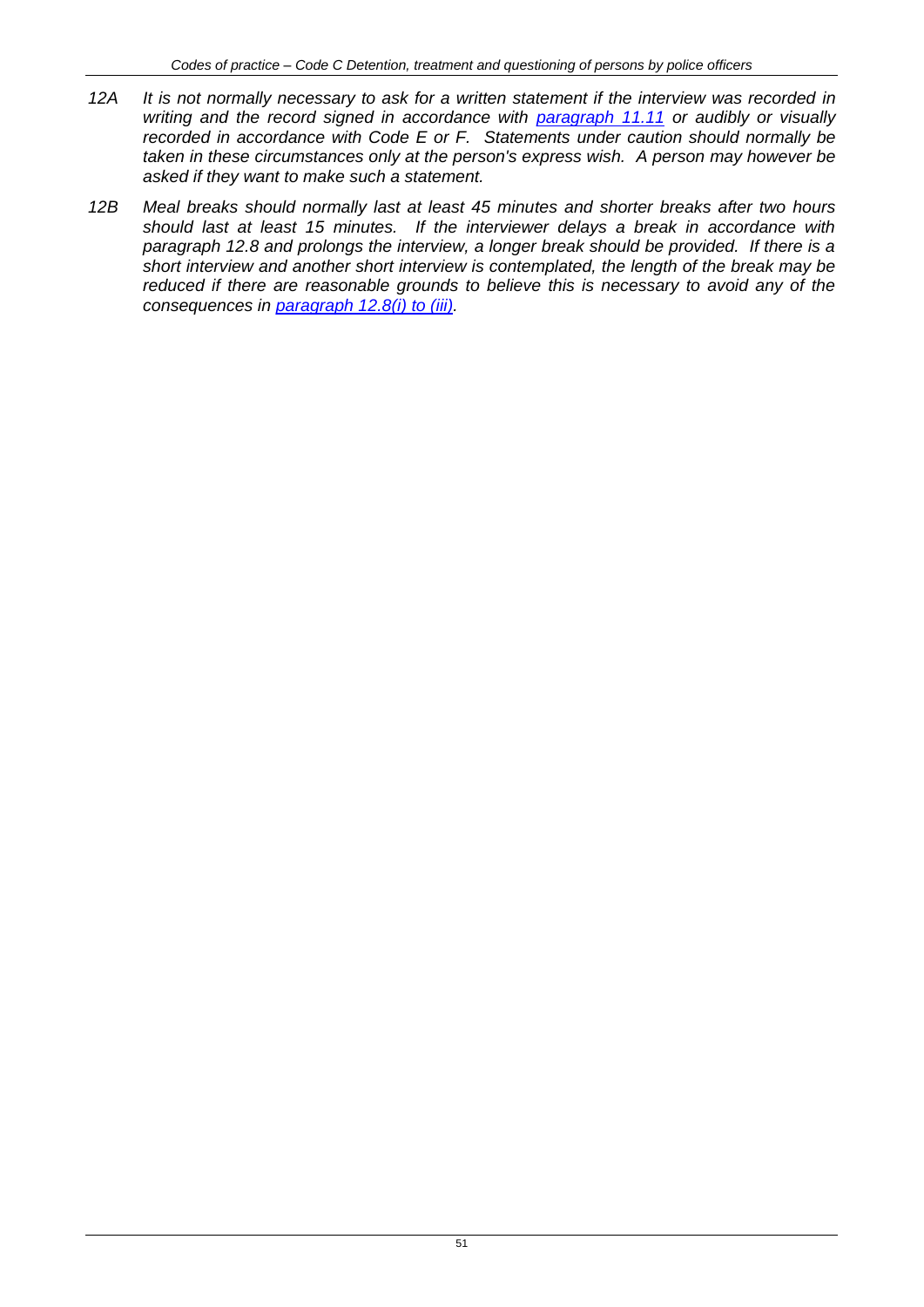- *12A It is not normally necessary to ask for a written statement if the interview was recorded in writing and the record signed in accordance with [paragraph 11.11](#page-47-0) or audibly or visually recorded in accordance with Code E or F. Statements under caution should normally be taken in these circumstances only at the person's express wish. A person may however be asked if they want to make such a statement.*
- *12B Meal breaks should normally last at least 45 minutes and shorter breaks after two hours should last at least 15 minutes. If the interviewer delays a break in accordance with paragraph 12.8 and prolongs the interview, a longer break should be provided. If there is a short interview and another short interview is contemplated, the length of the break may be reduced if there are reasonable grounds to believe this is necessary to avoid any of the consequences in [paragraph 12.8\(i\) to \(iii\).](#page-51-1)*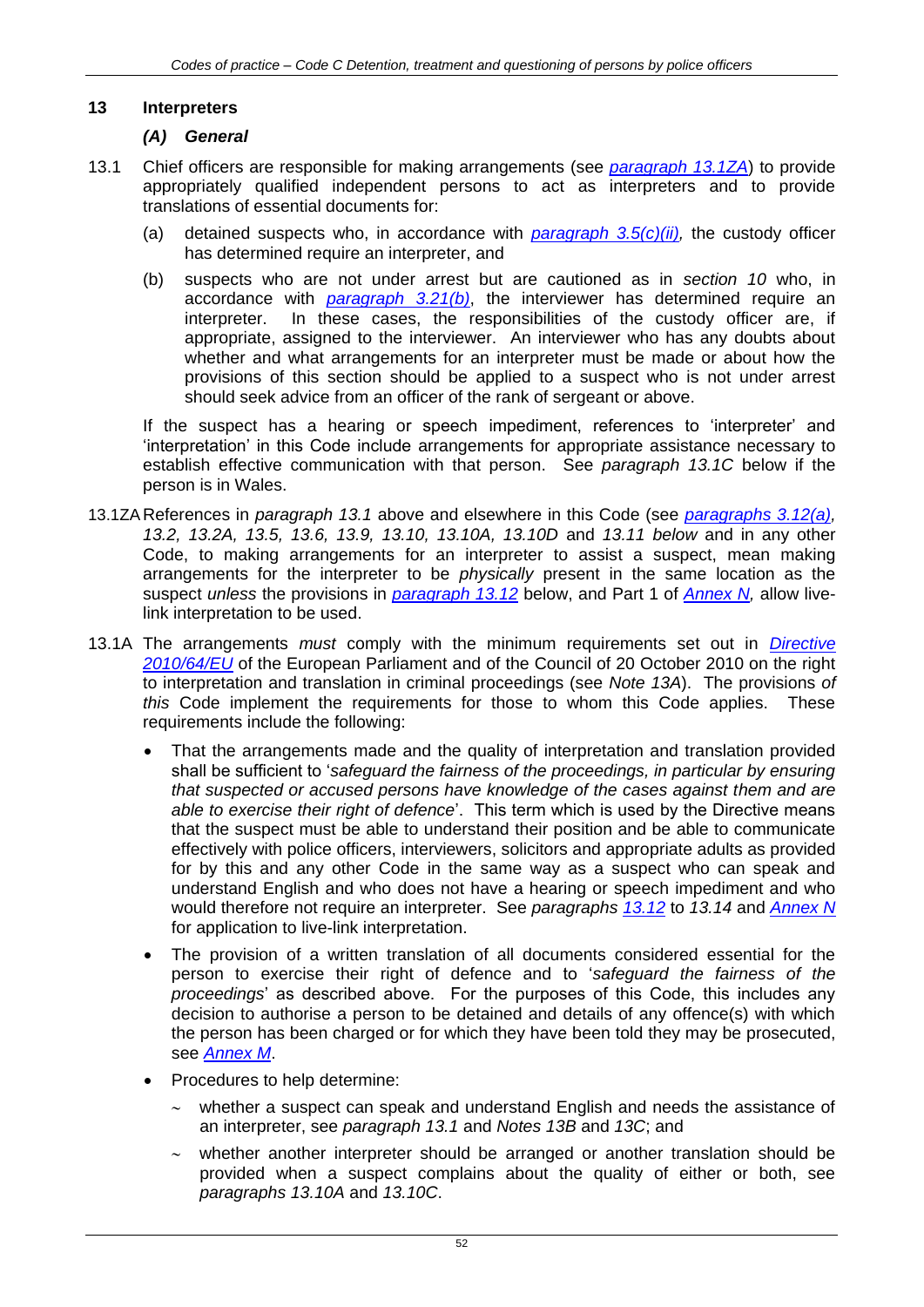#### **13 Interpreters**

### *(A) General*

- 13.1 Chief officers are responsible for making arrangements (see *[paragraph 13.1ZA](#page-55-0)*) to provide appropriately qualified independent persons to act as interpreters and to provide translations of essential documents for:
	- (a) detained suspects who, in accordance with *[paragraph 3.5\(c\)\(ii\),](#page-19-0)* the custody officer has determined require an interpreter, and
	- (b) suspects who are not under arrest but are cautioned as in *section 10* who, in accordance with *[paragraph 3.21\(b\)](#page-23-0)*, the interviewer has determined require an interpreter. In these cases, the responsibilities of the custody officer are, if appropriate, assigned to the interviewer. An interviewer who has any doubts about whether and what arrangements for an interpreter must be made or about how the provisions of this section should be applied to a suspect who is not under arrest should seek advice from an officer of the rank of sergeant or above.

If the suspect has a hearing or speech impediment, references to 'interpreter' and 'interpretation' in this Code include arrangements for appropriate assistance necessary to establish effective communication with that person. See *paragraph 13.1C* below if the person is in Wales.

- <span id="page-55-0"></span>13.1ZA References in *paragraph 13.1* above and elsewhere in this Code (see *[paragraphs 3.12\(a\),](#page-20-0) 13.2, 13.2A, 13.5, 13.6, 13.9, 13.10, 13.10A, 13.10D* and *13.11 below* and in any other Code, to making arrangements for an interpreter to assist a suspect, mean making arrangements for the interpreter to be *physically* present in the same location as the suspect *unless* the provisions in *[paragraph 13.12](#page-58-1)* below, and Part 1 of *[Annex N,](#page-97-0)* allow livelink interpretation to be used.
- 13.1A The arrangements *must* comply with the minimum requirements set out in *[Directive](http://eur-lex.europa.eu/LexUriServ/LexUriServ.do?uri=OJ:L:2010:280:0001:0007:en:PDF)  [2010/64/EU](http://eur-lex.europa.eu/LexUriServ/LexUriServ.do?uri=OJ:L:2010:280:0001:0007:en:PDF)* of the European Parliament and of the Council of 20 October 2010 on the right to interpretation and translation in criminal proceedings (see *Note 13A*). The provisions *of this* Code implement the requirements for those to whom this Code applies. These requirements include the following:
	- That the arrangements made and the quality of interpretation and translation provided shall be sufficient to '*safeguard the fairness of the proceedings, in particular by ensuring that suspected or accused persons have knowledge of the cases against them and are able to exercise their right of defence*'. This term which is used by the Directive means that the suspect must be able to understand their position and be able to communicate effectively with police officers, interviewers, solicitors and appropriate adults as provided for by this and any other Code in the same way as a suspect who can speak and understand English and who does not have a hearing or speech impediment and who would therefore not require an interpreter. See *paragraphs [13.12](#page-58-0)* to *13.14* and *[Annex N](#page-97-0)* for application to live-link interpretation.
	- The provision of a written translation of all documents considered essential for the person to exercise their right of defence and to '*safeguard the fairness of the proceedings*' as described above. For the purposes of this Code, this includes any decision to authorise a person to be detained and details of any offence(s) with which the person has been charged or for which they have been told they may be prosecuted, see *[Annex M](#page-95-0)*.
	- Procedures to help determine:
		- $\sim$  whether a suspect can speak and understand English and needs the assistance of an interpreter, see *paragraph 13.1* and *Notes 13B* and *13C*; and
		- $\sim$  whether another interpreter should be arranged or another translation should be provided when a suspect complains about the quality of either or both, see *paragraphs 13.10A* and *13.10C*.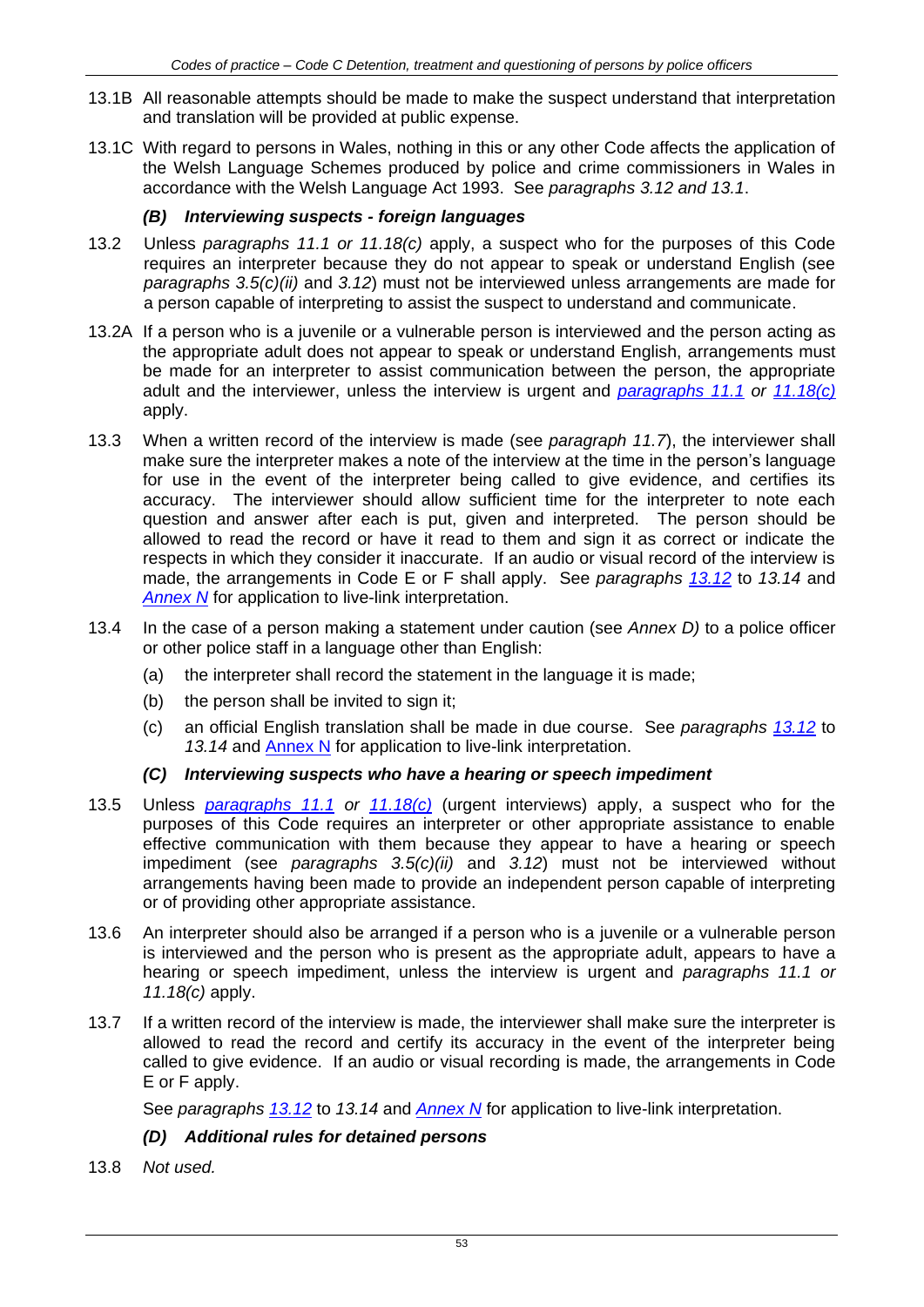- 13.1B All reasonable attempts should be made to make the suspect understand that interpretation and translation will be provided at public expense.
- 13.1C With regard to persons in Wales, nothing in this or any other Code affects the application of the Welsh Language Schemes produced by police and crime commissioners in Wales in accordance with the Welsh Language Act 1993. See *paragraphs 3.12 and 13.1*.

## *(B) Interviewing suspects - foreign languages*

- 13.2 Unless *paragraphs 11.1 or 11.18(c)* apply, a suspect who for the purposes of this Code requires an interpreter because they do not appear to speak or understand English (see *paragraphs 3.5(c)(ii)* and *3.12*) must not be interviewed unless arrangements are made for a person capable of interpreting to assist the suspect to understand and communicate.
- <span id="page-56-0"></span>13.2A If a person who is a juvenile or a vulnerable person is interviewed and the person acting as the appropriate adult does not appear to speak or understand English, arrangements must be made for an interpreter to assist communication between the person, the appropriate adult and the interviewer, unless the interview is urgent and *[paragraphs 11.1](#page-46-0) or [11.18\(c\)](#page-48-2)* apply.
- 13.3 When a written record of the interview is made (see *paragraph 11.7*), the interviewer shall make sure the interpreter makes a note of the interview at the time in the person's language for use in the event of the interpreter being called to give evidence, and certifies its accuracy. The interviewer should allow sufficient time for the interpreter to note each question and answer after each is put, given and interpreted. The person should be allowed to read the record or have it read to them and sign it as correct or indicate the respects in which they consider it inaccurate. If an audio or visual record of the interview is made, the arrangements in Code E or F shall apply. See *paragraphs [13.12](#page-58-0)* to *13.14* and **[Annex N](#page-97-0)** for application to live-link interpretation.
- 13.4 In the case of a person making a statement under caution (see *Annex D)* to a police officer or other police staff in a language other than English:
	- (a) the interpreter shall record the statement in the language it is made;
	- (b) the person shall be invited to sign it;
	- (c) an official English translation shall be made in due course. See *paragraphs [13.12](#page-58-0)* to 13.14 and **Annex N** for application to live-link interpretation.

## *(C) Interviewing suspects who have a hearing or speech impediment*

- 13.5 Unless *[paragraphs 11.1](#page-46-0) or [11.18\(c\)](#page-48-2)* (urgent interviews) apply, a suspect who for the purposes of this Code requires an interpreter or other appropriate assistance to enable effective communication with them because they appear to have a hearing or speech impediment (see *paragraphs 3.5(c)(ii)* and *3.12*) must not be interviewed without arrangements having been made to provide an independent person capable of interpreting or of providing other appropriate assistance.
- <span id="page-56-1"></span>13.6 An interpreter should also be arranged if a person who is a juvenile or a vulnerable person is interviewed and the person who is present as the appropriate adult, appears to have a hearing or speech impediment, unless the interview is urgent and *paragraphs 11.1 or 11.18(c)* apply.
- 13.7 If a written record of the interview is made, the interviewer shall make sure the interpreter is allowed to read the record and certify its accuracy in the event of the interpreter being called to give evidence. If an audio or visual recording is made, the arrangements in Code E or F apply.

See *paragraphs [13.12](#page-58-0)* to *13.14* and *[Annex N](#page-97-0)* for application to live-link interpretation.

## *(D) Additional rules for detained persons*

13.8 *Not used.*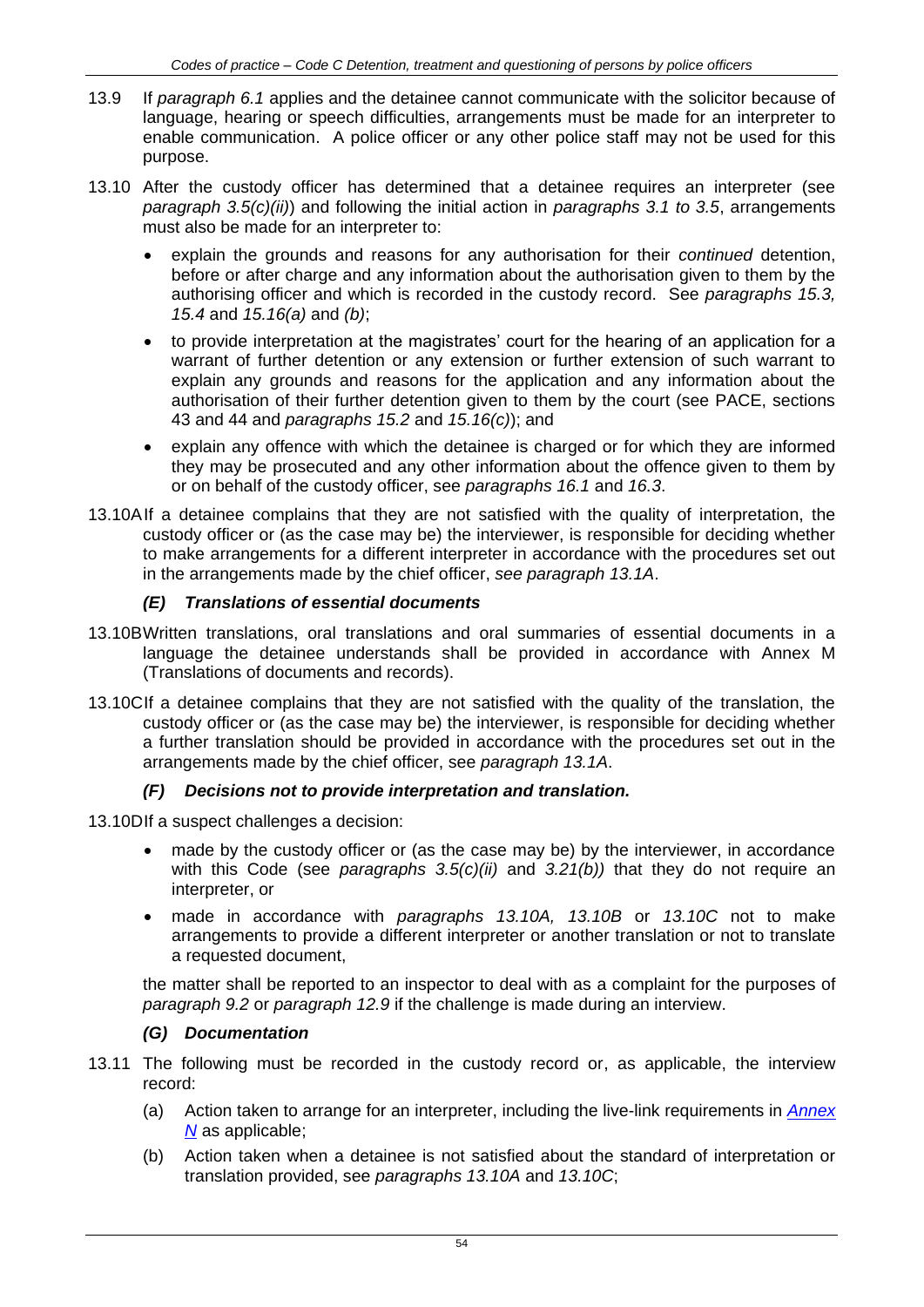- <span id="page-57-0"></span>13.9 If *paragraph 6.1* applies and the detainee cannot communicate with the solicitor because of language, hearing or speech difficulties, arrangements must be made for an interpreter to enable communication. A police officer or any other police staff may not be used for this purpose.
- 13.10 After the custody officer has determined that a detainee requires an interpreter (see *paragraph 3.5(c)(ii)*) and following the initial action in *paragraphs 3.1 to 3.5*, arrangements must also be made for an interpreter to:
	- explain the grounds and reasons for any authorisation for their *continued* detention, before or after charge and any information about the authorisation given to them by the authorising officer and which is recorded in the custody record. See *paragraphs 15.3, 15.4* and *15.16(a)* and *(b)*;
	- to provide interpretation at the magistrates' court for the hearing of an application for a warrant of further detention or any extension or further extension of such warrant to explain any grounds and reasons for the application and any information about the authorisation of their further detention given to them by the court (see PACE, sections 43 and 44 and *paragraphs 15.2* and *15.16(c)*); and
	- explain any offence with which the detainee is charged or for which they are informed they may be prosecuted and any other information about the offence given to them by or on behalf of the custody officer, see *paragraphs 16.1* and *16.3*.
- 13.10AIf a detainee complains that they are not satisfied with the quality of interpretation, the custody officer or (as the case may be) the interviewer, is responsible for deciding whether to make arrangements for a different interpreter in accordance with the procedures set out in the arrangements made by the chief officer, *see paragraph 13.1A*.

## *(E) Translations of essential documents*

- 13.10BWritten translations, oral translations and oral summaries of essential documents in a language the detainee understands shall be provided in accordance with Annex M (Translations of documents and records).
- 13.10CIf a detainee complains that they are not satisfied with the quality of the translation, the custody officer or (as the case may be) the interviewer, is responsible for deciding whether a further translation should be provided in accordance with the procedures set out in the arrangements made by the chief officer, see *paragraph 13.1A*.

# *(F) Decisions not to provide interpretation and translation.*

- 13.10DIf a suspect challenges a decision:
	- made by the custody officer or (as the case may be) by the interviewer, in accordance with this Code (see *paragraphs 3.5(c)(ii)* and *3.21(b))* that they do not require an interpreter, or
	- made in accordance with *paragraphs 13.10A, 13.10B* or *13.10C* not to make arrangements to provide a different interpreter or another translation or not to translate a requested document,

the matter shall be reported to an inspector to deal with as a complaint for the purposes of *paragraph 9.2* or *paragraph 12.9* if the challenge is made during an interview.

## *(G) Documentation*

- 13.11 The following must be recorded in the custody record or, as applicable, the interview record:
	- (a) Action taken to arrange for an interpreter, including the live-link requirements in *[Annex](#page-97-0)  [N](#page-97-0)* as applicable;
	- (b) Action taken when a detainee is not satisfied about the standard of interpretation or translation provided, see *paragraphs 13.10A* and *13.10C*;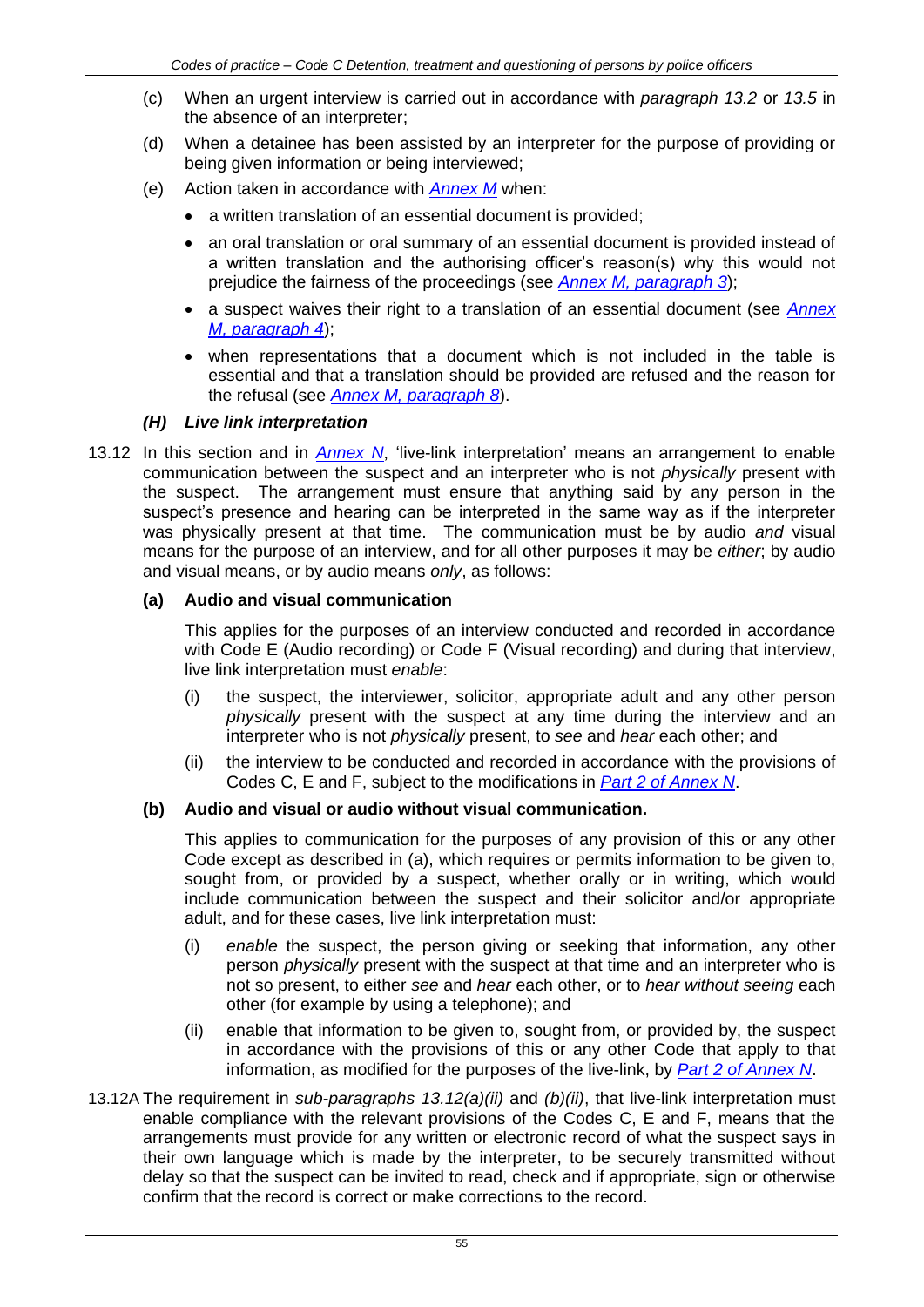- (c) When an urgent interview is carried out in accordance with *paragraph 13.2* or *13.5* in the absence of an interpreter;
- (d) When a detainee has been assisted by an interpreter for the purpose of providing or being given information or being interviewed:
- (e) Action taken in accordance with *[Annex M](#page-95-1)* when:
	- a written translation of an essential document is provided;
	- an oral translation or oral summary of an essential document is provided instead of a written translation and the authorising officer's reason(s) why this would not prejudice the fairness of the proceedings (see *Annex M, [paragraph 3](#page-95-2)*);
	- a suspect waives their right to a translation of an essential document (see *[Annex](#page-95-3)  M, [paragraph 4](#page-95-3)*);
	- when representations that a document which is not included in the table is essential and that a translation should be provided are refused and the reason for the refusal (see *Annex M, [paragraph 8](#page-96-0)*).

### *(H) Live link interpretation*

<span id="page-58-1"></span><span id="page-58-0"></span>13.12 In this section and in *[Annex N](#page-97-0)*, 'live-link interpretation' means an arrangement to enable communication between the suspect and an interpreter who is not *physically* present with the suspect. The arrangement must ensure that anything said by any person in the suspect's presence and hearing can be interpreted in the same way as if the interpreter was physically present at that time. The communication must be by audio *and* visual means for the purpose of an interview, and for all other purposes it may be *either*; by audio and visual means, or by audio means *only*, as follows:

### **(a) Audio and visual communication**

This applies for the purposes of an interview conducted and recorded in accordance with Code E (Audio recording) or Code F (Visual recording) and during that interview, live link interpretation must *enable*:

- (i) the suspect, the interviewer, solicitor, appropriate adult and any other person *physically* present with the suspect at any time during the interview and an interpreter who is not *physically* present, to *see* and *hear* each other; and
- (ii) the interview to be conducted and recorded in accordance with the provisions of Codes C, E and F, subject to the modifications in *Part 2 [of Annex](#page-99-0) N*.

#### **(b) Audio and visual or audio without visual communication.**

This applies to communication for the purposes of any provision of this or any other Code except as described in (a), which requires or permits information to be given to, sought from, or provided by a suspect, whether orally or in writing, which would include communication between the suspect and their solicitor and/or appropriate adult, and for these cases, live link interpretation must:

- (i) *enable* the suspect, the person giving or seeking that information, any other person *physically* present with the suspect at that time and an interpreter who is not so present, to either *see* and *hear* each other, or to *hear without seeing* each other (for example by using a telephone); and
- (ii) enable that information to be given to, sought from, or provided by, the suspect in accordance with the provisions of this or any other Code that apply to that information, as modified for the purposes of the live-link, by *[Part 2 of Annex N](#page-99-0)*.
- 13.12A The requirement in *sub-paragraphs 13.12(a)(ii)* and *(b)(ii)*, that live-link interpretation must enable compliance with the relevant provisions of the Codes C, E and F, means that the arrangements must provide for any written or electronic record of what the suspect says in their own language which is made by the interpreter, to be securely transmitted without delay so that the suspect can be invited to read, check and if appropriate, sign or otherwise confirm that the record is correct or make corrections to the record.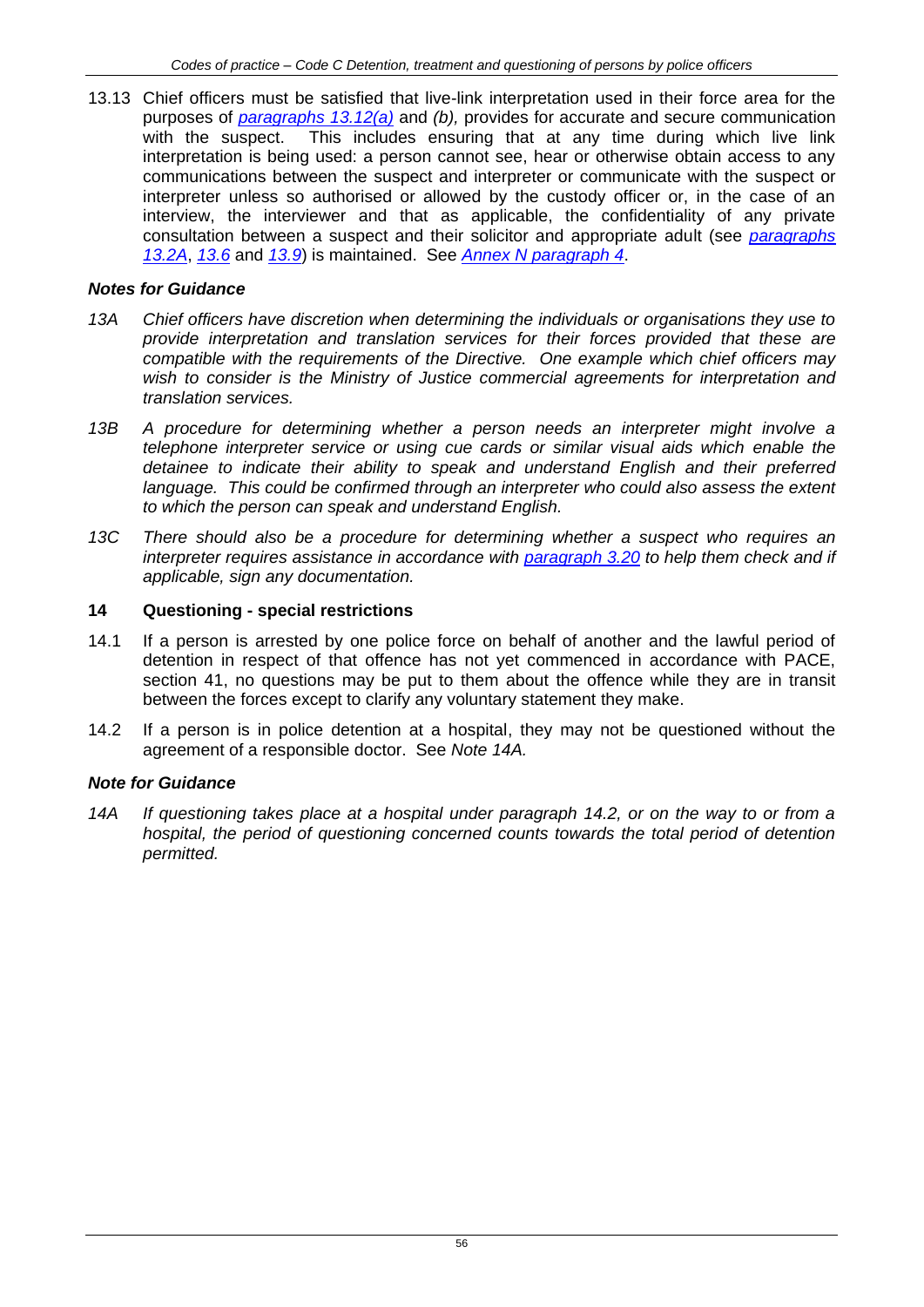<span id="page-59-0"></span>13.13 Chief officers must be satisfied that live-link interpretation used in their force area for the purposes of *[paragraphs 13.12\(a\)](#page-58-1)* and *(b),* provides for accurate and secure communication with the suspect. This includes ensuring that at any time during which live link interpretation is being used: a person cannot see, hear or otherwise obtain access to any communications between the suspect and interpreter or communicate with the suspect or interpreter unless so authorised or allowed by the custody officer or, in the case of an interview, the interviewer and that as applicable, the confidentiality of any private consultation between a suspect and their solicitor and appropriate adult (see *[paragraphs](#page-56-0)  [13.2A](#page-56-0)*, *[13.6](#page-56-1)* and *[13.9](#page-57-0)*) is maintained. See *[Annex N paragraph 4](#page-97-1)*.

### *Notes for Guidance*

- *13A Chief officers have discretion when determining the individuals or organisations they use to provide interpretation and translation services for their forces provided that these are compatible with the requirements of the Directive. One example which chief officers may wish to consider is the Ministry of Justice commercial agreements for interpretation and translation services.*
- *13B A procedure for determining whether a person needs an interpreter might involve a telephone interpreter service or using cue cards or similar visual aids which enable the detainee to indicate their ability to speak and understand English and their preferred language. This could be confirmed through an interpreter who could also assess the extent to which the person can speak and understand English.*
- *13C There should also be a procedure for determining whether a suspect who requires an interpreter requires assistance in accordance with [paragraph 3.20](#page-22-3) to help them check and if applicable, sign any documentation.*

### **14 Questioning - special restrictions**

- 14.1 If a person is arrested by one police force on behalf of another and the lawful period of detention in respect of that offence has not yet commenced in accordance with PACE, section 41, no questions may be put to them about the offence while they are in transit between the forces except to clarify any voluntary statement they make.
- 14.2 If a person is in police detention at a hospital, they may not be questioned without the agreement of a responsible doctor. See *Note 14A.*

#### *Note for Guidance*

*14A If questioning takes place at a hospital under paragraph 14.2, or on the way to or from a hospital, the period of questioning concerned counts towards the total period of detention permitted.*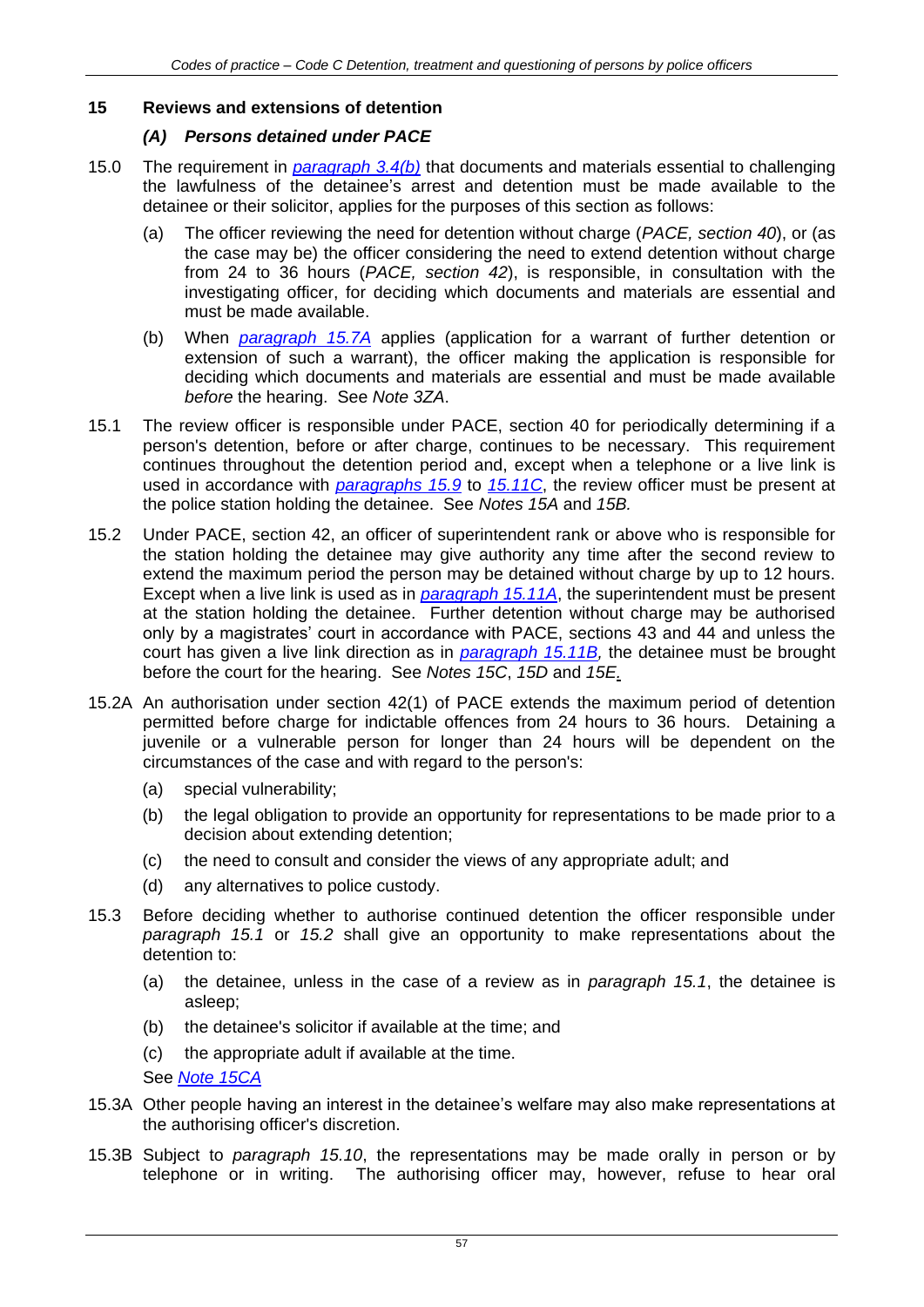### **15 Reviews and extensions of detention**

### *(A) Persons detained under PACE*

- 15.0 The requirement in *[paragraph 3.4\(b\)](#page-19-1)* that documents and materials essential to challenging the lawfulness of the detainee's arrest and detention must be made available to the detainee or their solicitor, applies for the purposes of this section as follows:
	- (a) The officer reviewing the need for detention without charge (*PACE, section 40*), or (as the case may be) the officer considering the need to extend detention without charge from 24 to 36 hours (*PACE, section 42*), is responsible, in consultation with the investigating officer, for deciding which documents and materials are essential and must be made available.
	- (b) When *[paragraph 15.7A](#page-62-0)* applies (application for a warrant of further detention or extension of such a warrant), the officer making the application is responsible for deciding which documents and materials are essential and must be made available *before* the hearing. See *Note 3ZA*.
- <span id="page-60-3"></span><span id="page-60-2"></span>15.1 The review officer is responsible under PACE, section 40 for periodically determining if a person's detention, before or after charge, continues to be necessary. This requirement continues throughout the detention period and, except when a telephone or a live link is used in accordance with *[paragraphs 15.9](#page-62-1)* to *[15.11C](#page-63-0)*, the review officer must be present at the police station holding the detainee. See *Notes 15A* and *15B.*
- <span id="page-60-0"></span>15.2 Under PACE, section 42, an officer of superintendent rank or above who is responsible for the station holding the detainee may give authority any time after the second review to extend the maximum period the person may be detained without charge by up to 12 hours. Except when a live link is used as in *[paragraph 15.11A](#page-63-1)*, the superintendent must be present at the station holding the detainee. Further detention without charge may be authorised only by a magistrates' court in accordance with PACE, sections 43 and 44 and unless the court has given a live link direction as in *[paragraph 15.11B,](#page-63-2)* the detainee must be brought before the court for the hearing. See *Notes 15C*, *15D* and *15E.*
- <span id="page-60-1"></span>15.2A An authorisation under section 42(1) of PACE extends the maximum period of detention permitted before charge for indictable offences from 24 hours to 36 hours. Detaining a juvenile or a vulnerable person for longer than 24 hours will be dependent on the circumstances of the case and with regard to the person's:
	- (a) special vulnerability;
	- (b) the legal obligation to provide an opportunity for representations to be made prior to a decision about extending detention;
	- (c) the need to consult and consider the views of any appropriate adult; and
	- (d) any alternatives to police custody.
- <span id="page-60-4"></span>15.3 Before deciding whether to authorise continued detention the officer responsible under *paragraph 15.1* or *15.2* shall give an opportunity to make representations about the detention to:
	- (a) the detainee, unless in the case of a review as in *paragraph 15.1*, the detainee is asleep;
	- (b) the detainee's solicitor if available at the time; and
	- (c) the appropriate adult if available at the time.

See *[Note 15CA](#page-65-0)*

- 15.3A Other people having an interest in the detainee's welfare may also make representations at the authorising officer's discretion.
- 15.3B Subject to *paragraph 15.10*, the representations may be made orally in person or by telephone or in writing. The authorising officer may, however, refuse to hear oral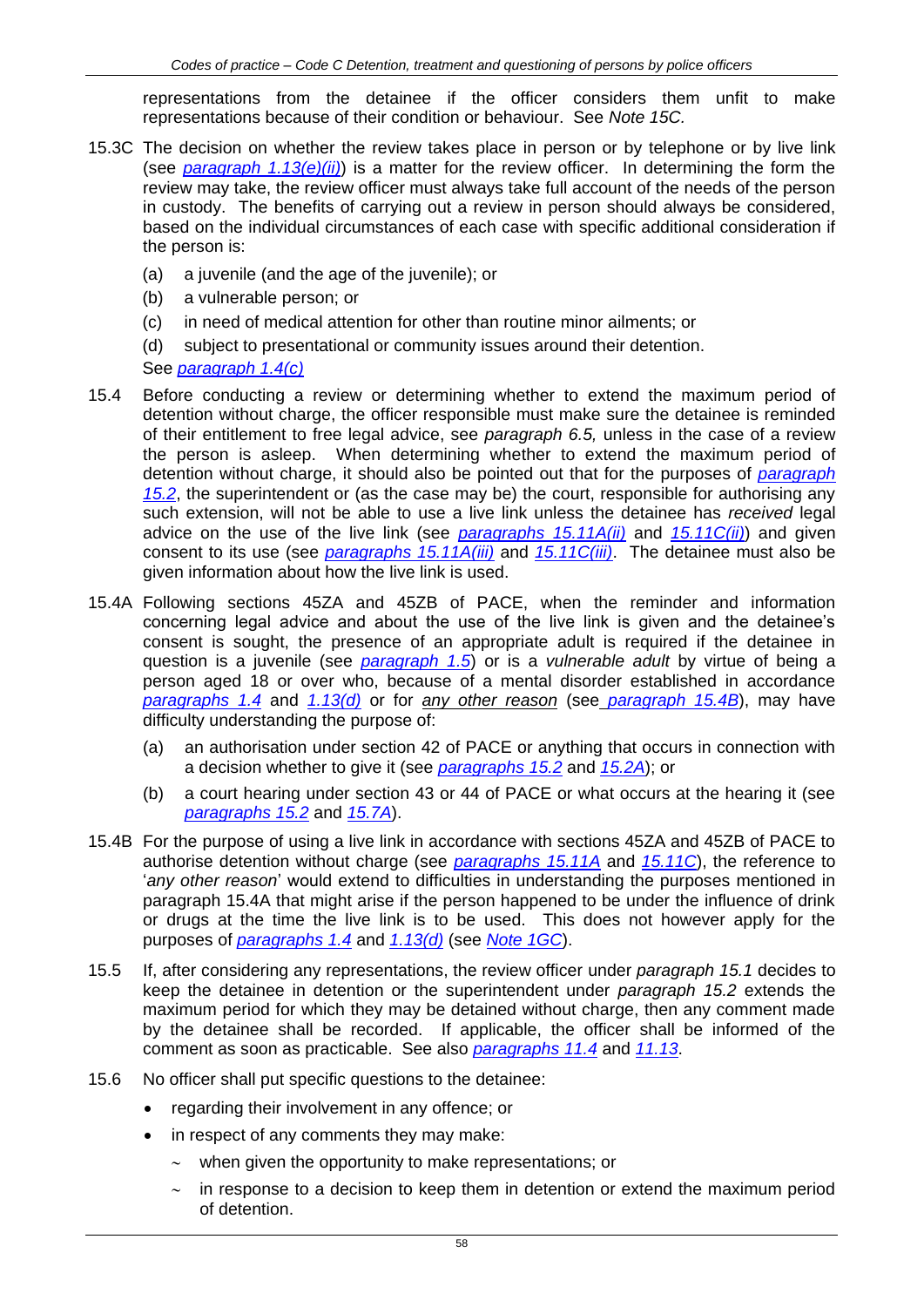representations from the detainee if the officer considers them unfit to make representations because of their condition or behaviour. See *Note 15C.*

- 15.3C The decision on whether the review takes place in person or by telephone or by live link (see *[paragraph 1.13\(e\)\(ii\)](#page-12-1)*) is a matter for the review officer. In determining the form the review may take, the review officer must always take full account of the needs of the person in custody. The benefits of carrying out a review in person should always be considered, based on the individual circumstances of each case with specific additional consideration if the person is:
	- (a) a juvenile (and the age of the juvenile); or
	- (b) a vulnerable person; or
	- (c) in need of medical attention for other than routine minor ailments; or
	- (d) subject to presentational or community issues around their detention.

See *[paragraph 1.4\(c\)](#page-9-0)*

- <span id="page-61-1"></span>15.4 Before conducting a review or determining whether to extend the maximum period of detention without charge, the officer responsible must make sure the detainee is reminded of their entitlement to free legal advice, see *paragraph 6.5,* unless in the case of a review the person is asleep. When determining whether to extend the maximum period of detention without charge, it should also be pointed out that for the purposes of *[paragraph](#page-60-0)  [15.2](#page-60-0)*, the superintendent or (as the case may be) the court, responsible for authorising any such extension, will not be able to use a live link unless the detainee has *received* legal advice on the use of the live link (see *[paragraphs 15.11A\(ii\)](#page-63-1)* and *[15.11C\(ii\)](#page-63-0)*) and given consent to its use (see *[paragraphs 15.11A\(iii\)](#page-63-3)* and *[15.11C\(iii\)](#page-64-0)*. The detainee must also be given information about how the live link is used.
- <span id="page-61-2"></span>15.4A Following sections 45ZA and 45ZB of PACE, when the reminder and information concerning legal advice and about the use of the live link is given and the detainee's consent is sought, the presence of an appropriate adult is required if the detainee in question is a juvenile (see *[paragraph 1.5](#page-10-1)*) or is a *vulnerable adult* by virtue of being a person aged 18 or over who, because of a mental disorder established in accordance *[paragraphs 1.4](#page-9-1)* and *[1.13\(d\)](#page-12-2)* or for *any other reason* (see *[paragraph 15.4B](#page-61-0)*), may have difficulty understanding the purpose of:
	- (a) an authorisation under section 42 of PACE or anything that occurs in connection with a decision whether to give it (see *[paragraphs 15.2](#page-60-0)* and *[15.2A](#page-60-1)*); or
	- (b) a court hearing under section 43 or 44 of PACE or what occurs at the hearing it (see *[paragraphs 15.2](#page-60-0)* and *[15.7A](#page-62-0)*).
- <span id="page-61-0"></span>15.4B For the purpose of using a live link in accordance with sections 45ZA and 45ZB of PACE to authorise detention without charge (see *[paragraphs 15.11A](#page-63-1)* and *[15.11C](#page-63-0)*), the reference to '*any other reason*' would extend to difficulties in understanding the purposes mentioned in paragraph 15.4A that might arise if the person happened to be under the influence of drink or drugs at the time the live link is to be used. This does not however apply for the purposes of *[paragraphs 1.4](#page-9-1)* and *[1.13\(d\)](#page-12-2)* (see *[Note 1GC](#page-15-0)*).
- 15.5 If, after considering any representations, the review officer under *paragraph 15.1* decides to keep the detainee in detention or the superintendent under *paragraph 15.2* extends the maximum period for which they may be detained without charge, then any comment made by the detainee shall be recorded. If applicable, the officer shall be informed of the comment as soon as practicable. See also *[paragraphs 11.4](#page-46-1)* and *[11.13](#page-47-1)*.
- 15.6 No officer shall put specific questions to the detainee:
	- regarding their involvement in any offence; or
	- in respect of any comments they may make:
		- $\sim$  when given the opportunity to make representations; or
		- $\sim$  in response to a decision to keep them in detention or extend the maximum period of detention.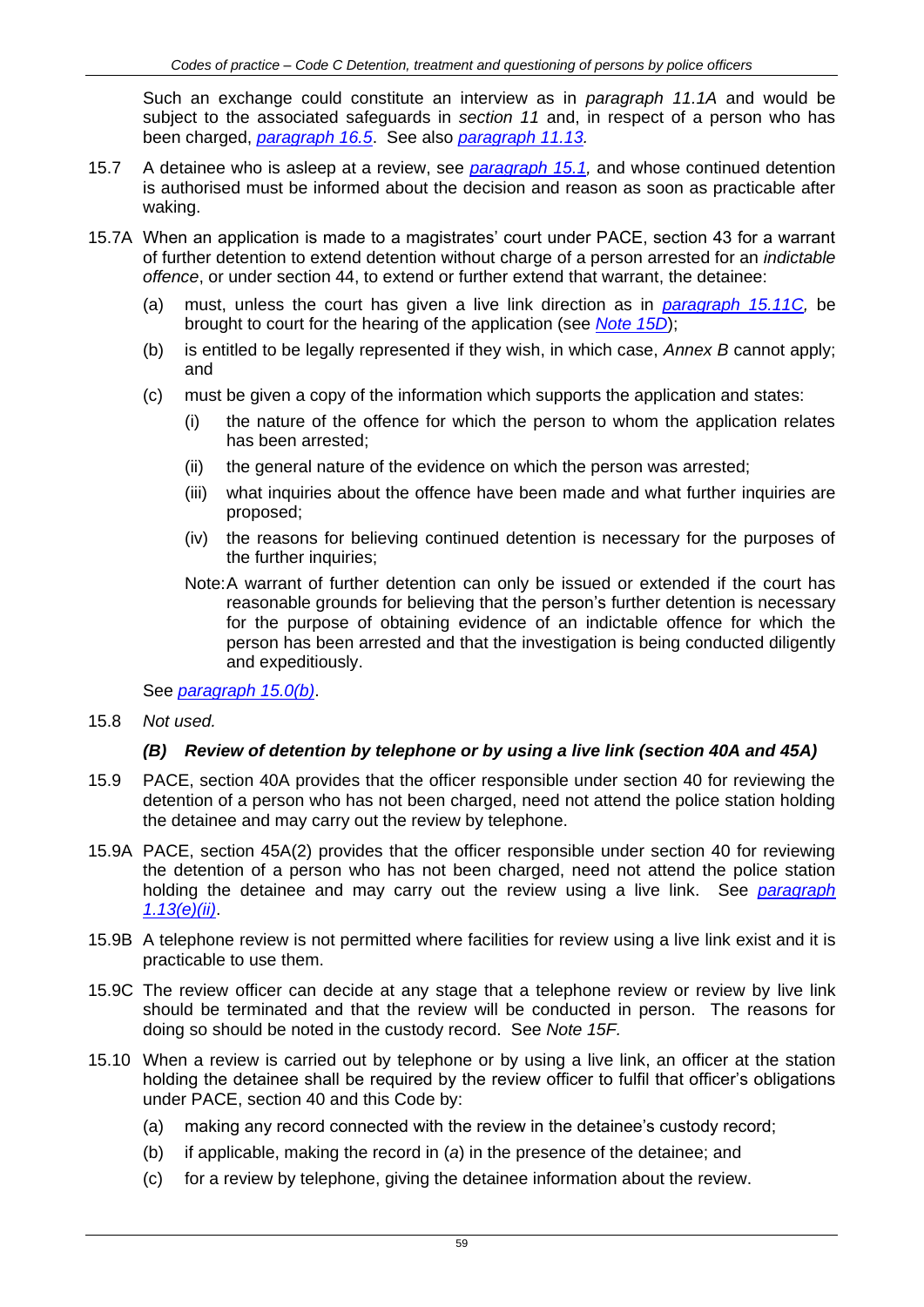Such an exchange could constitute an interview as in *paragraph 11.1A* and would be subject to the associated safeguards in *section 11* and, in respect of a person who has been charged, *[paragraph 16.5](#page-67-0)*. See also *[paragraph 11.13.](#page-47-1)*

- 15.7 A detainee who is asleep at a review, see *[paragraph 15.1,](#page-60-2)* and whose continued detention is authorised must be informed about the decision and reason as soon as practicable after waking.
- <span id="page-62-0"></span>15.7A When an application is made to a magistrates' court under PACE, section 43 for a warrant of further detention to extend detention without charge of a person arrested for an *indictable offence*, or under section 44, to extend or further extend that warrant, the detainee:
	- (a) must, unless the court has given a live link direction as in *[paragraph 15.11C,](#page-63-0)* be brought to court for the hearing of the application (see *[Note 15D](#page-65-1)*);
	- (b) is entitled to be legally represented if they wish, in which case, *Annex B* cannot apply; and
	- (c) must be given a copy of the information which supports the application and states:
		- (i) the nature of the offence for which the person to whom the application relates has been arrested;
		- (ii) the general nature of the evidence on which the person was arrested;
		- (iii) what inquiries about the offence have been made and what further inquiries are proposed;
		- (iv) the reasons for believing continued detention is necessary for the purposes of the further inquiries;
		- Note:A warrant of further detention can only be issued or extended if the court has reasonable grounds for believing that the person's further detention is necessary for the purpose of obtaining evidence of an indictable offence for which the person has been arrested and that the investigation is being conducted diligently and expeditiously.

See *[paragraph 15.0\(b\)](#page-60-3)*.

15.8 *Not used.*

## *(B) Review of detention by telephone or by using a live link (section 40A and 45A)*

- <span id="page-62-1"></span>15.9 PACE, section 40A provides that the officer responsible under section 40 for reviewing the detention of a person who has not been charged, need not attend the police station holding the detainee and may carry out the review by telephone.
- 15.9A PACE, section 45A(2) provides that the officer responsible under section 40 for reviewing the detention of a person who has not been charged, need not attend the police station holding the detainee and may carry out the review using a live link. See *[paragraph](#page-12-1)  [1.13\(e\)\(ii\)](#page-12-1)*.
- 15.9B A telephone review is not permitted where facilities for review using a live link exist and it is practicable to use them.
- 15.9C The review officer can decide at any stage that a telephone review or review by live link should be terminated and that the review will be conducted in person. The reasons for doing so should be noted in the custody record. See *Note 15F.*
- 15.10 When a review is carried out by telephone or by using a live link, an officer at the station holding the detainee shall be required by the review officer to fulfil that officer's obligations under PACE, section 40 and this Code by:
	- (a) making any record connected with the review in the detainee's custody record;
	- (b) if applicable, making the record in (*a*) in the presence of the detainee; and
	- (c) for a review by telephone, giving the detainee information about the review.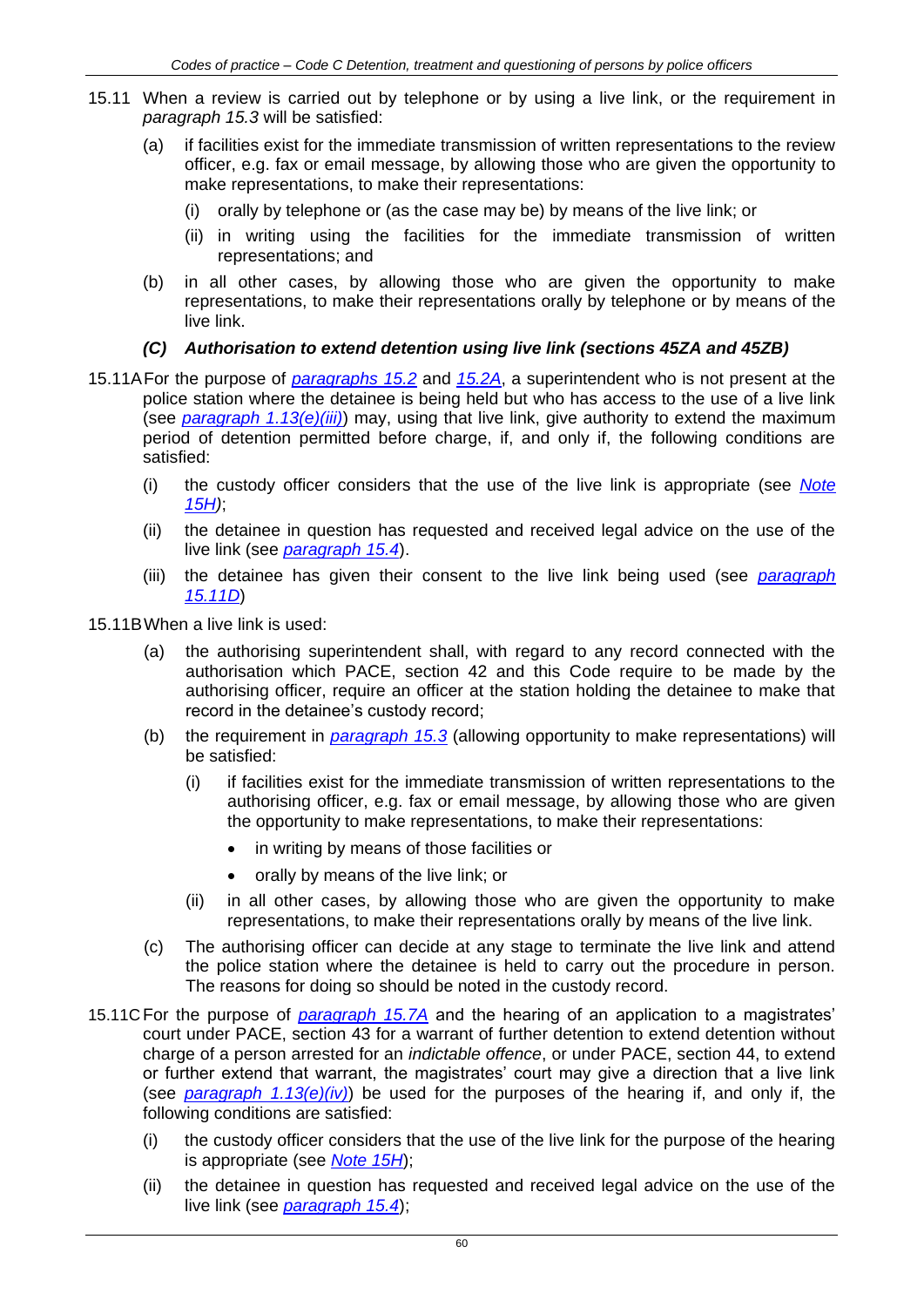- 15.11 When a review is carried out by telephone or by using a live link, or the requirement in *paragraph 15.3* will be satisfied:
	- (a) if facilities exist for the immediate transmission of written representations to the review officer, e.g. fax or email message, by allowing those who are given the opportunity to make representations, to make their representations:
		- (i) orally by telephone or (as the case may be) by means of the live link; or
		- (ii) in writing using the facilities for the immediate transmission of written representations; and
	- (b) in all other cases, by allowing those who are given the opportunity to make representations, to make their representations orally by telephone or by means of the live link.

## *(C) Authorisation to extend detention using live link (sections 45ZA and 45ZB)*

- <span id="page-63-1"></span>15.11AFor the purpose of *[paragraphs 15.2](#page-60-0)* and *[15.2A](#page-60-1)*, a superintendent who is not present at the police station where the detainee is being held but who has access to the use of a live link (see *[paragraph 1.13\(e\)\(iii\)](#page-12-3)*) may, using that live link, give authority to extend the maximum period of detention permitted before charge, if, and only if, the following conditions are satisfied:
	- (i) the custody officer considers that the use of the live link is appropriate (see *[Note](#page-66-0)  [15H\)](#page-66-0)*;
	- (ii) the detainee in question has requested and received legal advice on the use of the live link (see *[paragraph 15.4](#page-61-1)*).
	- (iii) the detainee has given their consent to the live link being used (see *[paragraph](#page-64-1)  [15.11D](#page-64-1)*)
- <span id="page-63-3"></span><span id="page-63-2"></span>15.11BWhen a live link is used:
	- (a) the authorising superintendent shall, with regard to any record connected with the authorisation which PACE, section 42 and this Code require to be made by the authorising officer, require an officer at the station holding the detainee to make that record in the detainee's custody record;
	- (b) the requirement in *[paragraph 15.3](#page-60-4)* (allowing opportunity to make representations) will be satisfied:
		- (i) if facilities exist for the immediate transmission of written representations to the authorising officer, e.g. fax or email message, by allowing those who are given the opportunity to make representations, to make their representations:
			- in writing by means of those facilities or
			- orally by means of the live link; or
		- (ii) in all other cases, by allowing those who are given the opportunity to make representations, to make their representations orally by means of the live link.
	- (c) The authorising officer can decide at any stage to terminate the live link and attend the police station where the detainee is held to carry out the procedure in person. The reasons for doing so should be noted in the custody record.
- <span id="page-63-0"></span>15.11C For the purpose of *[paragraph 15.7A](#page-62-0)* and the hearing of an application to a magistrates' court under PACE, section 43 for a warrant of further detention to extend detention without charge of a person arrested for an *indictable offence*, or under PACE, section 44, to extend or further extend that warrant, the magistrates' court may give a direction that a live link (see *[paragraph 1.13\(e\)\(iv\)](#page-12-4)*) be used for the purposes of the hearing if, and only if, the following conditions are satisfied:
	- (i) the custody officer considers that the use of the live link for the purpose of the hearing is appropriate (see *[Note 15H](#page-66-0)*);
	- (ii) the detainee in question has requested and received legal advice on the use of the live link (see *[paragraph 15.4](#page-61-1)*);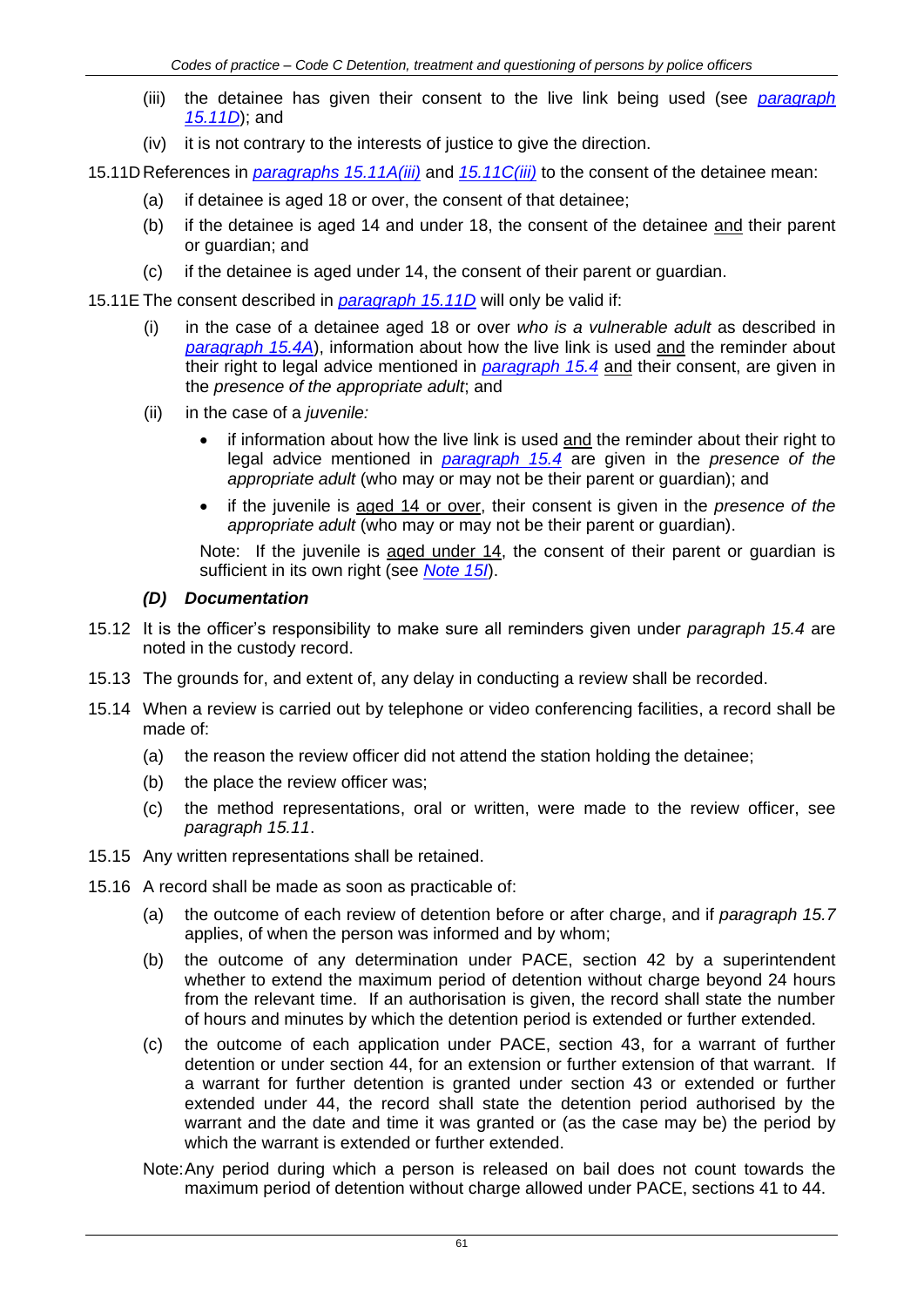- <span id="page-64-0"></span>(iii) the detainee has given their consent to the live link being used (see *[paragraph](#page-64-1)  [15.11D](#page-64-1)*); and
- (iv) it is not contrary to the interests of justice to give the direction.
- <span id="page-64-1"></span>15.11D References in *[paragraphs 15.11A\(iii\)](#page-63-1)* and *[15.11C\(iii\)](#page-64-0)* to the consent of the detainee mean:
	- (a) if detainee is aged 18 or over, the consent of that detainee;
	- (b) if the detainee is aged 14 and under 18, the consent of the detainee and their parent or guardian; and
	- (c) if the detainee is aged under 14, the consent of their parent or guardian.
- <span id="page-64-2"></span>15.11E The consent described in *[paragraph 15.11D](#page-64-1)* will only be valid if:
	- (i) in the case of a detainee aged 18 or over *who is a vulnerable adult* as described in *[paragraph 15.4A](#page-61-2)*), information about how the live link is used and the reminder about their right to legal advice mentioned in *[paragraph 15.4](#page-61-1)* and their consent, are given in the *presence of the appropriate adult*; and
	- (ii) in the case of a *juvenile:*
		- if information about how the live link is used and the reminder about their right to legal advice mentioned in *[paragraph 15.4](#page-61-1)* are given in the *presence of the appropriate adult* (who may or may not be their parent or guardian); and
		- if the juvenile is aged 14 or over, their consent is given in the *presence of the appropriate adult* (who may or may not be their parent or guardian).

Note: If the juvenile is aged under 14, the consent of their parent or guardian is sufficient in its own right (see *[Note 15I](#page-66-1)*).

#### *(D) Documentation*

- 15.12 It is the officer's responsibility to make sure all reminders given under *paragraph 15.4* are noted in the custody record.
- 15.13 The grounds for, and extent of, any delay in conducting a review shall be recorded.
- 15.14 When a review is carried out by telephone or video conferencing facilities, a record shall be made of:
	- (a) the reason the review officer did not attend the station holding the detainee;
	- (b) the place the review officer was;
	- (c) the method representations, oral or written, were made to the review officer, see *paragraph 15.11*.
- 15.15 Any written representations shall be retained.
- 15.16 A record shall be made as soon as practicable of:
	- (a) the outcome of each review of detention before or after charge, and if *paragraph 15.7* applies, of when the person was informed and by whom;
	- (b) the outcome of any determination under PACE, section 42 by a superintendent whether to extend the maximum period of detention without charge beyond 24 hours from the relevant time. If an authorisation is given, the record shall state the number of hours and minutes by which the detention period is extended or further extended.
	- (c) the outcome of each application under PACE, section 43, for a warrant of further detention or under section 44, for an extension or further extension of that warrant. If a warrant for further detention is granted under section 43 or extended or further extended under 44, the record shall state the detention period authorised by the warrant and the date and time it was granted or (as the case may be) the period by which the warrant is extended or further extended.
	- Note:Any period during which a person is released on bail does not count towards the maximum period of detention without charge allowed under PACE, sections 41 to 44.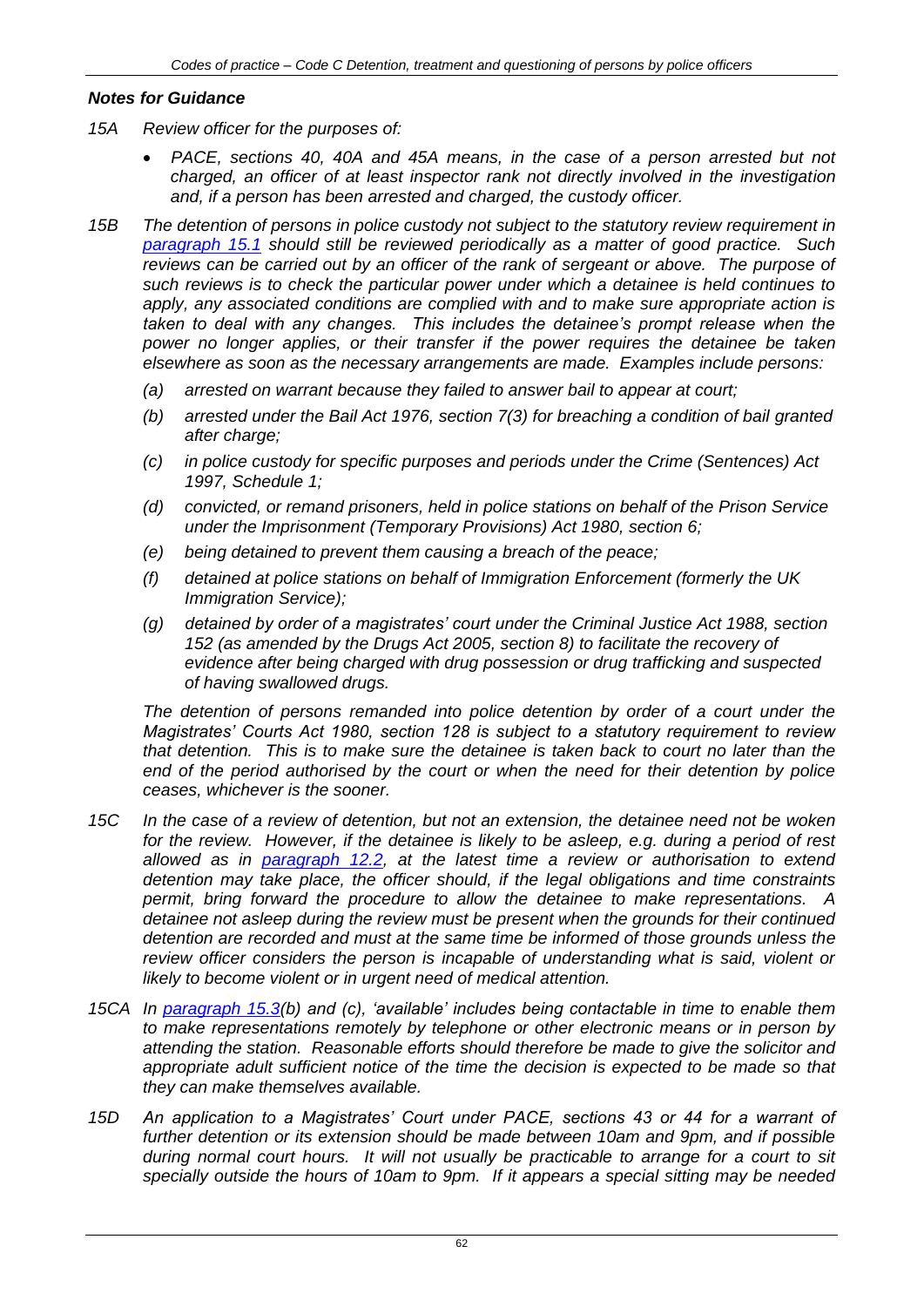#### *Notes for Guidance*

- *15A Review officer for the purposes of:* 
	- *PACE, sections 40, 40A and 45A means, in the case of a person arrested but not charged, an officer of at least inspector rank not directly involved in the investigation and, if a person has been arrested and charged, the custody officer.*
- *15B The detention of persons in police custody not subject to the statutory review requirement in [paragraph 15.1](#page-60-2) should still be reviewed periodically as a matter of good practice. Such reviews can be carried out by an officer of the rank of sergeant or above. The purpose of such reviews is to check the particular power under which a detainee is held continues to apply, any associated conditions are complied with and to make sure appropriate action is taken to deal with any changes. This includes the detainee's prompt release when the power no longer applies, or their transfer if the power requires the detainee be taken elsewhere as soon as the necessary arrangements are made. Examples include persons:*
	- *(a) arrested on warrant because they failed to answer bail to appear at court;*
	- *(b) arrested under the Bail Act 1976, section 7(3) for breaching a condition of bail granted after charge;*
	- *(c) in police custody for specific purposes and periods under the Crime (Sentences) Act 1997, Schedule 1;*
	- *(d) convicted, or remand prisoners, held in police stations on behalf of the Prison Service under the Imprisonment (Temporary Provisions) Act 1980, section 6;*
	- *(e) being detained to prevent them causing a breach of the peace;*
	- *(f) detained at police stations on behalf of Immigration Enforcement (formerly the UK Immigration Service);*
	- *(g) detained by order of a magistrates' court under the Criminal Justice Act 1988, section 152 (as amended by the Drugs Act 2005, section 8) to facilitate the recovery of evidence after being charged with drug possession or drug trafficking and suspected of having swallowed drugs.*

*The detention of persons remanded into police detention by order of a court under the Magistrates' Courts Act 1980, section 128 is subject to a statutory requirement to review that detention. This is to make sure the detainee is taken back to court no later than the end of the period authorised by the court or when the need for their detention by police ceases, whichever is the sooner.*

- *15C In the case of a review of detention, but not an extension, the detainee need not be woken for the review. However, if the detainee is likely to be asleep, e.g. during a period of rest allowed as in [paragraph 12.2,](#page-50-2) at the latest time a review or authorisation to extend detention may take place, the officer should, if the legal obligations and time constraints permit, bring forward the procedure to allow the detainee to make representations. A detainee not asleep during the review must be present when the grounds for their continued detention are recorded and must at the same time be informed of those grounds unless the review officer considers the person is incapable of understanding what is said, violent or likely to become violent or in urgent need of medical attention.*
- <span id="page-65-0"></span>*15CA In [paragraph 15.3\(](#page-60-4)b) and (c), 'available' includes being contactable in time to enable them to make representations remotely by telephone or other electronic means or in person by attending the station. Reasonable efforts should therefore be made to give the solicitor and appropriate adult sufficient notice of the time the decision is expected to be made so that they can make themselves available.*
- <span id="page-65-1"></span>*15D An application to a Magistrates' Court under PACE, sections 43 or 44 for a warrant of further detention or its extension should be made between 10am and 9pm, and if possible during normal court hours. It will not usually be practicable to arrange for a court to sit specially outside the hours of 10am to 9pm. If it appears a special sitting may be needed*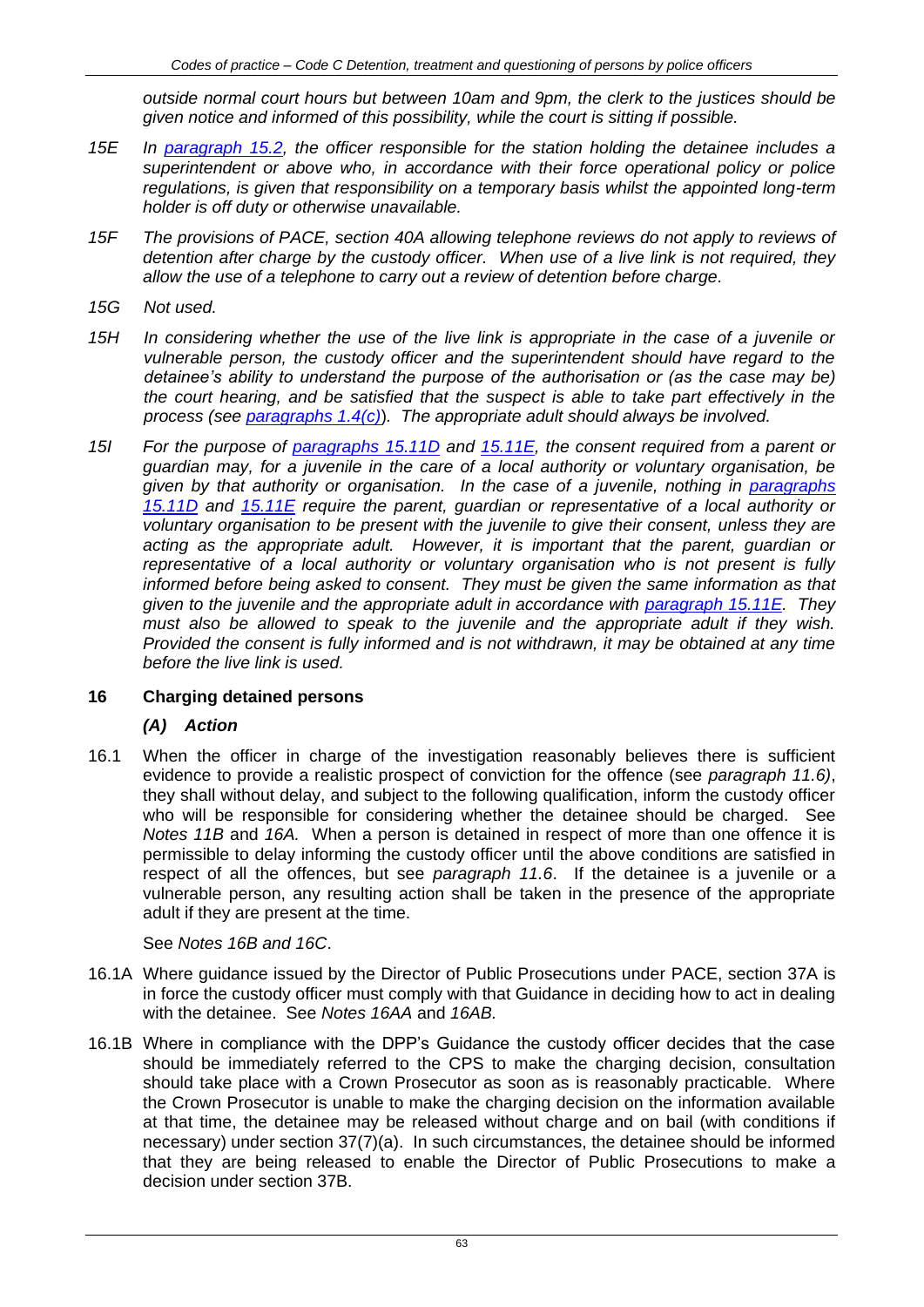*outside normal court hours but between 10am and 9pm, the clerk to the justices should be given notice and informed of this possibility, while the court is sitting if possible.*

- *15E In [paragraph 15.2,](#page-60-0) the officer responsible for the station holding the detainee includes a superintendent or above who, in accordance with their force operational policy or police regulations, is given that responsibility on a temporary basis whilst the appointed long-term holder is off duty or otherwise unavailable.*
- *15F The provisions of PACE, section 40A allowing telephone reviews do not apply to reviews of detention after charge by the custody officer. When use of a live link is not required, they allow the use of a telephone to carry out a review of detention before charge.*
- *15G Not used.*
- <span id="page-66-0"></span>*15H In considering whether the use of the live link is appropriate in the case of a juvenile or vulnerable person, the custody officer and the superintendent should have regard to the detainee's ability to understand the purpose of the authorisation or (as the case may be) the court hearing, and be satisfied that the suspect is able to take part effectively in the process (see [paragraphs 1.4\(c\)](#page-9-0)*)*. The appropriate adult should always be involved.*
- <span id="page-66-1"></span>*15I For the purpose of [paragraphs 15.11D](#page-64-1) and [15.11E,](#page-64-2) the consent required from a parent or guardian may, for a juvenile in the care of a local authority or voluntary organisation, be given by that authority or organisation. In the case of a juvenile, nothing in [paragraphs](#page-64-1)  [15.11D](#page-64-1) and [15.11E](#page-64-2) require the parent, guardian or representative of a local authority or voluntary organisation to be present with the juvenile to give their consent, unless they are acting as the appropriate adult. However, it is important that the parent, guardian or representative of a local authority or voluntary organisation who is not present is fully informed before being asked to consent. They must be given the same information as that given to the juvenile and the appropriate adult in accordance with [paragraph 15.11E.](#page-64-2) They must also be allowed to speak to the juvenile and the appropriate adult if they wish. Provided the consent is fully informed and is not withdrawn, it may be obtained at any time before the live link is used.*

#### **16 Charging detained persons**

## *(A) Action*

16.1 When the officer in charge of the investigation reasonably believes there is sufficient evidence to provide a realistic prospect of conviction for the offence (see *paragraph 11.6)*, they shall without delay, and subject to the following qualification, inform the custody officer who will be responsible for considering whether the detainee should be charged. See *Notes 11B* and *16A.* When a person is detained in respect of more than one offence it is permissible to delay informing the custody officer until the above conditions are satisfied in respect of all the offences, but see *paragraph 11.6*. If the detainee is a juvenile or a vulnerable person, any resulting action shall be taken in the presence of the appropriate adult if they are present at the time.

#### See *Notes 16B and 16C*.

- 16.1A Where guidance issued by the Director of Public Prosecutions under PACE, section 37A is in force the custody officer must comply with that Guidance in deciding how to act in dealing with the detainee. See *Notes 16AA* and *16AB.*
- 16.1B Where in compliance with the DPP's Guidance the custody officer decides that the case should be immediately referred to the CPS to make the charging decision, consultation should take place with a Crown Prosecutor as soon as is reasonably practicable. Where the Crown Prosecutor is unable to make the charging decision on the information available at that time, the detainee may be released without charge and on bail (with conditions if necessary) under section 37(7)(a). In such circumstances, the detainee should be informed that they are being released to enable the Director of Public Prosecutions to make a decision under section 37B.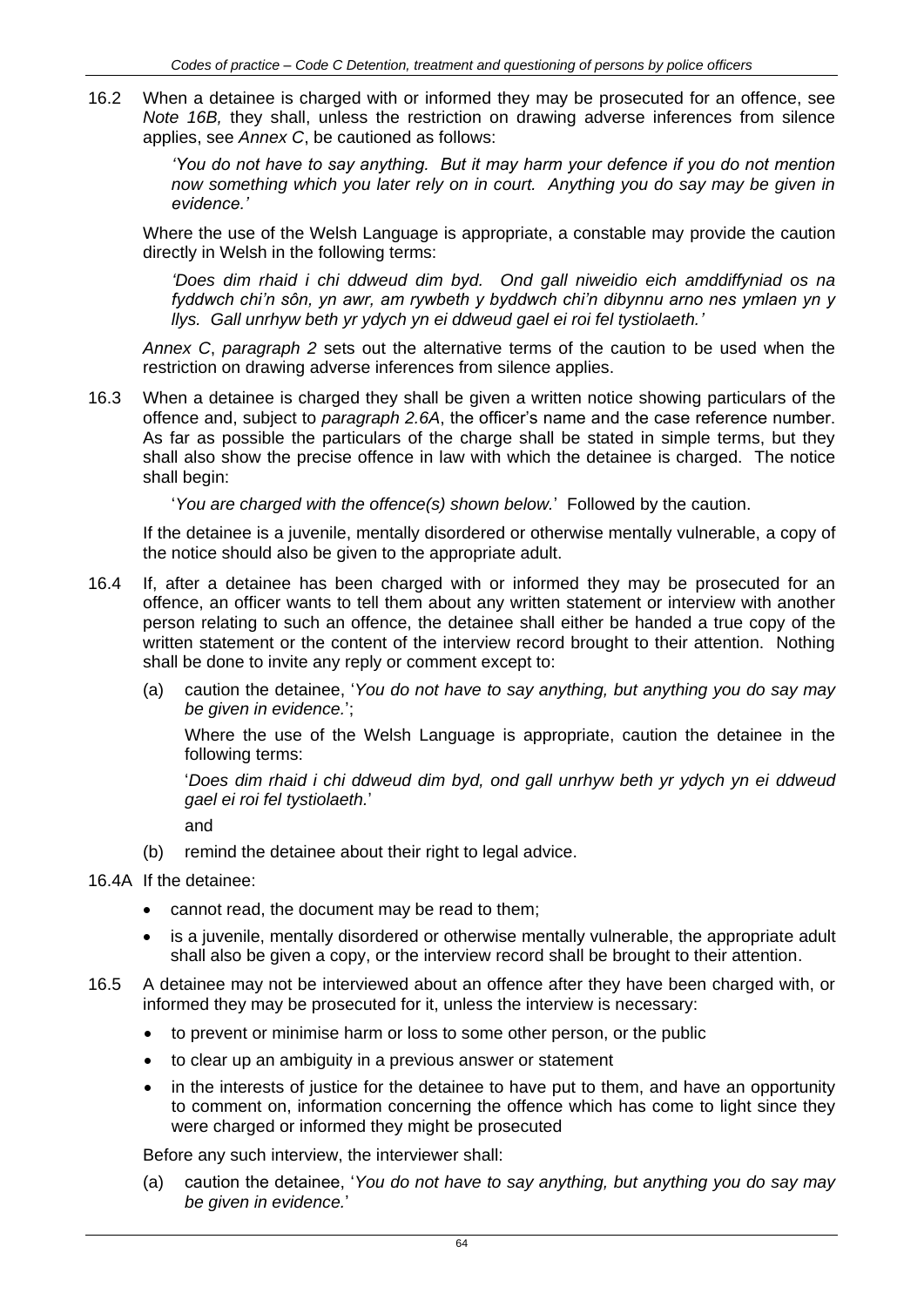16.2 When a detainee is charged with or informed they may be prosecuted for an offence, see *Note 16B,* they shall, unless the restriction on drawing adverse inferences from silence applies, see *Annex C*, be cautioned as follows:

> *'You do not have to say anything. But it may harm your defence if you do not mention now something which you later rely on in court. Anything you do say may be given in evidence.'*

Where the use of the Welsh Language is appropriate, a constable may provide the caution directly in Welsh in the following terms:

*'Does dim rhaid i chi ddweud dim byd. Ond gall niweidio eich amddiffyniad os na fyddwch chi'n sôn, yn awr, am rywbeth y byddwch chi'n dibynnu arno nes ymlaen yn y llys. Gall unrhyw beth yr ydych yn ei ddweud gael ei roi fel tystiolaeth.'*

*Annex C*, *paragraph 2* sets out the alternative terms of the caution to be used when the restriction on drawing adverse inferences from silence applies.

16.3 When a detainee is charged they shall be given a written notice showing particulars of the offence and, subject to *paragraph 2.6A*, the officer's name and the case reference number. As far as possible the particulars of the charge shall be stated in simple terms, but they shall also show the precise offence in law with which the detainee is charged. The notice shall begin:

'*You are charged with the offence(s) shown below.*' Followed by the caution.

If the detainee is a juvenile, mentally disordered or otherwise mentally vulnerable, a copy of the notice should also be given to the appropriate adult.

- 16.4 If, after a detainee has been charged with or informed they may be prosecuted for an offence, an officer wants to tell them about any written statement or interview with another person relating to such an offence, the detainee shall either be handed a true copy of the written statement or the content of the interview record brought to their attention. Nothing shall be done to invite any reply or comment except to:
	- (a) caution the detainee, '*You do not have to say anything, but anything you do say may be given in evidence.*';

Where the use of the Welsh Language is appropriate, caution the detainee in the following terms:

'*Does dim rhaid i chi ddweud dim byd, ond gall unrhyw beth yr ydych yn ei ddweud gael ei roi fel tystiolaeth.*'

and

- (b) remind the detainee about their right to legal advice.
- 16.4A If the detainee:
	- cannot read, the document may be read to them:
	- is a juvenile, mentally disordered or otherwise mentally vulnerable, the appropriate adult shall also be given a copy, or the interview record shall be brought to their attention.
- <span id="page-67-0"></span>16.5 A detainee may not be interviewed about an offence after they have been charged with, or informed they may be prosecuted for it, unless the interview is necessary:
	- to prevent or minimise harm or loss to some other person, or the public
	- to clear up an ambiguity in a previous answer or statement
	- in the interests of justice for the detainee to have put to them, and have an opportunity to comment on, information concerning the offence which has come to light since they were charged or informed they might be prosecuted

Before any such interview, the interviewer shall:

(a) caution the detainee, '*You do not have to say anything, but anything you do say may be given in evidence.*'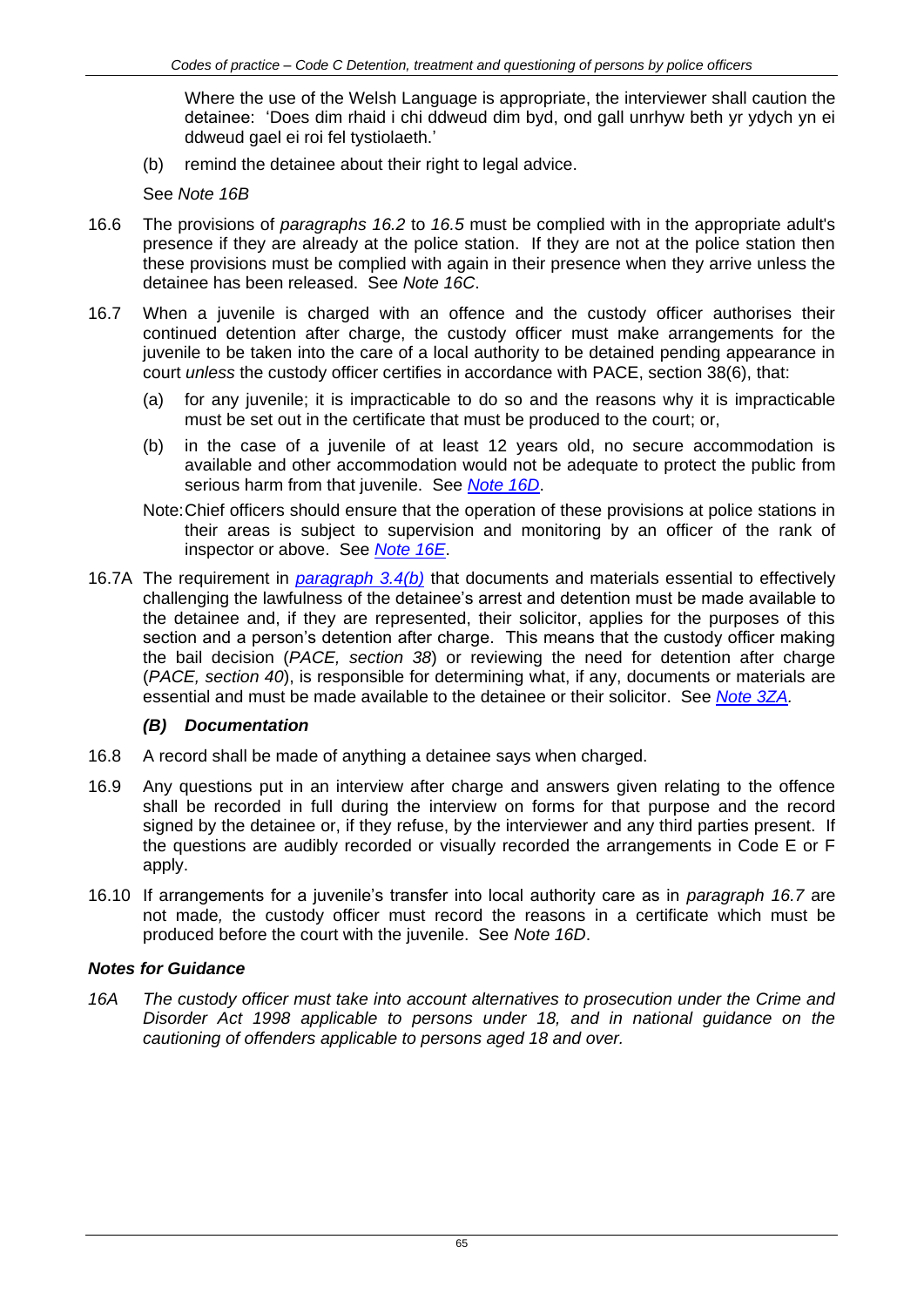Where the use of the Welsh Language is appropriate, the interviewer shall caution the detainee: 'Does dim rhaid i chi ddweud dim byd, ond gall unrhyw beth yr ydych yn ei ddweud gael ei roi fel tystiolaeth.'

(b) remind the detainee about their right to legal advice.

See *Note 16B*

- 16.6 The provisions of *paragraphs 16.2* to *16.5* must be complied with in the appropriate adult's presence if they are already at the police station. If they are not at the police station then these provisions must be complied with again in their presence when they arrive unless the detainee has been released. See *Note 16C*.
- <span id="page-68-0"></span>16.7 When a juvenile is charged with an offence and the custody officer authorises their continued detention after charge, the custody officer must make arrangements for the juvenile to be taken into the care of a local authority to be detained pending appearance in court *unless* the custody officer certifies in accordance with PACE, section 38(6), that:
	- (a) for any juvenile; it is impracticable to do so and the reasons why it is impracticable must be set out in the certificate that must be produced to the court; or,
	- (b) in the case of a juvenile of at least 12 years old, no secure accommodation is available and other accommodation would not be adequate to protect the public from serious harm from that juvenile. See *[Note 16D](#page-69-0)*.
	- Note:Chief officers should ensure that the operation of these provisions at police stations in their areas is subject to supervision and monitoring by an officer of the rank of inspector or above. See *[Note 16E](#page-69-1)*.
- 16.7A The requirement in *[paragraph 3.4\(b\)](#page-19-1)* that documents and materials essential to effectively challenging the lawfulness of the detainee's arrest and detention must be made available to the detainee and, if they are represented, their solicitor, applies for the purposes of this section and a person's detention after charge. This means that the custody officer making the bail decision (*PACE, section 38*) or reviewing the need for detention after charge (*PACE, section 40*), is responsible for determining what, if any, documents or materials are essential and must be made available to the detainee or their solicitor. See *[Note 3ZA.](#page-26-0)*

## *(B) Documentation*

- 16.8 A record shall be made of anything a detainee says when charged.
- 16.9 Any questions put in an interview after charge and answers given relating to the offence shall be recorded in full during the interview on forms for that purpose and the record signed by the detainee or, if they refuse, by the interviewer and any third parties present. If the questions are audibly recorded or visually recorded the arrangements in Code E or F apply.
- 16.10 If arrangements for a juvenile's transfer into local authority care as in *paragraph 16.7* are not made*,* the custody officer must record the reasons in a certificate which must be produced before the court with the juvenile. See *Note 16D*.

#### *Notes for Guidance*

*16A The custody officer must take into account alternatives to prosecution under the Crime and Disorder Act 1998 applicable to persons under 18, and in national guidance on the cautioning of offenders applicable to persons aged 18 and over.*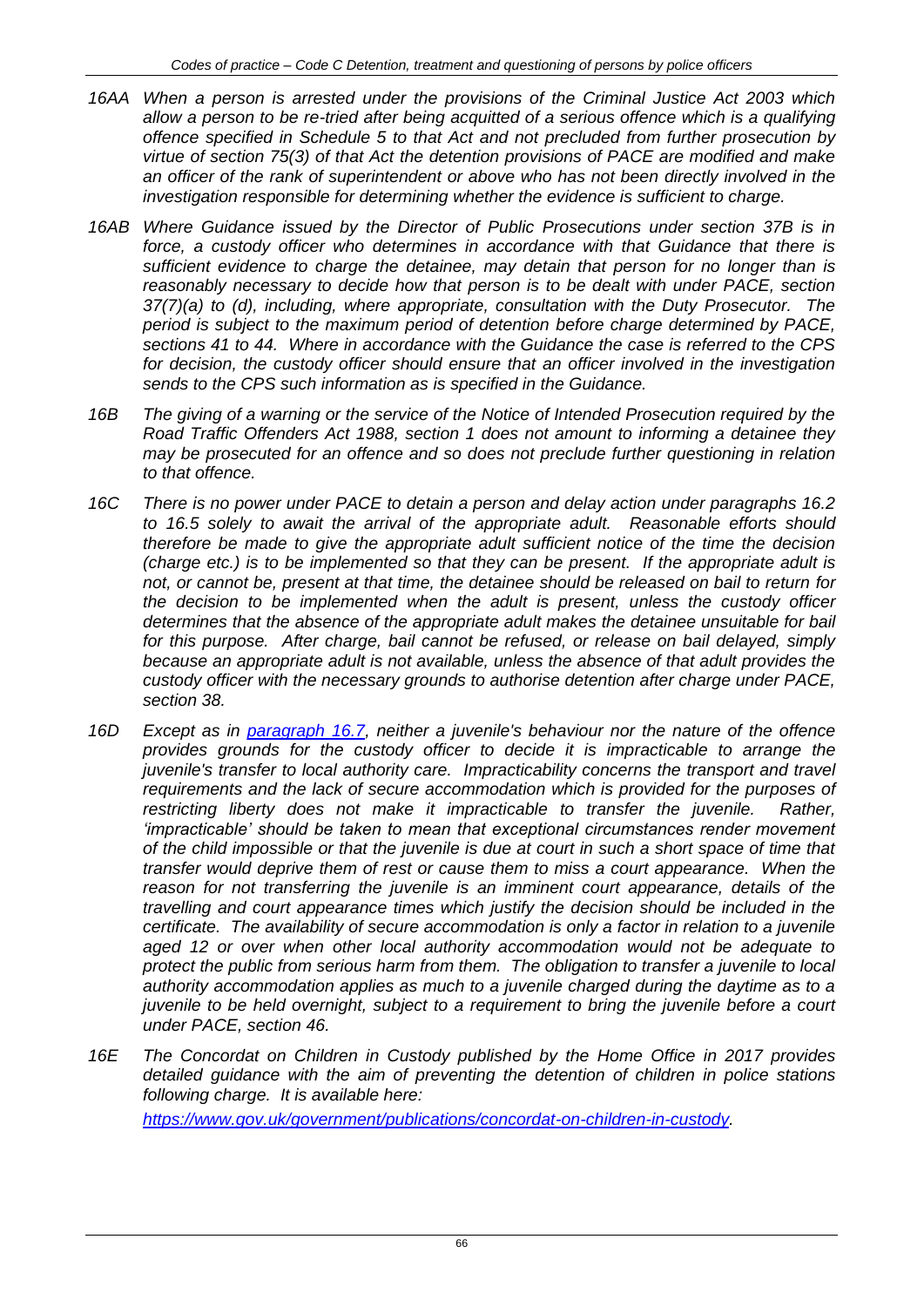- *16AA When a person is arrested under the provisions of the Criminal Justice Act 2003 which allow a person to be re-tried after being acquitted of a serious offence which is a qualifying offence specified in Schedule 5 to that Act and not precluded from further prosecution by virtue of section 75(3) of that Act the detention provisions of PACE are modified and make an officer of the rank of superintendent or above who has not been directly involved in the investigation responsible for determining whether the evidence is sufficient to charge.*
- *16AB Where Guidance issued by the Director of Public Prosecutions under section 37B is in force, a custody officer who determines in accordance with that Guidance that there is sufficient evidence to charge the detainee, may detain that person for no longer than is reasonably necessary to decide how that person is to be dealt with under PACE, section 37(7)(a) to (d), including, where appropriate, consultation with the Duty Prosecutor. The period is subject to the maximum period of detention before charge determined by PACE, sections 41 to 44. Where in accordance with the Guidance the case is referred to the CPS for decision, the custody officer should ensure that an officer involved in the investigation sends to the CPS such information as is specified in the Guidance.*
- *16B The giving of a warning or the service of the Notice of Intended Prosecution required by the Road Traffic Offenders Act 1988, section 1 does not amount to informing a detainee they may be prosecuted for an offence and so does not preclude further questioning in relation to that offence.*
- *16C There is no power under PACE to detain a person and delay action under paragraphs 16.2 to 16.5 solely to await the arrival of the appropriate adult. Reasonable efforts should therefore be made to give the appropriate adult sufficient notice of the time the decision (charge etc.) is to be implemented so that they can be present. If the appropriate adult is not, or cannot be, present at that time, the detainee should be released on bail to return for the decision to be implemented when the adult is present, unless the custody officer determines that the absence of the appropriate adult makes the detainee unsuitable for bail for this purpose. After charge, bail cannot be refused, or release on bail delayed, simply because an appropriate adult is not available, unless the absence of that adult provides the custody officer with the necessary grounds to authorise detention after charge under PACE, section 38.*
- <span id="page-69-0"></span>*16D Except as in [paragraph 16.7,](#page-68-0) neither a juvenile's behaviour nor the nature of the offence provides grounds for the custody officer to decide it is impracticable to arrange the juvenile's transfer to local authority care. Impracticability concerns the transport and travel requirements and the lack of secure accommodation which is provided for the purposes of restricting liberty does not make it impracticable to transfer the juvenile. Rather, 'impracticable' should be taken to mean that exceptional circumstances render movement of the child impossible or that the juvenile is due at court in such a short space of time that transfer would deprive them of rest or cause them to miss a court appearance. When the reason for not transferring the juvenile is an imminent court appearance, details of the travelling and court appearance times which justify the decision should be included in the certificate. The availability of secure accommodation is only a factor in relation to a juvenile aged 12 or over when other local authority accommodation would not be adequate to protect the public from serious harm from them. The obligation to transfer a juvenile to local authority accommodation applies as much to a juvenile charged during the daytime as to a juvenile to be held overnight, subject to a requirement to bring the juvenile before a court under PACE, section 46.*
- <span id="page-69-1"></span>*16E The Concordat on Children in Custody published by the Home Office in 2017 provides detailed guidance with the aim of preventing the detention of children in police stations following charge. It is available here:*

*[https://www.gov.uk/government/publications/concordat-on-children-in-custody.](https://www.gov.uk/government/publications/concordat-on-children-in-custody)*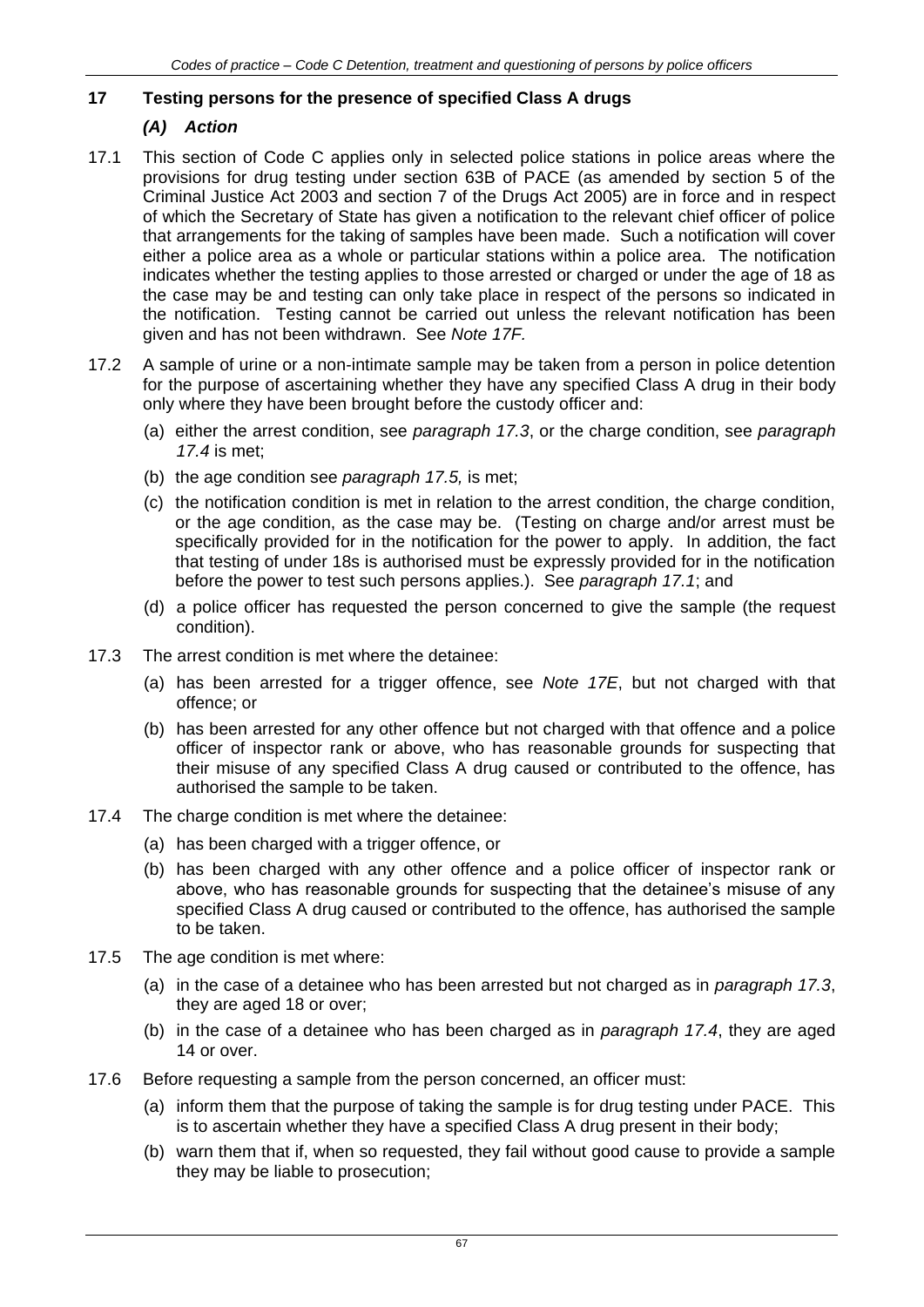## **17 Testing persons for the presence of specified Class A drugs**

# *(A) Action*

- 17.1 This section of Code C applies only in selected police stations in police areas where the provisions for drug testing under section 63B of PACE (as amended by section 5 of the Criminal Justice Act 2003 and section 7 of the Drugs Act 2005) are in force and in respect of which the Secretary of State has given a notification to the relevant chief officer of police that arrangements for the taking of samples have been made. Such a notification will cover either a police area as a whole or particular stations within a police area. The notification indicates whether the testing applies to those arrested or charged or under the age of 18 as the case may be and testing can only take place in respect of the persons so indicated in the notification. Testing cannot be carried out unless the relevant notification has been given and has not been withdrawn. See *Note 17F.*
- 17.2 A sample of urine or a non-intimate sample may be taken from a person in police detention for the purpose of ascertaining whether they have any specified Class A drug in their body only where they have been brought before the custody officer and:
	- (a) either the arrest condition, see *paragraph 17.3*, or the charge condition, see *paragraph 17.4* is met;
	- (b) the age condition see *paragraph 17.5,* is met;
	- (c) the notification condition is met in relation to the arrest condition, the charge condition, or the age condition, as the case may be. (Testing on charge and/or arrest must be specifically provided for in the notification for the power to apply. In addition, the fact that testing of under 18s is authorised must be expressly provided for in the notification before the power to test such persons applies.). See *paragraph 17.1*; and
	- (d) a police officer has requested the person concerned to give the sample (the request condition).
- 17.3 The arrest condition is met where the detainee:
	- (a) has been arrested for a trigger offence, see *Note 17E*, but not charged with that offence; or
	- (b) has been arrested for any other offence but not charged with that offence and a police officer of inspector rank or above, who has reasonable grounds for suspecting that their misuse of any specified Class A drug caused or contributed to the offence, has authorised the sample to be taken.
- 17.4 The charge condition is met where the detainee:
	- (a) has been charged with a trigger offence, or
	- (b) has been charged with any other offence and a police officer of inspector rank or above, who has reasonable grounds for suspecting that the detainee's misuse of any specified Class A drug caused or contributed to the offence, has authorised the sample to be taken.
- 17.5 The age condition is met where:
	- (a) in the case of a detainee who has been arrested but not charged as in *paragraph 17.3*, they are aged 18 or over;
	- (b) in the case of a detainee who has been charged as in *paragraph 17.4*, they are aged 14 or over.
- 17.6 Before requesting a sample from the person concerned, an officer must:
	- (a) inform them that the purpose of taking the sample is for drug testing under PACE. This is to ascertain whether they have a specified Class A drug present in their body;
	- (b) warn them that if, when so requested, they fail without good cause to provide a sample they may be liable to prosecution;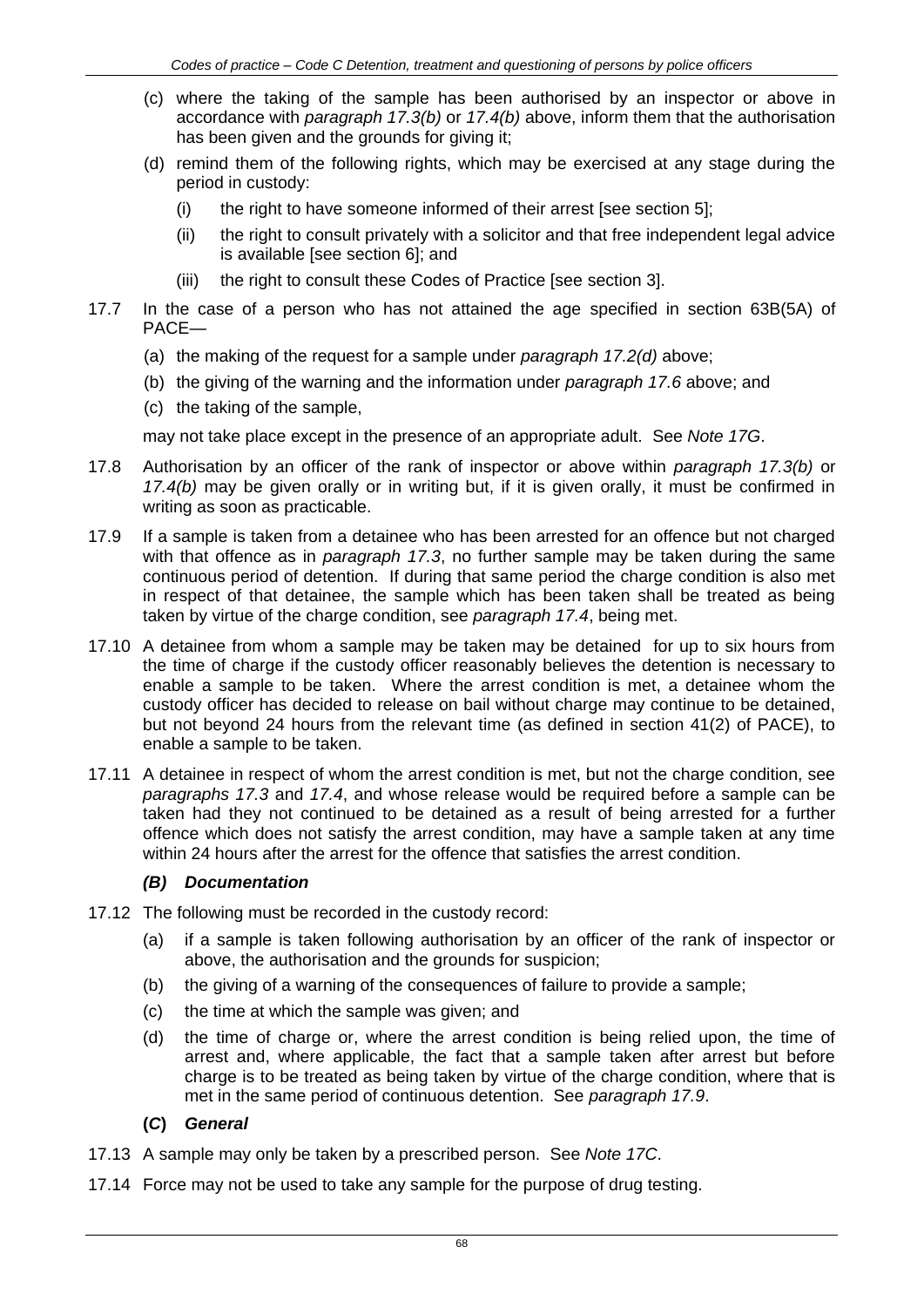- (c) where the taking of the sample has been authorised by an inspector or above in accordance with *paragraph 17.3(b)* or *17.4(b)* above, inform them that the authorisation has been given and the grounds for giving it;
- (d) remind them of the following rights, which may be exercised at any stage during the period in custody:
	- (i) the right to have someone informed of their arrest [see section 5];
	- (ii) the right to consult privately with a solicitor and that free independent legal advice is available [see section 6]; and
	- (iii) the right to consult these Codes of Practice [see section 3].
- 17.7 In the case of a person who has not attained the age specified in section 63B(5A) of PACE—
	- (a) the making of the request for a sample under *paragraph 17.2(d)* above;
	- (b) the giving of the warning and the information under *paragraph 17.6* above; and
	- (c) the taking of the sample,

may not take place except in the presence of an appropriate adult. See *Note 17G*.

- 17.8 Authorisation by an officer of the rank of inspector or above within *paragraph 17.3(b)* or *17.4(b)* may be given orally or in writing but, if it is given orally, it must be confirmed in writing as soon as practicable.
- 17.9 If a sample is taken from a detainee who has been arrested for an offence but not charged with that offence as in *paragraph 17.3*, no further sample may be taken during the same continuous period of detention. If during that same period the charge condition is also met in respect of that detainee, the sample which has been taken shall be treated as being taken by virtue of the charge condition, see *paragraph 17.4*, being met.
- 17.10 A detainee from whom a sample may be taken may be detained for up to six hours from the time of charge if the custody officer reasonably believes the detention is necessary to enable a sample to be taken. Where the arrest condition is met, a detainee whom the custody officer has decided to release on bail without charge may continue to be detained, but not beyond 24 hours from the relevant time (as defined in section 41(2) of PACE), to enable a sample to be taken.
- 17.11 A detainee in respect of whom the arrest condition is met, but not the charge condition, see *paragraphs 17.3* and *17.4*, and whose release would be required before a sample can be taken had they not continued to be detained as a result of being arrested for a further offence which does not satisfy the arrest condition, may have a sample taken at any time within 24 hours after the arrest for the offence that satisfies the arrest condition.

#### *(B) Documentation*

- 17.12 The following must be recorded in the custody record:
	- (a) if a sample is taken following authorisation by an officer of the rank of inspector or above, the authorisation and the grounds for suspicion;
	- (b) the giving of a warning of the consequences of failure to provide a sample;
	- (c) the time at which the sample was given; and
	- (d) the time of charge or, where the arrest condition is being relied upon, the time of arrest and, where applicable, the fact that a sample taken after arrest but before charge is to be treated as being taken by virtue of the charge condition, where that is met in the same period of continuous detention. See *paragraph 17.9*.

## **(***C***)** *General*

- 17.13 A sample may only be taken by a prescribed person. See *Note 17C*.
- 17.14 Force may not be used to take any sample for the purpose of drug testing.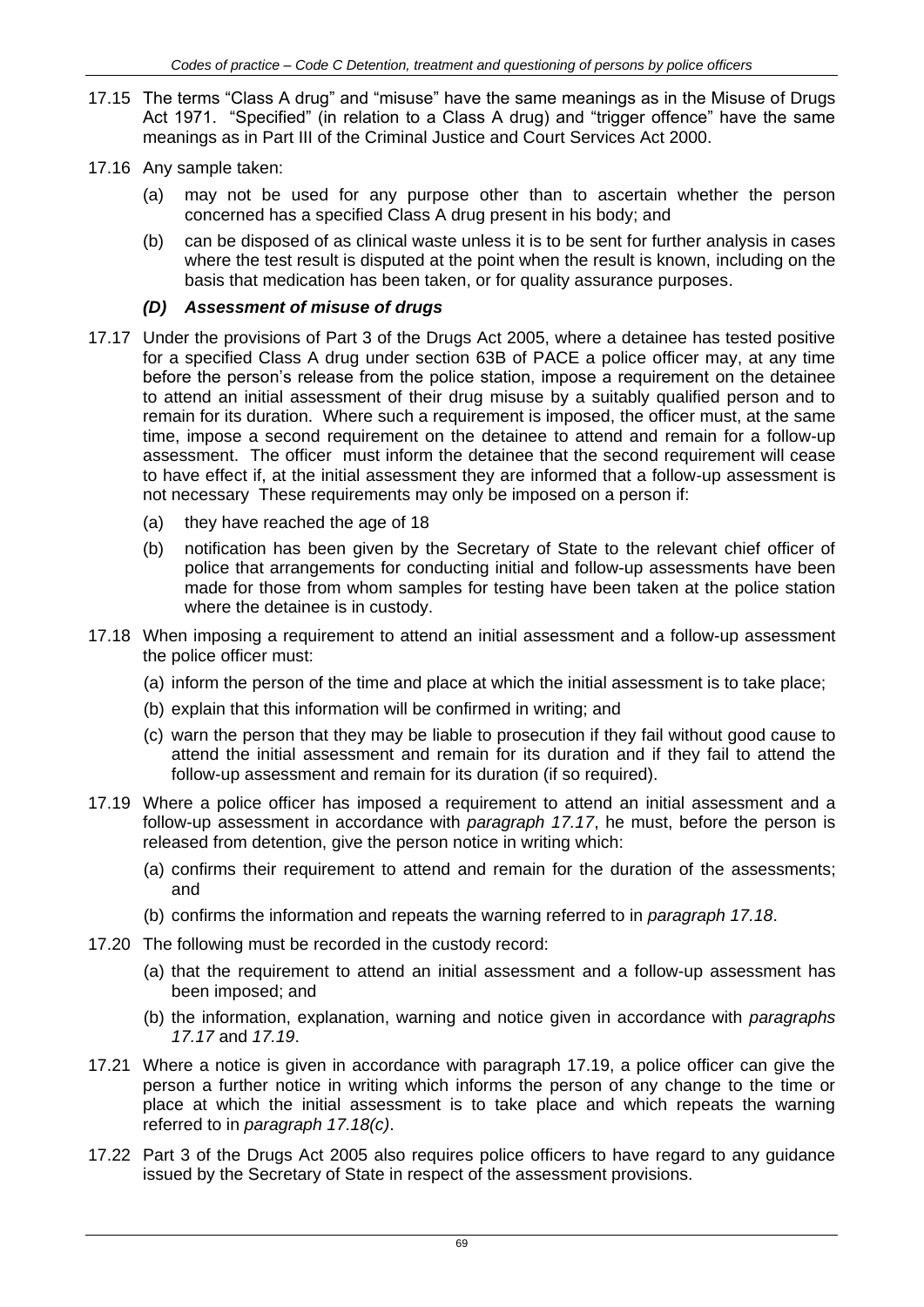- 17.15 The terms "Class A drug" and "misuse" have the same meanings as in the Misuse of Drugs Act 1971. "Specified" (in relation to a Class A drug) and "trigger offence" have the same meanings as in Part III of the Criminal Justice and Court Services Act 2000.
- 17.16 Any sample taken:
	- (a) may not be used for any purpose other than to ascertain whether the person concerned has a specified Class A drug present in his body; and
	- (b) can be disposed of as clinical waste unless it is to be sent for further analysis in cases where the test result is disputed at the point when the result is known, including on the basis that medication has been taken, or for quality assurance purposes.

### *(D) Assessment of misuse of drugs*

- 17.17 Under the provisions of Part 3 of the Drugs Act 2005, where a detainee has tested positive for a specified Class A drug under section 63B of PACE a police officer may, at any time before the person's release from the police station, impose a requirement on the detainee to attend an initial assessment of their drug misuse by a suitably qualified person and to remain for its duration. Where such a requirement is imposed, the officer must, at the same time, impose a second requirement on the detainee to attend and remain for a follow-up assessment. The officer must inform the detainee that the second requirement will cease to have effect if, at the initial assessment they are informed that a follow-up assessment is not necessary These requirements may only be imposed on a person if:
	- (a) they have reached the age of 18
	- (b) notification has been given by the Secretary of State to the relevant chief officer of police that arrangements for conducting initial and follow-up assessments have been made for those from whom samples for testing have been taken at the police station where the detainee is in custody.
- 17.18 When imposing a requirement to attend an initial assessment and a follow-up assessment the police officer must:
	- (a) inform the person of the time and place at which the initial assessment is to take place;
	- (b) explain that this information will be confirmed in writing; and
	- (c) warn the person that they may be liable to prosecution if they fail without good cause to attend the initial assessment and remain for its duration and if they fail to attend the follow-up assessment and remain for its duration (if so required).
- 17.19 Where a police officer has imposed a requirement to attend an initial assessment and a follow-up assessment in accordance with *paragraph 17.17*, he must, before the person is released from detention, give the person notice in writing which:
	- (a) confirms their requirement to attend and remain for the duration of the assessments; and
	- (b) confirms the information and repeats the warning referred to in *paragraph 17.18*.
- 17.20 The following must be recorded in the custody record:
	- (a) that the requirement to attend an initial assessment and a follow-up assessment has been imposed; and
	- (b) the information, explanation, warning and notice given in accordance with *paragraphs 17.17* and *17.19*.
- 17.21 Where a notice is given in accordance with paragraph 17.19, a police officer can give the person a further notice in writing which informs the person of any change to the time or place at which the initial assessment is to take place and which repeats the warning referred to in *paragraph 17.18(c)*.
- 17.22 Part 3 of the Drugs Act 2005 also requires police officers to have regard to any guidance issued by the Secretary of State in respect of the assessment provisions.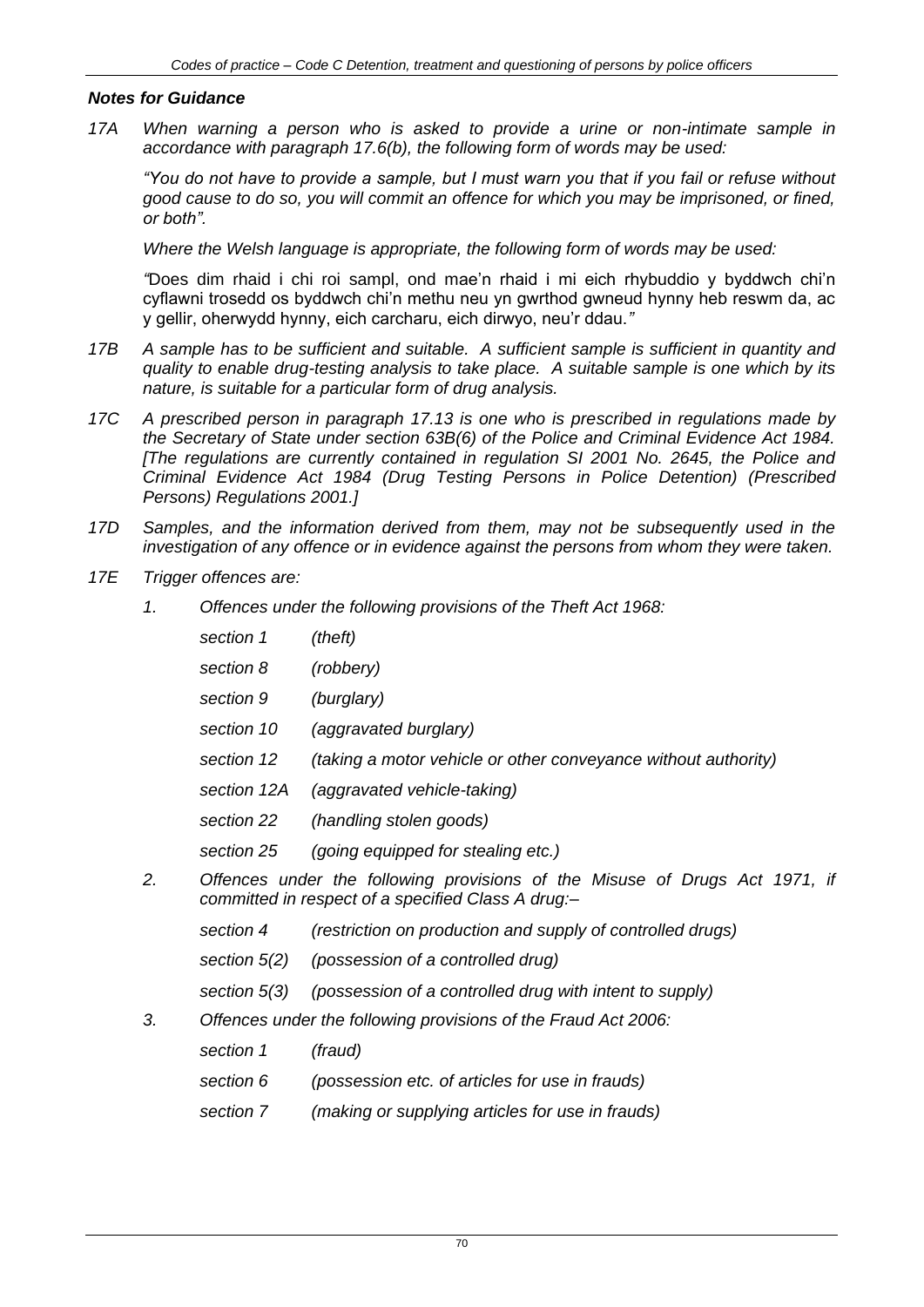#### *Notes for Guidance*

*17A When warning a person who is asked to provide a urine or non-intimate sample in accordance with paragraph 17.6(b), the following form of words may be used:*

*"You do not have to provide a sample, but I must warn you that if you fail or refuse without good cause to do so, you will commit an offence for which you may be imprisoned, or fined, or both".*

*Where the Welsh language is appropriate, the following form of words may be used:*

*"*Does dim rhaid i chi roi sampl, ond mae'n rhaid i mi eich rhybuddio y byddwch chi'n cyflawni trosedd os byddwch chi'n methu neu yn gwrthod gwneud hynny heb reswm da, ac y gellir, oherwydd hynny, eich carcharu, eich dirwyo, neu'r ddau.*"*

- *17B A sample has to be sufficient and suitable. A sufficient sample is sufficient in quantity and quality to enable drug-testing analysis to take place. A suitable sample is one which by its nature, is suitable for a particular form of drug analysis.*
- *17C A prescribed person in paragraph 17.13 is one who is prescribed in regulations made by the Secretary of State under section 63B(6) of the Police and Criminal Evidence Act 1984. [The regulations are currently contained in regulation SI 2001 No. 2645, the Police and Criminal Evidence Act 1984 (Drug Testing Persons in Police Detention) (Prescribed Persons) Regulations 2001.]*
- *17D Samples, and the information derived from them, may not be subsequently used in the investigation of any offence or in evidence against the persons from whom they were taken.*
- *17E Trigger offences are:*
	- *1. Offences under the following provisions of the Theft Act 1968:*

|    | section 1                                                                                                                        | (theft)                                                        |  |
|----|----------------------------------------------------------------------------------------------------------------------------------|----------------------------------------------------------------|--|
|    | section 8                                                                                                                        | (robbery)                                                      |  |
|    | section 9                                                                                                                        | (burglary)                                                     |  |
|    | section 10                                                                                                                       | (aggravated burglary)                                          |  |
|    | section 12                                                                                                                       | (taking a motor vehicle or other conveyance without authority) |  |
|    | section 12A                                                                                                                      | (aggravated vehicle-taking)                                    |  |
|    | section 22                                                                                                                       | (handling stolen goods)                                        |  |
|    | section 25                                                                                                                       | (going equipped for stealing etc.)                             |  |
| 2. | Offences under the following provisions of the Misuse of Drugs Act 1971, if<br>committed in respect of a specified Class A drug- |                                                                |  |
|    | section 4                                                                                                                        | (restriction on production and supply of controlled drugs)     |  |
|    | section 5(2)                                                                                                                     | (possession of a controlled drug)                              |  |

- *section 5(3) (possession of a controlled drug with intent to supply)*
- *3. Offences under the following provisions of the Fraud Act 2006:*
	- *section 1 (fraud)*
	- *section 6 (possession etc. of articles for use in frauds)*
	- *section 7 (making or supplying articles for use in frauds)*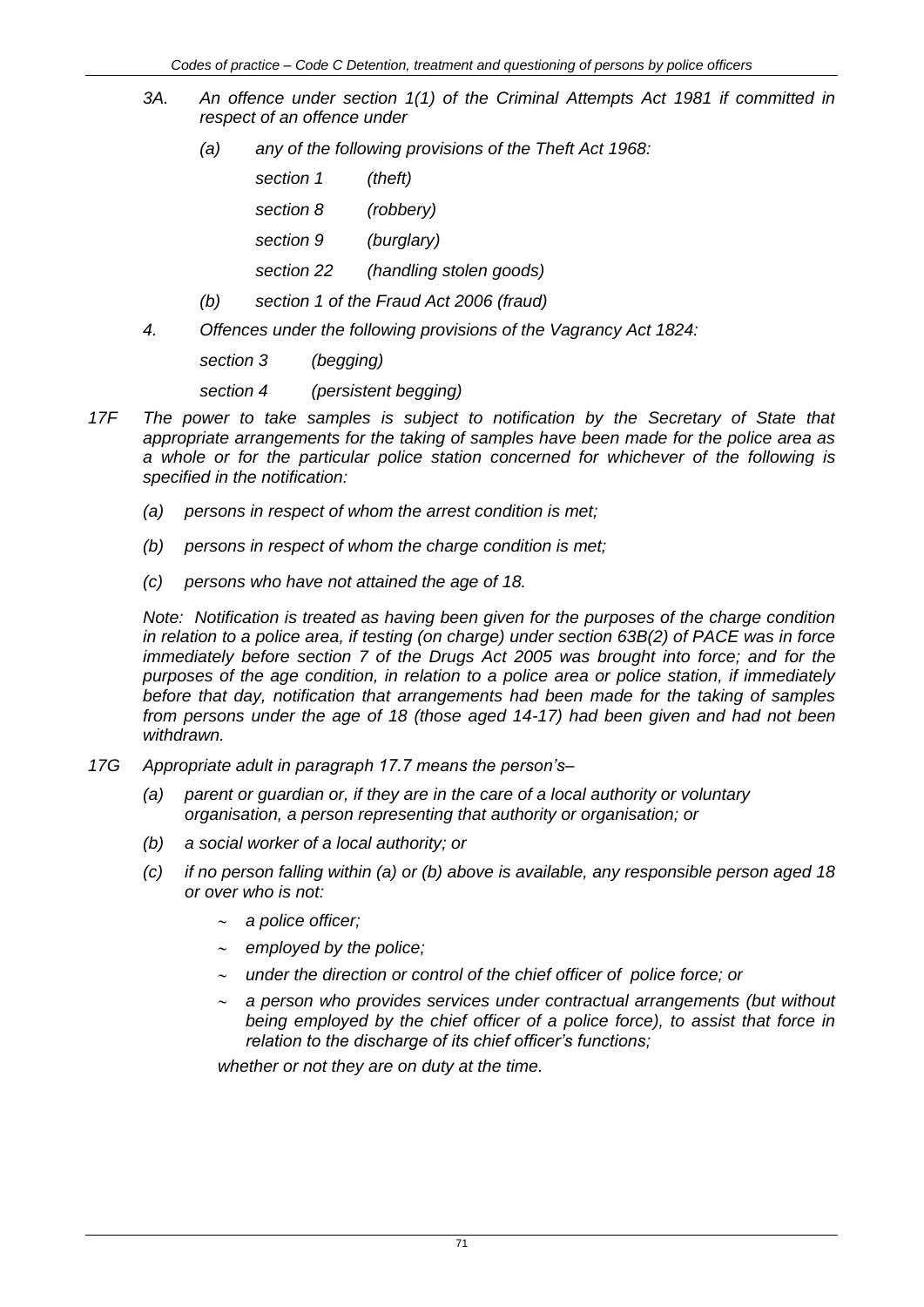- *3A. An offence under section 1(1) of the Criminal Attempts Act 1981 if committed in respect of an offence under*
	- *(a) any of the following provisions of the Theft Act 1968:*

| section 1  | (theft)                 |
|------------|-------------------------|
| section 8  | (robbery)               |
| section 9  | (burglary)              |
| section 22 | (handling stolen goods) |

- *(b) section 1 of the Fraud Act 2006 (fraud)*
- *4. Offences under the following provisions of the Vagrancy Act 1824:*

*section 3 (begging)*

*section 4 (persistent begging)*

- *17F The power to take samples is subject to notification by the Secretary of State that appropriate arrangements for the taking of samples have been made for the police area as a whole or for the particular police station concerned for whichever of the following is specified in the notification:*
	- *(a) persons in respect of whom the arrest condition is met;*
	- *(b) persons in respect of whom the charge condition is met;*
	- *(c) persons who have not attained the age of 18.*

*Note: Notification is treated as having been given for the purposes of the charge condition in relation to a police area, if testing (on charge) under section 63B(2) of PACE was in force immediately before section 7 of the Drugs Act 2005 was brought into force; and for the purposes of the age condition, in relation to a police area or police station, if immediately before that day, notification that arrangements had been made for the taking of samples from persons under the age of 18 (those aged 14-17) had been given and had not been withdrawn.*

- *17G Appropriate adult in paragraph 17.7 means the person's–*
	- *(a) parent or guardian or, if they are in the care of a local authority or voluntary organisation, a person representing that authority or organisation; or*
	- *(b) a social worker of a local authority; or*
	- *(c) if no person falling within (a) or (b) above is available, any responsible person aged 18 or over who is not:*
		- *a police officer;*
		- *employed by the police;*
		- *under the direction or control of the chief officer of police force; or*
		- *a person who provides services under contractual arrangements (but without being employed by the chief officer of a police force), to assist that force in relation to the discharge of its chief officer's functions;*

*whether or not they are on duty at the time.*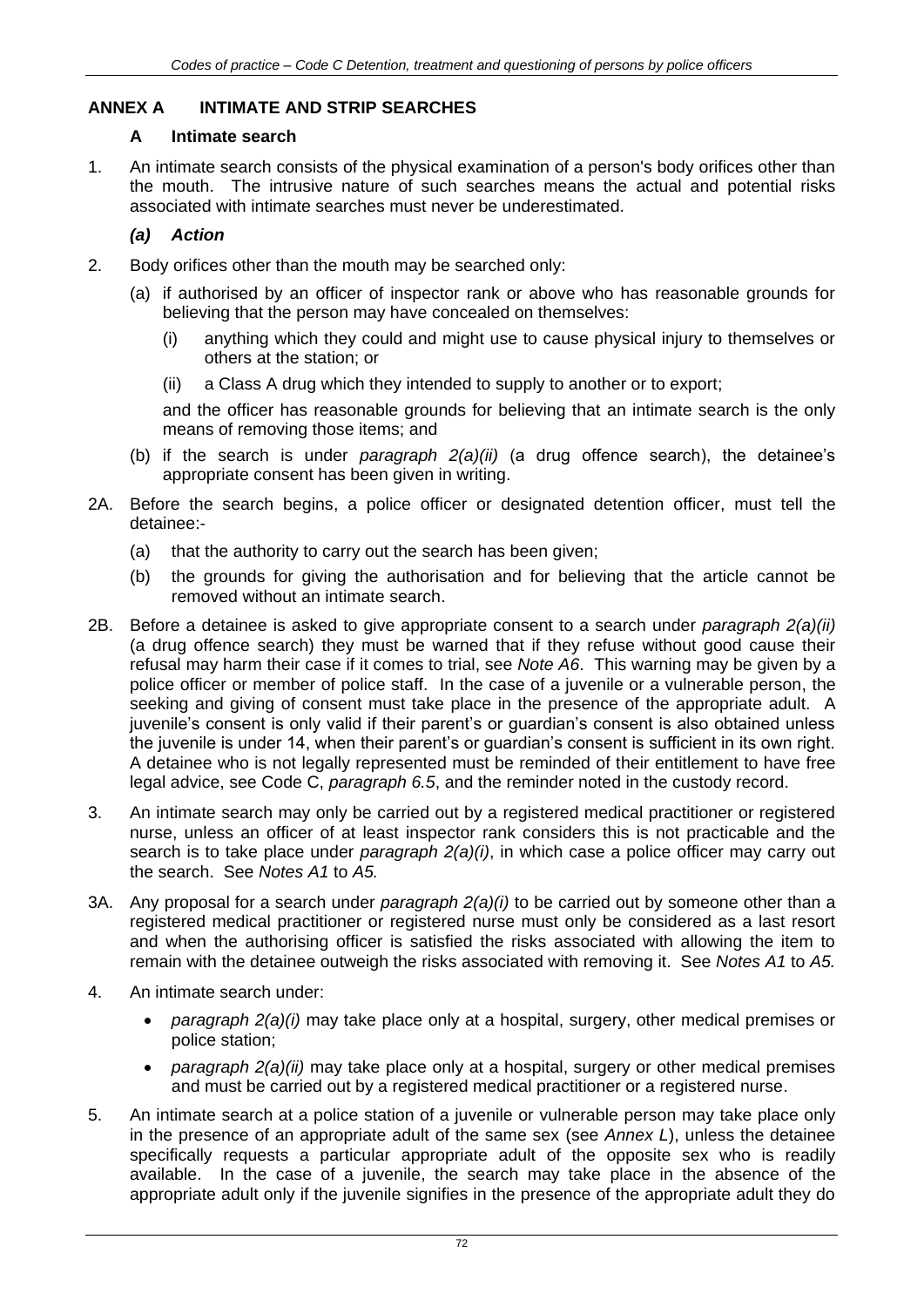# **ANNEX A INTIMATE AND STRIP SEARCHES**

#### **A Intimate search**

1. An intimate search consists of the physical examination of a person's body orifices other than the mouth. The intrusive nature of such searches means the actual and potential risks associated with intimate searches must never be underestimated.

### *(a) Action*

- 2. Body orifices other than the mouth may be searched only:
	- (a) if authorised by an officer of inspector rank or above who has reasonable grounds for believing that the person may have concealed on themselves:
		- (i) anything which they could and might use to cause physical injury to themselves or others at the station; or
		- (ii) a Class A drug which they intended to supply to another or to export;

and the officer has reasonable grounds for believing that an intimate search is the only means of removing those items; and

- (b) if the search is under *paragraph 2(a)(ii)* (a drug offence search), the detainee's appropriate consent has been given in writing.
- 2A. Before the search begins, a police officer or designated detention officer, must tell the detainee:-
	- (a) that the authority to carry out the search has been given;
	- (b) the grounds for giving the authorisation and for believing that the article cannot be removed without an intimate search.
- 2B. Before a detainee is asked to give appropriate consent to a search under *paragraph 2(a)(ii)*  (a drug offence search) they must be warned that if they refuse without good cause their refusal may harm their case if it comes to trial, see *Note A6*. This warning may be given by a police officer or member of police staff. In the case of a juvenile or a vulnerable person, the seeking and giving of consent must take place in the presence of the appropriate adult. A juvenile's consent is only valid if their parent's or guardian's consent is also obtained unless the juvenile is under 14, when their parent's or guardian's consent is sufficient in its own right. A detainee who is not legally represented must be reminded of their entitlement to have free legal advice, see Code C, *paragraph 6.5*, and the reminder noted in the custody record.
- 3. An intimate search may only be carried out by a registered medical practitioner or registered nurse, unless an officer of at least inspector rank considers this is not practicable and the search is to take place under *paragraph 2(a)(i)*, in which case a police officer may carry out the search. See *Notes A1* to *A5.*
- 3A. Any proposal for a search under *paragraph 2(a)(i)* to be carried out by someone other than a registered medical practitioner or registered nurse must only be considered as a last resort and when the authorising officer is satisfied the risks associated with allowing the item to remain with the detainee outweigh the risks associated with removing it. See *Notes A1* to *A5.*
- 4. An intimate search under:
	- *paragraph 2(a)(i)* may take place only at a hospital, surgery, other medical premises or police station;
	- *paragraph 2(a)(ii)* may take place only at a hospital, surgery or other medical premises and must be carried out by a registered medical practitioner or a registered nurse.
- <span id="page-75-0"></span>5. An intimate search at a police station of a juvenile or vulnerable person may take place only in the presence of an appropriate adult of the same sex (see *Annex L*), unless the detainee specifically requests a particular appropriate adult of the opposite sex who is readily available. In the case of a juvenile, the search may take place in the absence of the appropriate adult only if the juvenile signifies in the presence of the appropriate adult they do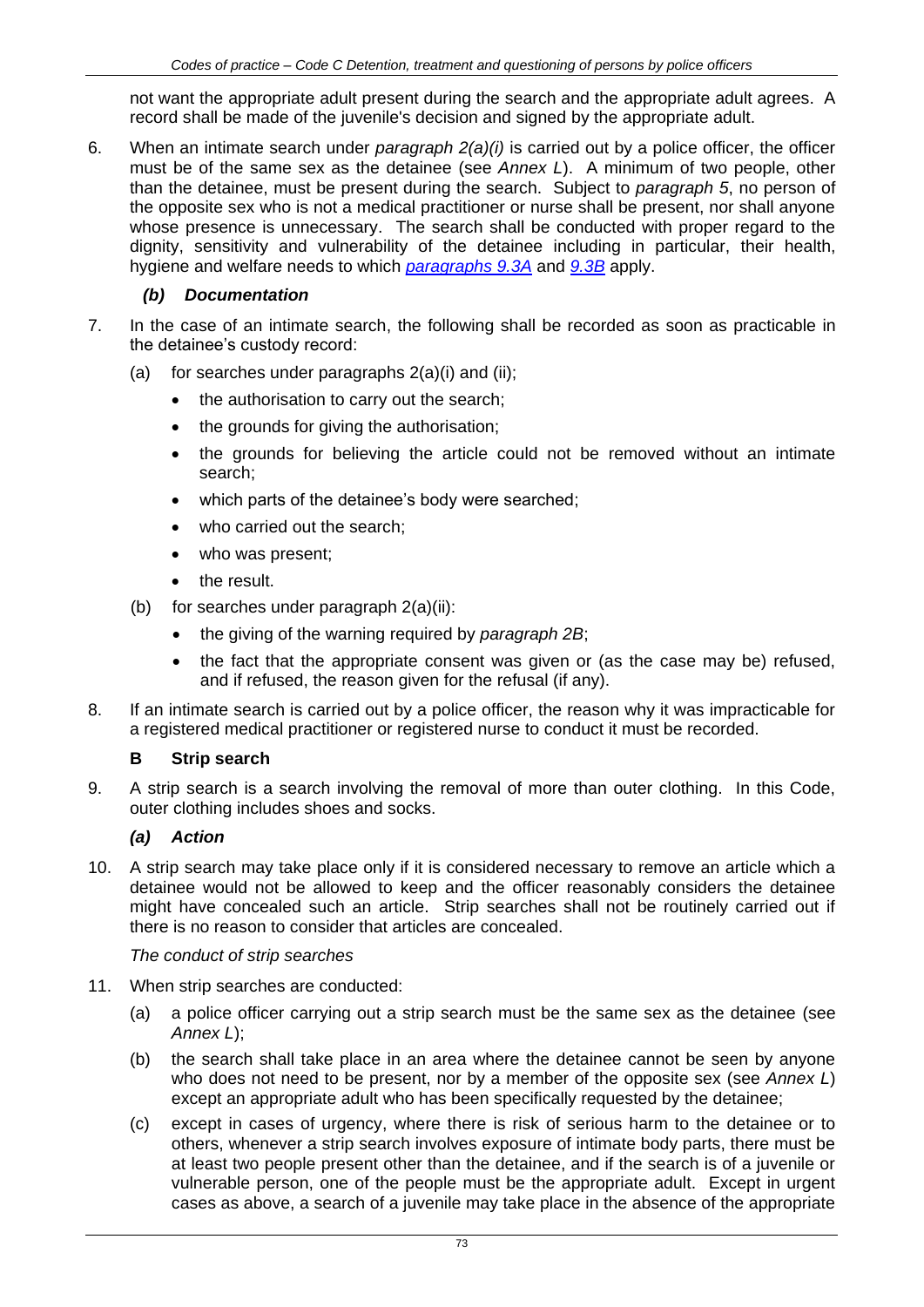not want the appropriate adult present during the search and the appropriate adult agrees. A record shall be made of the juvenile's decision and signed by the appropriate adult.

6. When an intimate search under *paragraph 2(a)(i)* is carried out by a police officer, the officer must be of the same sex as the detainee (see *Annex L*). A minimum of two people, other than the detainee, must be present during the search. Subject to *paragraph 5*, no person of the opposite sex who is not a medical practitioner or nurse shall be present, nor shall anyone whose presence is unnecessary. The search shall be conducted with proper regard to the dignity, sensitivity and vulnerability of the detainee including in particular, their health, hygiene and welfare needs to which *[paragraphs 9.3A](#page-39-0)* and *[9.3B](#page-39-1)* apply.

# *(b) Documentation*

- 7. In the case of an intimate search, the following shall be recorded as soon as practicable in the detainee's custody record:
	- (a) for searches under paragraphs  $2(a)(i)$  and (ii);
		- the authorisation to carry out the search;
		- the grounds for giving the authorisation;
		- the grounds for believing the article could not be removed without an intimate search;
		- which parts of the detainee's body were searched;
		- who carried out the search;
		- who was present:
		- the result.
	- (b) for searches under paragraph  $2(a)(ii)$ :
		- the giving of the warning required by *paragraph 2B*;
		- the fact that the appropriate consent was given or (as the case may be) refused, and if refused, the reason given for the refusal (if any).
- 8. If an intimate search is carried out by a police officer, the reason why it was impracticable for a registered medical practitioner or registered nurse to conduct it must be recorded.

# **B Strip search**

9. A strip search is a search involving the removal of more than outer clothing. In this Code, outer clothing includes shoes and socks.

# *(a) Action*

10. A strip search may take place only if it is considered necessary to remove an article which a detainee would not be allowed to keep and the officer reasonably considers the detainee might have concealed such an article. Strip searches shall not be routinely carried out if there is no reason to consider that articles are concealed.

*The conduct of strip searches*

- <span id="page-76-0"></span>11. When strip searches are conducted:
	- (a) a police officer carrying out a strip search must be the same sex as the detainee (see *Annex L*);
	- (b) the search shall take place in an area where the detainee cannot be seen by anyone who does not need to be present, nor by a member of the opposite sex (see *Annex L*) except an appropriate adult who has been specifically requested by the detainee;
	- (c) except in cases of urgency, where there is risk of serious harm to the detainee or to others, whenever a strip search involves exposure of intimate body parts, there must be at least two people present other than the detainee, and if the search is of a juvenile or vulnerable person, one of the people must be the appropriate adult. Except in urgent cases as above, a search of a juvenile may take place in the absence of the appropriate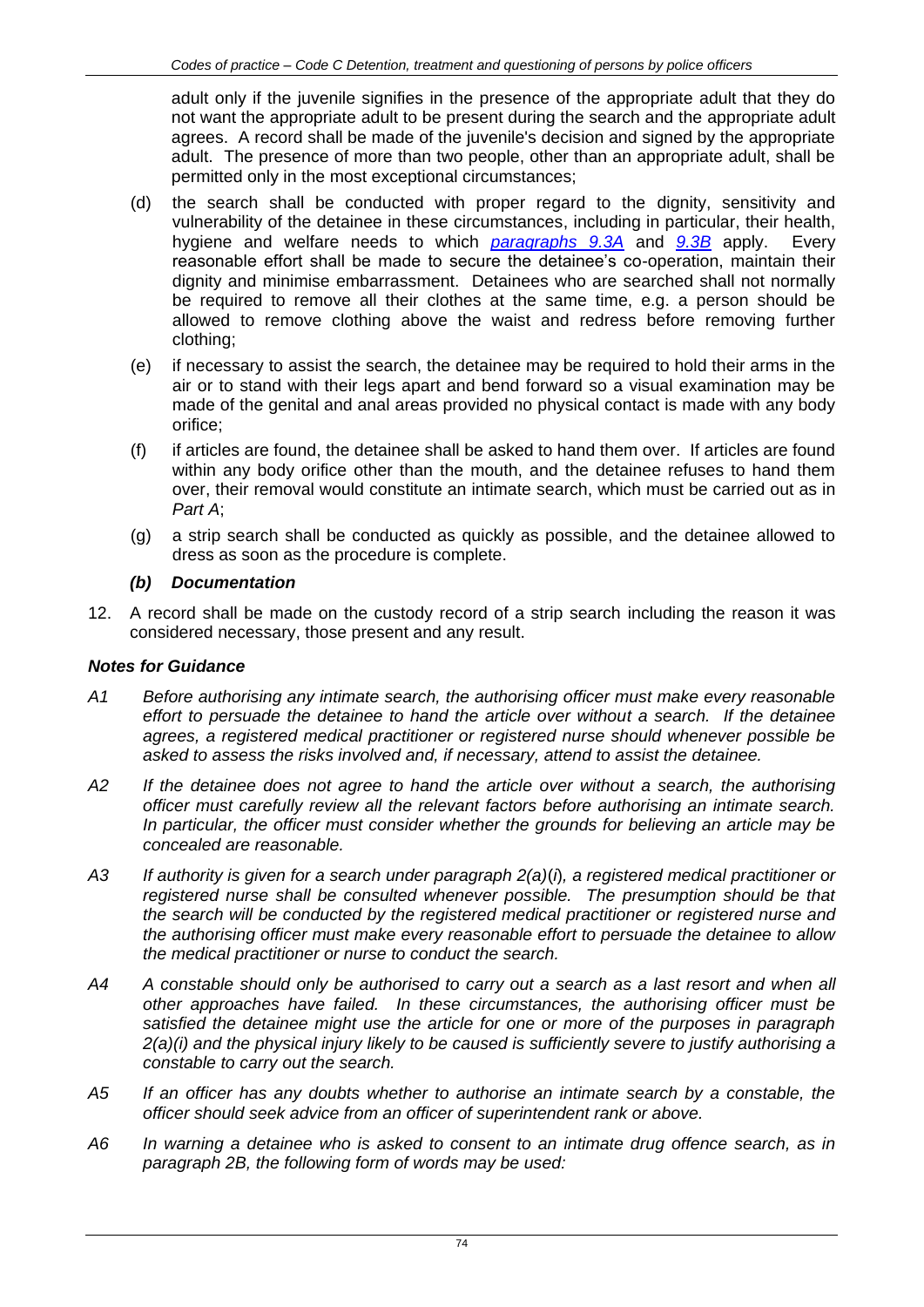adult only if the juvenile signifies in the presence of the appropriate adult that they do not want the appropriate adult to be present during the search and the appropriate adult agrees. A record shall be made of the juvenile's decision and signed by the appropriate adult. The presence of more than two people, other than an appropriate adult, shall be permitted only in the most exceptional circumstances;

- (d) the search shall be conducted with proper regard to the dignity, sensitivity and vulnerability of the detainee in these circumstances, including in particular, their health, hygiene and welfare needs to which *[paragraphs 9.3A](#page-39-0)* and *[9.3B](#page-39-1)* apply. Every reasonable effort shall be made to secure the detainee's co-operation, maintain their dignity and minimise embarrassment. Detainees who are searched shall not normally be required to remove all their clothes at the same time, e.g. a person should be allowed to remove clothing above the waist and redress before removing further clothing;
- (e) if necessary to assist the search, the detainee may be required to hold their arms in the air or to stand with their legs apart and bend forward so a visual examination may be made of the genital and anal areas provided no physical contact is made with any body orifice;
- (f) if articles are found, the detainee shall be asked to hand them over. If articles are found within any body orifice other than the mouth, and the detainee refuses to hand them over, their removal would constitute an intimate search, which must be carried out as in *Part A*;
- (g) a strip search shall be conducted as quickly as possible, and the detainee allowed to dress as soon as the procedure is complete.

# *(b) Documentation*

12. A record shall be made on the custody record of a strip search including the reason it was considered necessary, those present and any result.

# *Notes for Guidance*

- *A1 Before authorising any intimate search, the authorising officer must make every reasonable effort to persuade the detainee to hand the article over without a search. If the detainee agrees, a registered medical practitioner or registered nurse should whenever possible be asked to assess the risks involved and, if necessary, attend to assist the detainee.*
- *A2 If the detainee does not agree to hand the article over without a search, the authorising officer must carefully review all the relevant factors before authorising an intimate search. In particular, the officer must consider whether the grounds for believing an article may be concealed are reasonable.*
- *A3 If authority is given for a search under paragraph 2(a)*(*i*)*, a registered medical practitioner or registered nurse shall be consulted whenever possible. The presumption should be that the search will be conducted by the registered medical practitioner or registered nurse and the authorising officer must make every reasonable effort to persuade the detainee to allow the medical practitioner or nurse to conduct the search.*
- *A4 A constable should only be authorised to carry out a search as a last resort and when all other approaches have failed. In these circumstances, the authorising officer must be satisfied the detainee might use the article for one or more of the purposes in paragraph 2(a)(i) and the physical injury likely to be caused is sufficiently severe to justify authorising a constable to carry out the search.*
- *A5 If an officer has any doubts whether to authorise an intimate search by a constable, the officer should seek advice from an officer of superintendent rank or above.*
- *A6 In warning a detainee who is asked to consent to an intimate drug offence search, as in paragraph 2B, the following form of words may be used:*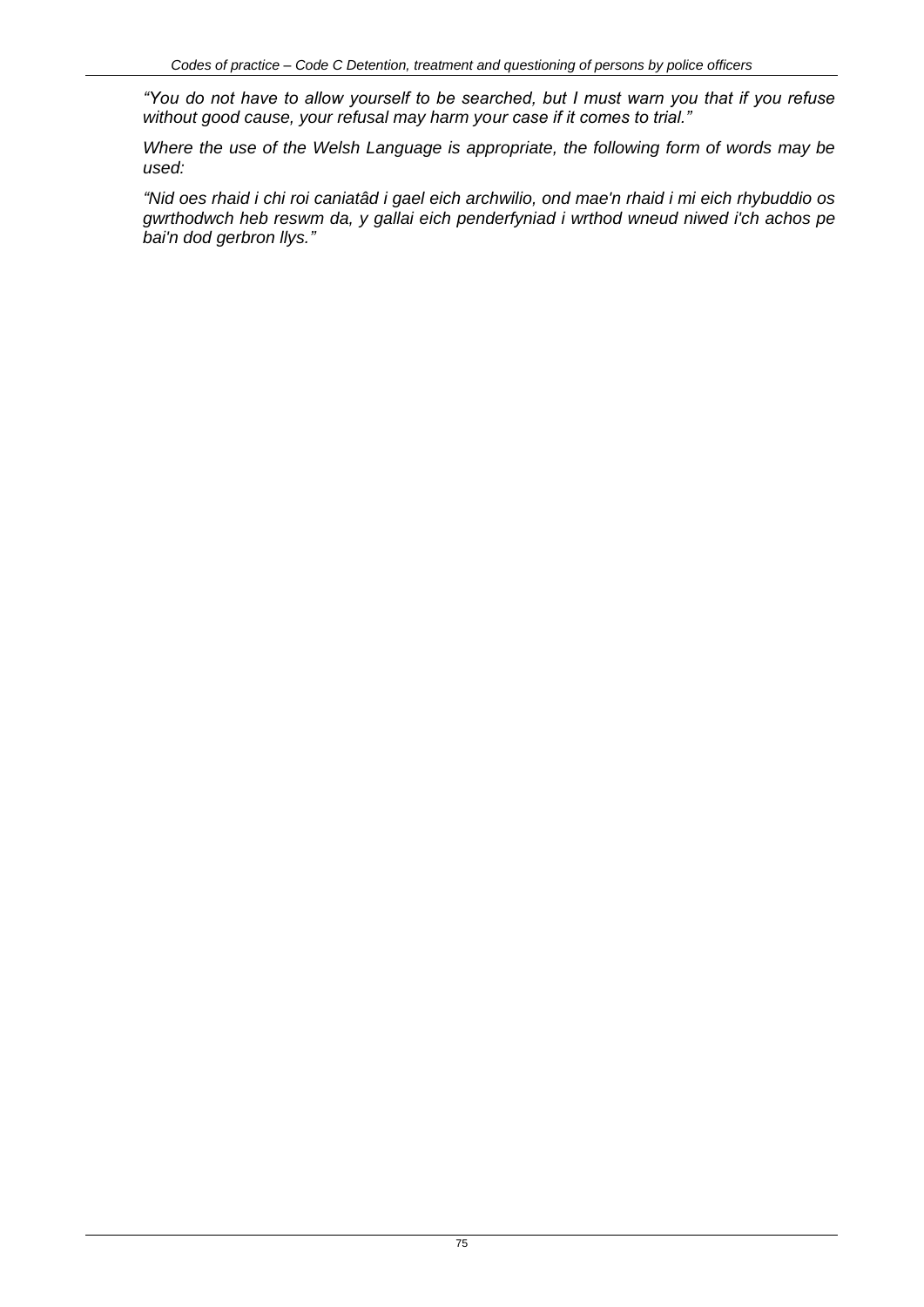*"You do not have to allow yourself to be searched, but I must warn you that if you refuse without good cause, your refusal may harm your case if it comes to trial."*

*Where the use of the Welsh Language is appropriate, the following form of words may be used:* 

*"Nid oes rhaid i chi roi caniatâd i gael eich archwilio, ond mae'n rhaid i mi eich rhybuddio os gwrthodwch heb reswm da, y gallai eich penderfyniad i wrthod wneud niwed i'ch achos pe bai'n dod gerbron llys."*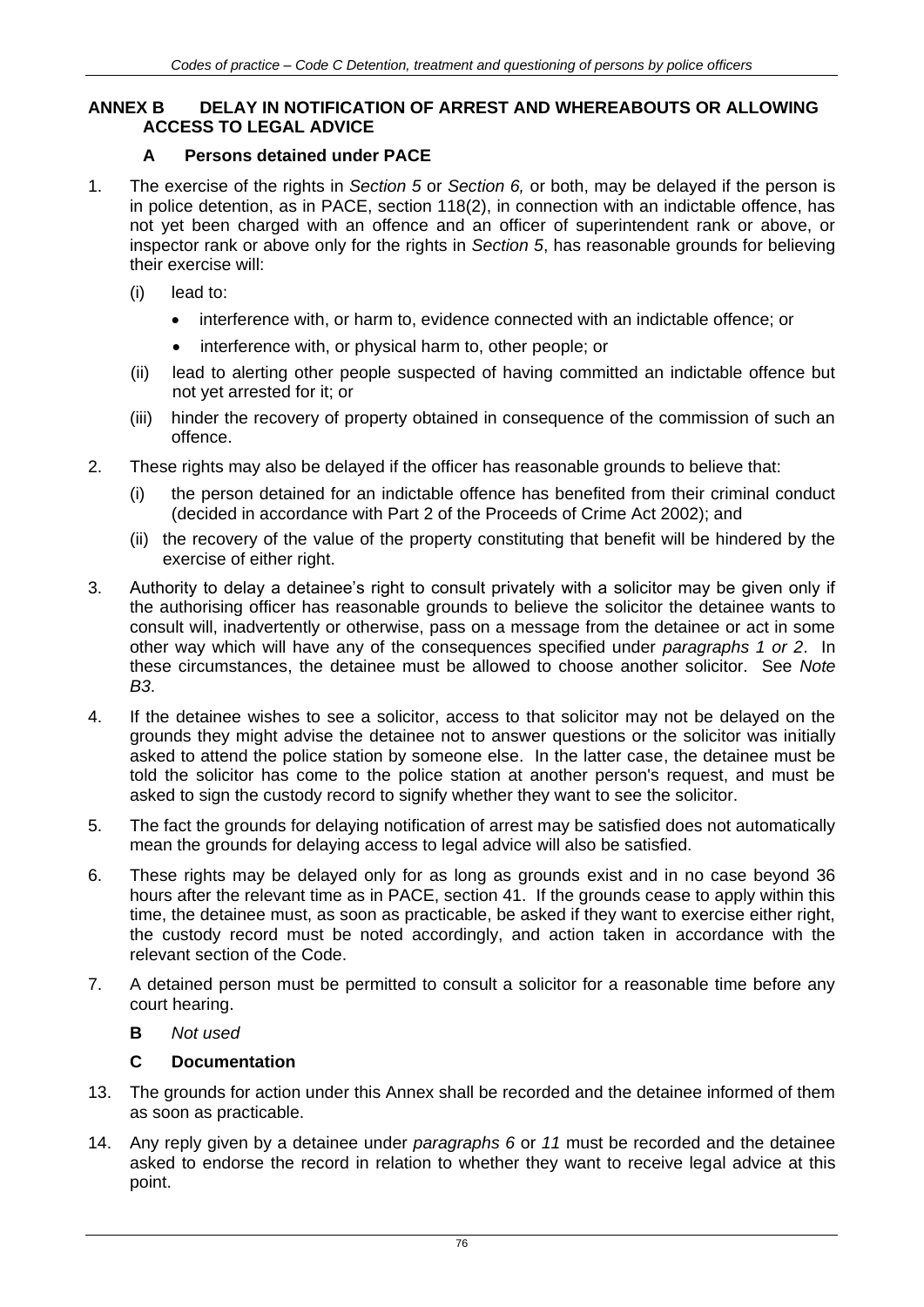#### **ANNEX B DELAY IN NOTIFICATION OF ARREST AND WHEREABOUTS OR ALLOWING ACCESS TO LEGAL ADVICE**

# **A Persons detained under PACE**

- 1. The exercise of the rights in *Section 5* or *Section 6,* or both, may be delayed if the person is in police detention, as in PACE, section 118(2), in connection with an indictable offence, has not yet been charged with an offence and an officer of superintendent rank or above, or inspector rank or above only for the rights in *Section 5*, has reasonable grounds for believing their exercise will:
	- (i) lead to:
		- interference with, or harm to, evidence connected with an indictable offence; or
		- interference with, or physical harm to, other people; or
	- (ii) lead to alerting other people suspected of having committed an indictable offence but not yet arrested for it; or
	- (iii) hinder the recovery of property obtained in consequence of the commission of such an offence.
- 2. These rights may also be delayed if the officer has reasonable grounds to believe that:
	- (i) the person detained for an indictable offence has benefited from their criminal conduct (decided in accordance with Part 2 of the Proceeds of Crime Act 2002); and
	- (ii) the recovery of the value of the property constituting that benefit will be hindered by the exercise of either right.
- 3. Authority to delay a detainee's right to consult privately with a solicitor may be given only if the authorising officer has reasonable grounds to believe the solicitor the detainee wants to consult will, inadvertently or otherwise, pass on a message from the detainee or act in some other way which will have any of the consequences specified under *paragraphs 1 or 2*. In these circumstances, the detainee must be allowed to choose another solicitor. See *Note B3*.
- 4. If the detainee wishes to see a solicitor, access to that solicitor may not be delayed on the grounds they might advise the detainee not to answer questions or the solicitor was initially asked to attend the police station by someone else. In the latter case, the detainee must be told the solicitor has come to the police station at another person's request, and must be asked to sign the custody record to signify whether they want to see the solicitor.
- 5. The fact the grounds for delaying notification of arrest may be satisfied does not automatically mean the grounds for delaying access to legal advice will also be satisfied.
- 6. These rights may be delayed only for as long as grounds exist and in no case beyond 36 hours after the relevant time as in PACE, section 41. If the grounds cease to apply within this time, the detainee must, as soon as practicable, be asked if they want to exercise either right, the custody record must be noted accordingly, and action taken in accordance with the relevant section of the Code.
- 7. A detained person must be permitted to consult a solicitor for a reasonable time before any court hearing.
	- **B** *Not used*

# **C Documentation**

- 13. The grounds for action under this Annex shall be recorded and the detainee informed of them as soon as practicable.
- 14. Any reply given by a detainee under *paragraphs 6* or *11* must be recorded and the detainee asked to endorse the record in relation to whether they want to receive legal advice at this point.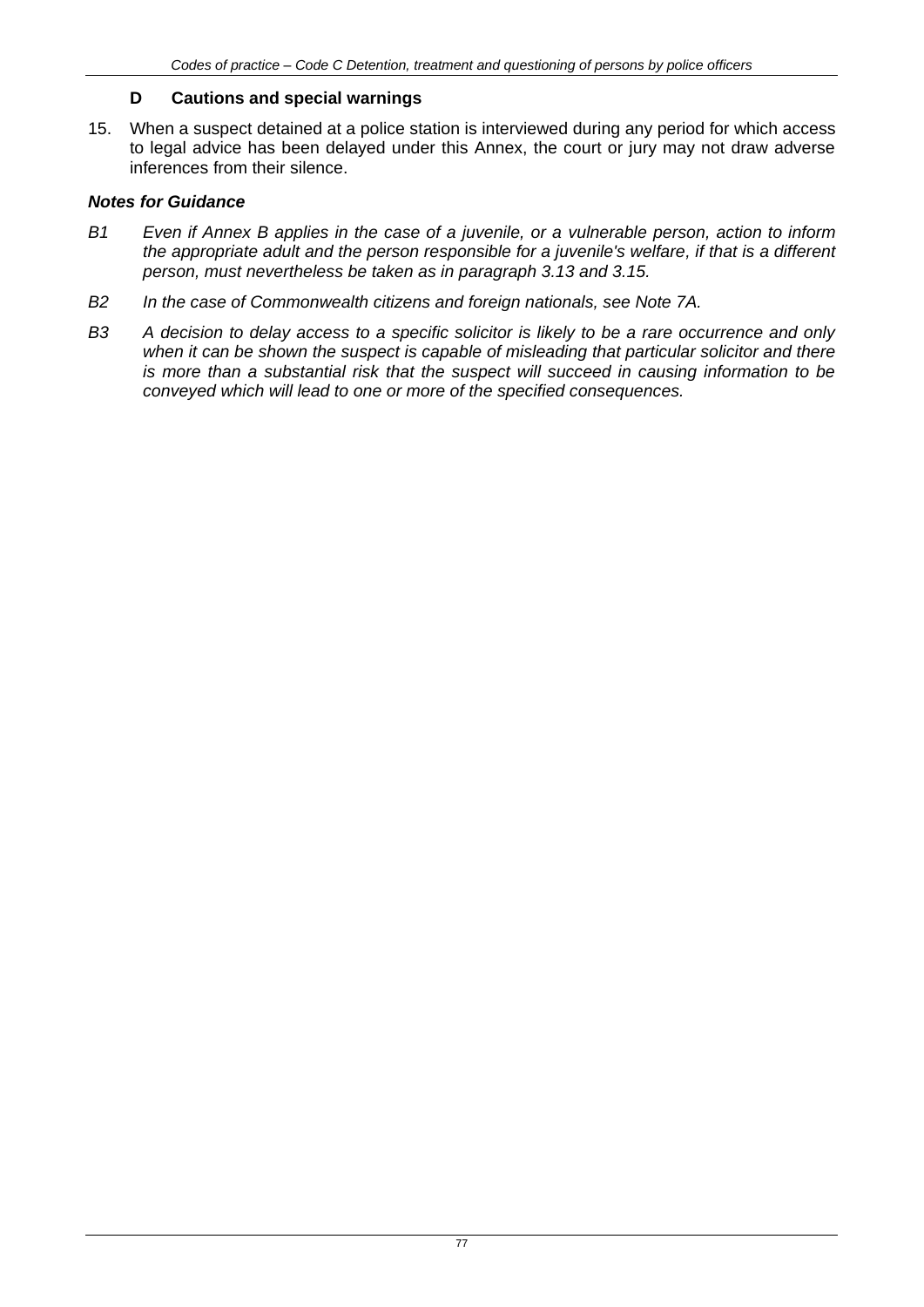#### **D Cautions and special warnings**

15. When a suspect detained at a police station is interviewed during any period for which access to legal advice has been delayed under this Annex, the court or jury may not draw adverse inferences from their silence.

#### *Notes for Guidance*

- *B1 Even if Annex B applies in the case of a juvenile, or a vulnerable person, action to inform the appropriate adult and the person responsible for a juvenile's welfare, if that is a different person, must nevertheless be taken as in paragraph 3.13 and 3.15.*
- *B2 In the case of Commonwealth citizens and foreign nationals, see Note 7A.*
- *B3 A decision to delay access to a specific solicitor is likely to be a rare occurrence and only when it can be shown the suspect is capable of misleading that particular solicitor and there is more than a substantial risk that the suspect will succeed in causing information to be conveyed which will lead to one or more of the specified consequences.*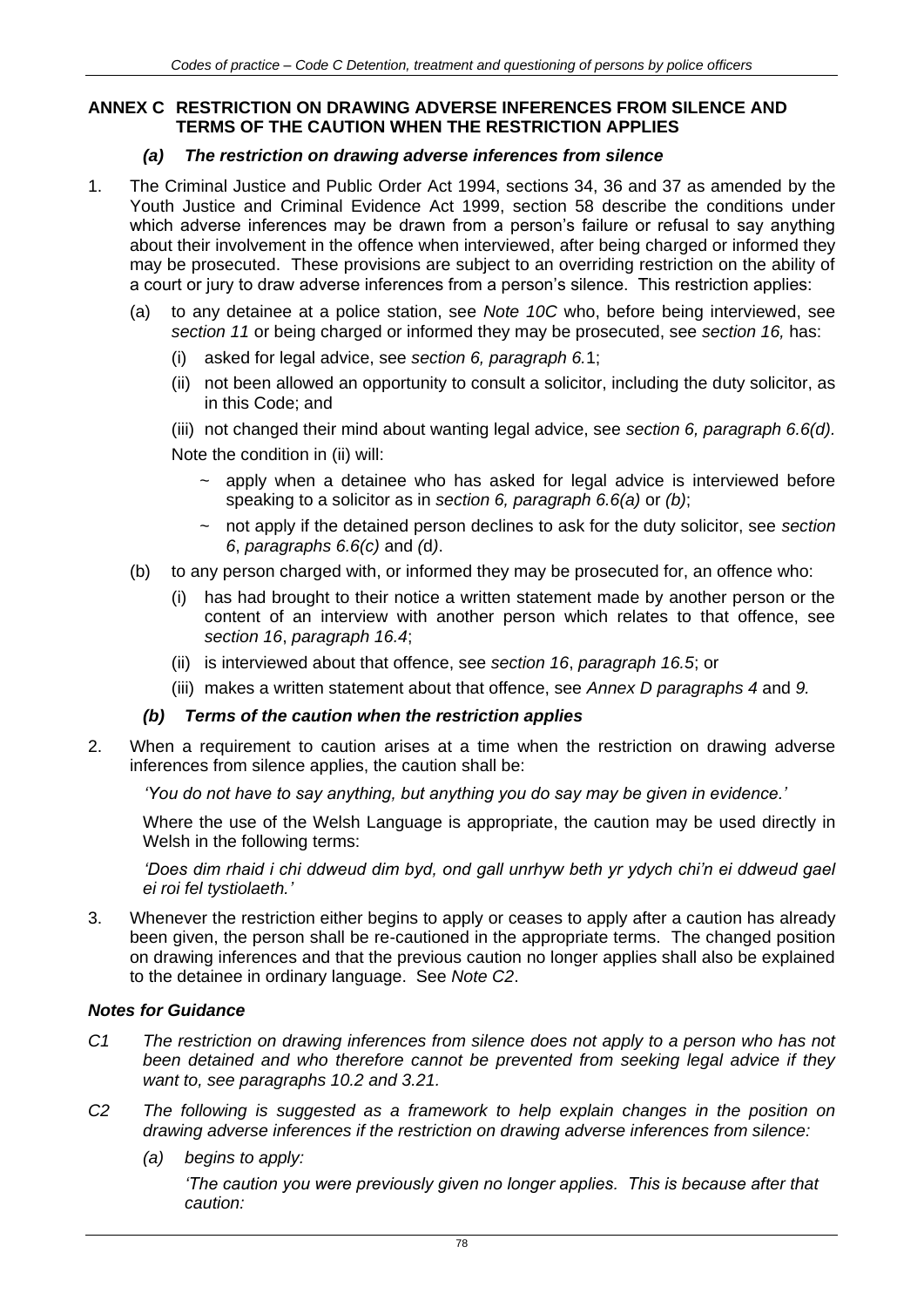#### **ANNEX C RESTRICTION ON DRAWING ADVERSE INFERENCES FROM SILENCE AND TERMS OF THE CAUTION WHEN THE RESTRICTION APPLIES**

#### *(a) The restriction on drawing adverse inferences from silence*

- 1. The Criminal Justice and Public Order Act 1994, sections 34, 36 and 37 as amended by the Youth Justice and Criminal Evidence Act 1999, section 58 describe the conditions under which adverse inferences may be drawn from a person's failure or refusal to say anything about their involvement in the offence when interviewed, after being charged or informed they may be prosecuted. These provisions are subject to an overriding restriction on the ability of a court or jury to draw adverse inferences from a person's silence. This restriction applies:
	- (a) to any detainee at a police station, see *Note 10C* who, before being interviewed, see *section 11* or being charged or informed they may be prosecuted, see *section 16,* has:
		- (i) asked for legal advice, see *section 6, paragraph 6.*1;
		- (ii) not been allowed an opportunity to consult a solicitor, including the duty solicitor, as in this Code; and

(iii) not changed their mind about wanting legal advice, see *section 6, paragraph 6.6(d).* Note the condition in (ii) will:

- ~ apply when a detainee who has asked for legal advice is interviewed before speaking to a solicitor as in *section 6, paragraph 6.6(a)* or *(b)*;
- ~ not apply if the detained person declines to ask for the duty solicitor, see *section 6*, *paragraphs 6.6(c)* and *(*d*)*.
- (b) to any person charged with, or informed they may be prosecuted for, an offence who:
	- (i) has had brought to their notice a written statement made by another person or the content of an interview with another person which relates to that offence, see *section 16*, *paragraph 16.4*;
	- (ii) is interviewed about that offence, see *section 16*, *paragraph 16.5*; or
	- (iii) makes a written statement about that offence, see *Annex D paragraphs 4* and *9.*

# *(b) Terms of the caution when the restriction applies*

2. When a requirement to caution arises at a time when the restriction on drawing adverse inferences from silence applies, the caution shall be:

*'You do not have to say anything, but anything you do say may be given in evidence.'*

Where the use of the Welsh Language is appropriate, the caution may be used directly in Welsh in the following terms:

*'Does dim rhaid i chi ddweud dim byd, ond gall unrhyw beth yr ydych chi'n ei ddweud gael ei roi fel tystiolaeth.'*

3. Whenever the restriction either begins to apply or ceases to apply after a caution has already been given, the person shall be re-cautioned in the appropriate terms. The changed position on drawing inferences and that the previous caution no longer applies shall also be explained to the detainee in ordinary language. See *Note C2*.

#### *Notes for Guidance*

- *C1 The restriction on drawing inferences from silence does not apply to a person who has not been detained and who therefore cannot be prevented from seeking legal advice if they want to, see paragraphs 10.2 and 3.21.*
- *C2 The following is suggested as a framework to help explain changes in the position on drawing adverse inferences if the restriction on drawing adverse inferences from silence:*
	- *(a) begins to apply:*

*'The caution you were previously given no longer applies. This is because after that caution:*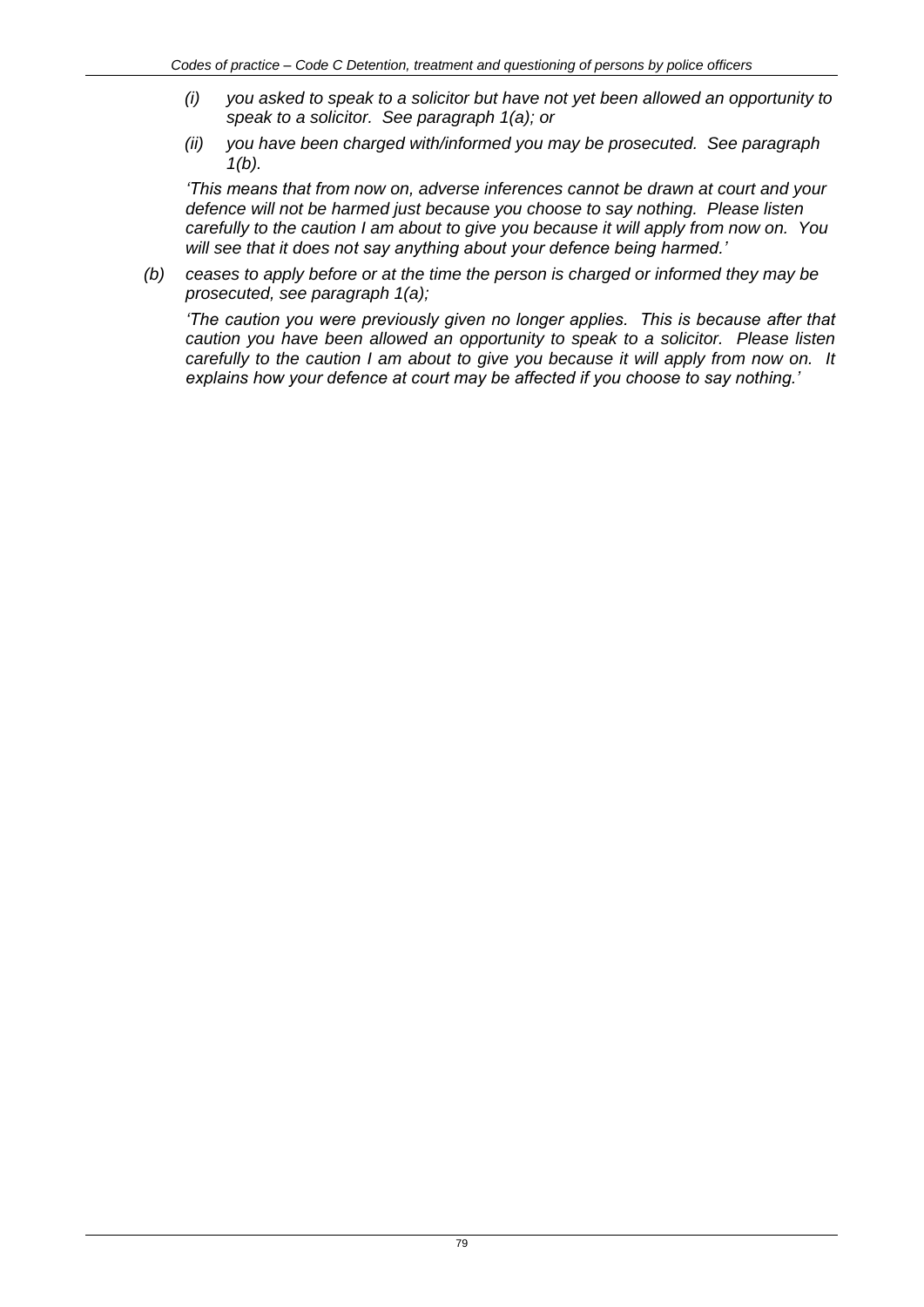- *(i) you asked to speak to a solicitor but have not yet been allowed an opportunity to speak to a solicitor. See paragraph 1(a); or*
- *(ii) you have been charged with/informed you may be prosecuted. See paragraph 1(b).*

*'This means that from now on, adverse inferences cannot be drawn at court and your defence will not be harmed just because you choose to say nothing. Please listen carefully to the caution I am about to give you because it will apply from now on. You will see that it does not say anything about your defence being harmed.'*

*(b) ceases to apply before or at the time the person is charged or informed they may be prosecuted, see paragraph 1(a);*

*'The caution you were previously given no longer applies. This is because after that caution you have been allowed an opportunity to speak to a solicitor. Please listen carefully to the caution I am about to give you because it will apply from now on. It explains how your defence at court may be affected if you choose to say nothing.'*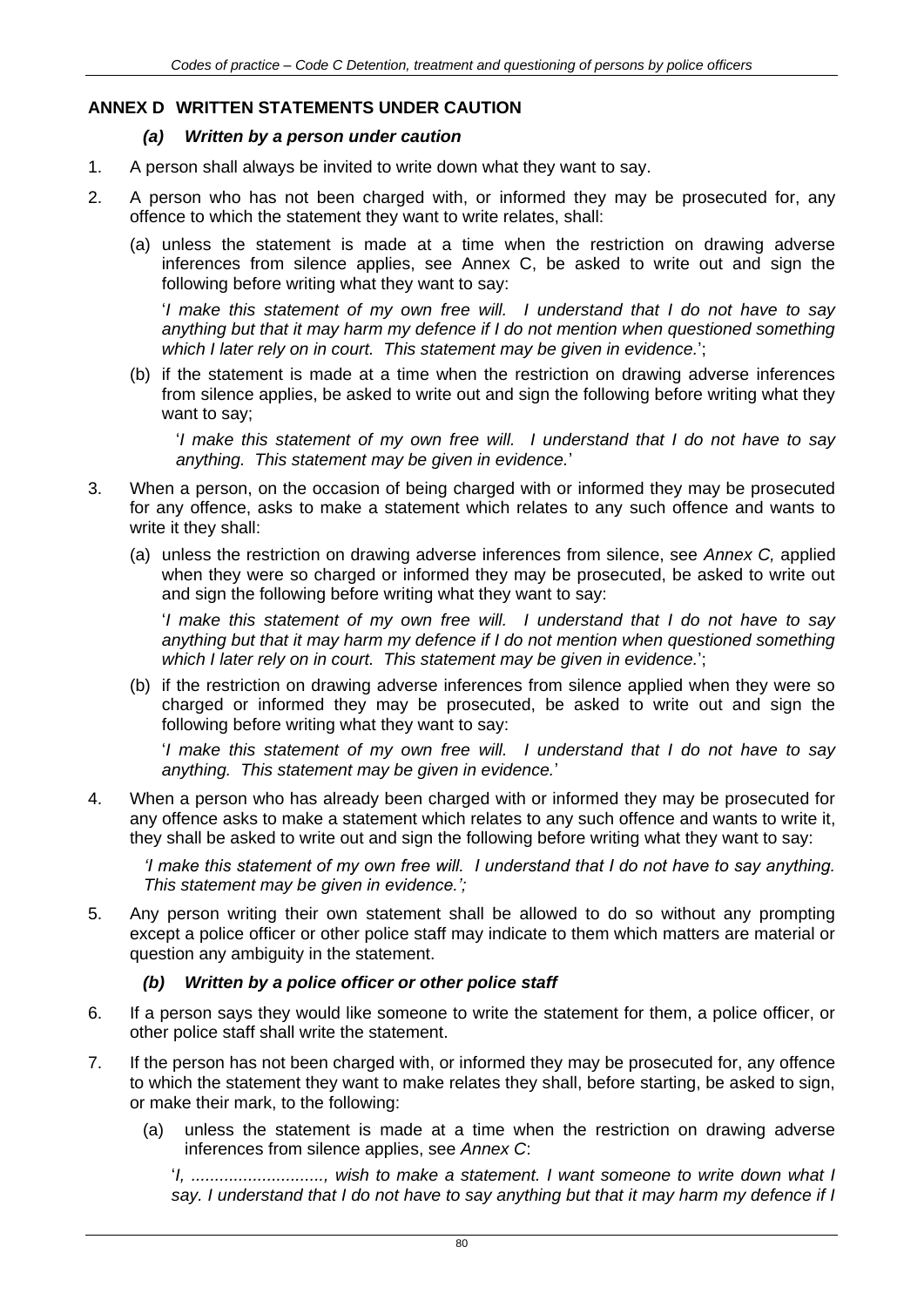#### **ANNEX D WRITTEN STATEMENTS UNDER CAUTION**

#### *(a) Written by a person under caution*

- 1. A person shall always be invited to write down what they want to say.
- 2. A person who has not been charged with, or informed they may be prosecuted for, any offence to which the statement they want to write relates, shall:
	- (a) unless the statement is made at a time when the restriction on drawing adverse inferences from silence applies, see Annex C, be asked to write out and sign the following before writing what they want to say:

'*I make this statement of my own free will. I understand that I do not have to say anything but that it may harm my defence if I do not mention when questioned something which I later rely on in court. This statement may be given in evidence.*';

(b) if the statement is made at a time when the restriction on drawing adverse inferences from silence applies, be asked to write out and sign the following before writing what they want to say;

'*I make this statement of my own free will. I understand that I do not have to say anything. This statement may be given in evidence.*'

- 3. When a person, on the occasion of being charged with or informed they may be prosecuted for any offence, asks to make a statement which relates to any such offence and wants to write it they shall:
	- (a) unless the restriction on drawing adverse inferences from silence, see *Annex C,* applied when they were so charged or informed they may be prosecuted, be asked to write out and sign the following before writing what they want to say:

'*I make this statement of my own free will. I understand that I do not have to say anything but that it may harm my defence if I do not mention when questioned something which I later rely on in court. This statement may be given in evidence.*';

(b) if the restriction on drawing adverse inferences from silence applied when they were so charged or informed they may be prosecuted, be asked to write out and sign the following before writing what they want to say:

'*I make this statement of my own free will. I understand that I do not have to say anything. This statement may be given in evidence.*'

4. When a person who has already been charged with or informed they may be prosecuted for any offence asks to make a statement which relates to any such offence and wants to write it, they shall be asked to write out and sign the following before writing what they want to say:

*'I make this statement of my own free will. I understand that I do not have to say anything. This statement may be given in evidence.';*

5. Any person writing their own statement shall be allowed to do so without any prompting except a police officer or other police staff may indicate to them which matters are material or question any ambiguity in the statement.

#### *(b) Written by a police officer or other police staff*

- 6. If a person says they would like someone to write the statement for them, a police officer, or other police staff shall write the statement.
- 7. If the person has not been charged with, or informed they may be prosecuted for, any offence to which the statement they want to make relates they shall, before starting, be asked to sign, or make their mark, to the following:
	- (a) unless the statement is made at a time when the restriction on drawing adverse inferences from silence applies, see *Annex C*:

'*I, ............................, wish to make a statement. I want someone to write down what I say. I understand that I do not have to say anything but that it may harm my defence if I*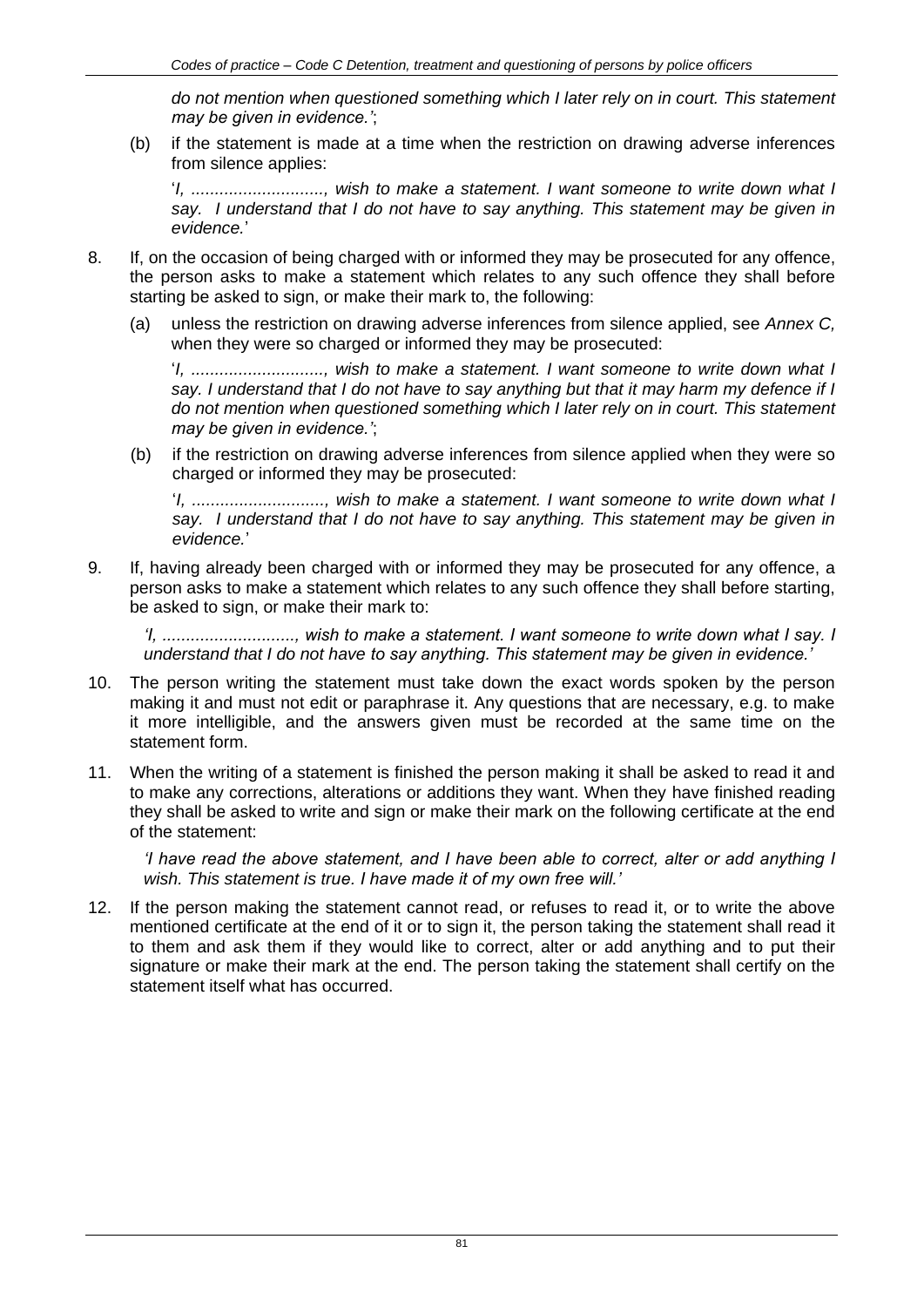*do not mention when questioned something which I later rely on in court. This statement may be given in evidence.'*;

(b) if the statement is made at a time when the restriction on drawing adverse inferences from silence applies:

'*I, ............................, wish to make a statement. I want someone to write down what I say. I understand that I do not have to say anything. This statement may be given in evidence.*'

- 8. If, on the occasion of being charged with or informed they may be prosecuted for any offence, the person asks to make a statement which relates to any such offence they shall before starting be asked to sign, or make their mark to, the following:
	- (a) unless the restriction on drawing adverse inferences from silence applied, see *Annex C,* when they were so charged or informed they may be prosecuted:

'*I, ............................, wish to make a statement. I want someone to write down what I say. I understand that I do not have to say anything but that it may harm my defence if I do not mention when questioned something which I later rely on in court. This statement may be given in evidence.'*;

(b) if the restriction on drawing adverse inferences from silence applied when they were so charged or informed they may be prosecuted:

'*I, ............................, wish to make a statement. I want someone to write down what I say. I understand that I do not have to say anything. This statement may be given in evidence.*'

9. If, having already been charged with or informed they may be prosecuted for any offence, a person asks to make a statement which relates to any such offence they shall before starting, be asked to sign, or make their mark to:

*'I, ............................, wish to make a statement. I want someone to write down what I say. I understand that I do not have to say anything. This statement may be given in evidence.'*

- 10. The person writing the statement must take down the exact words spoken by the person making it and must not edit or paraphrase it. Any questions that are necessary, e.g. to make it more intelligible, and the answers given must be recorded at the same time on the statement form.
- 11. When the writing of a statement is finished the person making it shall be asked to read it and to make any corrections, alterations or additions they want. When they have finished reading they shall be asked to write and sign or make their mark on the following certificate at the end of the statement:

*'I have read the above statement, and I have been able to correct, alter or add anything I wish. This statement is true. I have made it of my own free will.'* 

12. If the person making the statement cannot read, or refuses to read it, or to write the above mentioned certificate at the end of it or to sign it, the person taking the statement shall read it to them and ask them if they would like to correct, alter or add anything and to put their signature or make their mark at the end. The person taking the statement shall certify on the statement itself what has occurred.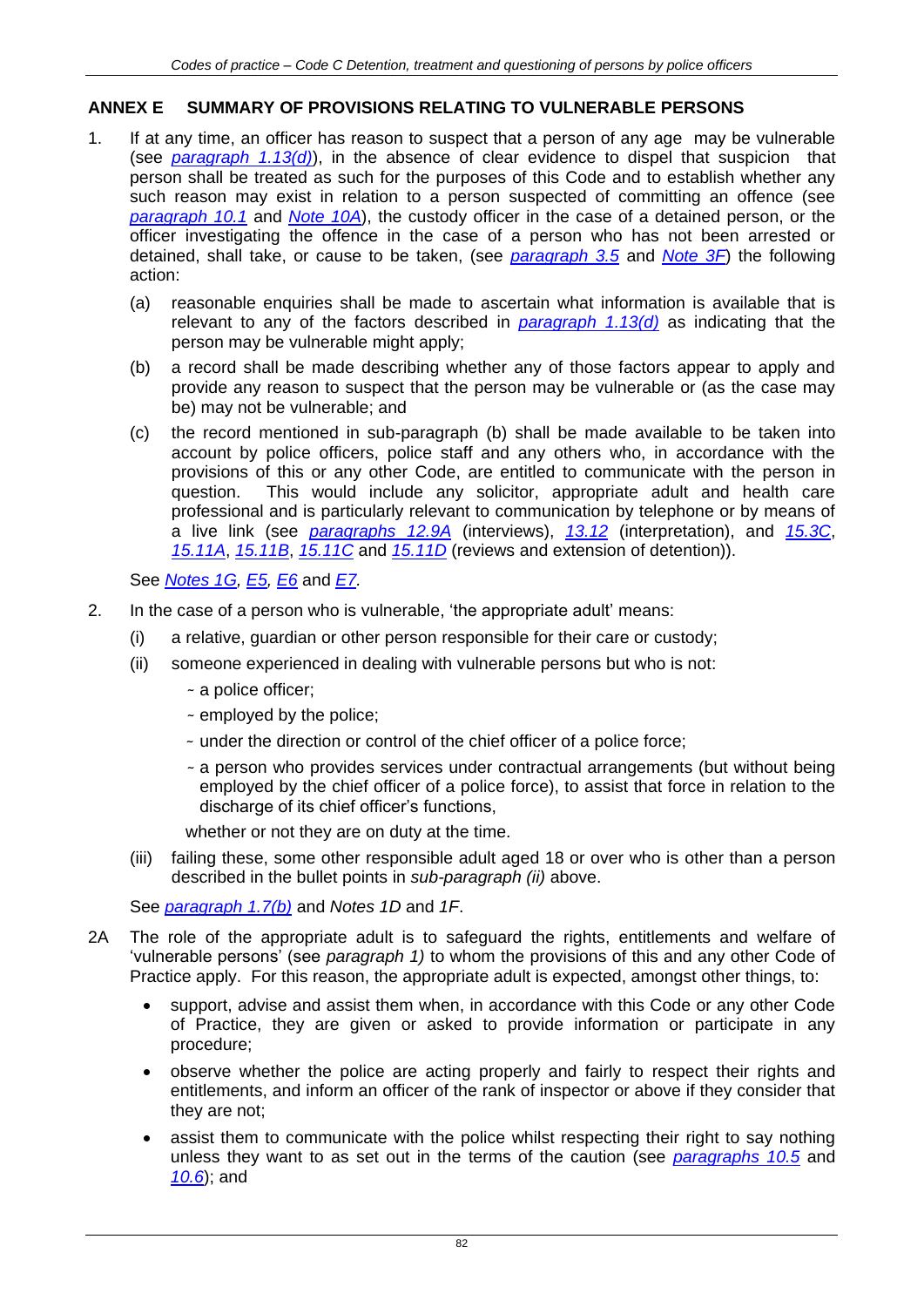### **ANNEX E SUMMARY OF PROVISIONS RELATING TO VULNERABLE PERSONS**

- <span id="page-85-0"></span>1. If at any time, an officer has reason to suspect that a person of any age may be vulnerable (see *[paragraph 1.13\(d\)](#page-12-0)*), in the absence of clear evidence to dispel that suspicion that person shall be treated as such for the purposes of this Code and to establish whether any such reason may exist in relation to a person suspected of committing an offence (see *[paragraph 10.1](#page-43-0)* and *[Note 10A](#page-45-0)*), the custody officer in the case of a detained person, or the officer investigating the offence in the case of a person who has not been arrested or detained, shall take, or cause to be taken, (see *[paragraph 3.5](#page-19-0)* and *[Note 3F](#page-27-0)*) the following action:
	- (a) reasonable enquiries shall be made to ascertain what information is available that is relevant to any of the factors described in *[paragraph 1.13\(d\)](#page-12-0)* as indicating that the person may be vulnerable might apply;
	- (b) a record shall be made describing whether any of those factors appear to apply and provide any reason to suspect that the person may be vulnerable or (as the case may be) may not be vulnerable; and
	- (c) the record mentioned in sub-paragraph (b) shall be made available to be taken into account by police officers, police staff and any others who, in accordance with the provisions of this or any other Code, are entitled to communicate with the person in question. This would include any solicitor, appropriate adult and health care professional and is particularly relevant to communication by telephone or by means of a live link (see *[paragraphs 12.9A](#page-51-0)* (interviews), *[13.12](#page-58-0)* (interpretation), and *[15.3C](#page-61-0)*, *[15.11A](#page-63-0)*, *[15.11B](#page-63-1)*, *[15.11C](#page-63-2)* and *[15.11D](#page-64-0)* (reviews and extension of detention)).

See *[Notes 1G,](#page-14-0) [E5,](#page-87-0) [E6](#page-87-1)* and *[E7.](#page-87-2)*

- 2. In the case of a person who is vulnerable, 'the appropriate adult' means:
	- (i) a relative, guardian or other person responsible for their care or custody;
	- (ii) someone experienced in dealing with vulnerable persons but who is not:
		- ~ a police officer;
		- ~ employed by the police;
		- ~ under the direction or control of the chief officer of a police force;
		- ~ a person who provides services under contractual arrangements (but without being employed by the chief officer of a police force), to assist that force in relation to the discharge of its chief officer's functions,

whether or not they are on duty at the time.

(iii) failing these, some other responsible adult aged 18 or over who is other than a person described in the bullet points in *sub-paragraph (ii)* above.

See *[paragraph 1.7\(b\)](#page-10-0)* and *Notes 1D* and *1F*.

- 2A The role of the appropriate adult is to safeguard the rights, entitlements and welfare of 'vulnerable persons' (see *paragraph 1)* to whom the provisions of this and any other Code of Practice apply. For this reason, the appropriate adult is expected, amongst other things, to:
	- support, advise and assist them when, in accordance with this Code or any other Code of Practice, they are given or asked to provide information or participate in any procedure;
	- observe whether the police are acting properly and fairly to respect their rights and entitlements, and inform an officer of the rank of inspector or above if they consider that they are not;
	- assist them to communicate with the police whilst respecting their right to say nothing unless they want to as set out in the terms of the caution (see *[paragraphs 10.5](#page-43-1)* and *[10.6](#page-44-0)*); and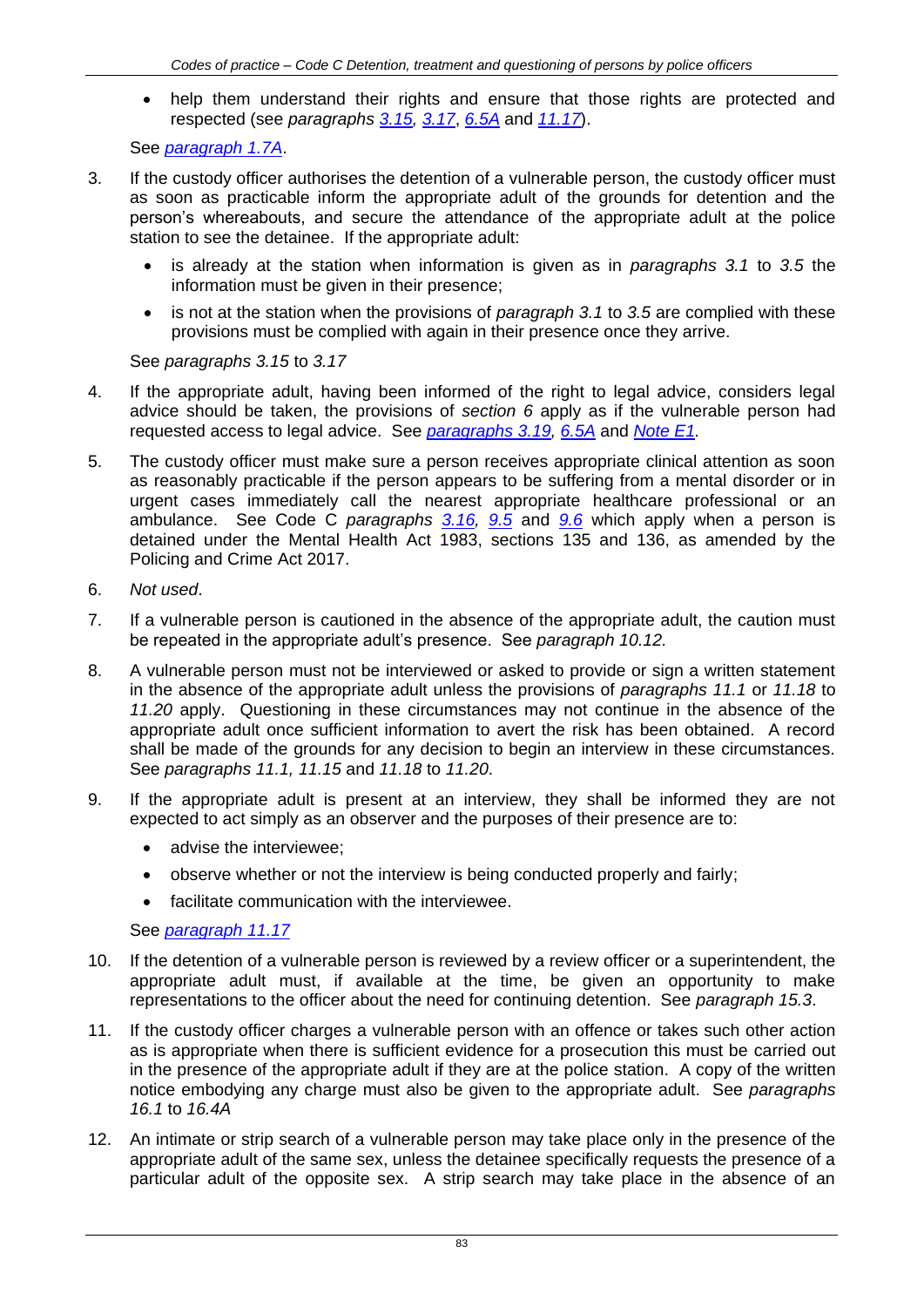• help them understand their rights and ensure that those rights are protected and respected (see *paragraphs [3.15,](#page-21-0) [3.17](#page-22-0)*, *[6.5A](#page-31-0)* and *[11.17](#page-48-0)*).

See *[paragraph 1.7A](#page-10-1)*.

- 3. If the custody officer authorises the detention of a vulnerable person, the custody officer must as soon as practicable inform the appropriate adult of the grounds for detention and the person's whereabouts, and secure the attendance of the appropriate adult at the police station to see the detainee. If the appropriate adult:
	- is already at the station when information is given as in *paragraphs 3.1* to *3.5* the information must be given in their presence;
	- is not at the station when the provisions of *paragraph 3.1* to *3.5* are complied with these provisions must be complied with again in their presence once they arrive.

See *paragraphs 3.15* to *3.17*

- 4. If the appropriate adult, having been informed of the right to legal advice, considers legal advice should be taken, the provisions of *section 6* apply as if the vulnerable person had requested access to legal advice. See *[paragraphs](#page-22-1) 3.19, [6.5A](#page-31-0)* and *[Note E1.](#page-87-3)*
- 5. The custody officer must make sure a person receives appropriate clinical attention as soon as reasonably practicable if the person appears to be suffering from a mental disorder or in urgent cases immediately call the nearest appropriate healthcare professional or an ambulance. See Code C *paragraphs [3.16,](#page-21-1) [9.5](#page-40-0)* and *[9.6](#page-40-1)* which apply when a person is detained under the Mental Health Act 1983, sections 135 and 136, as amended by the Policing and Crime Act 2017.
- 6. *Not used*.
- 7. If a vulnerable person is cautioned in the absence of the appropriate adult, the caution must be repeated in the appropriate adult's presence. See *paragraph 10.12.*
- 8. A vulnerable person must not be interviewed or asked to provide or sign a written statement in the absence of the appropriate adult unless the provisions of *paragraphs 11.1* or *11.18* to *11.20* apply. Questioning in these circumstances may not continue in the absence of the appropriate adult once sufficient information to avert the risk has been obtained. A record shall be made of the grounds for any decision to begin an interview in these circumstances. See *paragraphs 11.1, 11.15* and *11.18* to *11.20*.
- 9. If the appropriate adult is present at an interview, they shall be informed they are not expected to act simply as an observer and the purposes of their presence are to:
	- advise the interviewee;
	- observe whether or not the interview is being conducted properly and fairly;
	- facilitate communication with the interviewee.

See *[paragraph 11.17](#page-48-0)*

- 10. If the detention of a vulnerable person is reviewed by a review officer or a superintendent, the appropriate adult must, if available at the time, be given an opportunity to make representations to the officer about the need for continuing detention. See *paragraph 15.3*.
- 11. If the custody officer charges a vulnerable person with an offence or takes such other action as is appropriate when there is sufficient evidence for a prosecution this must be carried out in the presence of the appropriate adult if they are at the police station. A copy of the written notice embodying any charge must also be given to the appropriate adult. See *paragraphs 16.1* to *16.4A*
- 12. An intimate or strip search of a vulnerable person may take place only in the presence of the appropriate adult of the same sex, unless the detainee specifically requests the presence of a particular adult of the opposite sex. A strip search may take place in the absence of an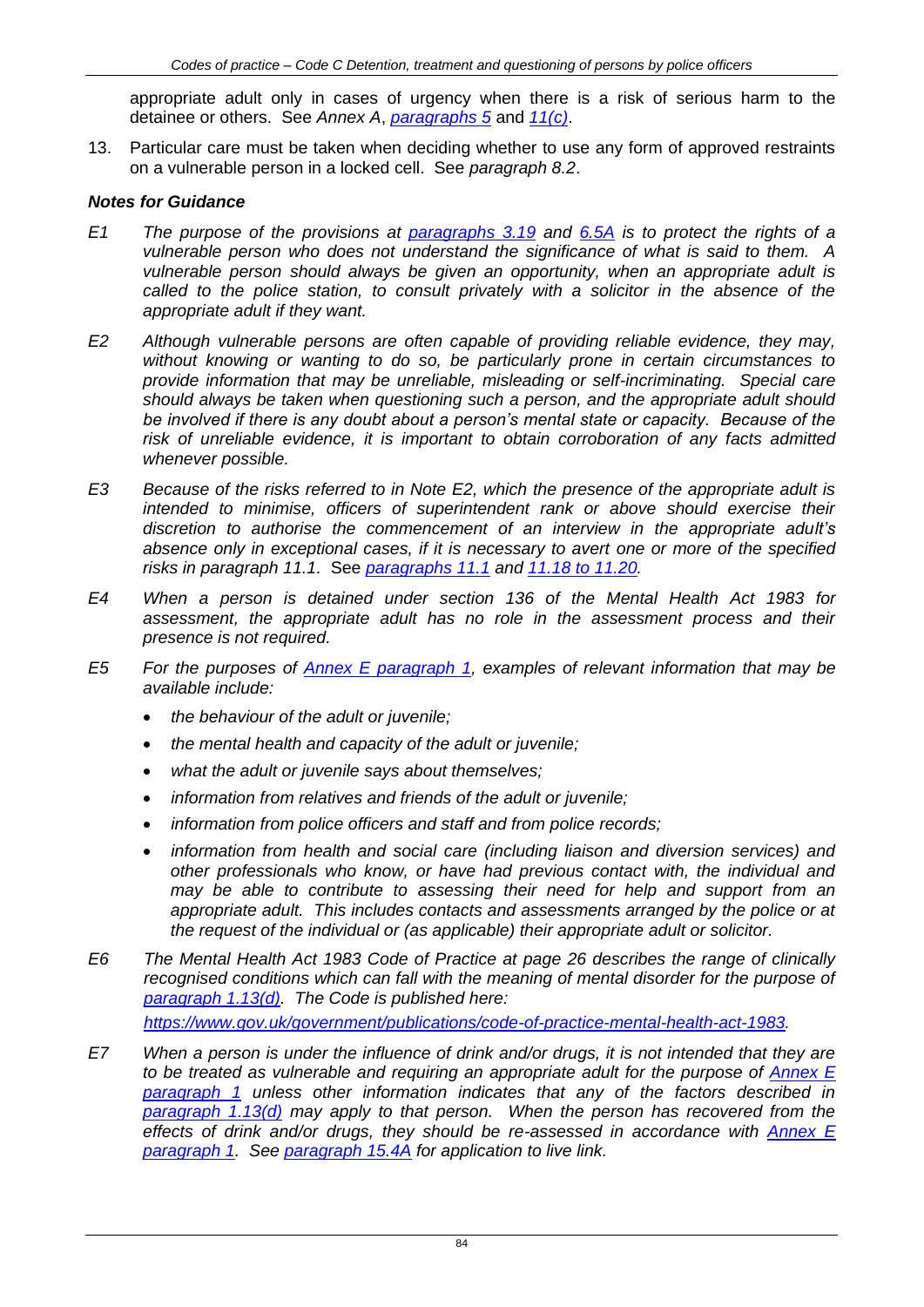appropriate adult only in cases of urgency when there is a risk of serious harm to the detainee or others. See *Annex A*, *[paragraphs 5](#page-75-0)* and *[11\(c\)](#page-76-0)*.

13. Particular care must be taken when deciding whether to use any form of approved restraints on a vulnerable person in a locked cell. See *paragraph 8.2*.

#### *Notes for Guidance*

- <span id="page-87-3"></span>*E1 The purpose of the provisions at [paragraphs](#page-22-1) 3.19 and [6.5A](#page-31-0) is to protect the rights of a vulnerable person who does not understand the significance of what is said to them. A vulnerable person should always be given an opportunity, when an appropriate adult is called to the police station, to consult privately with a solicitor in the absence of the appropriate adult if they want.*
- *E2 Although vulnerable persons are often capable of providing reliable evidence, they may, without knowing or wanting to do so, be particularly prone in certain circumstances to provide information that may be unreliable, misleading or self-incriminating. Special care should always be taken when questioning such a person, and the appropriate adult should be involved if there is any doubt about a person's mental state or capacity. Because of the risk of unreliable evidence, it is important to obtain corroboration of any facts admitted whenever possible.*
- *E3 Because of the risks referred to in Note E2, which the presence of the appropriate adult is intended to minimise, officers of superintendent rank or above should exercise their discretion to authorise the commencement of an interview in the appropriate adult's absence only in exceptional cases, if it is necessary to avert one or more of the specified risks in paragraph 11.1.* See *[paragraphs 11.1](#page-46-0) and [11.18 to 11.20.](#page-48-1)*
- *E4 When a person is detained under section 136 of the Mental Health Act 1983 for assessment, the appropriate adult has no role in the assessment process and their presence is not required.*
- <span id="page-87-0"></span>*E5 For the purposes of [Annex E paragraph 1,](#page-85-0) examples of relevant information that may be available include:*
	- *the behaviour of the adult or juvenile;*
	- *the mental health and capacity of the adult or juvenile;*
	- *what the adult or juvenile says about themselves;*
	- *information from relatives and friends of the adult or juvenile;*
	- *information from police officers and staff and from police records;*
	- *information from health and social care (including liaison and diversion services) and other professionals who know, or have had previous contact with, the individual and may be able to contribute to assessing their need for help and support from an appropriate adult. This includes contacts and assessments arranged by the police or at the request of the individual or (as applicable) their appropriate adult or solicitor.*
- <span id="page-87-1"></span>*E6 The Mental Health Act 1983 Code of Practice at page 26 describes the range of clinically recognised conditions which can fall with the meaning of mental disorder for the purpose of [paragraph 1.13\(d\).](#page-12-0) The Code is published here: [https://www.gov.uk/government/publications/code-of-practice-mental-health-act-1983.](https://www.gov.uk/government/publications/code-of-practice-mental-health-act-1983)*
- <span id="page-87-2"></span>*E7 When a person is under the influence of drink and/or drugs, it is not intended that they are to be treated as vulnerable and requiring an appropriate adult for the purpose of [Annex E](#page-85-0)  [paragraph 1](#page-85-0) unless other information indicates that any of the factors described in [paragraph 1.13\(d\)](#page-12-0) may apply to that person. When the person has recovered from the effects of drink and/or drugs, they should be re-assessed in accordance with Annex E [paragraph 1.](#page-85-0) See [paragraph 15.4A](#page-61-1) for application to live link.*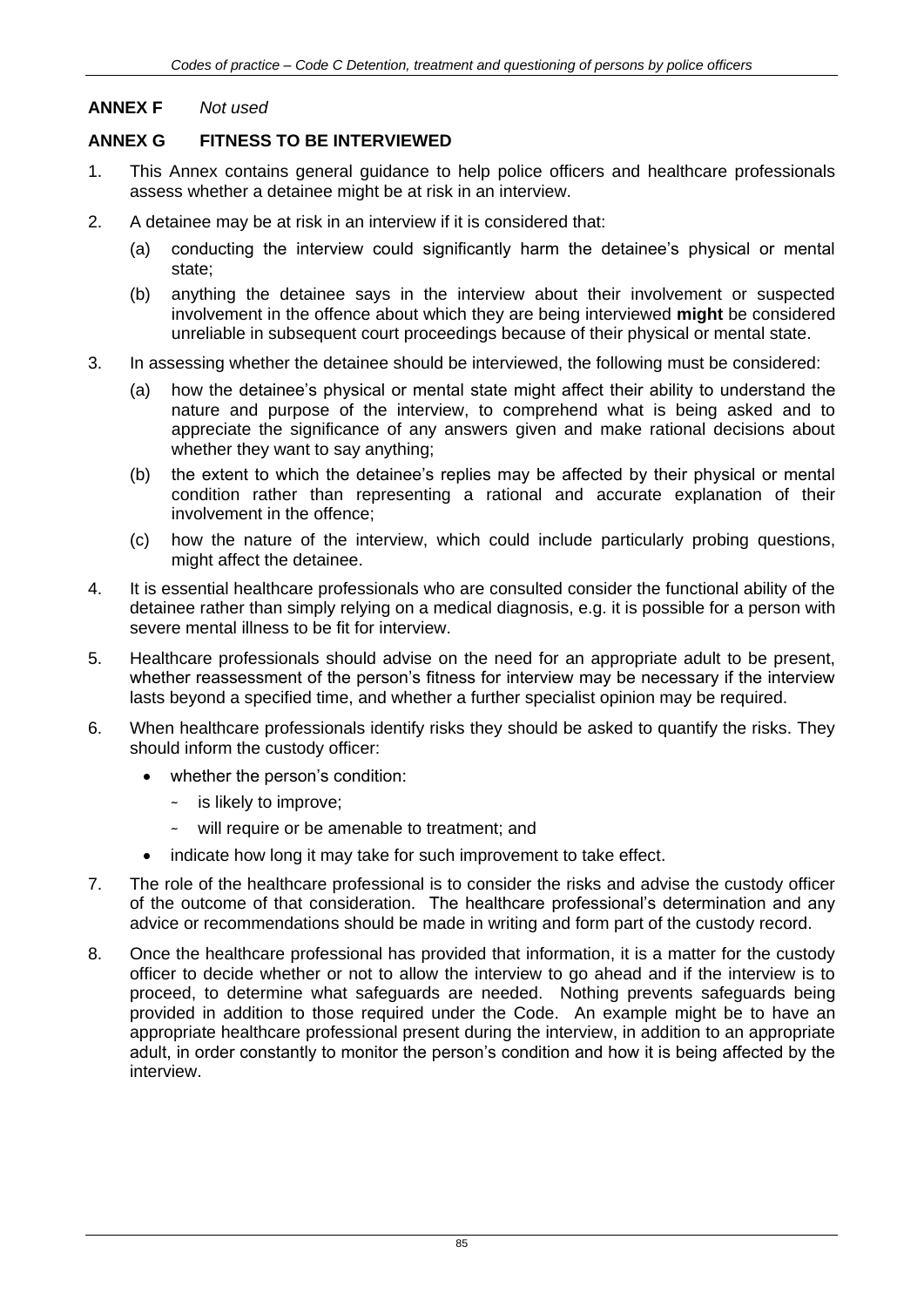### **ANNEX F** *Not used*

# **ANNEX G FITNESS TO BE INTERVIEWED**

- 1. This Annex contains general guidance to help police officers and healthcare professionals assess whether a detainee might be at risk in an interview.
- 2. A detainee may be at risk in an interview if it is considered that:
	- (a) conducting the interview could significantly harm the detainee's physical or mental state;
	- (b) anything the detainee says in the interview about their involvement or suspected involvement in the offence about which they are being interviewed **might** be considered unreliable in subsequent court proceedings because of their physical or mental state.
- 3. In assessing whether the detainee should be interviewed, the following must be considered:
	- (a) how the detainee's physical or mental state might affect their ability to understand the nature and purpose of the interview, to comprehend what is being asked and to appreciate the significance of any answers given and make rational decisions about whether they want to say anything;
	- (b) the extent to which the detainee's replies may be affected by their physical or mental condition rather than representing a rational and accurate explanation of their involvement in the offence;
	- (c) how the nature of the interview, which could include particularly probing questions, might affect the detainee.
- 4. It is essential healthcare professionals who are consulted consider the functional ability of the detainee rather than simply relying on a medical diagnosis, e.g. it is possible for a person with severe mental illness to be fit for interview.
- 5. Healthcare professionals should advise on the need for an appropriate adult to be present, whether reassessment of the person's fitness for interview may be necessary if the interview lasts beyond a specified time, and whether a further specialist opinion may be required.
- 6. When healthcare professionals identify risks they should be asked to quantify the risks. They should inform the custody officer:
	- whether the person's condition:
		- ~ is likely to improve;
		- ~ will require or be amenable to treatment; and
	- indicate how long it may take for such improvement to take effect.
- 7. The role of the healthcare professional is to consider the risks and advise the custody officer of the outcome of that consideration. The healthcare professional's determination and any advice or recommendations should be made in writing and form part of the custody record.
- 8. Once the healthcare professional has provided that information, it is a matter for the custody officer to decide whether or not to allow the interview to go ahead and if the interview is to proceed, to determine what safeguards are needed. Nothing prevents safeguards being provided in addition to those required under the Code. An example might be to have an appropriate healthcare professional present during the interview, in addition to an appropriate adult, in order constantly to monitor the person's condition and how it is being affected by the interview.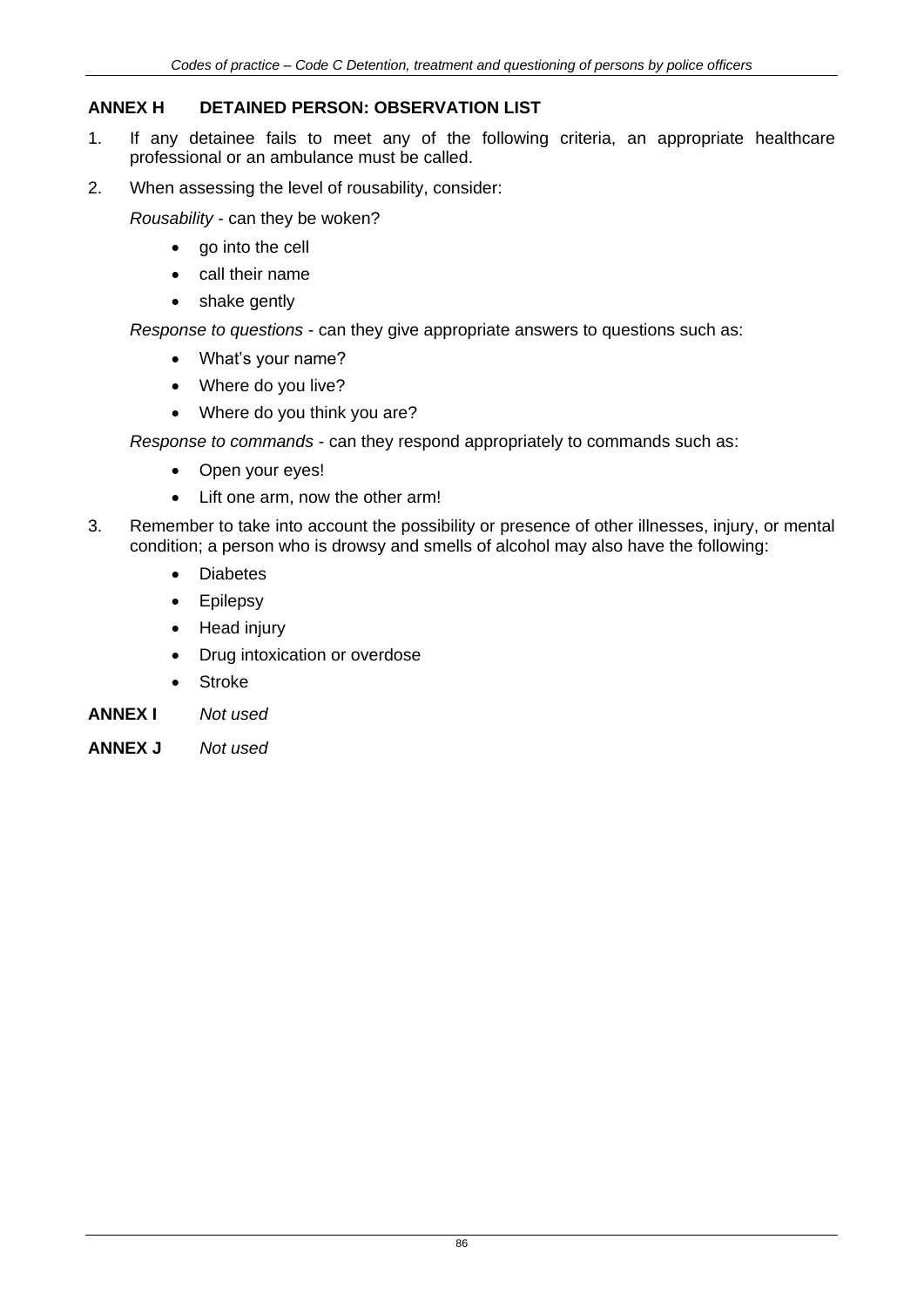# **ANNEX H DETAINED PERSON: OBSERVATION LIST**

- 1. If any detainee fails to meet any of the following criteria, an appropriate healthcare professional or an ambulance must be called.
- 2. When assessing the level of rousability, consider:

*Rousability* - can they be woken?

- go into the cell
- call their name
- shake gently

*Response to questions* - can they give appropriate answers to questions such as:

- What's your name?
- Where do you live?
- Where do you think you are?

*Response to commands* - can they respond appropriately to commands such as:

- Open your eyes!
- Lift one arm, now the other arm!
- 3. Remember to take into account the possibility or presence of other illnesses, injury, or mental condition; a person who is drowsy and smells of alcohol may also have the following:
	- Diabetes
	- Epilepsy
	- Head injury
	- Drug intoxication or overdose
	- Stroke
- **ANNEX I** *Not used*
- **ANNEX J** *Not used*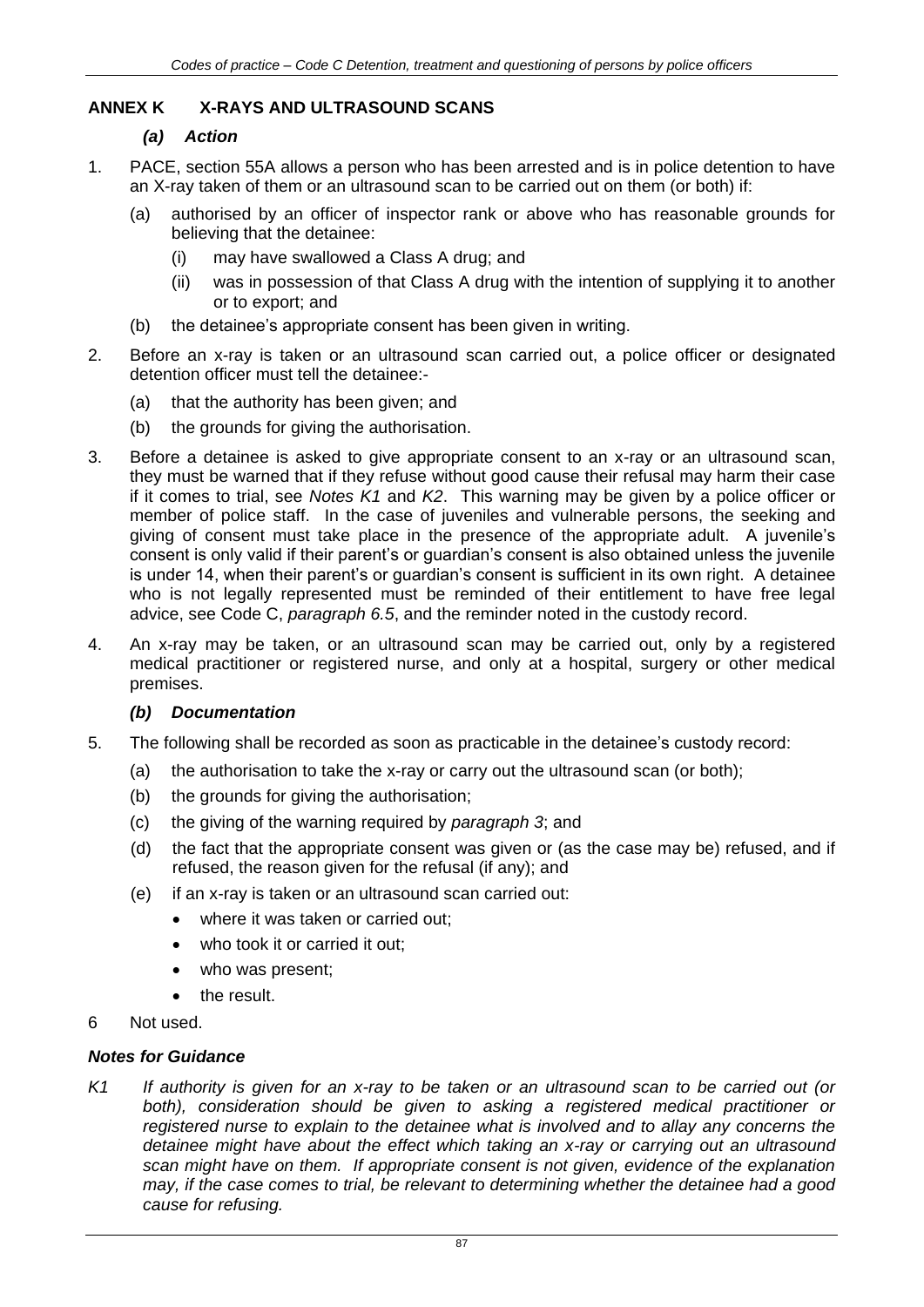# **ANNEX K X-RAYS AND ULTRASOUND SCANS**

### *(a) Action*

- 1. PACE, section 55A allows a person who has been arrested and is in police detention to have an X-ray taken of them or an ultrasound scan to be carried out on them (or both) if:
	- (a) authorised by an officer of inspector rank or above who has reasonable grounds for believing that the detainee:
		- (i) may have swallowed a Class A drug; and
		- (ii) was in possession of that Class A drug with the intention of supplying it to another or to export; and
	- (b) the detainee's appropriate consent has been given in writing.
- 2. Before an x-ray is taken or an ultrasound scan carried out, a police officer or designated detention officer must tell the detainee:-
	- (a) that the authority has been given; and
	- (b) the grounds for giving the authorisation.
- 3. Before a detainee is asked to give appropriate consent to an x-ray or an ultrasound scan, they must be warned that if they refuse without good cause their refusal may harm their case if it comes to trial, see *Notes K1* and *K2*. This warning may be given by a police officer or member of police staff. In the case of juveniles and vulnerable persons, the seeking and giving of consent must take place in the presence of the appropriate adult. A juvenile's consent is only valid if their parent's or guardian's consent is also obtained unless the juvenile is under 14, when their parent's or guardian's consent is sufficient in its own right. A detainee who is not legally represented must be reminded of their entitlement to have free legal advice, see Code C, *paragraph 6.5*, and the reminder noted in the custody record.
- 4. An x-ray may be taken, or an ultrasound scan may be carried out, only by a registered medical practitioner or registered nurse, and only at a hospital, surgery or other medical premises.

#### *(b) Documentation*

- 5. The following shall be recorded as soon as practicable in the detainee's custody record:
	- (a) the authorisation to take the x-ray or carry out the ultrasound scan (or both);
	- (b) the grounds for giving the authorisation:
	- (c) the giving of the warning required by *paragraph 3*; and
	- (d) the fact that the appropriate consent was given or (as the case may be) refused, and if refused, the reason given for the refusal (if any); and
	- (e) if an x-ray is taken or an ultrasound scan carried out:
		- where it was taken or carried out;
		- who took it or carried it out:
		- who was present;
		- the result.
- 6 Not used.

#### *Notes for Guidance*

*K1 If authority is given for an x-ray to be taken or an ultrasound scan to be carried out (or both), consideration should be given to asking a registered medical practitioner or registered nurse to explain to the detainee what is involved and to allay any concerns the detainee might have about the effect which taking an x-ray or carrying out an ultrasound scan might have on them. If appropriate consent is not given, evidence of the explanation may, if the case comes to trial, be relevant to determining whether the detainee had a good cause for refusing.*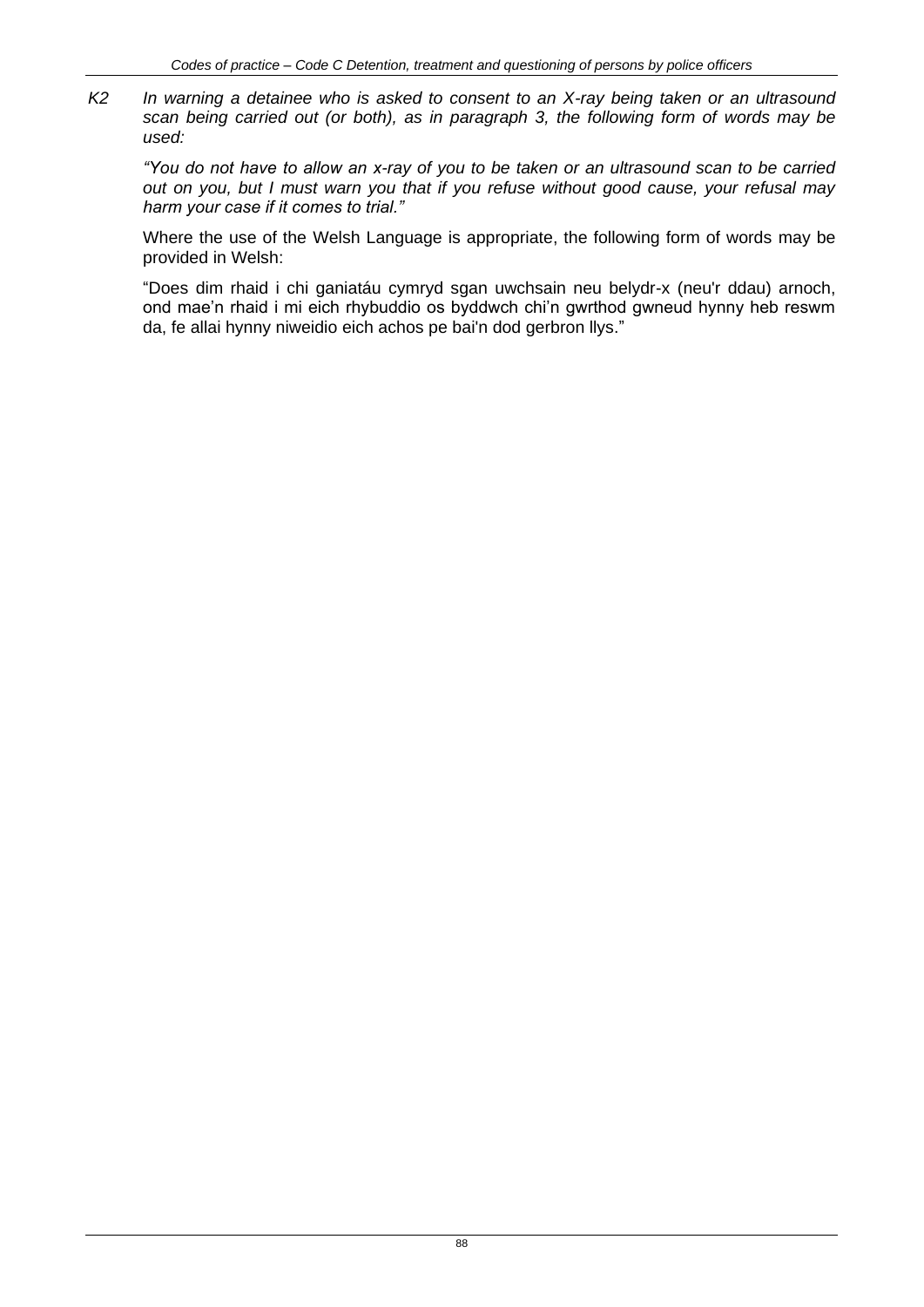*K2 In warning a detainee who is asked to consent to an X-ray being taken or an ultrasound scan being carried out (or both), as in paragraph 3, the following form of words may be used:*

*"You do not have to allow an x-ray of you to be taken or an ultrasound scan to be carried out on you, but I must warn you that if you refuse without good cause, your refusal may harm your case if it comes to trial."*

Where the use of the Welsh Language is appropriate, the following form of words may be provided in Welsh:

"Does dim rhaid i chi ganiatáu cymryd sgan uwchsain neu belydr-x (neu'r ddau) arnoch, ond mae'n rhaid i mi eich rhybuddio os byddwch chi'n gwrthod gwneud hynny heb reswm da, fe allai hynny niweidio eich achos pe bai'n dod gerbron llys."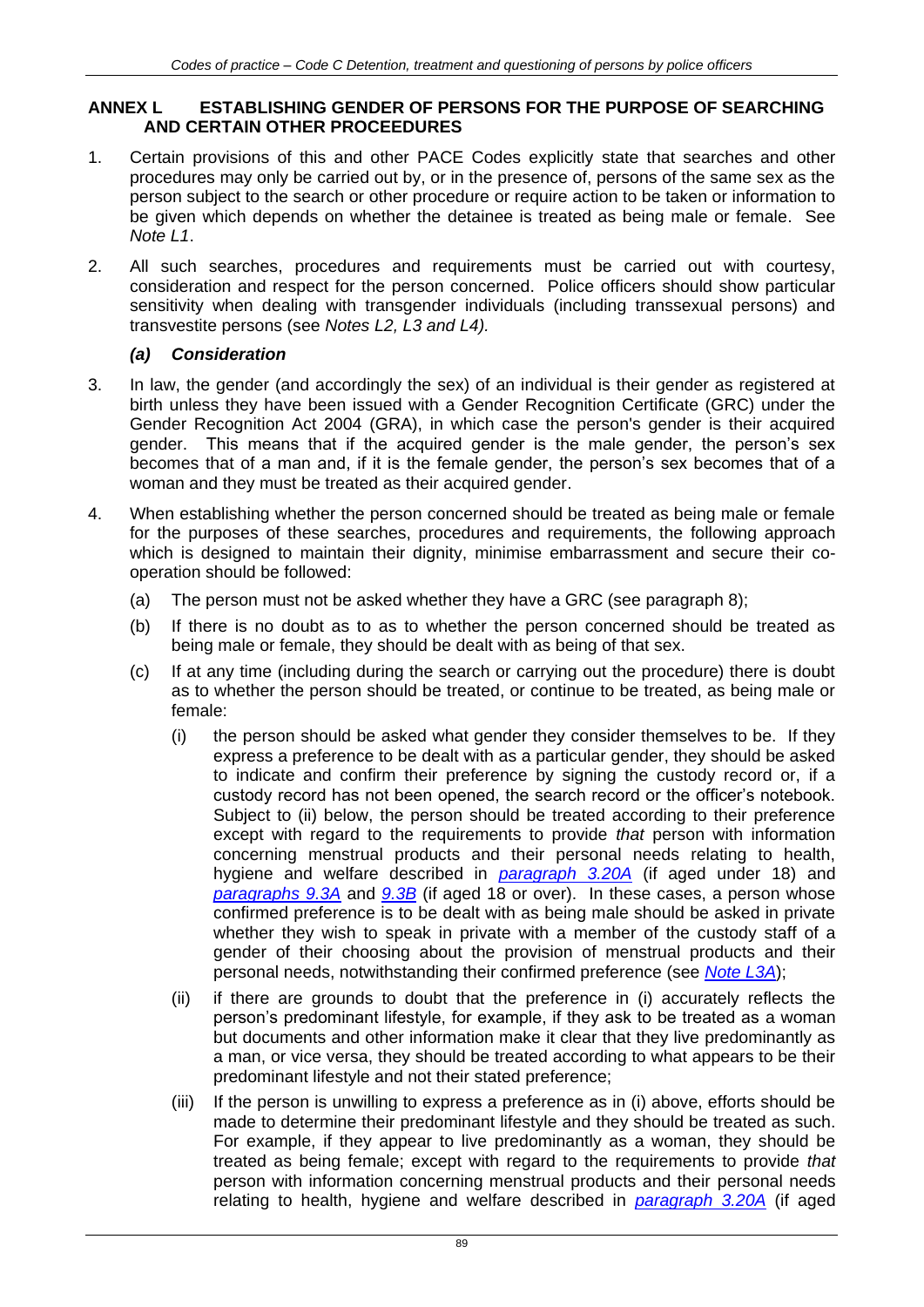#### **ANNEX L ESTABLISHING GENDER OF PERSONS FOR THE PURPOSE OF SEARCHING AND CERTAIN OTHER PROCEEDURES**

- 1. Certain provisions of this and other PACE Codes explicitly state that searches and other procedures may only be carried out by, or in the presence of, persons of the same sex as the person subject to the search or other procedure or require action to be taken or information to be given which depends on whether the detainee is treated as being male or female. See *Note L1*.
- 2. All such searches, procedures and requirements must be carried out with courtesy, consideration and respect for the person concerned. Police officers should show particular sensitivity when dealing with transgender individuals (including transsexual persons) and transvestite persons (see *Notes L2, L3 and L4).*

# *(a) Consideration*

- 3. In law, the gender (and accordingly the sex) of an individual is their gender as registered at birth unless they have been issued with a Gender Recognition Certificate (GRC) under the Gender Recognition Act 2004 (GRA), in which case the person's gender is their acquired gender. This means that if the acquired gender is the male gender, the person's sex becomes that of a man and, if it is the female gender, the person's sex becomes that of a woman and they must be treated as their acquired gender.
- 4. When establishing whether the person concerned should be treated as being male or female for the purposes of these searches, procedures and requirements, the following approach which is designed to maintain their dignity, minimise embarrassment and secure their cooperation should be followed:
	- (a) The person must not be asked whether they have a GRC (see paragraph 8);
	- (b) If there is no doubt as to as to whether the person concerned should be treated as being male or female, they should be dealt with as being of that sex.
	- (c) If at any time (including during the search or carrying out the procedure) there is doubt as to whether the person should be treated, or continue to be treated, as being male or female:
		- (i) the person should be asked what gender they consider themselves to be. If they express a preference to be dealt with as a particular gender, they should be asked to indicate and confirm their preference by signing the custody record or, if a custody record has not been opened, the search record or the officer's notebook. Subject to (ii) below, the person should be treated according to their preference except with regard to the requirements to provide *that* person with information concerning menstrual products and their personal needs relating to health, hygiene and welfare described in *[paragraph 3.20A](#page-22-2)* (if aged under 18) and *[paragraphs 9.3A](#page-39-0)* and *[9.3B](#page-39-1)* (if aged 18 or over). In these cases, a person whose confirmed preference is to be dealt with as being male should be asked in private whether they wish to speak in private with a member of the custody staff of a gender of their choosing about the provision of menstrual products and their personal needs, notwithstanding their confirmed preference (see *[Note L3A](#page-94-0)*);
		- (ii) if there are grounds to doubt that the preference in (i) accurately reflects the person's predominant lifestyle, for example, if they ask to be treated as a woman but documents and other information make it clear that they live predominantly as a man, or vice versa, they should be treated according to what appears to be their predominant lifestyle and not their stated preference;
		- (iii) If the person is unwilling to express a preference as in (i) above, efforts should be made to determine their predominant lifestyle and they should be treated as such. For example, if they appear to live predominantly as a woman, they should be treated as being female; except with regard to the requirements to provide *that* person with information concerning menstrual products and their personal needs relating to health, hygiene and welfare described in *[paragraph 3.20A](#page-22-2)* (if aged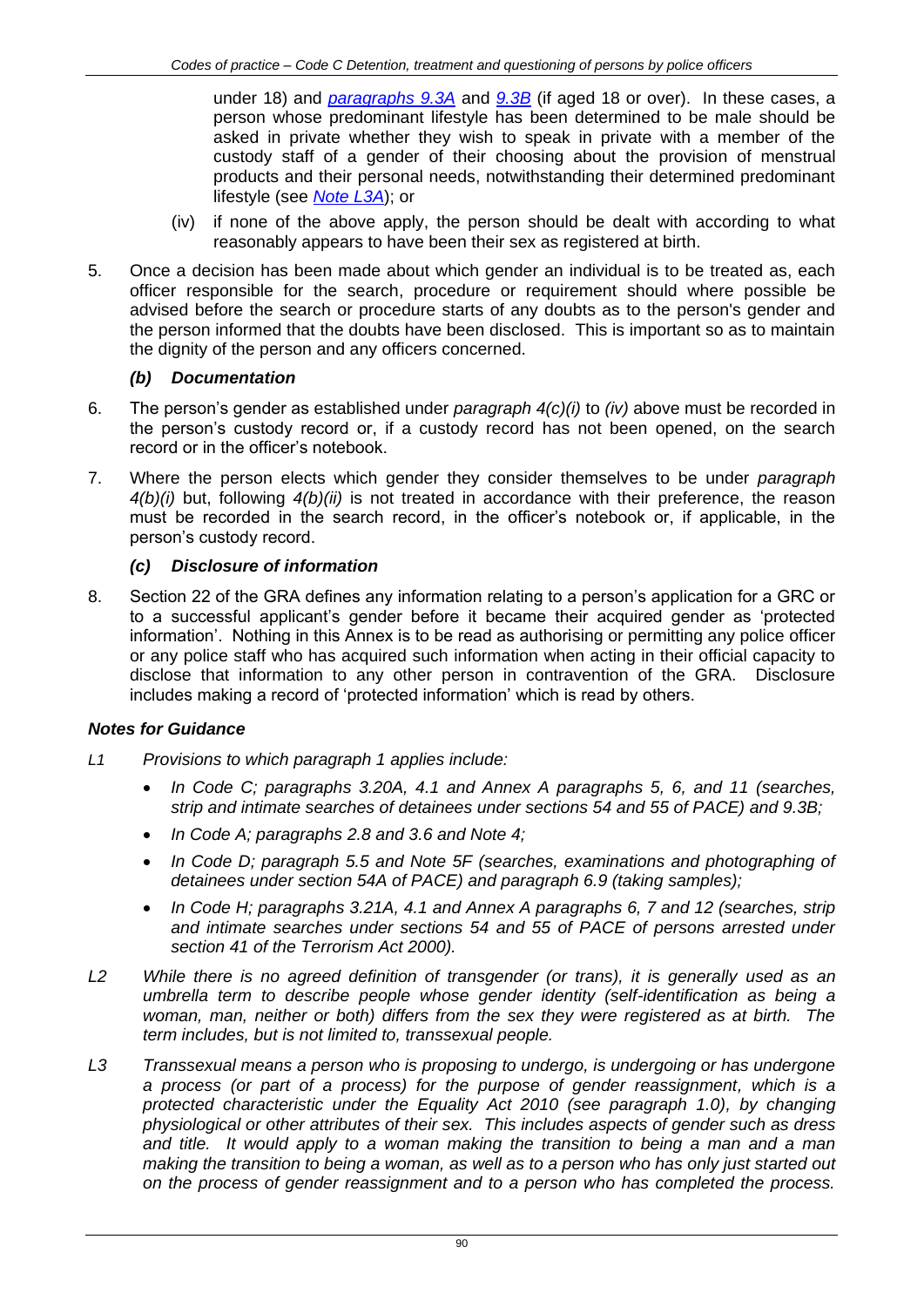under 18) and *[paragraphs 9.3A](#page-39-0)* and *[9.3B](#page-39-1)* (if aged 18 or over). In these cases, a person whose predominant lifestyle has been determined to be male should be asked in private whether they wish to speak in private with a member of the custody staff of a gender of their choosing about the provision of menstrual products and their personal needs, notwithstanding their determined predominant lifestyle (see *[Note L3A](#page-94-0)*); or

- (iv) if none of the above apply, the person should be dealt with according to what reasonably appears to have been their sex as registered at birth.
- 5. Once a decision has been made about which gender an individual is to be treated as, each officer responsible for the search, procedure or requirement should where possible be advised before the search or procedure starts of any doubts as to the person's gender and the person informed that the doubts have been disclosed. This is important so as to maintain the dignity of the person and any officers concerned.

# *(b) Documentation*

- 6. The person's gender as established under *paragraph 4(c)(i)* to *(iv)* above must be recorded in the person's custody record or, if a custody record has not been opened, on the search record or in the officer's notebook.
- 7. Where the person elects which gender they consider themselves to be under *paragraph 4(b)(i)* but, following *4(b)(ii)* is not treated in accordance with their preference, the reason must be recorded in the search record, in the officer's notebook or, if applicable, in the person's custody record.

# *(c) Disclosure of information*

8. Section 22 of the GRA defines any information relating to a person's application for a GRC or to a successful applicant's gender before it became their acquired gender as 'protected information'. Nothing in this Annex is to be read as authorising or permitting any police officer or any police staff who has acquired such information when acting in their official capacity to disclose that information to any other person in contravention of the GRA. Disclosure includes making a record of 'protected information' which is read by others.

# *Notes for Guidance*

- *L1 Provisions to which paragraph 1 applies include:*
	- *In Code C; paragraphs 3.20A, 4.1 and Annex A paragraphs 5, 6, and 11 (searches, strip and intimate searches of detainees under sections 54 and 55 of PACE) and 9.3B;*
	- *In Code A; paragraphs 2.8 and 3.6 and Note 4;*
	- *In Code D; paragraph 5.5 and Note 5F (searches, examinations and photographing of detainees under section 54A of PACE) and paragraph 6.9 (taking samples);*
	- *In Code H; paragraphs 3.21A, 4.1 and Annex A paragraphs 6, 7 and 12 (searches, strip and intimate searches under sections 54 and 55 of PACE of persons arrested under section 41 of the Terrorism Act 2000).*
- *L2 While there is no agreed definition of transgender (or trans), it is generally used as an umbrella term to describe people whose gender identity (self-identification as being a woman, man, neither or both) differs from the sex they were registered as at birth. The term includes, but is not limited to, transsexual people.*
- *L3 Transsexual means a person who is proposing to undergo, is undergoing or has undergone a process (or part of a process) for the purpose of gender reassignment, which is a protected characteristic under the Equality Act 2010 (see paragraph 1.0), by changing physiological or other attributes of their sex. This includes aspects of gender such as dress*  and title. It would apply to a woman making the transition to being a man and a man *making the transition to being a woman, as well as to a person who has only just started out on the process of gender reassignment and to a person who has completed the process.*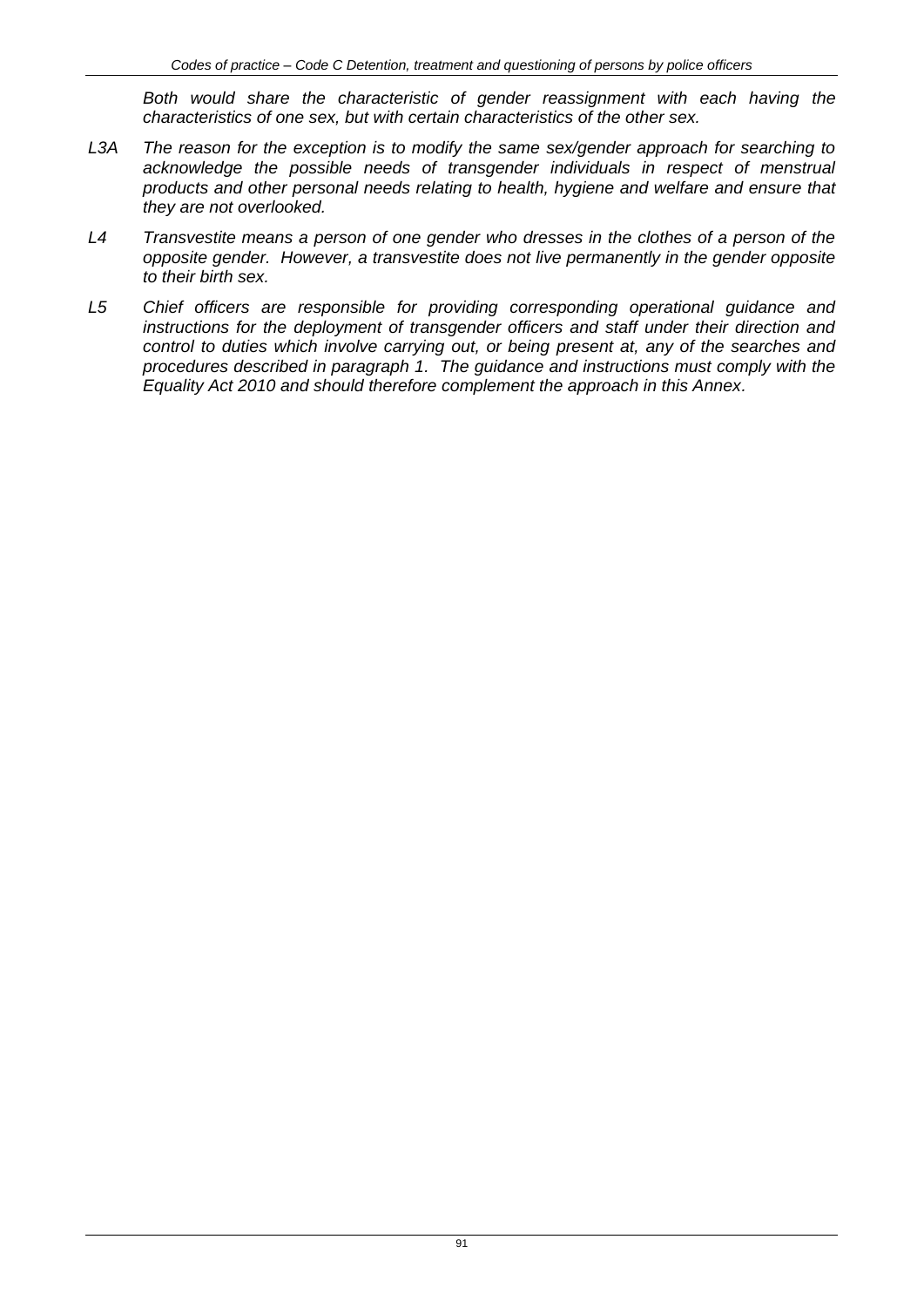*Both would share the characteristic of gender reassignment with each having the characteristics of one sex, but with certain characteristics of the other sex.*

- <span id="page-94-0"></span>*L3A The reason for the exception is to modify the same sex/gender approach for searching to acknowledge the possible needs of transgender individuals in respect of menstrual products and other personal needs relating to health, hygiene and welfare and ensure that they are not overlooked.*
- *L4 Transvestite means a person of one gender who dresses in the clothes of a person of the opposite gender. However, a transvestite does not live permanently in the gender opposite to their birth sex.*
- *L5 Chief officers are responsible for providing corresponding operational guidance and instructions for the deployment of transgender officers and staff under their direction and control to duties which involve carrying out, or being present at, any of the searches and procedures described in paragraph 1. The guidance and instructions must comply with the Equality Act 2010 and should therefore complement the approach in this Annex.*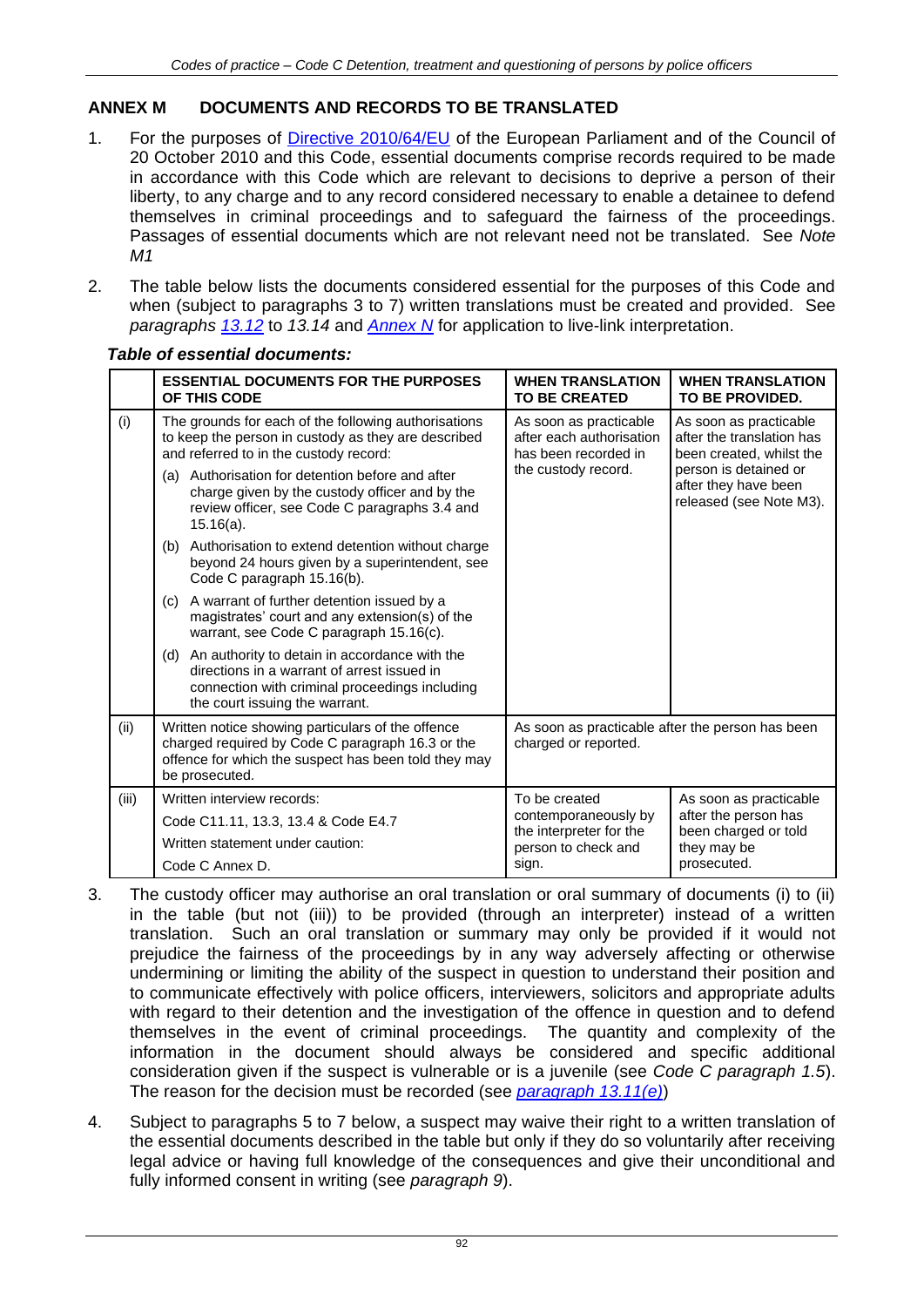# **ANNEX M DOCUMENTS AND RECORDS TO BE TRANSLATED**

- 1. For the purposes of [Directive 2010/64/EU](http://eur-lex.europa.eu/LexUriServ/LexUriServ.do?uri=OJ:L:2010:280:0001:0007:en:PDF) of the European Parliament and of the Council of 20 October 2010 and this Code, essential documents comprise records required to be made in accordance with this Code which are relevant to decisions to deprive a person of their liberty, to any charge and to any record considered necessary to enable a detainee to defend themselves in criminal proceedings and to safeguard the fairness of the proceedings. Passages of essential documents which are not relevant need not be translated. See *Note M1*
- 2. The table below lists the documents considered essential for the purposes of this Code and when (subject to paragraphs 3 to 7) written translations must be created and provided. See *paragraphs [13.12](#page-58-1)* to *13.14* and *[Annex N](#page-97-0)* for application to live-link interpretation.

|       | <b>ESSENTIAL DOCUMENTS FOR THE PURPOSES</b><br>OF THIS CODE                                                                                                                             | <b>WHEN TRANSLATION</b><br><b>TO BE CREATED</b>                                                   | <b>WHEN TRANSLATION</b><br>TO BE PROVIDED.                                                                                                                  |
|-------|-----------------------------------------------------------------------------------------------------------------------------------------------------------------------------------------|---------------------------------------------------------------------------------------------------|-------------------------------------------------------------------------------------------------------------------------------------------------------------|
| (i)   | The grounds for each of the following authorisations<br>to keep the person in custody as they are described<br>and referred to in the custody record:                                   | As soon as practicable<br>after each authorisation<br>has been recorded in<br>the custody record. | As soon as practicable<br>after the translation has<br>been created, whilst the<br>person is detained or<br>after they have been<br>released (see Note M3). |
|       | Authorisation for detention before and after<br>(a)<br>charge given by the custody officer and by the<br>review officer, see Code C paragraphs 3.4 and<br>$15.16(a)$ .                  |                                                                                                   |                                                                                                                                                             |
|       | Authorisation to extend detention without charge<br>(b)<br>beyond 24 hours given by a superintendent, see<br>Code C paragraph 15.16(b).                                                 |                                                                                                   |                                                                                                                                                             |
|       | A warrant of further detention issued by a<br>(c)<br>magistrates' court and any extension(s) of the<br>warrant, see Code C paragraph 15.16(c).                                          |                                                                                                   |                                                                                                                                                             |
|       | An authority to detain in accordance with the<br>(d)<br>directions in a warrant of arrest issued in<br>connection with criminal proceedings including<br>the court issuing the warrant. |                                                                                                   |                                                                                                                                                             |
| (ii)  | Written notice showing particulars of the offence<br>charged required by Code C paragraph 16.3 or the<br>offence for which the suspect has been told they may<br>be prosecuted.         | As soon as practicable after the person has been<br>charged or reported.                          |                                                                                                                                                             |
| (iii) | Written interview records:                                                                                                                                                              | To be created<br>contemporaneously by<br>the interpreter for the<br>person to check and<br>sign.  | As soon as practicable<br>after the person has<br>been charged or told<br>they may be<br>prosecuted.                                                        |
|       | Code C11.11, 13.3, 13.4 & Code E4.7                                                                                                                                                     |                                                                                                   |                                                                                                                                                             |
|       | Written statement under caution:                                                                                                                                                        |                                                                                                   |                                                                                                                                                             |
|       | Code C Annex D.                                                                                                                                                                         |                                                                                                   |                                                                                                                                                             |

*Table of essential documents:*

- 3. The custody officer may authorise an oral translation or oral summary of documents (i) to (ii) in the table (but not (iii)) to be provided (through an interpreter) instead of a written translation. Such an oral translation or summary may only be provided if it would not prejudice the fairness of the proceedings by in any way adversely affecting or otherwise undermining or limiting the ability of the suspect in question to understand their position and to communicate effectively with police officers, interviewers, solicitors and appropriate adults with regard to their detention and the investigation of the offence in question and to defend themselves in the event of criminal proceedings. The quantity and complexity of the information in the document should always be considered and specific additional consideration given if the suspect is vulnerable or is a juvenile (see *Code C paragraph 1.5*). The reason for the decision must be recorded (see *[paragraph 13.11\(e\)](#page-57-0)*)
- 4. Subject to paragraphs 5 to 7 below, a suspect may waive their right to a written translation of the essential documents described in the table but only if they do so voluntarily after receiving legal advice or having full knowledge of the consequences and give their unconditional and fully informed consent in writing (see *paragraph 9*).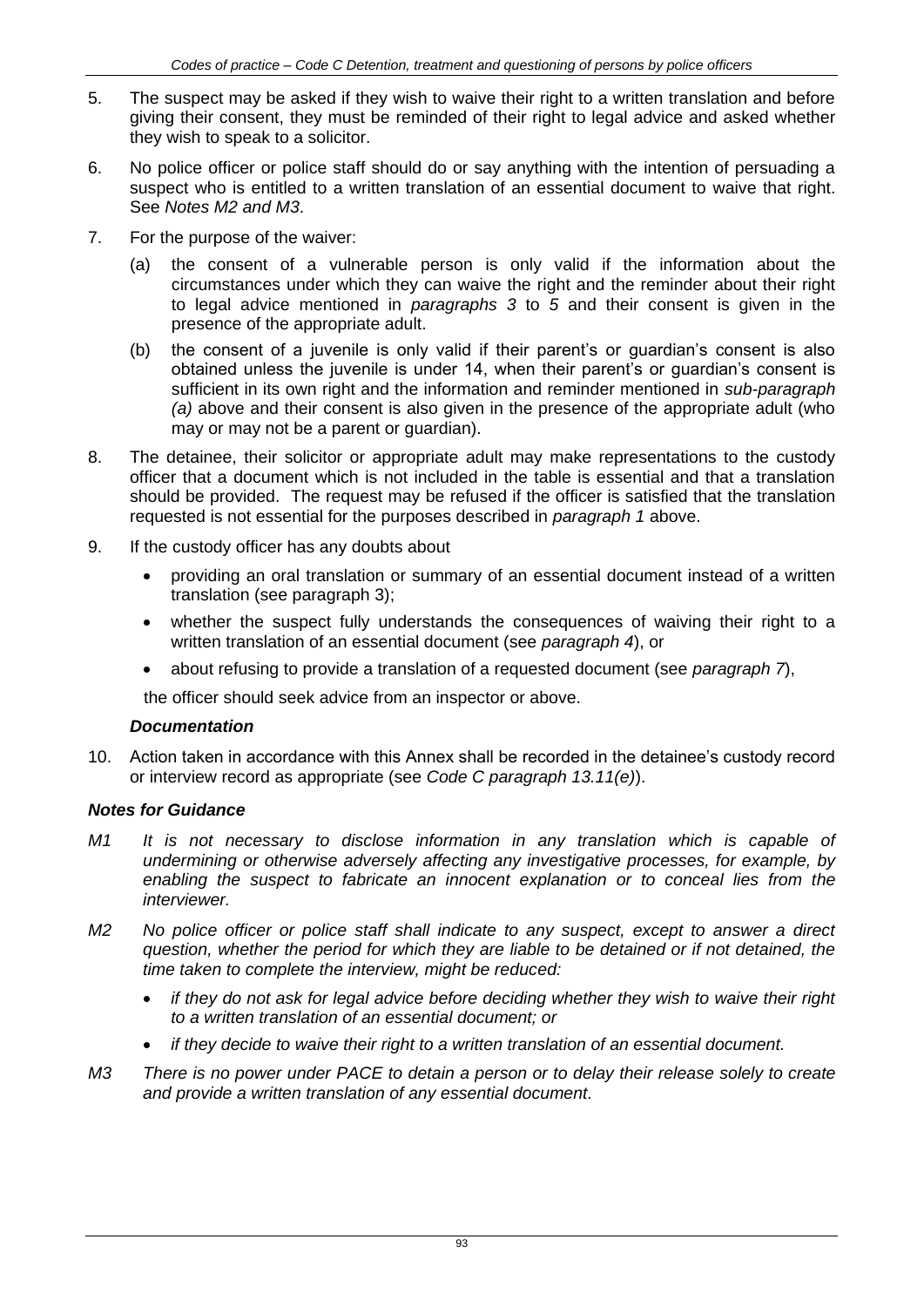- 5. The suspect may be asked if they wish to waive their right to a written translation and before giving their consent, they must be reminded of their right to legal advice and asked whether they wish to speak to a solicitor.
- 6. No police officer or police staff should do or say anything with the intention of persuading a suspect who is entitled to a written translation of an essential document to waive that right. See *Notes M2 and M3*.
- 7. For the purpose of the waiver:
	- (a) the consent of a vulnerable person is only valid if the information about the circumstances under which they can waive the right and the reminder about their right to legal advice mentioned in *paragraphs 3* to *5* and their consent is given in the presence of the appropriate adult.
	- (b) the consent of a juvenile is only valid if their parent's or guardian's consent is also obtained unless the juvenile is under 14, when their parent's or guardian's consent is sufficient in its own right and the information and reminder mentioned in *sub-paragraph (a)* above and their consent is also given in the presence of the appropriate adult (who may or may not be a parent or guardian).
- 8. The detainee, their solicitor or appropriate adult may make representations to the custody officer that a document which is not included in the table is essential and that a translation should be provided. The request may be refused if the officer is satisfied that the translation requested is not essential for the purposes described in *paragraph 1* above.
- 9. If the custody officer has any doubts about
	- providing an oral translation or summary of an essential document instead of a written translation (see paragraph 3);
	- whether the suspect fully understands the consequences of waiving their right to a written translation of an essential document (see *paragraph 4*), or
	- about refusing to provide a translation of a requested document (see *paragraph 7*),

the officer should seek advice from an inspector or above.

# *Documentation*

10. Action taken in accordance with this Annex shall be recorded in the detainee's custody record or interview record as appropriate (see *Code C paragraph 13.11(e)*).

# *Notes for Guidance*

- *M1 It is not necessary to disclose information in any translation which is capable of undermining or otherwise adversely affecting any investigative processes, for example, by enabling the suspect to fabricate an innocent explanation or to conceal lies from the interviewer.*
- *M2 No police officer or police staff shall indicate to any suspect, except to answer a direct question, whether the period for which they are liable to be detained or if not detained, the time taken to complete the interview, might be reduced:*
	- *if they do not ask for legal advice before deciding whether they wish to waive their right to a written translation of an essential document; or*
	- *if they decide to waive their right to a written translation of an essential document.*
- *M3 There is no power under PACE to detain a person or to delay their release solely to create and provide a written translation of any essential document.*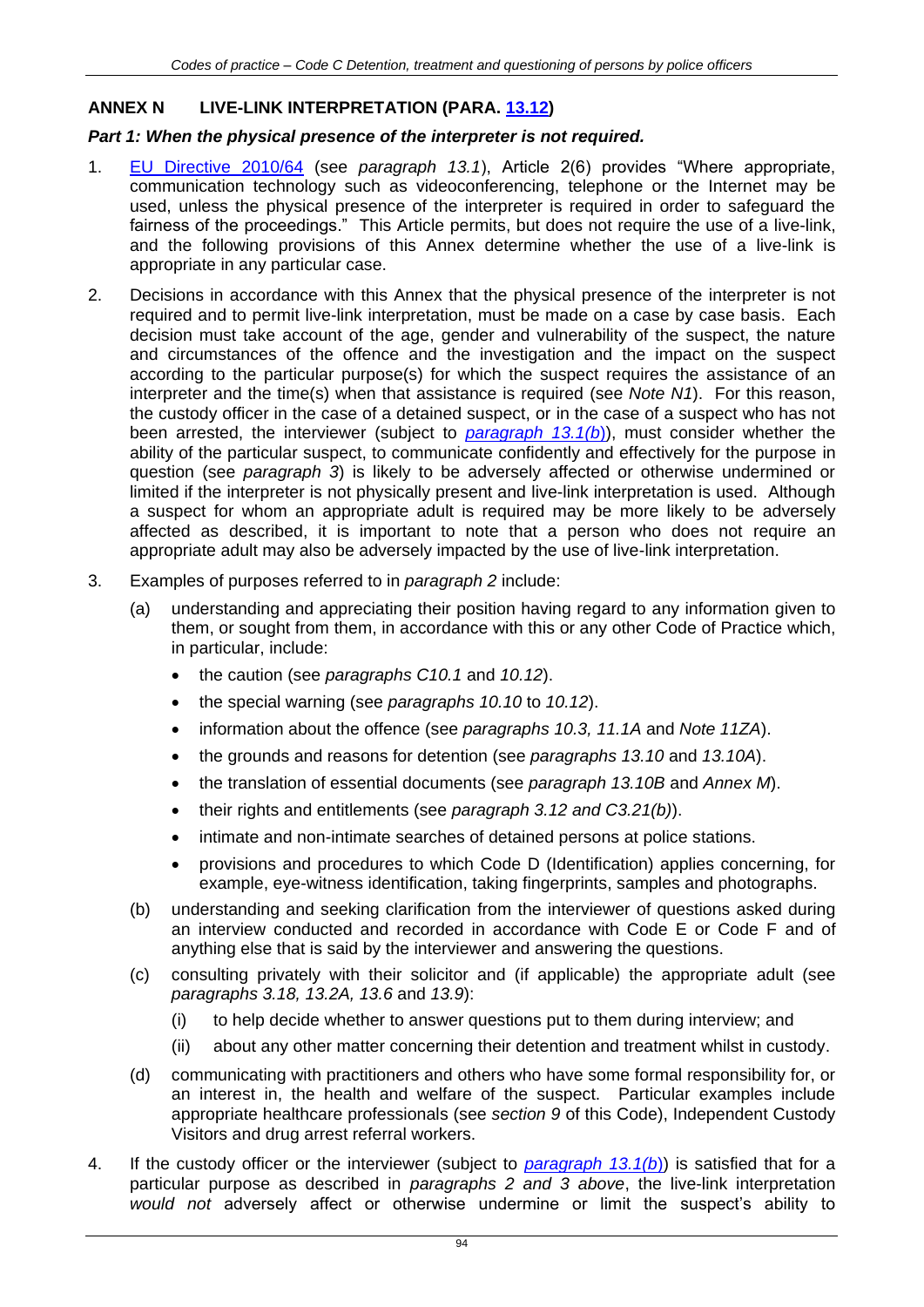# <span id="page-97-0"></span>**ANNEX N LIVE-LINK INTERPRETATION (PARA. [13.12\)](#page-58-0)**

#### *Part 1: When the physical presence of the interpreter is not required.*

- 1. [EU Directive 2010/64](http://eur-lex.europa.eu/LexUriServ/LexUriServ.do?uri=OJ:L:2010:280:0001:0007:en:PDF) (see *paragraph 13.1*), Article 2(6) provides "Where appropriate, communication technology such as videoconferencing, telephone or the Internet may be used, unless the physical presence of the interpreter is required in order to safeguard the fairness of the proceedings." This Article permits, but does not require the use of a live-link, and the following provisions of this Annex determine whether the use of a live-link is appropriate in any particular case.
- 2. Decisions in accordance with this Annex that the physical presence of the interpreter is not required and to permit live-link interpretation, must be made on a case by case basis. Each decision must take account of the age, gender and vulnerability of the suspect, the nature and circumstances of the offence and the investigation and the impact on the suspect according to the particular purpose(s) for which the suspect requires the assistance of an interpreter and the time(s) when that assistance is required (see *Note N1*). For this reason, the custody officer in the case of a detained suspect, or in the case of a suspect who has not been arrested, the interviewer (subject to *[paragraph 13.1\(b](#page-55-0)*)), must consider whether the ability of the particular suspect, to communicate confidently and effectively for the purpose in question (see *paragraph 3*) is likely to be adversely affected or otherwise undermined or limited if the interpreter is not physically present and live-link interpretation is used. Although a suspect for whom an appropriate adult is required may be more likely to be adversely affected as described, it is important to note that a person who does not require an appropriate adult may also be adversely impacted by the use of live-link interpretation.
- 3. Examples of purposes referred to in *paragraph 2* include:
	- (a) understanding and appreciating their position having regard to any information given to them, or sought from them, in accordance with this or any other Code of Practice which, in particular, include:
		- the caution (see *paragraphs C10.1* and *10.12*).
		- the special warning (see *paragraphs 10.10* to *10.12*).
		- information about the offence (see *paragraphs 10.3, 11.1A* and *Note 11ZA*).
		- the grounds and reasons for detention (see *paragraphs 13.10* and *13.10A*).
		- the translation of essential documents (see *paragraph 13.10B* and *Annex M*).
		- their rights and entitlements (see *paragraph 3.12 and C3.21(b)*).
		- intimate and non-intimate searches of detained persons at police stations.
		- provisions and procedures to which Code D (Identification) applies concerning, for example, eye-witness identification, taking fingerprints, samples and photographs.
	- (b) understanding and seeking clarification from the interviewer of questions asked during an interview conducted and recorded in accordance with Code E or Code F and of anything else that is said by the interviewer and answering the questions.
	- (c) consulting privately with their solicitor and (if applicable) the appropriate adult (see *paragraphs 3.18, 13.2A, 13.6* and *13.9*):
		- (i) to help decide whether to answer questions put to them during interview; and
		- (ii) about any other matter concerning their detention and treatment whilst in custody.
	- (d) communicating with practitioners and others who have some formal responsibility for, or an interest in, the health and welfare of the suspect. Particular examples include appropriate healthcare professionals (see *section 9* of this Code), Independent Custody Visitors and drug arrest referral workers.
- 4. If the custody officer or the interviewer (subject to *[paragraph 13.1\(b](#page-55-0)*)) is satisfied that for a particular purpose as described in *paragraphs 2 and 3 above*, the live-link interpretation *would not* adversely affect or otherwise undermine or limit the suspect's ability to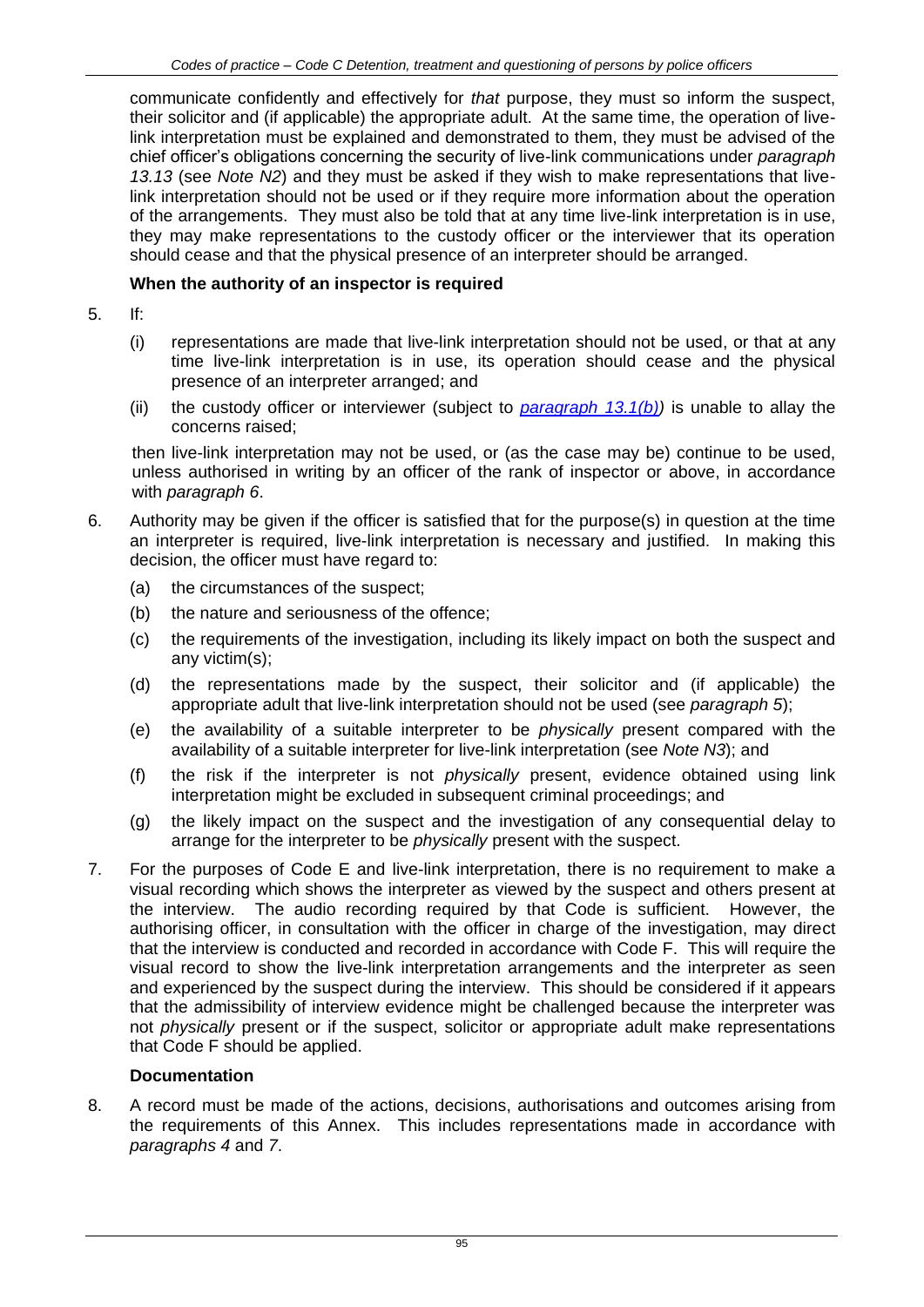communicate confidently and effectively for *that* purpose, they must so inform the suspect, their solicitor and (if applicable) the appropriate adult. At the same time, the operation of livelink interpretation must be explained and demonstrated to them, they must be advised of the chief officer's obligations concerning the security of live-link communications under *paragraph 13.13* (see *Note N2*) and they must be asked if they wish to make representations that livelink interpretation should not be used or if they require more information about the operation of the arrangements. They must also be told that at any time live-link interpretation is in use, they may make representations to the custody officer or the interviewer that its operation should cease and that the physical presence of an interpreter should be arranged.

# **When the authority of an inspector is required**

- 5. If:
	- (i) representations are made that live-link interpretation should not be used, or that at any time live-link interpretation is in use, its operation should cease and the physical presence of an interpreter arranged; and
	- (ii) the custody officer or interviewer (subject to *[paragraph 13.1\(b\)\)](#page-55-0)* is unable to allay the concerns raised;

then live-link interpretation may not be used, or (as the case may be) continue to be used, unless authorised in writing by an officer of the rank of inspector or above, in accordance with *paragraph 6*.

- 6. Authority may be given if the officer is satisfied that for the purpose(s) in question at the time an interpreter is required, live-link interpretation is necessary and justified. In making this decision, the officer must have regard to:
	- (a) the circumstances of the suspect;
	- (b) the nature and seriousness of the offence;
	- (c) the requirements of the investigation, including its likely impact on both the suspect and any victim(s);
	- (d) the representations made by the suspect, their solicitor and (if applicable) the appropriate adult that live-link interpretation should not be used (see *paragraph 5*);
	- (e) the availability of a suitable interpreter to be *physically* present compared with the availability of a suitable interpreter for live-link interpretation (see *Note N3*); and
	- (f) the risk if the interpreter is not *physically* present, evidence obtained using link interpretation might be excluded in subsequent criminal proceedings; and
	- (g) the likely impact on the suspect and the investigation of any consequential delay to arrange for the interpreter to be *physically* present with the suspect.
- 7. For the purposes of Code E and live-link interpretation, there is no requirement to make a visual recording which shows the interpreter as viewed by the suspect and others present at the interview. The audio recording required by that Code is sufficient. However, the authorising officer, in consultation with the officer in charge of the investigation, may direct that the interview is conducted and recorded in accordance with Code F. This will require the visual record to show the live-link interpretation arrangements and the interpreter as seen and experienced by the suspect during the interview. This should be considered if it appears that the admissibility of interview evidence might be challenged because the interpreter was not *physically* present or if the suspect, solicitor or appropriate adult make representations that Code F should be applied.

# **Documentation**

8. A record must be made of the actions, decisions, authorisations and outcomes arising from the requirements of this Annex. This includes representations made in accordance with *paragraphs 4* and *7*.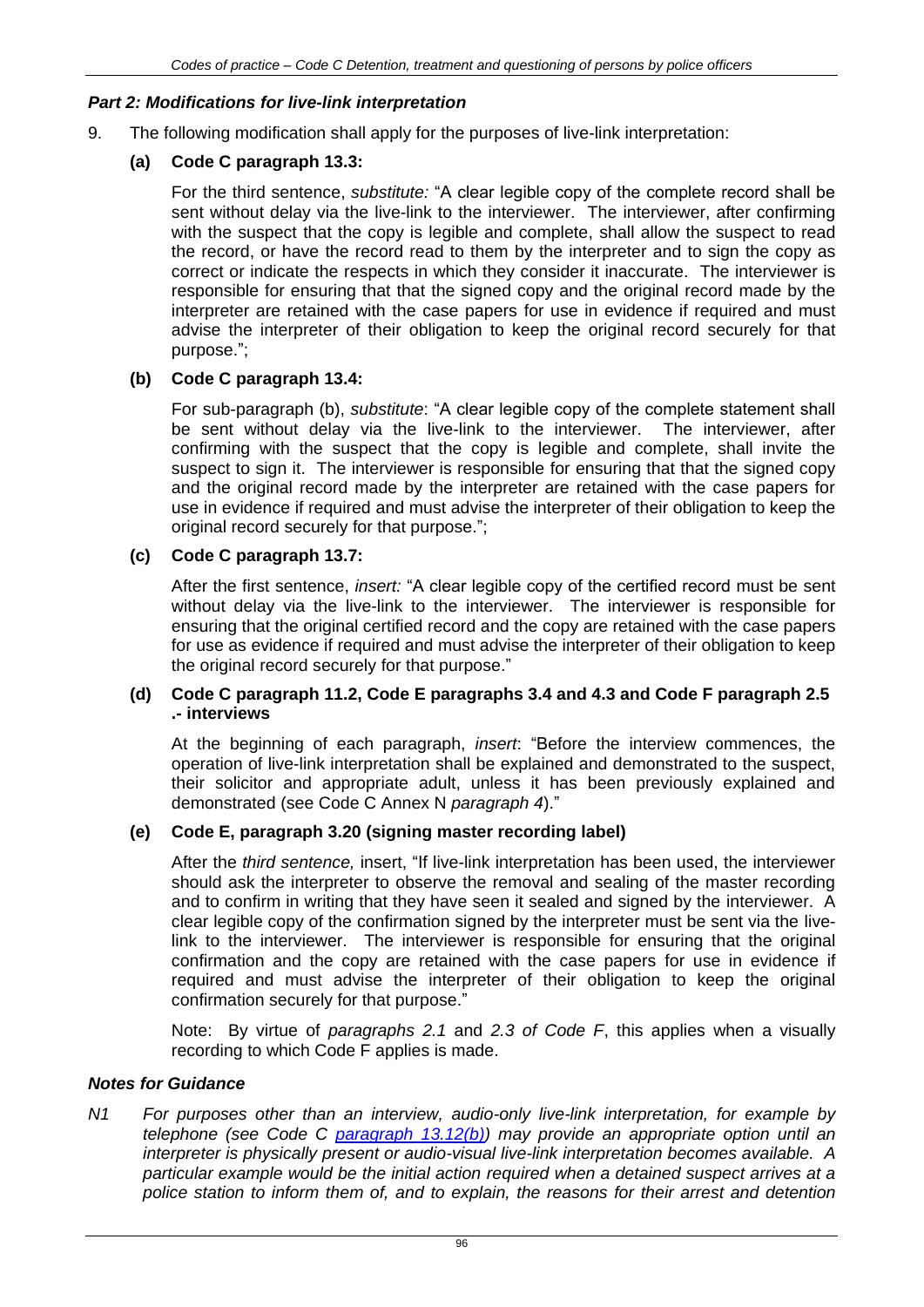### *Part 2: Modifications for live-link interpretation*

9. The following modification shall apply for the purposes of live-link interpretation:

# **(a) Code C paragraph 13.3:**

For the third sentence, *substitute:* "A clear legible copy of the complete record shall be sent without delay via the live-link to the interviewer. The interviewer, after confirming with the suspect that the copy is legible and complete, shall allow the suspect to read the record, or have the record read to them by the interpreter and to sign the copy as correct or indicate the respects in which they consider it inaccurate. The interviewer is responsible for ensuring that that the signed copy and the original record made by the interpreter are retained with the case papers for use in evidence if required and must advise the interpreter of their obligation to keep the original record securely for that purpose.";

# **(b) Code C paragraph 13.4:**

For sub-paragraph (b), *substitute*: "A clear legible copy of the complete statement shall be sent without delay via the live-link to the interviewer. The interviewer, after confirming with the suspect that the copy is legible and complete, shall invite the suspect to sign it. The interviewer is responsible for ensuring that that the signed copy and the original record made by the interpreter are retained with the case papers for use in evidence if required and must advise the interpreter of their obligation to keep the original record securely for that purpose.";

### **(c) Code C paragraph 13.7:**

After the first sentence, *insert:* "A clear legible copy of the certified record must be sent without delay via the live-link to the interviewer. The interviewer is responsible for ensuring that the original certified record and the copy are retained with the case papers for use as evidence if required and must advise the interpreter of their obligation to keep the original record securely for that purpose."

### **(d) Code C paragraph 11.2, Code E paragraphs 3.4 and 4.3 and Code F paragraph 2.5 .- interviews**

At the beginning of each paragraph, *insert*: "Before the interview commences, the operation of live-link interpretation shall be explained and demonstrated to the suspect, their solicitor and appropriate adult, unless it has been previously explained and demonstrated (see Code C Annex N *paragraph 4*)."

# **(e) Code E, paragraph 3.20 (signing master recording label)**

After the *third sentence,* insert, "If live-link interpretation has been used, the interviewer should ask the interpreter to observe the removal and sealing of the master recording and to confirm in writing that they have seen it sealed and signed by the interviewer. A clear legible copy of the confirmation signed by the interpreter must be sent via the livelink to the interviewer. The interviewer is responsible for ensuring that the original confirmation and the copy are retained with the case papers for use in evidence if required and must advise the interpreter of their obligation to keep the original confirmation securely for that purpose."

Note: By virtue of *paragraphs 2.1* and *2.3 of Code F*, this applies when a visually recording to which Code F applies is made.

### *Notes for Guidance*

*N1 For purposes other than an interview, audio-only live-link interpretation, for example by telephone (see Code C [paragraph 13.12\(b\)\)](#page-58-2) may provide an appropriate option until an interpreter is physically present or audio-visual live-link interpretation becomes available. A particular example would be the initial action required when a detained suspect arrives at a police station to inform them of, and to explain, the reasons for their arrest and detention*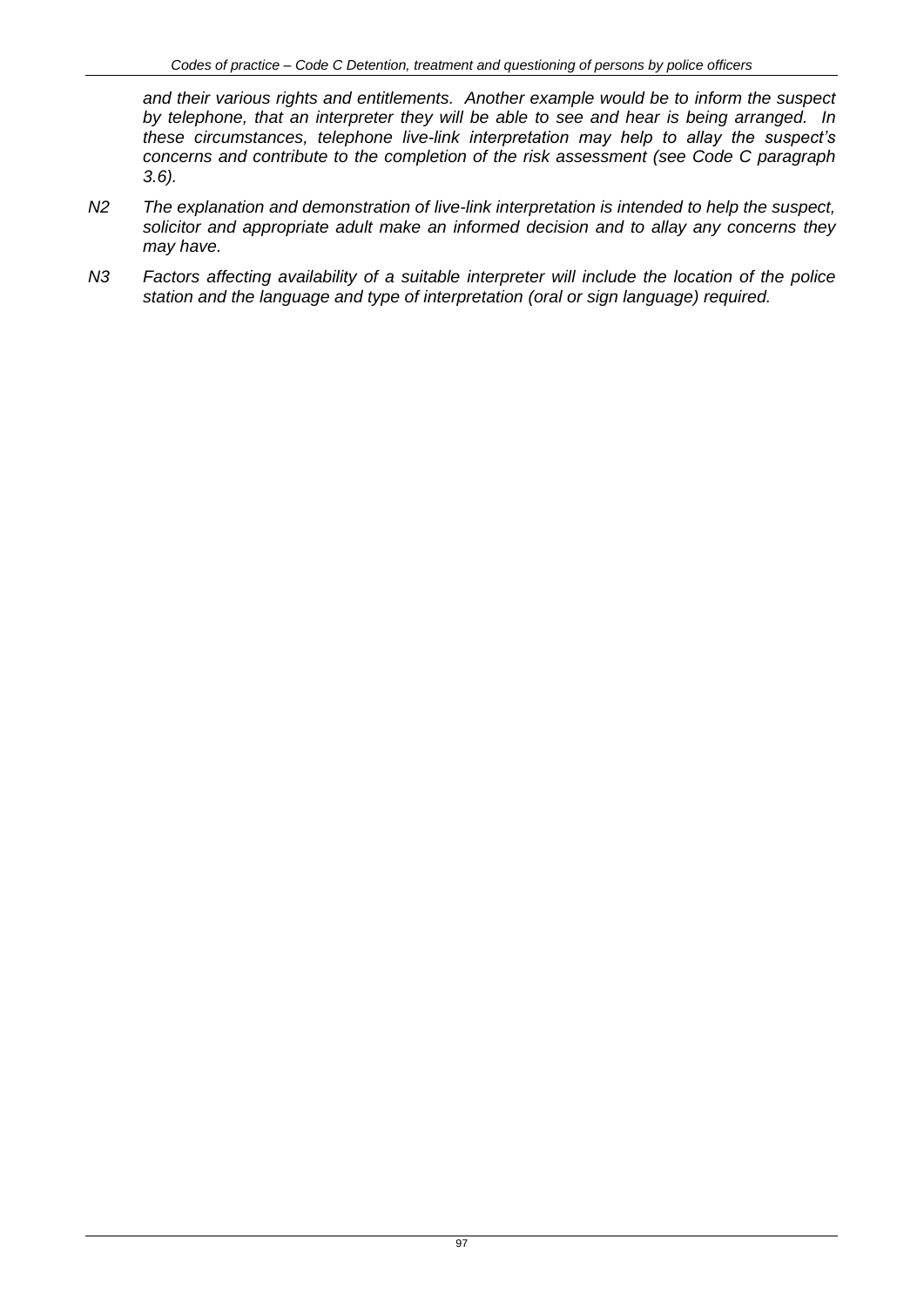*and their various rights and entitlements. Another example would be to inform the suspect by telephone, that an interpreter they will be able to see and hear is being arranged. In these circumstances, telephone live-link interpretation may help to allay the suspect's concerns and contribute to the completion of the risk assessment (see Code C paragraph 3.6).*

- *N2 The explanation and demonstration of live-link interpretation is intended to help the suspect, solicitor and appropriate adult make an informed decision and to allay any concerns they may have.*
- *N3 Factors affecting availability of a suitable interpreter will include the location of the police station and the language and type of interpretation (oral or sign language) required.*